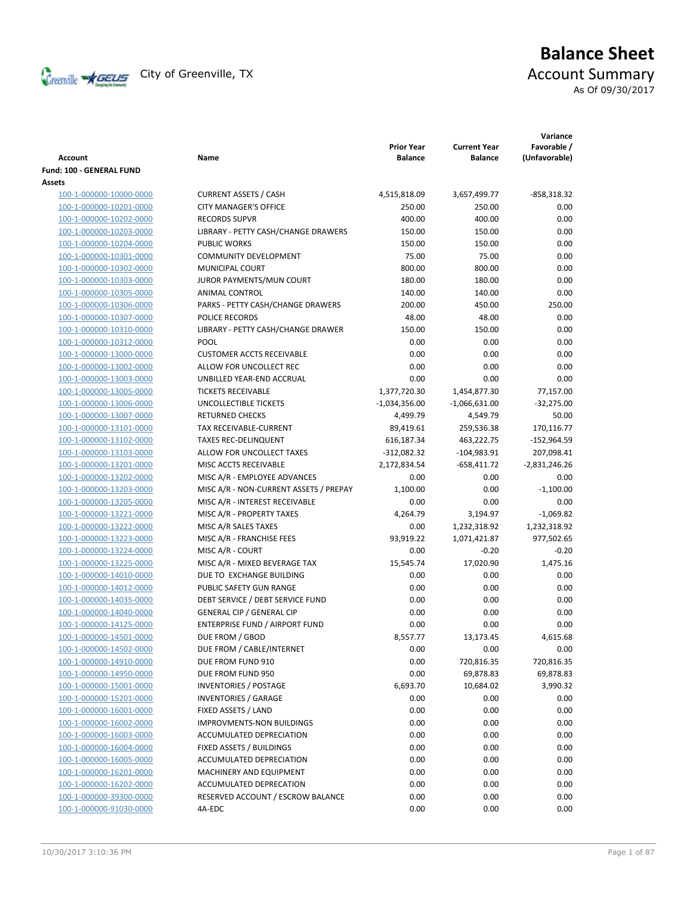

# **Balance Sheet** Creenville  $\star$  GEUS</del> City of Greenville, TX **ACCOUNT** Summary

As Of 09/30/2017

| <b>Account</b>           | Name                                   | <b>Prior Year</b><br><b>Balance</b> | <b>Current Year</b><br><b>Balance</b> | Variance<br>Favorable /<br>(Unfavorable) |
|--------------------------|----------------------------------------|-------------------------------------|---------------------------------------|------------------------------------------|
| Fund: 100 - GENERAL FUND |                                        |                                     |                                       |                                          |
| Assets                   |                                        |                                     |                                       |                                          |
| 100-1-000000-10000-0000  | <b>CURRENT ASSETS / CASH</b>           | 4,515,818.09                        | 3,657,499.77                          | $-858,318.32$                            |
| 100-1-000000-10201-0000  | <b>CITY MANAGER'S OFFICE</b>           | 250.00                              | 250.00                                | 0.00                                     |
| 100-1-000000-10202-0000  | <b>RECORDS SUPVR</b>                   | 400.00                              | 400.00                                | 0.00                                     |
| 100-1-000000-10203-0000  | LIBRARY - PETTY CASH/CHANGE DRAWERS    | 150.00                              | 150.00                                | 0.00                                     |
| 100-1-000000-10204-0000  | <b>PUBLIC WORKS</b>                    | 150.00                              | 150.00                                | 0.00                                     |
| 100-1-000000-10301-0000  | <b>COMMUNITY DEVELOPMENT</b>           | 75.00                               | 75.00                                 | 0.00                                     |
| 100-1-000000-10302-0000  | MUNICIPAL COURT                        | 800.00                              | 800.00                                | 0.00                                     |
| 100-1-000000-10303-0000  | JUROR PAYMENTS/MUN COURT               | 180.00                              | 180.00                                | 0.00                                     |
| 100-1-000000-10305-0000  | ANIMAL CONTROL                         | 140.00                              | 140.00                                | 0.00                                     |
| 100-1-000000-10306-0000  | PARKS - PETTY CASH/CHANGE DRAWERS      | 200.00                              | 450.00                                | 250.00                                   |
| 100-1-000000-10307-0000  | POLICE RECORDS                         | 48.00                               | 48.00                                 | 0.00                                     |
| 100-1-000000-10310-0000  | LIBRARY - PETTY CASH/CHANGE DRAWER     | 150.00                              | 150.00                                | 0.00                                     |
| 100-1-000000-10312-0000  | POOL                                   | 0.00                                | 0.00                                  | 0.00                                     |
| 100-1-000000-13000-0000  | <b>CUSTOMER ACCTS RECEIVABLE</b>       | 0.00                                | 0.00                                  | 0.00                                     |
| 100-1-000000-13002-0000  | ALLOW FOR UNCOLLECT REC                | 0.00                                | 0.00                                  | 0.00                                     |
| 100-1-000000-13003-0000  | UNBILLED YEAR-END ACCRUAL              | 0.00                                | 0.00                                  | 0.00                                     |
| 100-1-000000-13005-0000  | <b>TICKETS RECEIVABLE</b>              | 1,377,720.30                        | 1,454,877.30                          | 77,157.00                                |
| 100-1-000000-13006-0000  | UNCOLLECTIBLE TICKETS                  | $-1,034,356.00$                     | $-1,066,631.00$                       | $-32,275.00$                             |
| 100-1-000000-13007-0000  | <b>RETURNED CHECKS</b>                 | 4,499.79                            | 4,549.79                              | 50.00                                    |
| 100-1-000000-13101-0000  | TAX RECEIVABLE-CURRENT                 | 89,419.61                           | 259,536.38                            | 170,116.77                               |
| 100-1-000000-13102-0000  | <b>TAXES REC-DELINQUENT</b>            | 616,187.34                          | 463,222.75                            | -152,964.59                              |
| 100-1-000000-13103-0000  | ALLOW FOR UNCOLLECT TAXES              | $-312,082.32$                       | $-104,983.91$                         | 207,098.41                               |
| 100-1-000000-13201-0000  | MISC ACCTS RECEIVABLE                  | 2,172,834.54                        | $-658,411.72$                         | $-2,831,246.26$                          |
| 100-1-000000-13202-0000  | MISC A/R - EMPLOYEE ADVANCES           | 0.00                                | 0.00                                  | 0.00                                     |
| 100-1-000000-13203-0000  | MISC A/R - NON-CURRENT ASSETS / PREPAY | 1,100.00                            | 0.00                                  | $-1,100.00$                              |
| 100-1-000000-13205-0000  | MISC A/R - INTEREST RECEIVABLE         | 0.00                                | 0.00                                  | 0.00                                     |
| 100-1-000000-13221-0000  | MISC A/R - PROPERTY TAXES              | 4,264.79                            | 3,194.97                              | $-1,069.82$                              |
| 100-1-000000-13222-0000  | MISC A/R SALES TAXES                   | 0.00                                | 1,232,318.92                          | 1,232,318.92                             |
| 100-1-000000-13223-0000  | MISC A/R - FRANCHISE FEES              | 93,919.22                           | 1,071,421.87                          | 977,502.65                               |
| 100-1-000000-13224-0000  | MISC A/R - COURT                       | 0.00                                | $-0.20$                               | $-0.20$                                  |
| 100-1-000000-13225-0000  | MISC A/R - MIXED BEVERAGE TAX          | 15,545.74                           | 17,020.90                             | 1,475.16                                 |
| 100-1-000000-14010-0000  | DUE TO EXCHANGE BUILDING               | 0.00                                | 0.00                                  | 0.00                                     |
| 100-1-000000-14012-0000  | PUBLIC SAFETY GUN RANGE                | 0.00                                | 0.00                                  | 0.00                                     |
| 100-1-000000-14035-0000  | DEBT SERVICE / DEBT SERVICE FUND       | 0.00                                | 0.00                                  | 0.00                                     |
| 100-1-000000-14040-0000  | <b>GENERAL CIP / GENERAL CIP</b>       | 0.00                                | 0.00                                  | 0.00                                     |
| 100-1-000000-14125-0000  | <b>ENTERPRISE FUND / AIRPORT FUND</b>  | 0.00                                | 0.00                                  | 0.00                                     |
| 100-1-000000-14501-0000  | DUE FROM / GBOD                        | 8,557.77                            | 13,173.45                             | 4,615.68                                 |
| 100-1-000000-14502-0000  | DUE FROM / CABLE/INTERNET              | 0.00                                | 0.00                                  | 0.00                                     |
| 100-1-000000-14910-0000  | DUE FROM FUND 910                      | 0.00                                | 720,816.35                            | 720,816.35                               |
| 100-1-000000-14950-0000  | DUE FROM FUND 950                      | 0.00                                | 69,878.83                             | 69,878.83                                |
| 100-1-000000-15001-0000  | <b>INVENTORIES / POSTAGE</b>           | 6,693.70                            | 10,684.02                             | 3,990.32                                 |
| 100-1-000000-15201-0000  | <b>INVENTORIES / GARAGE</b>            | 0.00                                | 0.00                                  | 0.00                                     |
| 100-1-000000-16001-0000  | FIXED ASSETS / LAND                    | 0.00                                | 0.00                                  | 0.00                                     |
| 100-1-000000-16002-0000  | IMPROVMENTS-NON BUILDINGS              | 0.00                                | 0.00                                  | 0.00                                     |
| 100-1-000000-16003-0000  | ACCUMULATED DEPRECIATION               | 0.00                                | 0.00                                  | 0.00                                     |
| 100-1-000000-16004-0000  | FIXED ASSETS / BUILDINGS               | 0.00                                | 0.00                                  | 0.00                                     |
| 100-1-000000-16005-0000  | <b>ACCUMULATED DEPRECIATION</b>        | 0.00                                | 0.00                                  | 0.00                                     |
| 100-1-000000-16201-0000  | MACHINERY AND EQUIPMENT                | 0.00                                | 0.00                                  | 0.00                                     |
| 100-1-000000-16202-0000  | ACCUMULATED DEPRECATION                | 0.00                                | 0.00                                  | 0.00                                     |
| 100-1-000000-39300-0000  | RESERVED ACCOUNT / ESCROW BALANCE      | 0.00                                | 0.00                                  | 0.00                                     |
| 100-1-000000-91030-0000  | 4A-EDC                                 | 0.00                                | 0.00                                  | 0.00                                     |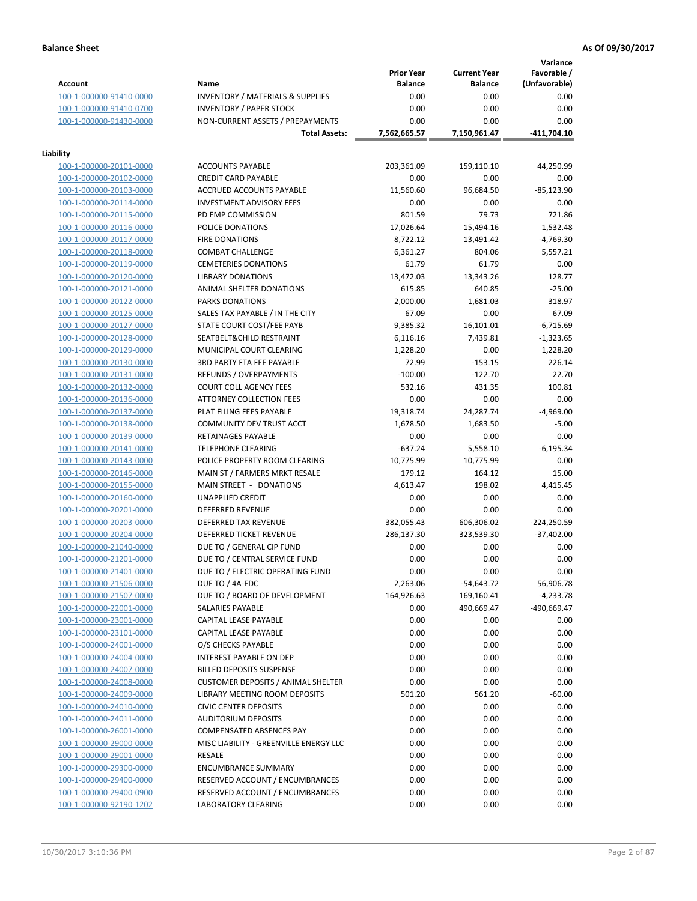**Variance**

|                         |                                                            | <b>Prior Year</b> | <b>Current Year</b> | vanance<br>Favorable / |
|-------------------------|------------------------------------------------------------|-------------------|---------------------|------------------------|
| <b>Account</b>          | Name                                                       | <b>Balance</b>    | <b>Balance</b>      | (Unfavorable)          |
| 100-1-000000-91410-0000 | <b>INVENTORY / MATERIALS &amp; SUPPLIES</b>                | 0.00              | 0.00                | 0.00                   |
| 100-1-000000-91410-0700 | <b>INVENTORY / PAPER STOCK</b>                             | 0.00              | 0.00                | 0.00                   |
| 100-1-000000-91430-0000 | NON-CURRENT ASSETS / PREPAYMENTS                           | 0.00              | 0.00                | 0.00                   |
|                         | <b>Total Assets:</b>                                       | 7,562,665.57      | 7,150,961.47        | $-411,704.10$          |
| Liability               |                                                            |                   |                     |                        |
| 100-1-000000-20101-0000 | <b>ACCOUNTS PAYABLE</b>                                    | 203,361.09        | 159,110.10          | 44,250.99              |
| 100-1-000000-20102-0000 | <b>CREDIT CARD PAYABLE</b>                                 | 0.00              | 0.00                | 0.00                   |
| 100-1-000000-20103-0000 | ACCRUED ACCOUNTS PAYABLE                                   | 11,560.60         | 96,684.50           | $-85,123.90$           |
| 100-1-000000-20114-0000 | <b>INVESTMENT ADVISORY FEES</b>                            | 0.00              | 0.00                | 0.00                   |
| 100-1-000000-20115-0000 | PD EMP COMMISSION                                          | 801.59            | 79.73               | 721.86                 |
| 100-1-000000-20116-0000 | POLICE DONATIONS                                           | 17,026.64         | 15,494.16           | 1,532.48               |
| 100-1-000000-20117-0000 | <b>FIRE DONATIONS</b>                                      | 8,722.12          | 13,491.42           | $-4,769.30$            |
| 100-1-000000-20118-0000 | <b>COMBAT CHALLENGE</b>                                    | 6,361.27          | 804.06              | 5,557.21               |
| 100-1-000000-20119-0000 | <b>CEMETERIES DONATIONS</b>                                | 61.79             | 61.79               | 0.00                   |
| 100-1-000000-20120-0000 | <b>LIBRARY DONATIONS</b>                                   | 13,472.03         | 13,343.26           | 128.77                 |
| 100-1-000000-20121-0000 | ANIMAL SHELTER DONATIONS                                   | 615.85            | 640.85              | $-25.00$               |
| 100-1-000000-20122-0000 | <b>PARKS DONATIONS</b>                                     | 2,000.00          | 1,681.03            | 318.97                 |
| 100-1-000000-20125-0000 | SALES TAX PAYABLE / IN THE CITY                            | 67.09             | 0.00                | 67.09                  |
| 100-1-000000-20127-0000 | STATE COURT COST/FEE PAYB                                  | 9,385.32          | 16,101.01           | $-6,715.69$            |
| 100-1-000000-20128-0000 | SEATBELT&CHILD RESTRAINT                                   | 6,116.16          | 7,439.81            | $-1,323.65$            |
| 100-1-000000-20129-0000 | MUNICIPAL COURT CLEARING                                   | 1,228.20          | 0.00                | 1,228.20               |
| 100-1-000000-20130-0000 | 3RD PARTY FTA FEE PAYABLE                                  | 72.99             | $-153.15$           | 226.14                 |
| 100-1-000000-20131-0000 | <b>REFUNDS / OVERPAYMENTS</b>                              | $-100.00$         | $-122.70$           | 22.70                  |
| 100-1-000000-20132-0000 | <b>COURT COLL AGENCY FEES</b>                              | 532.16            | 431.35              | 100.81                 |
| 100-1-000000-20136-0000 | ATTORNEY COLLECTION FEES                                   | 0.00              | 0.00                | 0.00                   |
| 100-1-000000-20137-0000 | PLAT FILING FEES PAYABLE                                   | 19,318.74         | 24,287.74           | $-4,969.00$            |
| 100-1-000000-20138-0000 | COMMUNITY DEV TRUST ACCT                                   | 1,678.50          | 1,683.50            | $-5.00$                |
| 100-1-000000-20139-0000 | RETAINAGES PAYABLE                                         | 0.00              | 0.00                | 0.00                   |
| 100-1-000000-20141-0000 | <b>TELEPHONE CLEARING</b>                                  | $-637.24$         | 5,558.10            | $-6,195.34$            |
| 100-1-000000-20143-0000 | POLICE PROPERTY ROOM CLEARING                              | 10,775.99         | 10,775.99           | 0.00                   |
| 100-1-000000-20146-0000 | MAIN ST / FARMERS MRKT RESALE                              | 179.12            | 164.12              | 15.00                  |
| 100-1-000000-20155-0000 | MAIN STREET - DONATIONS                                    | 4,613.47          | 198.02              | 4,415.45               |
| 100-1-000000-20160-0000 | UNAPPLIED CREDIT                                           | 0.00              | 0.00                | 0.00                   |
| 100-1-000000-20201-0000 | <b>DEFERRED REVENUE</b>                                    | 0.00              | 0.00                | 0.00                   |
| 100-1-000000-20203-0000 | DEFERRED TAX REVENUE                                       | 382,055.43        | 606,306.02          | $-224,250.59$          |
| 100-1-000000-20204-0000 | DEFERRED TICKET REVENUE                                    |                   |                     |                        |
| 100-1-000000-21040-0000 |                                                            | 286,137.30        | 323,539.30          | $-37,402.00$           |
| 100-1-000000-21201-0000 | DUE TO / GENERAL CIP FUND<br>DUE TO / CENTRAL SERVICE FUND | 0.00<br>0.00      | 0.00<br>0.00        | 0.00<br>0.00           |
|                         |                                                            |                   |                     | 0.00                   |
| 100-1-000000-21401-0000 | DUE TO / ELECTRIC OPERATING FUND                           | 0.00              | 0.00                |                        |
| 100-1-000000-21506-0000 | DUE TO / 4A-EDC                                            | 2,263.06          | -54,643.72          | 56,906.78              |
| 100-1-000000-21507-0000 | DUE TO / BOARD OF DEVELOPMENT                              | 164,926.63        | 169,160.41          | $-4,233.78$            |
| 100-1-000000-22001-0000 | SALARIES PAYABLE                                           | 0.00              | 490,669.47          | -490,669.47            |
| 100-1-000000-23001-0000 | CAPITAL LEASE PAYABLE                                      | 0.00              | 0.00                | 0.00                   |
| 100-1-000000-23101-0000 | CAPITAL LEASE PAYABLE                                      | 0.00              | 0.00                | 0.00                   |
| 100-1-000000-24001-0000 | O/S CHECKS PAYABLE                                         | 0.00              | 0.00                | 0.00                   |
| 100-1-000000-24004-0000 | INTEREST PAYABLE ON DEP                                    | 0.00              | 0.00                | 0.00                   |
| 100-1-000000-24007-0000 | <b>BILLED DEPOSITS SUSPENSE</b>                            | 0.00              | 0.00                | 0.00                   |
| 100-1-000000-24008-0000 | <b>CUSTOMER DEPOSITS / ANIMAL SHELTER</b>                  | 0.00              | 0.00                | 0.00                   |
| 100-1-000000-24009-0000 | LIBRARY MEETING ROOM DEPOSITS                              | 501.20            | 561.20              | $-60.00$               |
| 100-1-000000-24010-0000 | <b>CIVIC CENTER DEPOSITS</b>                               | 0.00              | 0.00                | 0.00                   |
| 100-1-000000-24011-0000 | <b>AUDITORIUM DEPOSITS</b>                                 | 0.00              | 0.00                | 0.00                   |
| 100-1-000000-26001-0000 | <b>COMPENSATED ABSENCES PAY</b>                            | 0.00              | 0.00                | 0.00                   |
| 100-1-000000-29000-0000 | MISC LIABILITY - GREENVILLE ENERGY LLC                     | 0.00              | 0.00                | 0.00                   |
| 100-1-000000-29001-0000 | RESALE                                                     | 0.00              | 0.00                | 0.00                   |
| 100-1-000000-29300-0000 | <b>ENCUMBRANCE SUMMARY</b>                                 | 0.00              | 0.00                | 0.00                   |
| 100-1-000000-29400-0000 | RESERVED ACCOUNT / ENCUMBRANCES                            | 0.00              | 0.00                | 0.00                   |
| 100-1-000000-29400-0900 | RESERVED ACCOUNT / ENCUMBRANCES                            | 0.00              | 0.00                | 0.00                   |
| 100-1-000000-92190-1202 | LABORATORY CLEARING                                        | 0.00              | 0.00                | 0.00                   |
|                         |                                                            |                   |                     |                        |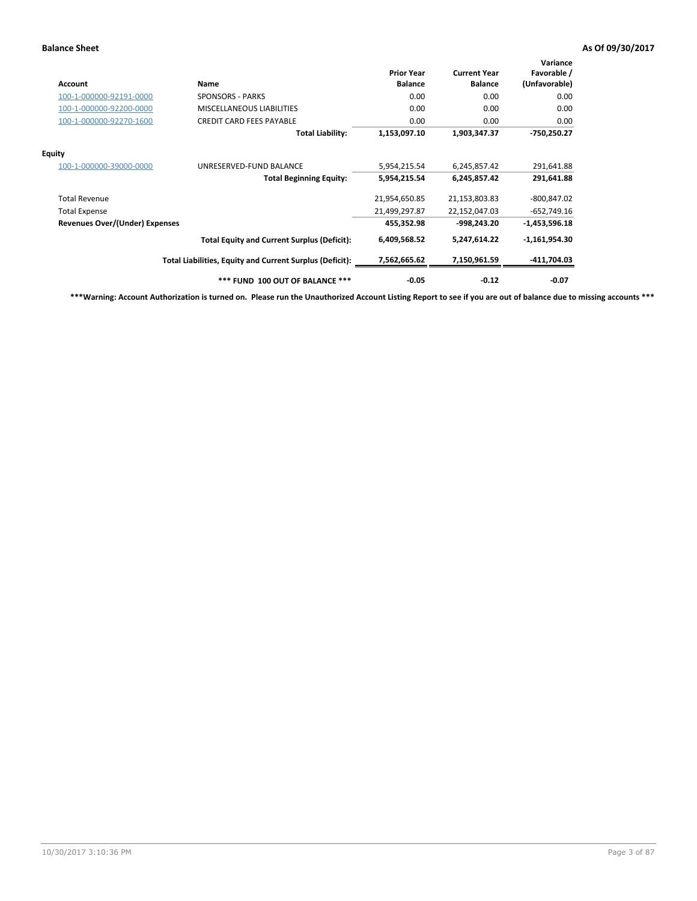| Account                        | Name                                                     | <b>Prior Year</b><br><b>Balance</b> | <b>Current Year</b><br><b>Balance</b> | Variance<br>Favorable /<br>(Unfavorable) |
|--------------------------------|----------------------------------------------------------|-------------------------------------|---------------------------------------|------------------------------------------|
| 100-1-000000-92191-0000        | <b>SPONSORS - PARKS</b>                                  | 0.00                                | 0.00                                  | 0.00                                     |
| 100-1-000000-92200-0000        | MISCELLANEOUS LIABILITIES                                | 0.00                                | 0.00                                  | 0.00                                     |
| 100-1-000000-92270-1600        | <b>CREDIT CARD FEES PAYABLE</b>                          | 0.00                                | 0.00                                  | 0.00                                     |
|                                | <b>Total Liability:</b>                                  | 1,153,097.10                        | 1,903,347.37                          | $-750,250.27$                            |
| Equity                         |                                                          |                                     |                                       |                                          |
| 100-1-000000-39000-0000        | UNRESERVED-FUND BALANCE                                  | 5,954,215.54                        | 6,245,857.42                          | 291,641.88                               |
|                                | <b>Total Beginning Equity:</b>                           | 5,954,215.54                        | 6,245,857.42                          | 291,641.88                               |
| <b>Total Revenue</b>           |                                                          | 21,954,650.85                       | 21,153,803.83                         | $-800, 847.02$                           |
| <b>Total Expense</b>           |                                                          | 21,499,297.87                       | 22,152,047.03                         | $-652,749.16$                            |
| Revenues Over/(Under) Expenses |                                                          | 455,352.98                          | -998,243.20                           | $-1,453,596.18$                          |
|                                | <b>Total Equity and Current Surplus (Deficit):</b>       | 6,409,568.52                        | 5,247,614.22                          | $-1,161,954.30$                          |
|                                | Total Liabilities, Equity and Current Surplus (Deficit): | 7,562,665.62                        | 7,150,961.59                          | -411,704.03                              |
|                                | *** FUND 100 OUT OF BALANCE ***                          | $-0.05$                             | $-0.12$                               | $-0.07$                                  |

**\*\*\*Warning: Account Authorization is turned on. Please run the Unauthorized Account Listing Report to see if you are out of balance due to missing accounts \*\*\***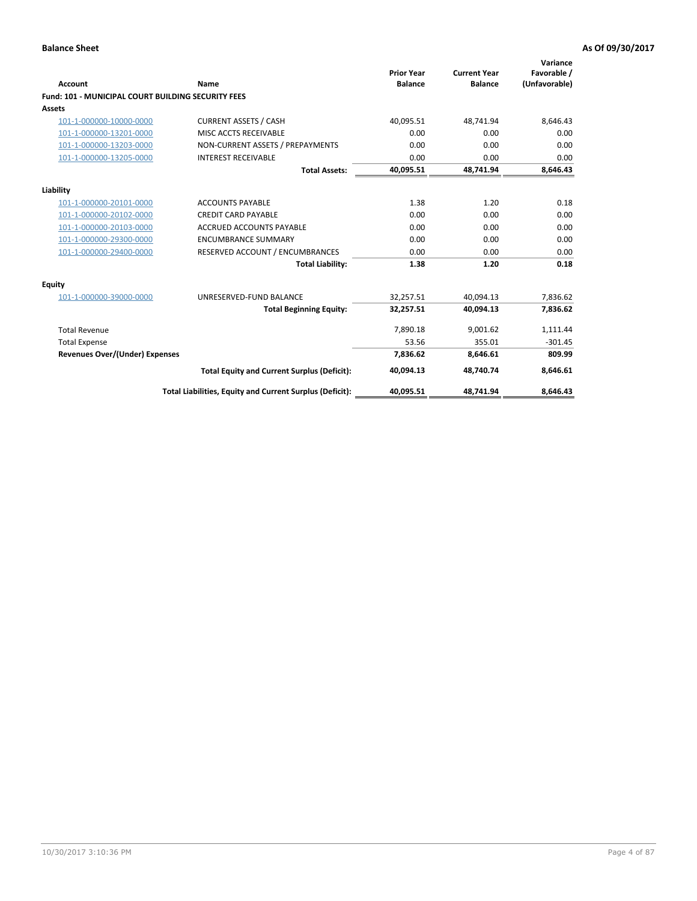| Account                                                   | <b>Name</b>                                              | <b>Prior Year</b><br><b>Balance</b> | <b>Current Year</b><br><b>Balance</b> | Variance<br>Favorable /<br>(Unfavorable) |
|-----------------------------------------------------------|----------------------------------------------------------|-------------------------------------|---------------------------------------|------------------------------------------|
| <b>Fund: 101 - MUNICIPAL COURT BUILDING SECURITY FEES</b> |                                                          |                                     |                                       |                                          |
| Assets                                                    |                                                          |                                     |                                       |                                          |
| 101-1-000000-10000-0000                                   | <b>CURRENT ASSETS / CASH</b>                             | 40,095.51                           | 48,741.94                             | 8,646.43                                 |
| 101-1-000000-13201-0000                                   | MISC ACCTS RECEIVABLE                                    | 0.00                                | 0.00                                  | 0.00                                     |
| 101-1-000000-13203-0000                                   | NON-CURRENT ASSETS / PREPAYMENTS                         | 0.00                                | 0.00                                  | 0.00                                     |
| 101-1-000000-13205-0000                                   | <b>INTEREST RECEIVABLE</b>                               | 0.00                                | 0.00                                  | 0.00                                     |
|                                                           | <b>Total Assets:</b>                                     | 40,095.51                           | 48,741.94                             | 8,646.43                                 |
| Liability                                                 |                                                          |                                     |                                       |                                          |
| 101-1-000000-20101-0000                                   | <b>ACCOUNTS PAYABLE</b>                                  | 1.38                                | 1.20                                  | 0.18                                     |
| 101-1-000000-20102-0000                                   | <b>CREDIT CARD PAYABLE</b>                               | 0.00                                | 0.00                                  | 0.00                                     |
| 101-1-000000-20103-0000                                   | <b>ACCRUED ACCOUNTS PAYABLE</b>                          | 0.00                                | 0.00                                  | 0.00                                     |
| 101-1-000000-29300-0000                                   | <b>ENCUMBRANCE SUMMARY</b>                               | 0.00                                | 0.00                                  | 0.00                                     |
| 101-1-000000-29400-0000                                   | RESERVED ACCOUNT / ENCUMBRANCES                          | 0.00                                | 0.00                                  | 0.00                                     |
|                                                           | <b>Total Liability:</b>                                  | 1.38                                | 1.20                                  | 0.18                                     |
| <b>Equity</b>                                             |                                                          |                                     |                                       |                                          |
| 101-1-000000-39000-0000                                   | UNRESERVED-FUND BALANCE                                  | 32,257.51                           | 40,094.13                             | 7,836.62                                 |
|                                                           | <b>Total Beginning Equity:</b>                           | 32,257.51                           | 40,094.13                             | 7,836.62                                 |
| <b>Total Revenue</b>                                      |                                                          | 7,890.18                            | 9,001.62                              | 1,111.44                                 |
| <b>Total Expense</b>                                      |                                                          | 53.56                               | 355.01                                | $-301.45$                                |
| <b>Revenues Over/(Under) Expenses</b>                     |                                                          | 7.836.62                            | 8.646.61                              | 809.99                                   |
|                                                           | <b>Total Equity and Current Surplus (Deficit):</b>       | 40,094.13                           | 48,740.74                             | 8,646.61                                 |
|                                                           | Total Liabilities, Equity and Current Surplus (Deficit): | 40,095.51                           | 48,741.94                             | 8,646.43                                 |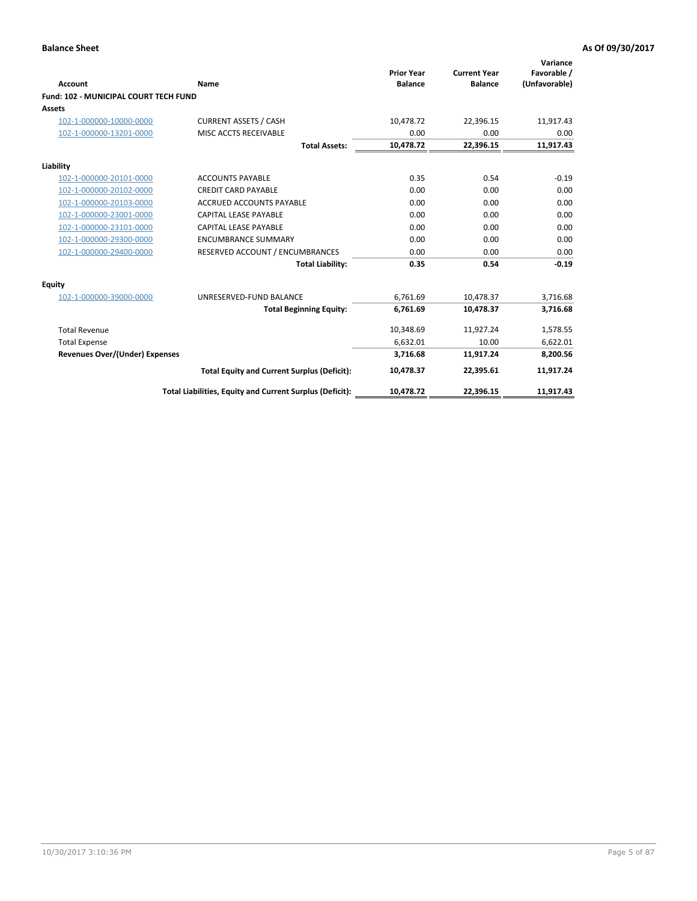| <b>Account</b>                               | Name                                                     | <b>Prior Year</b><br><b>Balance</b> | <b>Current Year</b><br><b>Balance</b> | Variance<br>Favorable /<br>(Unfavorable) |
|----------------------------------------------|----------------------------------------------------------|-------------------------------------|---------------------------------------|------------------------------------------|
| <b>Fund: 102 - MUNICIPAL COURT TECH FUND</b> |                                                          |                                     |                                       |                                          |
| Assets                                       |                                                          |                                     |                                       |                                          |
| 102-1-000000-10000-0000                      | <b>CURRENT ASSETS / CASH</b>                             | 10,478.72                           | 22,396.15                             | 11,917.43                                |
| 102-1-000000-13201-0000                      | MISC ACCTS RECEIVABLE                                    | 0.00                                | 0.00                                  | 0.00                                     |
|                                              | <b>Total Assets:</b>                                     | 10,478.72                           | 22,396.15                             | 11,917.43                                |
| Liability                                    |                                                          |                                     |                                       |                                          |
| 102-1-000000-20101-0000                      | <b>ACCOUNTS PAYABLE</b>                                  | 0.35                                | 0.54                                  | $-0.19$                                  |
| 102-1-000000-20102-0000                      | <b>CREDIT CARD PAYABLE</b>                               | 0.00                                | 0.00                                  | 0.00                                     |
| 102-1-000000-20103-0000                      | <b>ACCRUED ACCOUNTS PAYABLE</b>                          | 0.00                                | 0.00                                  | 0.00                                     |
| 102-1-000000-23001-0000                      | <b>CAPITAL LEASE PAYABLE</b>                             | 0.00                                | 0.00                                  | 0.00                                     |
| 102-1-000000-23101-0000                      | <b>CAPITAL LEASE PAYABLE</b>                             | 0.00                                | 0.00                                  | 0.00                                     |
| 102-1-000000-29300-0000                      | <b>ENCUMBRANCE SUMMARY</b>                               | 0.00                                | 0.00                                  | 0.00                                     |
| 102-1-000000-29400-0000                      | RESERVED ACCOUNT / ENCUMBRANCES                          | 0.00                                | 0.00                                  | 0.00                                     |
|                                              | <b>Total Liability:</b>                                  | 0.35                                | 0.54                                  | $-0.19$                                  |
| Equity                                       |                                                          |                                     |                                       |                                          |
| 102-1-000000-39000-0000                      | UNRESERVED-FUND BALANCE                                  | 6,761.69                            | 10,478.37                             | 3,716.68                                 |
|                                              | <b>Total Beginning Equity:</b>                           | 6,761.69                            | 10,478.37                             | 3,716.68                                 |
| <b>Total Revenue</b>                         |                                                          | 10,348.69                           | 11,927.24                             | 1,578.55                                 |
| <b>Total Expense</b>                         |                                                          | 6,632.01                            | 10.00                                 | 6,622.01                                 |
| <b>Revenues Over/(Under) Expenses</b>        |                                                          | 3,716.68                            | 11,917.24                             | 8,200.56                                 |
|                                              | <b>Total Equity and Current Surplus (Deficit):</b>       | 10,478.37                           | 22,395.61                             | 11,917.24                                |
|                                              | Total Liabilities, Equity and Current Surplus (Deficit): | 10,478.72                           | 22,396.15                             | 11,917.43                                |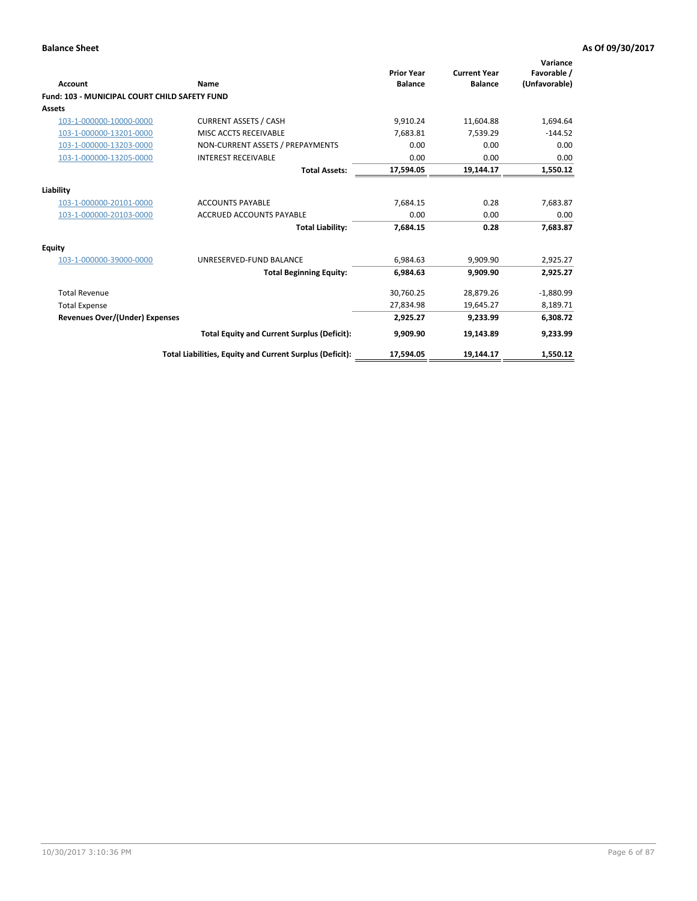| <b>Account</b>                                | Name                                                     | <b>Prior Year</b><br><b>Balance</b> | <b>Current Year</b><br><b>Balance</b> | Variance<br>Favorable /<br>(Unfavorable) |
|-----------------------------------------------|----------------------------------------------------------|-------------------------------------|---------------------------------------|------------------------------------------|
| Fund: 103 - MUNICIPAL COURT CHILD SAFETY FUND |                                                          |                                     |                                       |                                          |
| <b>Assets</b>                                 |                                                          |                                     |                                       |                                          |
| 103-1-000000-10000-0000                       | <b>CURRENT ASSETS / CASH</b>                             | 9,910.24                            | 11,604.88                             | 1,694.64                                 |
| 103-1-000000-13201-0000                       | MISC ACCTS RECEIVABLE                                    | 7,683.81                            | 7,539.29                              | $-144.52$                                |
| 103-1-000000-13203-0000                       | NON-CURRENT ASSETS / PREPAYMENTS                         | 0.00                                | 0.00                                  | 0.00                                     |
| 103-1-000000-13205-0000                       | <b>INTEREST RECEIVABLE</b>                               | 0.00                                | 0.00                                  | 0.00                                     |
|                                               | <b>Total Assets:</b>                                     | 17,594.05                           | 19,144.17                             | 1,550.12                                 |
| Liability                                     |                                                          |                                     |                                       |                                          |
| 103-1-000000-20101-0000                       | <b>ACCOUNTS PAYABLE</b>                                  | 7,684.15                            | 0.28                                  | 7,683.87                                 |
| 103-1-000000-20103-0000                       | <b>ACCRUED ACCOUNTS PAYABLE</b>                          | 0.00                                | 0.00                                  | 0.00                                     |
|                                               | <b>Total Liability:</b>                                  | 7,684.15                            | 0.28                                  | 7,683.87                                 |
| <b>Equity</b>                                 |                                                          |                                     |                                       |                                          |
| 103-1-000000-39000-0000                       | UNRESERVED-FUND BALANCE                                  | 6,984.63                            | 9.909.90                              | 2,925.27                                 |
|                                               | <b>Total Beginning Equity:</b>                           | 6,984.63                            | 9,909.90                              | 2,925.27                                 |
| <b>Total Revenue</b>                          |                                                          | 30,760.25                           | 28,879.26                             | $-1,880.99$                              |
| <b>Total Expense</b>                          |                                                          | 27,834.98                           | 19,645.27                             | 8,189.71                                 |
| <b>Revenues Over/(Under) Expenses</b>         |                                                          | 2,925.27                            | 9,233.99                              | 6,308.72                                 |
|                                               | <b>Total Equity and Current Surplus (Deficit):</b>       | 9,909.90                            | 19,143.89                             | 9,233.99                                 |
|                                               | Total Liabilities, Equity and Current Surplus (Deficit): | 17,594.05                           | 19,144.17                             | 1,550.12                                 |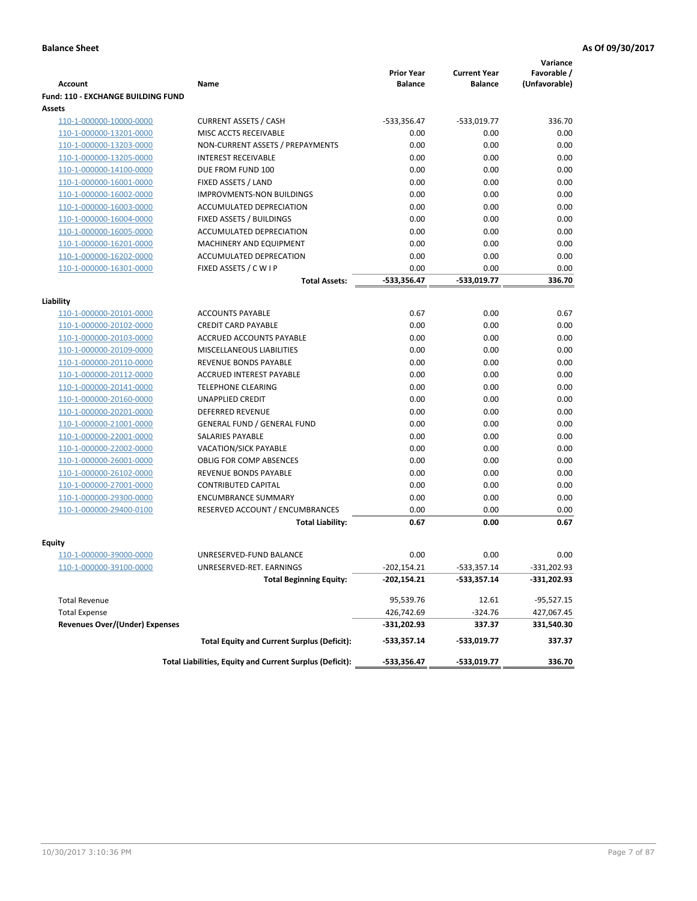| <b>Account</b>                                     | Name                                                     | <b>Prior Year</b><br><b>Balance</b> | <b>Current Year</b><br><b>Balance</b> | Variance<br>Favorable /<br>(Unfavorable) |
|----------------------------------------------------|----------------------------------------------------------|-------------------------------------|---------------------------------------|------------------------------------------|
| <b>Fund: 110 - EXCHANGE BUILDING FUND</b>          |                                                          |                                     |                                       |                                          |
| Assets                                             |                                                          |                                     |                                       |                                          |
|                                                    | <b>CURRENT ASSETS / CASH</b>                             | -533,356.47                         |                                       | 336.70                                   |
| 110-1-000000-10000-0000<br>110-1-000000-13201-0000 | MISC ACCTS RECEIVABLE                                    | 0.00                                | $-533,019.77$<br>0.00                 | 0.00                                     |
|                                                    | NON-CURRENT ASSETS / PREPAYMENTS                         | 0.00                                | 0.00                                  | 0.00                                     |
| 110-1-000000-13203-0000<br>110-1-000000-13205-0000 | <b>INTEREST RECEIVABLE</b>                               | 0.00                                | 0.00                                  | 0.00                                     |
| 110-1-000000-14100-0000                            | DUE FROM FUND 100                                        | 0.00                                | 0.00                                  | 0.00                                     |
| 110-1-000000-16001-0000                            | FIXED ASSETS / LAND                                      | 0.00                                | 0.00                                  | 0.00                                     |
| 110-1-000000-16002-0000                            | <b>IMPROVMENTS-NON BUILDINGS</b>                         | 0.00                                | 0.00                                  | 0.00                                     |
| 110-1-000000-16003-0000                            | ACCUMULATED DEPRECIATION                                 | 0.00                                | 0.00                                  | 0.00                                     |
|                                                    |                                                          | 0.00                                | 0.00                                  | 0.00                                     |
| 110-1-000000-16004-0000<br>110-1-000000-16005-0000 | FIXED ASSETS / BUILDINGS<br>ACCUMULATED DEPRECIATION     | 0.00                                | 0.00                                  | 0.00                                     |
| 110-1-000000-16201-0000                            | MACHINERY AND EQUIPMENT                                  | 0.00                                | 0.00                                  | 0.00                                     |
| 110-1-000000-16202-0000                            | ACCUMULATED DEPRECATION                                  | 0.00                                | 0.00                                  | 0.00                                     |
|                                                    |                                                          | 0.00                                | 0.00                                  | 0.00                                     |
| 110-1-000000-16301-0000                            | FIXED ASSETS / C W I P                                   |                                     |                                       |                                          |
|                                                    | <b>Total Assets:</b>                                     | $-533,356.47$                       | -533,019.77                           | 336.70                                   |
| Liability                                          |                                                          |                                     |                                       |                                          |
| 110-1-000000-20101-0000                            | <b>ACCOUNTS PAYABLE</b>                                  | 0.67                                | 0.00                                  | 0.67                                     |
| 110-1-000000-20102-0000                            | <b>CREDIT CARD PAYABLE</b>                               | 0.00                                | 0.00                                  | 0.00                                     |
| 110-1-000000-20103-0000                            | <b>ACCRUED ACCOUNTS PAYABLE</b>                          | 0.00                                | 0.00                                  | 0.00                                     |
| 110-1-000000-20109-0000                            | <b>MISCELLANEOUS LIABILITIES</b>                         | 0.00                                | 0.00                                  | 0.00                                     |
| 110-1-000000-20110-0000                            | REVENUE BONDS PAYABLE                                    | 0.00                                | 0.00                                  | 0.00                                     |
| 110-1-000000-20112-0000                            | <b>ACCRUED INTEREST PAYABLE</b>                          | 0.00                                | 0.00                                  | 0.00                                     |
| 110-1-000000-20141-0000                            | <b>TELEPHONE CLEARING</b>                                | 0.00                                | 0.00                                  | 0.00                                     |
| 110-1-000000-20160-0000                            | <b>UNAPPLIED CREDIT</b>                                  | 0.00                                | 0.00                                  | 0.00                                     |
| 110-1-000000-20201-0000                            | <b>DEFERRED REVENUE</b>                                  | 0.00                                | 0.00                                  | 0.00                                     |
| 110-1-000000-21001-0000                            | <b>GENERAL FUND / GENERAL FUND</b>                       | 0.00                                | 0.00                                  | 0.00                                     |
| 110-1-000000-22001-0000                            | SALARIES PAYABLE                                         | 0.00                                | 0.00                                  | 0.00                                     |
| 110-1-000000-22002-0000                            | VACATION/SICK PAYABLE                                    | 0.00                                | 0.00                                  | 0.00                                     |
| 110-1-000000-26001-0000                            | <b>OBLIG FOR COMP ABSENCES</b>                           | 0.00                                | 0.00                                  | 0.00                                     |
| 110-1-000000-26102-0000                            | <b>REVENUE BONDS PAYABLE</b>                             | 0.00                                | 0.00                                  | 0.00                                     |
| 110-1-000000-27001-0000                            | <b>CONTRIBUTED CAPITAL</b>                               | 0.00                                | 0.00                                  | 0.00                                     |
| 110-1-000000-29300-0000                            | <b>ENCUMBRANCE SUMMARY</b>                               | 0.00                                | 0.00                                  | 0.00                                     |
| 110-1-000000-29400-0100                            | RESERVED ACCOUNT / ENCUMBRANCES                          | 0.00                                | 0.00                                  | 0.00                                     |
|                                                    | <b>Total Liability:</b>                                  | 0.67                                | 0.00                                  | 0.67                                     |
|                                                    |                                                          |                                     |                                       |                                          |
| <b>Equity</b>                                      |                                                          |                                     |                                       |                                          |
| 110-1-000000-39000-0000                            | UNRESERVED-FUND BALANCE                                  | 0.00                                | 0.00                                  | 0.00                                     |
| <u>110-1-000000-39100-0000</u>                     | UNRESERVED-RET. EARNINGS                                 | -202,154.21                         | -533,357.14                           | -331,202.93                              |
|                                                    | <b>Total Beginning Equity:</b>                           | $-202,154.21$                       | -533,357.14                           | $-331,202.93$                            |
| <b>Total Revenue</b>                               |                                                          | 95,539.76                           | 12.61                                 | $-95,527.15$                             |
| <b>Total Expense</b>                               |                                                          | 426,742.69                          | $-324.76$                             | 427,067.45                               |
| <b>Revenues Over/(Under) Expenses</b>              |                                                          | $-331,202.93$                       | 337.37                                | 331,540.30                               |
|                                                    | <b>Total Equity and Current Surplus (Deficit):</b>       | -533,357.14                         | -533,019.77                           | 337.37                                   |
|                                                    | Total Liabilities, Equity and Current Surplus (Deficit): | -533,356.47                         | -533,019.77                           | 336.70                                   |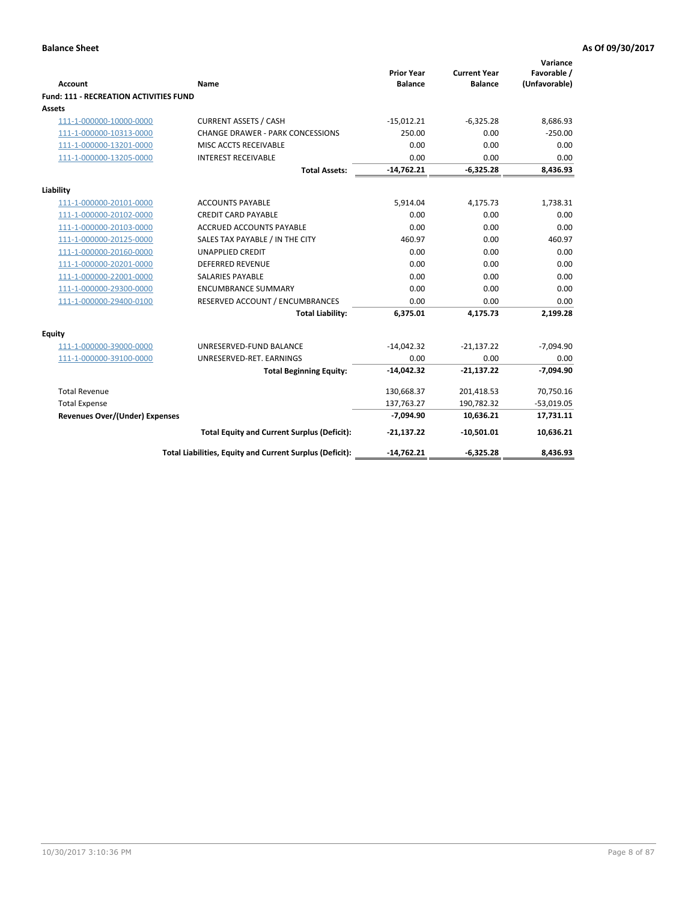|                                               |                                                          | <b>Prior Year</b> | <b>Current Year</b> | Variance<br>Favorable / |
|-----------------------------------------------|----------------------------------------------------------|-------------------|---------------------|-------------------------|
| Account                                       | Name                                                     | <b>Balance</b>    | <b>Balance</b>      | (Unfavorable)           |
| <b>Fund: 111 - RECREATION ACTIVITIES FUND</b> |                                                          |                   |                     |                         |
| Assets                                        |                                                          |                   |                     |                         |
| 111-1-000000-10000-0000                       | <b>CURRENT ASSETS / CASH</b>                             | $-15,012.21$      | $-6,325.28$         | 8,686.93                |
| 111-1-000000-10313-0000                       | <b>CHANGE DRAWER - PARK CONCESSIONS</b>                  | 250.00            | 0.00                | $-250.00$               |
| 111-1-000000-13201-0000                       | MISC ACCTS RECEIVABLE                                    | 0.00              | 0.00                | 0.00                    |
| 111-1-000000-13205-0000                       | <b>INTEREST RECEIVABLE</b>                               | 0.00              | 0.00                | 0.00                    |
|                                               | <b>Total Assets:</b>                                     | $-14,762.21$      | $-6,325.28$         | 8,436.93                |
| Liability                                     |                                                          |                   |                     |                         |
| 111-1-000000-20101-0000                       | <b>ACCOUNTS PAYABLE</b>                                  | 5,914.04          | 4,175.73            | 1,738.31                |
| 111-1-000000-20102-0000                       | <b>CREDIT CARD PAYABLE</b>                               | 0.00              | 0.00                | 0.00                    |
| 111-1-000000-20103-0000                       | <b>ACCRUED ACCOUNTS PAYABLE</b>                          | 0.00              | 0.00                | 0.00                    |
| 111-1-000000-20125-0000                       | SALES TAX PAYABLE / IN THE CITY                          | 460.97            | 0.00                | 460.97                  |
| 111-1-000000-20160-0000                       | <b>UNAPPLIED CREDIT</b>                                  | 0.00              | 0.00                | 0.00                    |
| 111-1-000000-20201-0000                       | <b>DEFERRED REVENUE</b>                                  | 0.00              | 0.00                | 0.00                    |
| 111-1-000000-22001-0000                       | <b>SALARIES PAYABLE</b>                                  | 0.00              | 0.00                | 0.00                    |
| 111-1-000000-29300-0000                       | <b>ENCUMBRANCE SUMMARY</b>                               | 0.00              | 0.00                | 0.00                    |
| 111-1-000000-29400-0100                       | RESERVED ACCOUNT / ENCUMBRANCES                          | 0.00              | 0.00                | 0.00                    |
|                                               | <b>Total Liability:</b>                                  | 6,375.01          | 4,175.73            | 2,199.28                |
| <b>Equity</b>                                 |                                                          |                   |                     |                         |
| 111-1-000000-39000-0000                       | UNRESERVED-FUND BALANCE                                  | $-14,042.32$      | $-21,137.22$        | $-7,094.90$             |
| 111-1-000000-39100-0000                       | UNRESERVED-RET. EARNINGS                                 | 0.00              | 0.00                | 0.00                    |
|                                               | <b>Total Beginning Equity:</b>                           | $-14,042.32$      | $-21,137.22$        | $-7,094.90$             |
| <b>Total Revenue</b>                          |                                                          | 130,668.37        | 201,418.53          | 70,750.16               |
| <b>Total Expense</b>                          |                                                          | 137,763.27        | 190,782.32          | $-53,019.05$            |
| <b>Revenues Over/(Under) Expenses</b>         |                                                          | $-7,094.90$       | 10,636.21           | 17,731.11               |
|                                               | <b>Total Equity and Current Surplus (Deficit):</b>       | $-21,137.22$      | $-10,501.01$        | 10,636.21               |
|                                               | Total Liabilities, Equity and Current Surplus (Deficit): | $-14,762.21$      | $-6,325.28$         | 8,436.93                |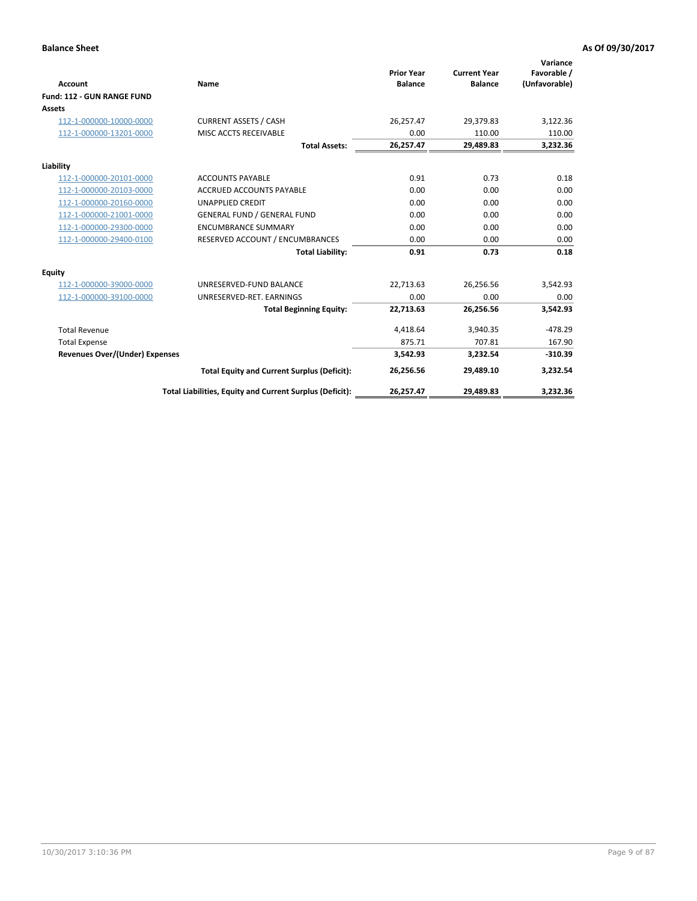|                                       |                                                          |                                     |                                       | Variance                     |
|---------------------------------------|----------------------------------------------------------|-------------------------------------|---------------------------------------|------------------------------|
| <b>Account</b>                        | Name                                                     | <b>Prior Year</b><br><b>Balance</b> | <b>Current Year</b><br><b>Balance</b> | Favorable /<br>(Unfavorable) |
| Fund: 112 - GUN RANGE FUND            |                                                          |                                     |                                       |                              |
| <b>Assets</b>                         |                                                          |                                     |                                       |                              |
| 112-1-000000-10000-0000               | <b>CURRENT ASSETS / CASH</b>                             | 26,257.47                           | 29,379.83                             | 3,122.36                     |
| 112-1-000000-13201-0000               | MISC ACCTS RECEIVABLE                                    | 0.00                                | 110.00                                | 110.00                       |
|                                       | <b>Total Assets:</b>                                     | 26,257.47                           | 29,489.83                             | 3,232.36                     |
| Liability                             |                                                          |                                     |                                       |                              |
| 112-1-000000-20101-0000               | <b>ACCOUNTS PAYABLE</b>                                  | 0.91                                | 0.73                                  | 0.18                         |
| 112-1-000000-20103-0000               | <b>ACCRUED ACCOUNTS PAYABLE</b>                          | 0.00                                | 0.00                                  | 0.00                         |
| 112-1-000000-20160-0000               | <b>UNAPPLIED CREDIT</b>                                  | 0.00                                | 0.00                                  | 0.00                         |
| 112-1-000000-21001-0000               | <b>GENERAL FUND / GENERAL FUND</b>                       | 0.00                                | 0.00                                  | 0.00                         |
| 112-1-000000-29300-0000               | <b>ENCUMBRANCE SUMMARY</b>                               | 0.00                                | 0.00                                  | 0.00                         |
| 112-1-000000-29400-0100               | RESERVED ACCOUNT / ENCUMBRANCES                          | 0.00                                | 0.00                                  | 0.00                         |
|                                       | <b>Total Liability:</b>                                  | 0.91                                | 0.73                                  | 0.18                         |
| Equity                                |                                                          |                                     |                                       |                              |
| 112-1-000000-39000-0000               | UNRESERVED-FUND BALANCE                                  | 22,713.63                           | 26,256.56                             | 3,542.93                     |
| 112-1-000000-39100-0000               | UNRESERVED-RET. EARNINGS                                 | 0.00                                | 0.00                                  | 0.00                         |
|                                       | <b>Total Beginning Equity:</b>                           | 22,713.63                           | 26,256.56                             | 3,542.93                     |
| <b>Total Revenue</b>                  |                                                          | 4,418.64                            | 3,940.35                              | $-478.29$                    |
| <b>Total Expense</b>                  |                                                          | 875.71                              | 707.81                                | 167.90                       |
| <b>Revenues Over/(Under) Expenses</b> |                                                          | 3,542.93                            | 3,232.54                              | $-310.39$                    |
|                                       | <b>Total Equity and Current Surplus (Deficit):</b>       | 26,256.56                           | 29,489.10                             | 3,232.54                     |
|                                       | Total Liabilities, Equity and Current Surplus (Deficit): | 26,257.47                           | 29,489.83                             | 3,232.36                     |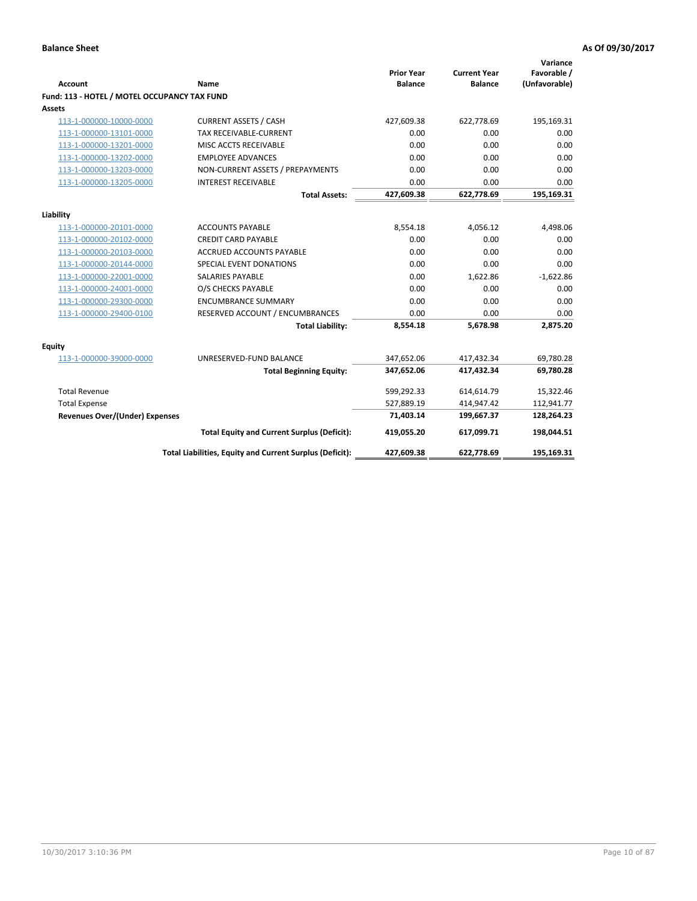| <b>Account</b>                               | <b>Name</b>                                              | <b>Prior Year</b><br><b>Balance</b> | <b>Current Year</b><br><b>Balance</b> | Variance<br>Favorable /<br>(Unfavorable) |
|----------------------------------------------|----------------------------------------------------------|-------------------------------------|---------------------------------------|------------------------------------------|
| Fund: 113 - HOTEL / MOTEL OCCUPANCY TAX FUND |                                                          |                                     |                                       |                                          |
| Assets                                       |                                                          |                                     |                                       |                                          |
| 113-1-000000-10000-0000                      | <b>CURRENT ASSETS / CASH</b>                             | 427,609.38                          | 622,778.69                            | 195,169.31                               |
| 113-1-000000-13101-0000                      | TAX RECEIVABLE-CURRENT                                   | 0.00                                | 0.00                                  | 0.00                                     |
| 113-1-000000-13201-0000                      | MISC ACCTS RECEIVABLE                                    | 0.00                                | 0.00                                  | 0.00                                     |
| 113-1-000000-13202-0000                      | <b>EMPLOYEE ADVANCES</b>                                 | 0.00                                | 0.00                                  | 0.00                                     |
| 113-1-000000-13203-0000                      | NON-CURRENT ASSETS / PREPAYMENTS                         | 0.00                                | 0.00                                  | 0.00                                     |
| 113-1-000000-13205-0000                      | <b>INTEREST RECEIVABLE</b>                               | 0.00                                | 0.00                                  | 0.00                                     |
|                                              | <b>Total Assets:</b>                                     | 427,609.38                          | 622,778.69                            | 195,169.31                               |
| Liability                                    |                                                          |                                     |                                       |                                          |
| 113-1-000000-20101-0000                      | <b>ACCOUNTS PAYABLE</b>                                  | 8,554.18                            | 4,056.12                              | 4,498.06                                 |
| 113-1-000000-20102-0000                      | <b>CREDIT CARD PAYABLE</b>                               | 0.00                                | 0.00                                  | 0.00                                     |
| 113-1-000000-20103-0000                      | <b>ACCRUED ACCOUNTS PAYABLE</b>                          | 0.00                                | 0.00                                  | 0.00                                     |
| 113-1-000000-20144-0000                      | SPECIAL EVENT DONATIONS                                  | 0.00                                | 0.00                                  | 0.00                                     |
| 113-1-000000-22001-0000                      | <b>SALARIES PAYABLE</b>                                  | 0.00                                | 1,622.86                              | $-1,622.86$                              |
| 113-1-000000-24001-0000                      | O/S CHECKS PAYABLE                                       | 0.00                                | 0.00                                  | 0.00                                     |
| 113-1-000000-29300-0000                      | <b>ENCUMBRANCE SUMMARY</b>                               | 0.00                                | 0.00                                  | 0.00                                     |
| 113-1-000000-29400-0100                      | RESERVED ACCOUNT / ENCUMBRANCES                          | 0.00                                | 0.00                                  | 0.00                                     |
|                                              | <b>Total Liability:</b>                                  | 8,554.18                            | 5,678.98                              | 2,875.20                                 |
| Equity                                       |                                                          |                                     |                                       |                                          |
| 113-1-000000-39000-0000                      | UNRESERVED-FUND BALANCE                                  | 347,652.06                          | 417,432.34                            | 69,780.28                                |
|                                              | <b>Total Beginning Equity:</b>                           | 347,652.06                          | 417,432.34                            | 69,780.28                                |
|                                              |                                                          |                                     |                                       |                                          |
| <b>Total Revenue</b>                         |                                                          | 599,292.33                          | 614,614.79                            | 15,322.46                                |
| <b>Total Expense</b>                         |                                                          | 527,889.19                          | 414,947.42                            | 112,941.77                               |
| <b>Revenues Over/(Under) Expenses</b>        |                                                          | 71,403.14                           | 199,667.37                            | 128,264.23                               |
|                                              | <b>Total Equity and Current Surplus (Deficit):</b>       | 419,055.20                          | 617,099.71                            | 198,044.51                               |
|                                              | Total Liabilities, Equity and Current Surplus (Deficit): | 427,609.38                          | 622,778.69                            | 195,169.31                               |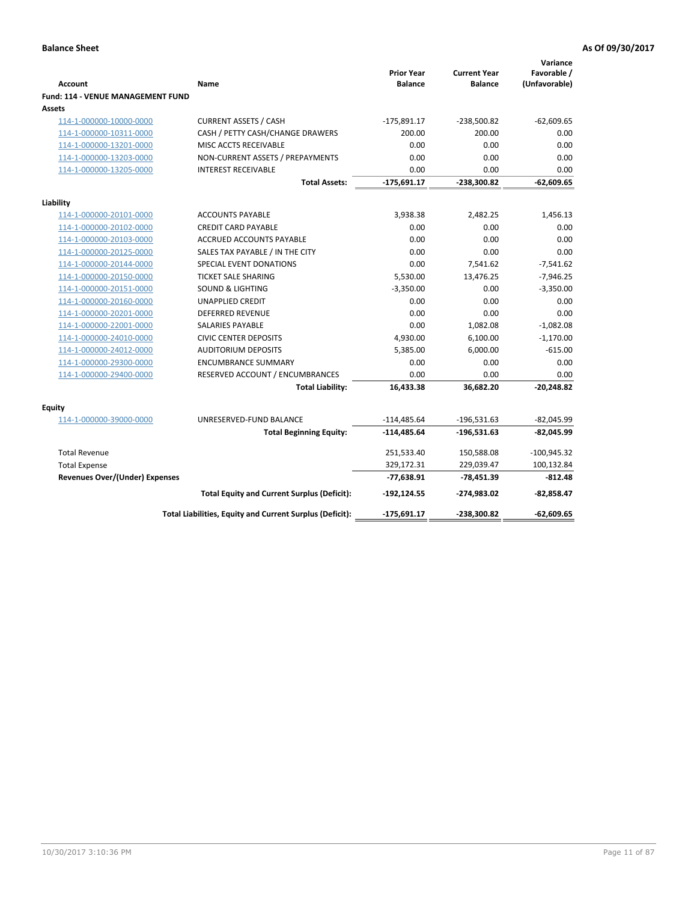| <b>Account</b>                              | Name                                                     | <b>Prior Year</b><br><b>Balance</b> | <b>Current Year</b><br><b>Balance</b> | Variance<br>Favorable /<br>(Unfavorable) |
|---------------------------------------------|----------------------------------------------------------|-------------------------------------|---------------------------------------|------------------------------------------|
| Fund: 114 - VENUE MANAGEMENT FUND<br>Assets |                                                          |                                     |                                       |                                          |
| 114-1-000000-10000-0000                     | <b>CURRENT ASSETS / CASH</b>                             | $-175,891.17$                       | $-238,500.82$                         | $-62,609.65$                             |
| 114-1-000000-10311-0000                     | CASH / PETTY CASH/CHANGE DRAWERS                         | 200.00                              | 200.00                                | 0.00                                     |
| 114-1-000000-13201-0000                     | MISC ACCTS RECEIVABLE                                    | 0.00                                | 0.00                                  | 0.00                                     |
| 114-1-000000-13203-0000                     | NON-CURRENT ASSETS / PREPAYMENTS                         | 0.00                                | 0.00                                  | 0.00                                     |
| 114-1-000000-13205-0000                     | <b>INTEREST RECEIVABLE</b>                               | 0.00                                | 0.00                                  | 0.00                                     |
|                                             | <b>Total Assets:</b>                                     | $-175,691.17$                       | -238,300.82                           | $-62,609.65$                             |
| Liability                                   |                                                          |                                     |                                       |                                          |
| 114-1-000000-20101-0000                     | <b>ACCOUNTS PAYABLE</b>                                  | 3,938.38                            | 2,482.25                              | 1,456.13                                 |
| 114-1-000000-20102-0000                     | <b>CREDIT CARD PAYABLE</b>                               | 0.00                                | 0.00                                  | 0.00                                     |
| 114-1-000000-20103-0000                     | <b>ACCRUED ACCOUNTS PAYABLE</b>                          | 0.00                                | 0.00                                  | 0.00                                     |
| 114-1-000000-20125-0000                     | SALES TAX PAYABLE / IN THE CITY                          | 0.00                                | 0.00                                  | 0.00                                     |
| 114-1-000000-20144-0000                     | SPECIAL EVENT DONATIONS                                  | 0.00                                | 7,541.62                              | $-7,541.62$                              |
| 114-1-000000-20150-0000                     | <b>TICKET SALE SHARING</b>                               | 5,530.00                            | 13,476.25                             | $-7,946.25$                              |
| 114-1-000000-20151-0000                     | <b>SOUND &amp; LIGHTING</b>                              | $-3,350.00$                         | 0.00                                  | $-3,350.00$                              |
| 114-1-000000-20160-0000                     | <b>UNAPPLIED CREDIT</b>                                  | 0.00                                | 0.00                                  | 0.00                                     |
| 114-1-000000-20201-0000                     | <b>DEFERRED REVENUE</b>                                  | 0.00                                | 0.00                                  | 0.00                                     |
| 114-1-000000-22001-0000                     | SALARIES PAYABLE                                         | 0.00                                | 1,082.08                              | $-1,082.08$                              |
| 114-1-000000-24010-0000                     | <b>CIVIC CENTER DEPOSITS</b>                             | 4,930.00                            | 6,100.00                              | $-1,170.00$                              |
| 114-1-000000-24012-0000                     | <b>AUDITORIUM DEPOSITS</b>                               | 5,385.00                            | 6,000.00                              | $-615.00$                                |
| 114-1-000000-29300-0000                     | <b>ENCUMBRANCE SUMMARY</b>                               | 0.00                                | 0.00                                  | 0.00                                     |
| 114-1-000000-29400-0000                     | RESERVED ACCOUNT / ENCUMBRANCES                          | 0.00                                | 0.00                                  | 0.00                                     |
|                                             | <b>Total Liability:</b>                                  | 16,433.38                           | 36,682.20                             | $-20,248.82$                             |
| Equity                                      |                                                          |                                     |                                       |                                          |
| 114-1-000000-39000-0000                     | UNRESERVED-FUND BALANCE                                  | $-114,485.64$                       | $-196,531.63$                         | $-82,045.99$                             |
|                                             | <b>Total Beginning Equity:</b>                           | $-114,485.64$                       | $-196,531.63$                         | $-82,045.99$                             |
| <b>Total Revenue</b>                        |                                                          | 251,533.40                          | 150,588.08                            | $-100,945.32$                            |
| <b>Total Expense</b>                        |                                                          | 329,172.31                          | 229,039.47                            | 100,132.84                               |
| <b>Revenues Over/(Under) Expenses</b>       |                                                          | -77,638.91                          | -78,451.39                            | $-812.48$                                |
|                                             | <b>Total Equity and Current Surplus (Deficit):</b>       | $-192, 124.55$                      | -274,983.02                           | $-82,858.47$                             |
|                                             | Total Liabilities, Equity and Current Surplus (Deficit): | $-175,691.17$                       | -238,300.82                           | $-62,609.65$                             |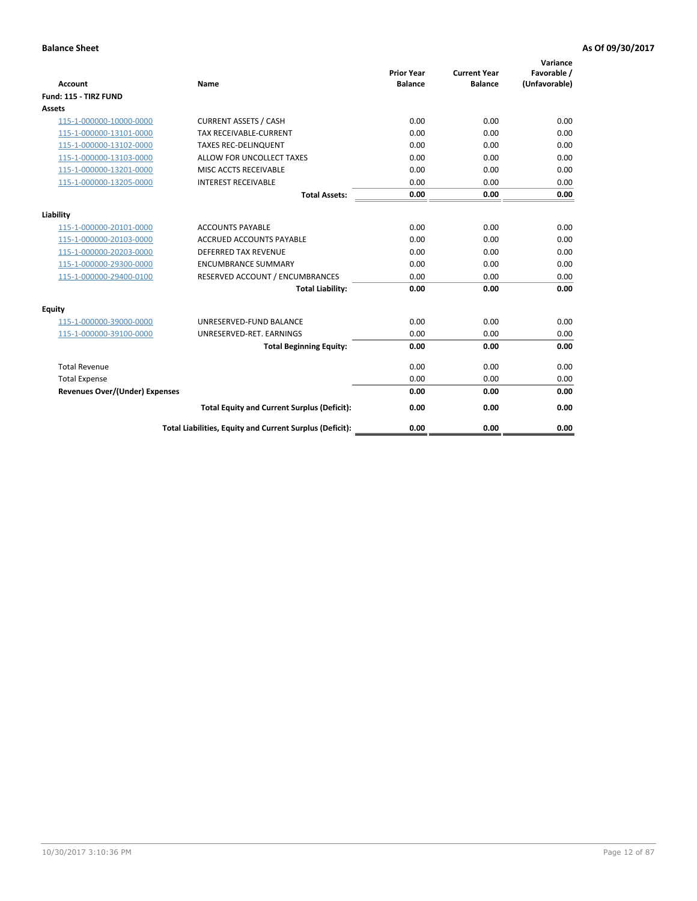| <b>Account</b>                        | <b>Name</b>                                              | <b>Prior Year</b><br><b>Balance</b> | <b>Current Year</b><br><b>Balance</b> | Variance<br>Favorable /<br>(Unfavorable) |
|---------------------------------------|----------------------------------------------------------|-------------------------------------|---------------------------------------|------------------------------------------|
| Fund: 115 - TIRZ FUND                 |                                                          |                                     |                                       |                                          |
| <b>Assets</b>                         |                                                          |                                     |                                       |                                          |
| 115-1-000000-10000-0000               | <b>CURRENT ASSETS / CASH</b>                             | 0.00                                | 0.00                                  | 0.00                                     |
| 115-1-000000-13101-0000               | <b>TAX RECEIVABLE-CURRENT</b>                            | 0.00                                | 0.00                                  | 0.00                                     |
| 115-1-000000-13102-0000               | <b>TAXES REC-DELINQUENT</b>                              | 0.00                                | 0.00                                  | 0.00                                     |
| 115-1-000000-13103-0000               | ALLOW FOR UNCOLLECT TAXES                                | 0.00                                | 0.00                                  | 0.00                                     |
| 115-1-000000-13201-0000               | <b>MISC ACCTS RECEIVABLE</b>                             | 0.00                                | 0.00                                  | 0.00                                     |
| 115-1-000000-13205-0000               | <b>INTEREST RECEIVABLE</b>                               | 0.00                                | 0.00                                  | 0.00                                     |
|                                       | <b>Total Assets:</b>                                     | 0.00                                | 0.00                                  | 0.00                                     |
| Liability                             |                                                          |                                     |                                       |                                          |
| 115-1-000000-20101-0000               | <b>ACCOUNTS PAYABLE</b>                                  | 0.00                                | 0.00                                  | 0.00                                     |
| 115-1-000000-20103-0000               | <b>ACCRUED ACCOUNTS PAYABLE</b>                          | 0.00                                | 0.00                                  | 0.00                                     |
| 115-1-000000-20203-0000               | <b>DEFERRED TAX REVENUE</b>                              | 0.00                                | 0.00                                  | 0.00                                     |
| 115-1-000000-29300-0000               | <b>ENCUMBRANCE SUMMARY</b>                               | 0.00                                | 0.00                                  | 0.00                                     |
| 115-1-000000-29400-0100               | RESERVED ACCOUNT / ENCUMBRANCES                          | 0.00                                | 0.00                                  | 0.00                                     |
|                                       | <b>Total Liability:</b>                                  | 0.00                                | 0.00                                  | 0.00                                     |
| <b>Equity</b>                         |                                                          |                                     |                                       |                                          |
| 115-1-000000-39000-0000               | UNRESERVED-FUND BALANCE                                  | 0.00                                | 0.00                                  | 0.00                                     |
| 115-1-000000-39100-0000               | UNRESERVED-RET. EARNINGS                                 | 0.00                                | 0.00                                  | 0.00                                     |
|                                       | <b>Total Beginning Equity:</b>                           | 0.00                                | 0.00                                  | 0.00                                     |
| <b>Total Revenue</b>                  |                                                          | 0.00                                | 0.00                                  | 0.00                                     |
| <b>Total Expense</b>                  |                                                          | 0.00                                | 0.00                                  | 0.00                                     |
| <b>Revenues Over/(Under) Expenses</b> |                                                          | 0.00                                | 0.00                                  | 0.00                                     |
|                                       | <b>Total Equity and Current Surplus (Deficit):</b>       | 0.00                                | 0.00                                  | 0.00                                     |
|                                       | Total Liabilities, Equity and Current Surplus (Deficit): | 0.00                                | 0.00                                  | 0.00                                     |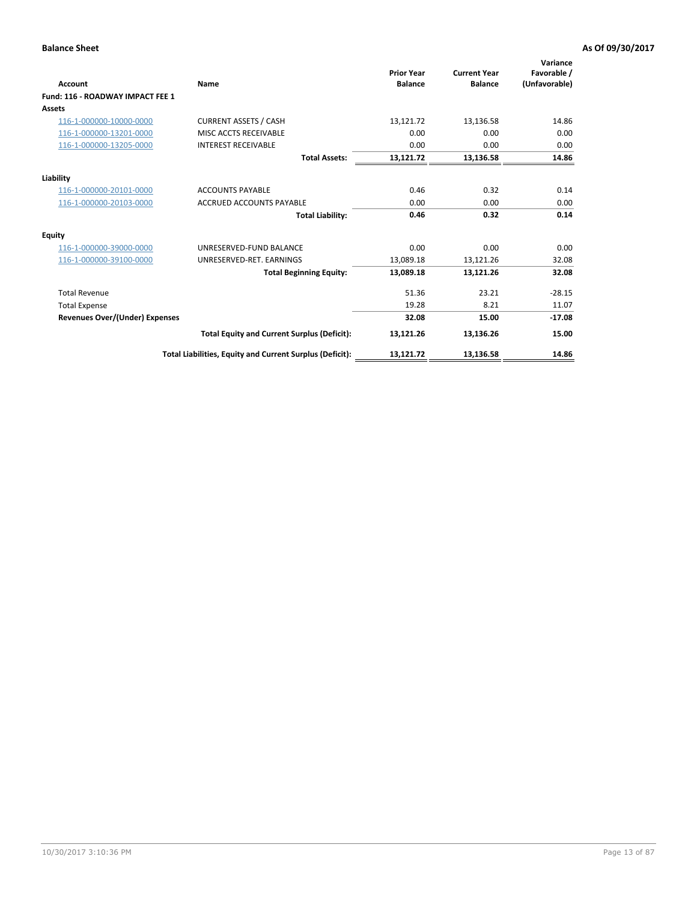| <b>Account</b>                        | Name                                                     | <b>Prior Year</b><br><b>Balance</b> | <b>Current Year</b><br><b>Balance</b> | Variance<br>Favorable /<br>(Unfavorable) |
|---------------------------------------|----------------------------------------------------------|-------------------------------------|---------------------------------------|------------------------------------------|
| Fund: 116 - ROADWAY IMPACT FEE 1      |                                                          |                                     |                                       |                                          |
| Assets                                |                                                          |                                     |                                       |                                          |
| 116-1-000000-10000-0000               | <b>CURRENT ASSETS / CASH</b>                             | 13,121.72                           | 13,136.58                             | 14.86                                    |
| 116-1-000000-13201-0000               | MISC ACCTS RECEIVABLE                                    | 0.00                                | 0.00                                  | 0.00                                     |
| 116-1-000000-13205-0000               | <b>INTEREST RECEIVABLE</b>                               | 0.00                                | 0.00                                  | 0.00                                     |
|                                       | <b>Total Assets:</b>                                     | 13,121.72                           | 13,136.58                             | 14.86                                    |
| Liability                             |                                                          |                                     |                                       |                                          |
| 116-1-000000-20101-0000               | <b>ACCOUNTS PAYABLE</b>                                  | 0.46                                | 0.32                                  | 0.14                                     |
| 116-1-000000-20103-0000               | <b>ACCRUED ACCOUNTS PAYABLE</b>                          | 0.00                                | 0.00                                  | 0.00                                     |
|                                       | <b>Total Liability:</b>                                  | 0.46                                | 0.32                                  | 0.14                                     |
| <b>Equity</b>                         |                                                          |                                     |                                       |                                          |
| 116-1-000000-39000-0000               | UNRESERVED-FUND BALANCE                                  | 0.00                                | 0.00                                  | 0.00                                     |
| 116-1-000000-39100-0000               | UNRESERVED-RET. EARNINGS                                 | 13,089.18                           | 13,121.26                             | 32.08                                    |
|                                       | <b>Total Beginning Equity:</b>                           | 13,089.18                           | 13,121.26                             | 32.08                                    |
| <b>Total Revenue</b>                  |                                                          | 51.36                               | 23.21                                 | $-28.15$                                 |
| <b>Total Expense</b>                  |                                                          | 19.28                               | 8.21                                  | 11.07                                    |
| <b>Revenues Over/(Under) Expenses</b> |                                                          | 32.08                               | 15.00                                 | $-17.08$                                 |
|                                       | <b>Total Equity and Current Surplus (Deficit):</b>       | 13,121.26                           | 13,136.26                             | 15.00                                    |
|                                       | Total Liabilities, Equity and Current Surplus (Deficit): | 13,121.72                           | 13,136.58                             | 14.86                                    |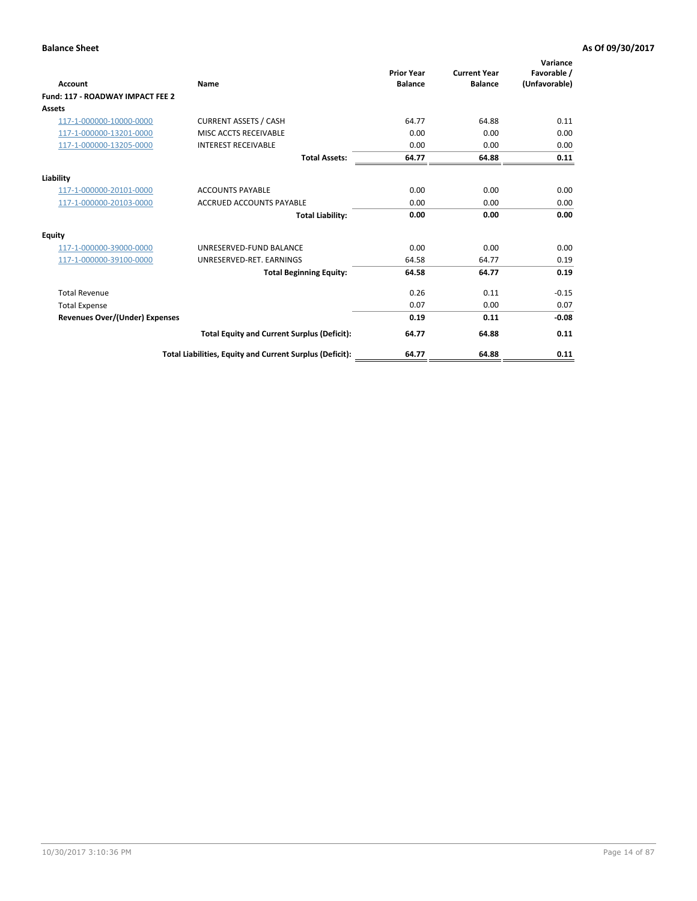| <b>Account</b>                        | Name                                                     | <b>Prior Year</b><br><b>Balance</b> | <b>Current Year</b><br><b>Balance</b> | Variance<br>Favorable /<br>(Unfavorable) |
|---------------------------------------|----------------------------------------------------------|-------------------------------------|---------------------------------------|------------------------------------------|
| Fund: 117 - ROADWAY IMPACT FEE 2      |                                                          |                                     |                                       |                                          |
| <b>Assets</b>                         |                                                          |                                     |                                       |                                          |
| 117-1-000000-10000-0000               | <b>CURRENT ASSETS / CASH</b>                             | 64.77                               | 64.88                                 | 0.11                                     |
| 117-1-000000-13201-0000               | MISC ACCTS RECEIVABLE                                    | 0.00                                | 0.00                                  | 0.00                                     |
| 117-1-000000-13205-0000               | <b>INTEREST RECEIVABLE</b>                               | 0.00                                | 0.00                                  | 0.00                                     |
|                                       | <b>Total Assets:</b>                                     | 64.77                               | 64.88                                 | 0.11                                     |
| Liability                             |                                                          |                                     |                                       |                                          |
| 117-1-000000-20101-0000               | <b>ACCOUNTS PAYABLE</b>                                  | 0.00                                | 0.00                                  | 0.00                                     |
| 117-1-000000-20103-0000               | <b>ACCRUED ACCOUNTS PAYABLE</b>                          | 0.00                                | 0.00                                  | 0.00                                     |
|                                       | <b>Total Liability:</b>                                  | 0.00                                | 0.00                                  | 0.00                                     |
| <b>Equity</b>                         |                                                          |                                     |                                       |                                          |
| 117-1-000000-39000-0000               | UNRESERVED-FUND BALANCE                                  | 0.00                                | 0.00                                  | 0.00                                     |
| 117-1-000000-39100-0000               | UNRESERVED-RET. EARNINGS                                 | 64.58                               | 64.77                                 | 0.19                                     |
|                                       | <b>Total Beginning Equity:</b>                           | 64.58                               | 64.77                                 | 0.19                                     |
| <b>Total Revenue</b>                  |                                                          | 0.26                                | 0.11                                  | $-0.15$                                  |
| <b>Total Expense</b>                  |                                                          | 0.07                                | 0.00                                  | 0.07                                     |
| <b>Revenues Over/(Under) Expenses</b> |                                                          | 0.19                                | 0.11                                  | $-0.08$                                  |
|                                       | <b>Total Equity and Current Surplus (Deficit):</b>       | 64.77                               | 64.88                                 | 0.11                                     |
|                                       | Total Liabilities, Equity and Current Surplus (Deficit): | 64.77                               | 64.88                                 | 0.11                                     |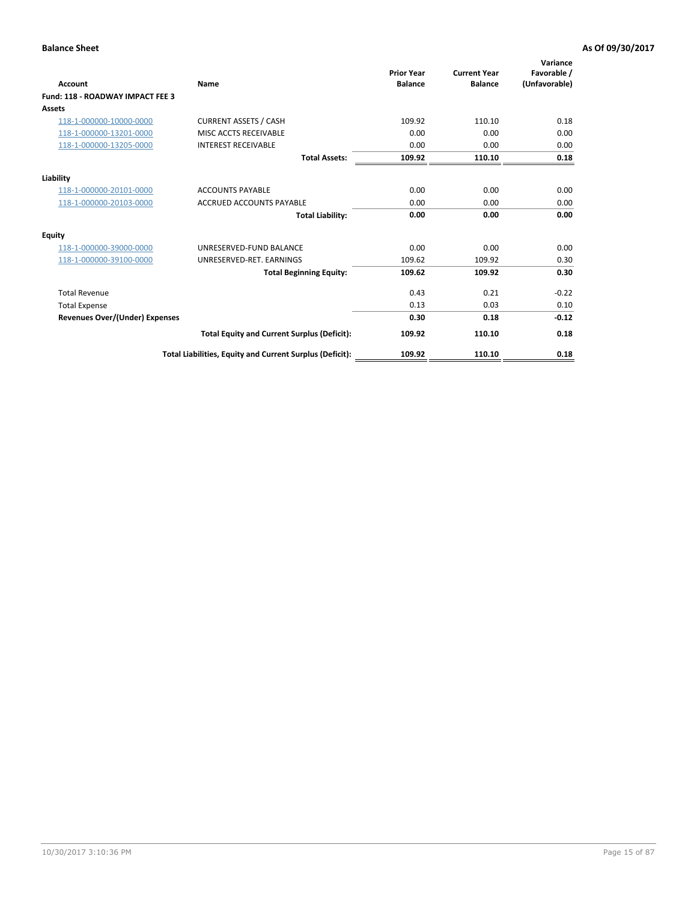| <b>Account</b>                        | Name                                                     | <b>Prior Year</b><br><b>Balance</b> | <b>Current Year</b><br><b>Balance</b> | Variance<br>Favorable /<br>(Unfavorable) |
|---------------------------------------|----------------------------------------------------------|-------------------------------------|---------------------------------------|------------------------------------------|
| Fund: 118 - ROADWAY IMPACT FEE 3      |                                                          |                                     |                                       |                                          |
| Assets                                |                                                          |                                     |                                       |                                          |
| 118-1-000000-10000-0000               | <b>CURRENT ASSETS / CASH</b>                             | 109.92                              | 110.10                                | 0.18                                     |
| 118-1-000000-13201-0000               | MISC ACCTS RECEIVABLE                                    | 0.00                                | 0.00                                  | 0.00                                     |
| 118-1-000000-13205-0000               | <b>INTEREST RECEIVABLE</b>                               | 0.00                                | 0.00                                  | 0.00                                     |
|                                       | <b>Total Assets:</b>                                     | 109.92                              | 110.10                                | 0.18                                     |
| Liability                             |                                                          |                                     |                                       |                                          |
| 118-1-000000-20101-0000               | <b>ACCOUNTS PAYABLE</b>                                  | 0.00                                | 0.00                                  | 0.00                                     |
| 118-1-000000-20103-0000               | <b>ACCRUED ACCOUNTS PAYABLE</b>                          | 0.00                                | 0.00                                  | 0.00                                     |
|                                       | <b>Total Liability:</b>                                  | 0.00                                | 0.00                                  | 0.00                                     |
| <b>Equity</b>                         |                                                          |                                     |                                       |                                          |
| 118-1-000000-39000-0000               | UNRESERVED-FUND BALANCE                                  | 0.00                                | 0.00                                  | 0.00                                     |
| 118-1-000000-39100-0000               | UNRESERVED-RET. EARNINGS                                 | 109.62                              | 109.92                                | 0.30                                     |
|                                       | <b>Total Beginning Equity:</b>                           | 109.62                              | 109.92                                | 0.30                                     |
| <b>Total Revenue</b>                  |                                                          | 0.43                                | 0.21                                  | $-0.22$                                  |
| <b>Total Expense</b>                  |                                                          | 0.13                                | 0.03                                  | 0.10                                     |
| <b>Revenues Over/(Under) Expenses</b> |                                                          | 0.30                                | 0.18                                  | $-0.12$                                  |
|                                       | <b>Total Equity and Current Surplus (Deficit):</b>       | 109.92                              | 110.10                                | 0.18                                     |
|                                       | Total Liabilities, Equity and Current Surplus (Deficit): | 109.92                              | 110.10                                | 0.18                                     |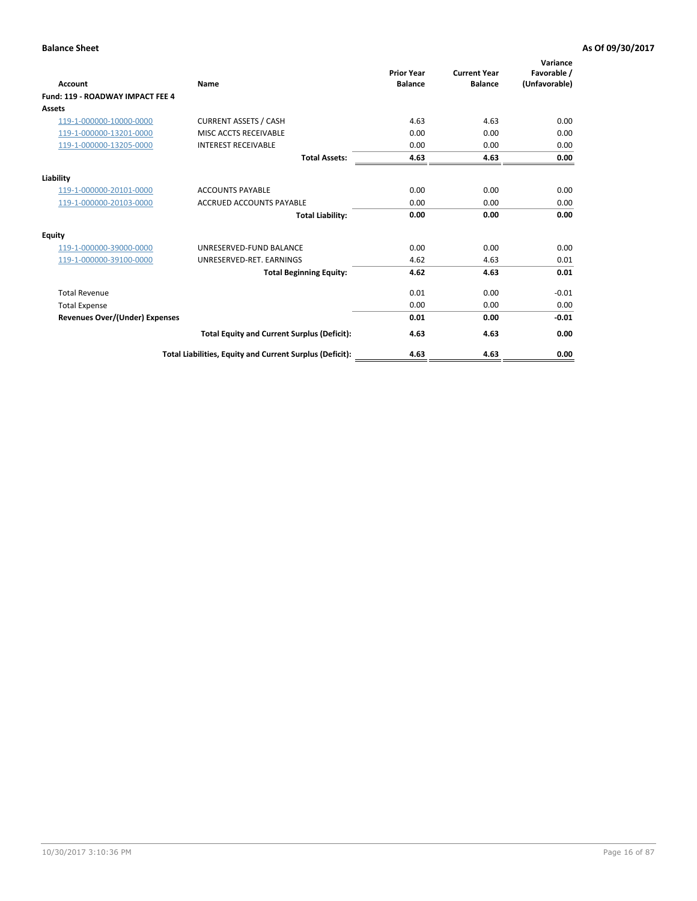| Account                                 | Name                                                     | <b>Prior Year</b><br><b>Balance</b> | <b>Current Year</b><br><b>Balance</b> | Variance<br>Favorable /<br>(Unfavorable) |
|-----------------------------------------|----------------------------------------------------------|-------------------------------------|---------------------------------------|------------------------------------------|
| <b>Fund: 119 - ROADWAY IMPACT FEE 4</b> |                                                          |                                     |                                       |                                          |
| <b>Assets</b>                           |                                                          |                                     |                                       |                                          |
| 119-1-000000-10000-0000                 | <b>CURRENT ASSETS / CASH</b>                             | 4.63                                | 4.63                                  | 0.00                                     |
| 119-1-000000-13201-0000                 | MISC ACCTS RECEIVABLE                                    | 0.00                                | 0.00                                  | 0.00                                     |
| 119-1-000000-13205-0000                 | <b>INTEREST RECEIVABLE</b>                               | 0.00                                | 0.00                                  | 0.00                                     |
|                                         | <b>Total Assets:</b>                                     | 4.63                                | 4.63                                  | 0.00                                     |
| Liability                               |                                                          |                                     |                                       |                                          |
| 119-1-000000-20101-0000                 | <b>ACCOUNTS PAYABLE</b>                                  | 0.00                                | 0.00                                  | 0.00                                     |
| 119-1-000000-20103-0000                 | <b>ACCRUED ACCOUNTS PAYABLE</b>                          | 0.00                                | 0.00                                  | 0.00                                     |
|                                         | <b>Total Liability:</b>                                  | 0.00                                | 0.00                                  | 0.00                                     |
| Equity                                  |                                                          |                                     |                                       |                                          |
| 119-1-000000-39000-0000                 | UNRESERVED-FUND BALANCE                                  | 0.00                                | 0.00                                  | 0.00                                     |
| 119-1-000000-39100-0000                 | UNRESERVED-RET. EARNINGS                                 | 4.62                                | 4.63                                  | 0.01                                     |
|                                         | <b>Total Beginning Equity:</b>                           | 4.62                                | 4.63                                  | 0.01                                     |
| <b>Total Revenue</b>                    |                                                          | 0.01                                | 0.00                                  | $-0.01$                                  |
| <b>Total Expense</b>                    |                                                          | 0.00                                | 0.00                                  | 0.00                                     |
| <b>Revenues Over/(Under) Expenses</b>   |                                                          | 0.01                                | 0.00                                  | $-0.01$                                  |
|                                         | <b>Total Equity and Current Surplus (Deficit):</b>       | 4.63                                | 4.63                                  | 0.00                                     |
|                                         | Total Liabilities, Equity and Current Surplus (Deficit): | 4.63                                | 4.63                                  | 0.00                                     |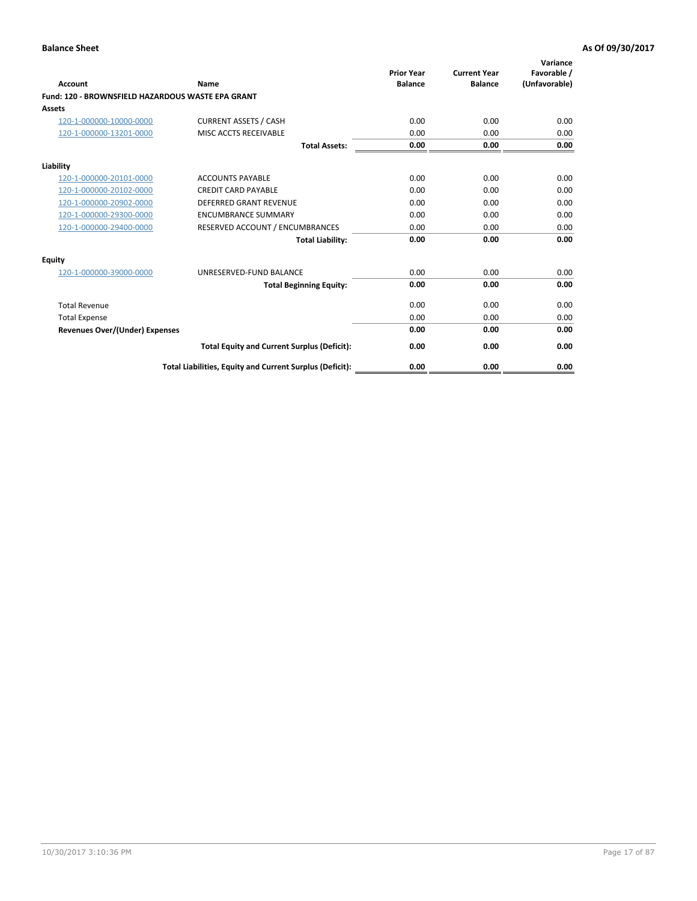|                                                   |                                                          | <b>Prior Year</b> | <b>Current Year</b> | Variance<br>Favorable / |
|---------------------------------------------------|----------------------------------------------------------|-------------------|---------------------|-------------------------|
| <b>Account</b>                                    | Name                                                     | <b>Balance</b>    | <b>Balance</b>      | (Unfavorable)           |
| Fund: 120 - BROWNSFIELD HAZARDOUS WASTE EPA GRANT |                                                          |                   |                     |                         |
| <b>Assets</b>                                     |                                                          |                   |                     |                         |
| 120-1-000000-10000-0000                           | <b>CURRENT ASSETS / CASH</b>                             | 0.00              | 0.00                | 0.00                    |
| 120-1-000000-13201-0000                           | MISC ACCTS RECEIVABLE                                    | 0.00              | 0.00                | 0.00                    |
|                                                   | <b>Total Assets:</b>                                     | 0.00              | 0.00                | 0.00                    |
| Liability                                         |                                                          |                   |                     |                         |
| 120-1-000000-20101-0000                           | <b>ACCOUNTS PAYABLE</b>                                  | 0.00              | 0.00                | 0.00                    |
| 120-1-000000-20102-0000                           | <b>CREDIT CARD PAYABLE</b>                               | 0.00              | 0.00                | 0.00                    |
| 120-1-000000-20902-0000                           | DEFERRED GRANT REVENUE                                   | 0.00              | 0.00                | 0.00                    |
| 120-1-000000-29300-0000                           | <b>ENCUMBRANCE SUMMARY</b>                               | 0.00              | 0.00                | 0.00                    |
| 120-1-000000-29400-0000                           | RESERVED ACCOUNT / ENCUMBRANCES                          | 0.00              | 0.00                | 0.00                    |
|                                                   | <b>Total Liability:</b>                                  | 0.00              | 0.00                | 0.00                    |
| Equity                                            |                                                          |                   |                     |                         |
| 120-1-000000-39000-0000                           | UNRESERVED-FUND BALANCE                                  | 0.00              | 0.00                | 0.00                    |
|                                                   | <b>Total Beginning Equity:</b>                           | 0.00              | 0.00                | 0.00                    |
| <b>Total Revenue</b>                              |                                                          | 0.00              | 0.00                | 0.00                    |
| <b>Total Expense</b>                              |                                                          | 0.00              | 0.00                | 0.00                    |
| Revenues Over/(Under) Expenses                    |                                                          | 0.00              | 0.00                | 0.00                    |
|                                                   | <b>Total Equity and Current Surplus (Deficit):</b>       | 0.00              | 0.00                | 0.00                    |
|                                                   | Total Liabilities, Equity and Current Surplus (Deficit): | 0.00              | 0.00                | 0.00                    |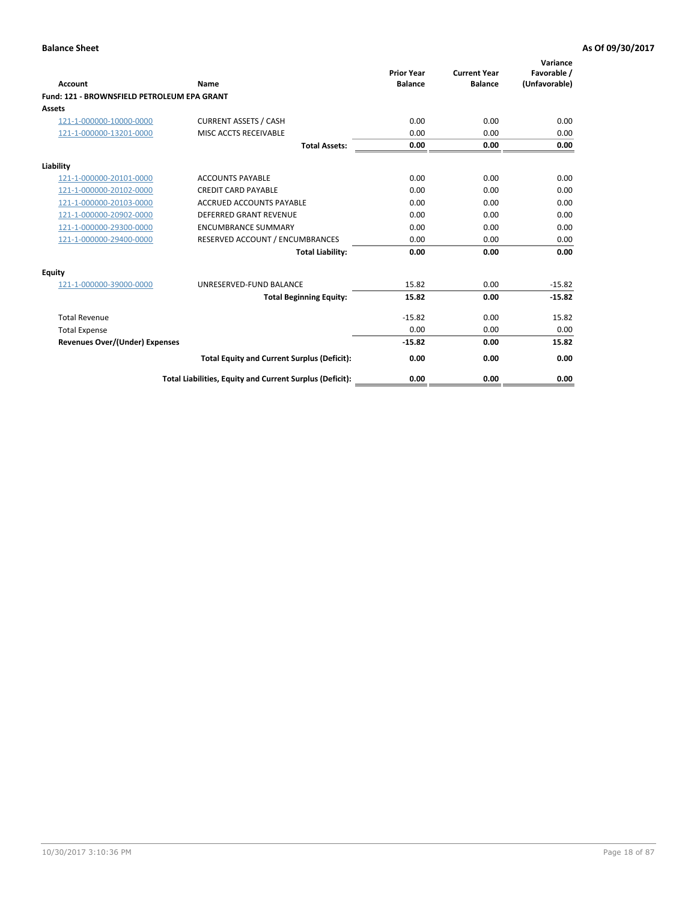| Account                                     | Name                                                     | <b>Prior Year</b><br><b>Balance</b> | <b>Current Year</b><br><b>Balance</b> | Variance<br>Favorable /<br>(Unfavorable) |
|---------------------------------------------|----------------------------------------------------------|-------------------------------------|---------------------------------------|------------------------------------------|
| Fund: 121 - BROWNSFIELD PETROLEUM EPA GRANT |                                                          |                                     |                                       |                                          |
| <b>Assets</b>                               |                                                          |                                     |                                       |                                          |
| 121-1-000000-10000-0000                     | <b>CURRENT ASSETS / CASH</b>                             | 0.00                                | 0.00                                  | 0.00                                     |
| 121-1-000000-13201-0000                     | <b>MISC ACCTS RECEIVABLE</b>                             | 0.00                                | 0.00                                  | 0.00                                     |
|                                             | <b>Total Assets:</b>                                     | 0.00                                | 0.00                                  | 0.00                                     |
| Liability                                   |                                                          |                                     |                                       |                                          |
| 121-1-000000-20101-0000                     | <b>ACCOUNTS PAYABLE</b>                                  | 0.00                                | 0.00                                  | 0.00                                     |
| 121-1-000000-20102-0000                     | <b>CREDIT CARD PAYABLE</b>                               | 0.00                                | 0.00                                  | 0.00                                     |
| 121-1-000000-20103-0000                     | <b>ACCRUED ACCOUNTS PAYABLE</b>                          | 0.00                                | 0.00                                  | 0.00                                     |
| 121-1-000000-20902-0000                     | <b>DEFERRED GRANT REVENUE</b>                            | 0.00                                | 0.00                                  | 0.00                                     |
| 121-1-000000-29300-0000                     | <b>ENCUMBRANCE SUMMARY</b>                               | 0.00                                | 0.00                                  | 0.00                                     |
| 121-1-000000-29400-0000                     | RESERVED ACCOUNT / ENCUMBRANCES                          | 0.00                                | 0.00                                  | 0.00                                     |
|                                             | <b>Total Liability:</b>                                  | 0.00                                | 0.00                                  | 0.00                                     |
| <b>Equity</b>                               |                                                          |                                     |                                       |                                          |
| 121-1-000000-39000-0000                     | UNRESERVED-FUND BALANCE                                  | 15.82                               | 0.00                                  | $-15.82$                                 |
|                                             | <b>Total Beginning Equity:</b>                           | 15.82                               | 0.00                                  | $-15.82$                                 |
| <b>Total Revenue</b>                        |                                                          | $-15.82$                            | 0.00                                  | 15.82                                    |
| <b>Total Expense</b>                        |                                                          | 0.00                                | 0.00                                  | 0.00                                     |
| <b>Revenues Over/(Under) Expenses</b>       |                                                          | $-15.82$                            | 0.00                                  | 15.82                                    |
|                                             | <b>Total Equity and Current Surplus (Deficit):</b>       | 0.00                                | 0.00                                  | 0.00                                     |
|                                             | Total Liabilities, Equity and Current Surplus (Deficit): | 0.00                                | 0.00                                  | 0.00                                     |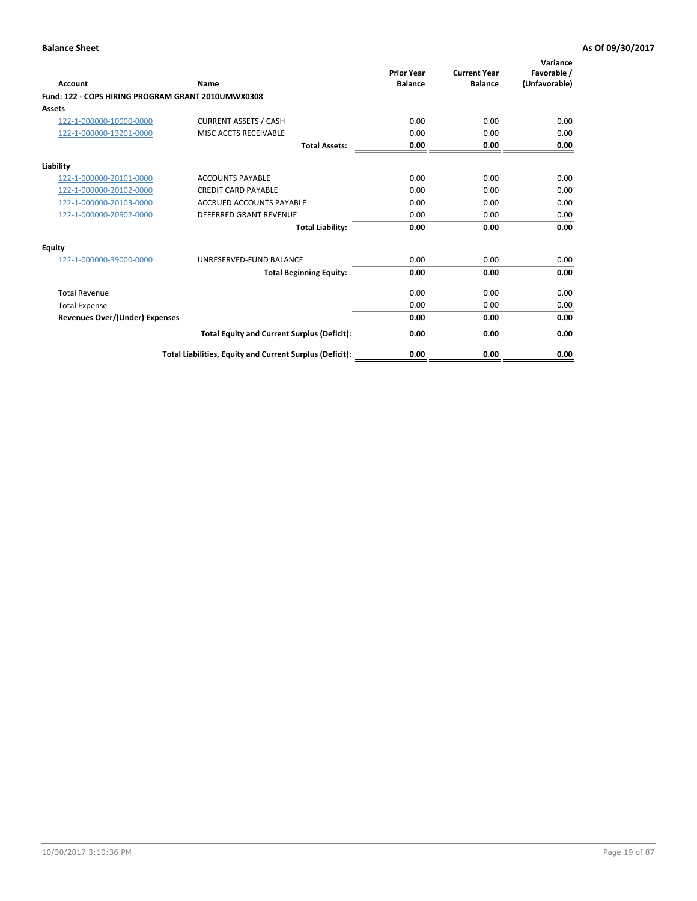| <b>Account</b>                                     | Name                                                     | <b>Prior Year</b><br><b>Balance</b> | <b>Current Year</b><br><b>Balance</b> | Variance<br>Favorable /<br>(Unfavorable) |
|----------------------------------------------------|----------------------------------------------------------|-------------------------------------|---------------------------------------|------------------------------------------|
| Fund: 122 - COPS HIRING PROGRAM GRANT 2010UMWX0308 |                                                          |                                     |                                       |                                          |
| Assets                                             |                                                          |                                     |                                       |                                          |
| 122-1-000000-10000-0000                            | <b>CURRENT ASSETS / CASH</b>                             | 0.00                                | 0.00                                  | 0.00                                     |
| 122-1-000000-13201-0000                            | MISC ACCTS RECEIVABLE                                    | 0.00                                | 0.00                                  | 0.00                                     |
|                                                    | <b>Total Assets:</b>                                     | 0.00                                | 0.00                                  | 0.00                                     |
| Liability                                          |                                                          |                                     |                                       |                                          |
| 122-1-000000-20101-0000                            | <b>ACCOUNTS PAYABLE</b>                                  | 0.00                                | 0.00                                  | 0.00                                     |
| 122-1-000000-20102-0000                            | <b>CREDIT CARD PAYABLE</b>                               | 0.00                                | 0.00                                  | 0.00                                     |
| 122-1-000000-20103-0000                            | <b>ACCRUED ACCOUNTS PAYABLE</b>                          | 0.00                                | 0.00                                  | 0.00                                     |
| 122-1-000000-20902-0000                            | <b>DEFERRED GRANT REVENUE</b>                            | 0.00                                | 0.00                                  | 0.00                                     |
|                                                    | <b>Total Liability:</b>                                  | 0.00                                | 0.00                                  | 0.00                                     |
| Equity                                             |                                                          |                                     |                                       |                                          |
| 122-1-000000-39000-0000                            | UNRESERVED-FUND BALANCE                                  | 0.00                                | 0.00                                  | 0.00                                     |
|                                                    | <b>Total Beginning Equity:</b>                           | 0.00                                | 0.00                                  | 0.00                                     |
| <b>Total Revenue</b>                               |                                                          | 0.00                                | 0.00                                  | 0.00                                     |
| <b>Total Expense</b>                               |                                                          | 0.00                                | 0.00                                  | 0.00                                     |
| <b>Revenues Over/(Under) Expenses</b>              |                                                          | 0.00                                | 0.00                                  | 0.00                                     |
|                                                    | <b>Total Equity and Current Surplus (Deficit):</b>       | 0.00                                | 0.00                                  | 0.00                                     |
|                                                    | Total Liabilities, Equity and Current Surplus (Deficit): | 0.00                                | 0.00                                  | 0.00                                     |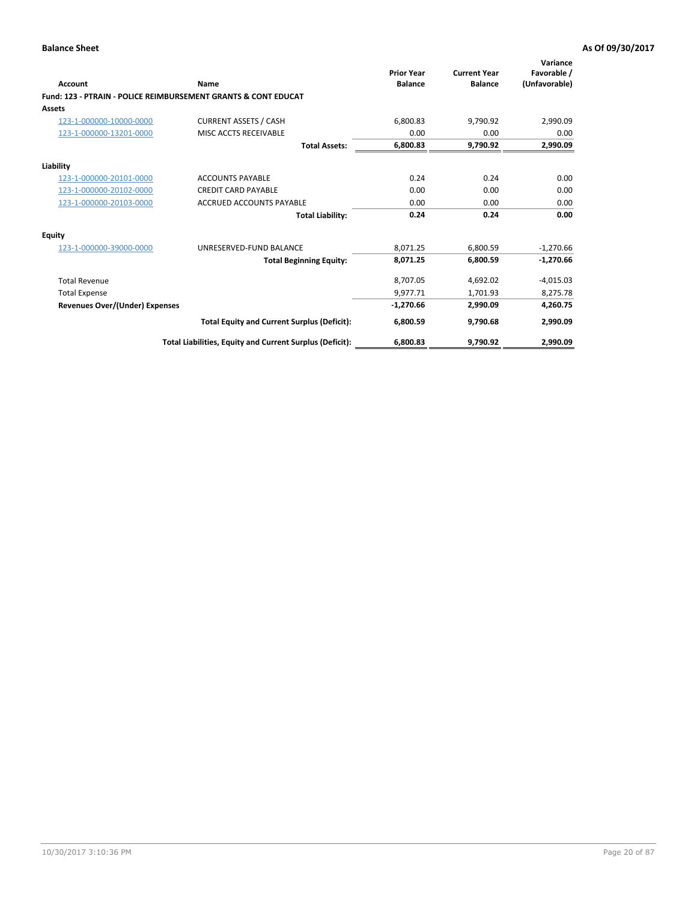| Account                        | Name                                                           | <b>Prior Year</b><br><b>Balance</b> | <b>Current Year</b><br><b>Balance</b> | Variance<br>Favorable /<br>(Unfavorable) |
|--------------------------------|----------------------------------------------------------------|-------------------------------------|---------------------------------------|------------------------------------------|
|                                | Fund: 123 - PTRAIN - POLICE REIMBURSEMENT GRANTS & CONT EDUCAT |                                     |                                       |                                          |
| Assets                         |                                                                |                                     |                                       |                                          |
| 123-1-000000-10000-0000        | <b>CURRENT ASSETS / CASH</b>                                   | 6,800.83                            | 9.790.92                              | 2,990.09                                 |
| 123-1-000000-13201-0000        | MISC ACCTS RECEIVABLE                                          | 0.00                                | 0.00                                  | 0.00                                     |
|                                | <b>Total Assets:</b>                                           | 6,800.83                            | 9,790.92                              | 2,990.09                                 |
| Liability                      |                                                                |                                     |                                       |                                          |
| 123-1-000000-20101-0000        | <b>ACCOUNTS PAYABLE</b>                                        | 0.24                                | 0.24                                  | 0.00                                     |
| 123-1-000000-20102-0000        | <b>CREDIT CARD PAYABLE</b>                                     | 0.00                                | 0.00                                  | 0.00                                     |
| 123-1-000000-20103-0000        | <b>ACCRUED ACCOUNTS PAYABLE</b>                                | 0.00                                | 0.00                                  | 0.00                                     |
|                                | <b>Total Liability:</b>                                        | 0.24                                | 0.24                                  | 0.00                                     |
| Equity                         |                                                                |                                     |                                       |                                          |
| 123-1-000000-39000-0000        | UNRESERVED-FUND BALANCE                                        | 8,071.25                            | 6,800.59                              | $-1,270.66$                              |
|                                | <b>Total Beginning Equity:</b>                                 | 8,071.25                            | 6,800.59                              | $-1,270.66$                              |
| <b>Total Revenue</b>           |                                                                | 8,707.05                            | 4,692.02                              | $-4,015.03$                              |
| <b>Total Expense</b>           |                                                                | 9,977.71                            | 1,701.93                              | 8,275.78                                 |
| Revenues Over/(Under) Expenses |                                                                | $-1,270.66$                         | 2,990.09                              | 4,260.75                                 |
|                                | <b>Total Equity and Current Surplus (Deficit):</b>             | 6,800.59                            | 9.790.68                              | 2,990.09                                 |
|                                | Total Liabilities, Equity and Current Surplus (Deficit):       | 6,800.83                            | 9.790.92                              | 2,990.09                                 |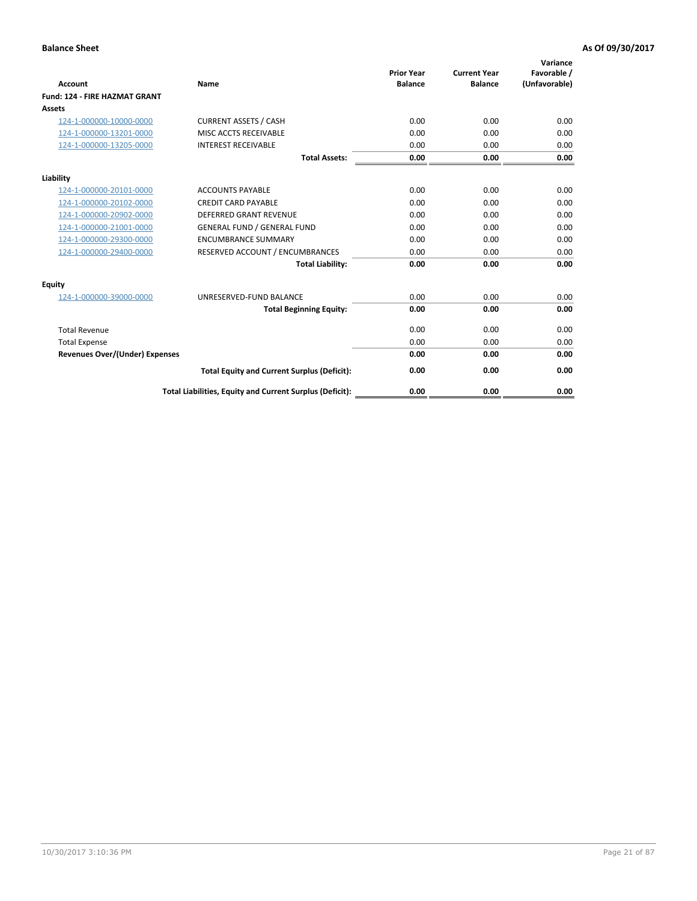| <b>Account</b>                        | Name                                                     | <b>Prior Year</b><br><b>Balance</b> | <b>Current Year</b><br><b>Balance</b> | Variance<br>Favorable /<br>(Unfavorable) |
|---------------------------------------|----------------------------------------------------------|-------------------------------------|---------------------------------------|------------------------------------------|
| Fund: 124 - FIRE HAZMAT GRANT         |                                                          |                                     |                                       |                                          |
| Assets                                |                                                          |                                     |                                       |                                          |
| 124-1-000000-10000-0000               | <b>CURRENT ASSETS / CASH</b>                             | 0.00                                | 0.00                                  | 0.00                                     |
| 124-1-000000-13201-0000               | MISC ACCTS RECEIVABLE                                    | 0.00                                | 0.00                                  | 0.00                                     |
| 124-1-000000-13205-0000               | <b>INTEREST RECEIVABLE</b>                               | 0.00                                | 0.00                                  | 0.00                                     |
|                                       | <b>Total Assets:</b>                                     | 0.00                                | 0.00                                  | 0.00                                     |
| Liability                             |                                                          |                                     |                                       |                                          |
| 124-1-000000-20101-0000               | <b>ACCOUNTS PAYABLE</b>                                  | 0.00                                | 0.00                                  | 0.00                                     |
| 124-1-000000-20102-0000               | <b>CREDIT CARD PAYABLE</b>                               | 0.00                                | 0.00                                  | 0.00                                     |
| 124-1-000000-20902-0000               | DEFERRED GRANT REVENUE                                   | 0.00                                | 0.00                                  | 0.00                                     |
| 124-1-000000-21001-0000               | <b>GENERAL FUND / GENERAL FUND</b>                       | 0.00                                | 0.00                                  | 0.00                                     |
| 124-1-000000-29300-0000               | <b>ENCUMBRANCE SUMMARY</b>                               | 0.00                                | 0.00                                  | 0.00                                     |
| 124-1-000000-29400-0000               | RESERVED ACCOUNT / ENCUMBRANCES                          | 0.00                                | 0.00                                  | 0.00                                     |
|                                       | <b>Total Liability:</b>                                  | 0.00                                | 0.00                                  | 0.00                                     |
| <b>Equity</b>                         |                                                          |                                     |                                       |                                          |
| 124-1-000000-39000-0000               | UNRESERVED-FUND BALANCE                                  | 0.00                                | 0.00                                  | 0.00                                     |
|                                       | <b>Total Beginning Equity:</b>                           | 0.00                                | 0.00                                  | 0.00                                     |
| <b>Total Revenue</b>                  |                                                          | 0.00                                | 0.00                                  | 0.00                                     |
| <b>Total Expense</b>                  |                                                          | 0.00                                | 0.00                                  | 0.00                                     |
| <b>Revenues Over/(Under) Expenses</b> |                                                          | 0.00                                | 0.00                                  | 0.00                                     |
|                                       | <b>Total Equity and Current Surplus (Deficit):</b>       | 0.00                                | 0.00                                  | 0.00                                     |
|                                       | Total Liabilities, Equity and Current Surplus (Deficit): | 0.00                                | 0.00                                  | 0.00                                     |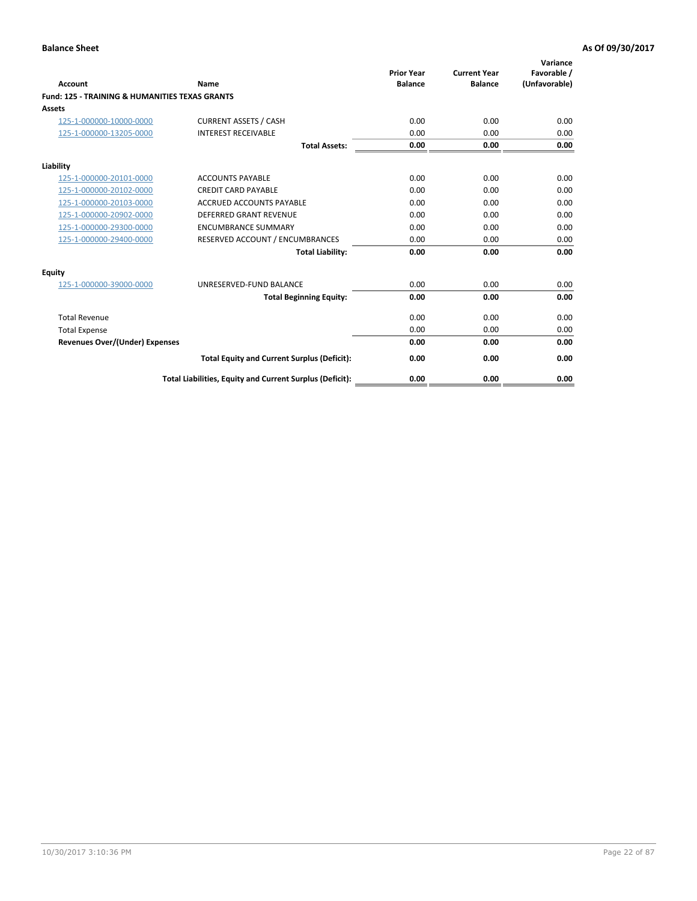| Account                                                   | Name                                                     | <b>Prior Year</b><br><b>Balance</b> | <b>Current Year</b><br><b>Balance</b> | Variance<br>Favorable /<br>(Unfavorable) |
|-----------------------------------------------------------|----------------------------------------------------------|-------------------------------------|---------------------------------------|------------------------------------------|
| <b>Fund: 125 - TRAINING &amp; HUMANITIES TEXAS GRANTS</b> |                                                          |                                     |                                       |                                          |
| <b>Assets</b>                                             |                                                          |                                     |                                       |                                          |
| 125-1-000000-10000-0000                                   | <b>CURRENT ASSETS / CASH</b>                             | 0.00                                | 0.00                                  | 0.00                                     |
| 125-1-000000-13205-0000                                   | <b>INTEREST RECEIVABLE</b>                               | 0.00                                | 0.00                                  | 0.00                                     |
|                                                           | <b>Total Assets:</b>                                     | 0.00                                | 0.00                                  | 0.00                                     |
| Liability                                                 |                                                          |                                     |                                       |                                          |
| 125-1-000000-20101-0000                                   | <b>ACCOUNTS PAYABLE</b>                                  | 0.00                                | 0.00                                  | 0.00                                     |
| 125-1-000000-20102-0000                                   | <b>CREDIT CARD PAYABLE</b>                               | 0.00                                | 0.00                                  | 0.00                                     |
| 125-1-000000-20103-0000                                   | <b>ACCRUED ACCOUNTS PAYABLE</b>                          | 0.00                                | 0.00                                  | 0.00                                     |
| 125-1-000000-20902-0000                                   | DEFERRED GRANT REVENUE                                   | 0.00                                | 0.00                                  | 0.00                                     |
| 125-1-000000-29300-0000                                   | <b>ENCUMBRANCE SUMMARY</b>                               | 0.00                                | 0.00                                  | 0.00                                     |
| 125-1-000000-29400-0000                                   | RESERVED ACCOUNT / ENCUMBRANCES                          | 0.00                                | 0.00                                  | 0.00                                     |
|                                                           | <b>Total Liability:</b>                                  | 0.00                                | 0.00                                  | 0.00                                     |
| <b>Equity</b>                                             |                                                          |                                     |                                       |                                          |
| 125-1-000000-39000-0000                                   | UNRESERVED-FUND BALANCE                                  | 0.00                                | 0.00                                  | 0.00                                     |
|                                                           | <b>Total Beginning Equity:</b>                           | 0.00                                | 0.00                                  | 0.00                                     |
| <b>Total Revenue</b>                                      |                                                          | 0.00                                | 0.00                                  | 0.00                                     |
| <b>Total Expense</b>                                      |                                                          | 0.00                                | 0.00                                  | 0.00                                     |
| <b>Revenues Over/(Under) Expenses</b>                     |                                                          | 0.00                                | 0.00                                  | 0.00                                     |
|                                                           | <b>Total Equity and Current Surplus (Deficit):</b>       | 0.00                                | 0.00                                  | 0.00                                     |
|                                                           | Total Liabilities, Equity and Current Surplus (Deficit): | 0.00                                | 0.00                                  | 0.00                                     |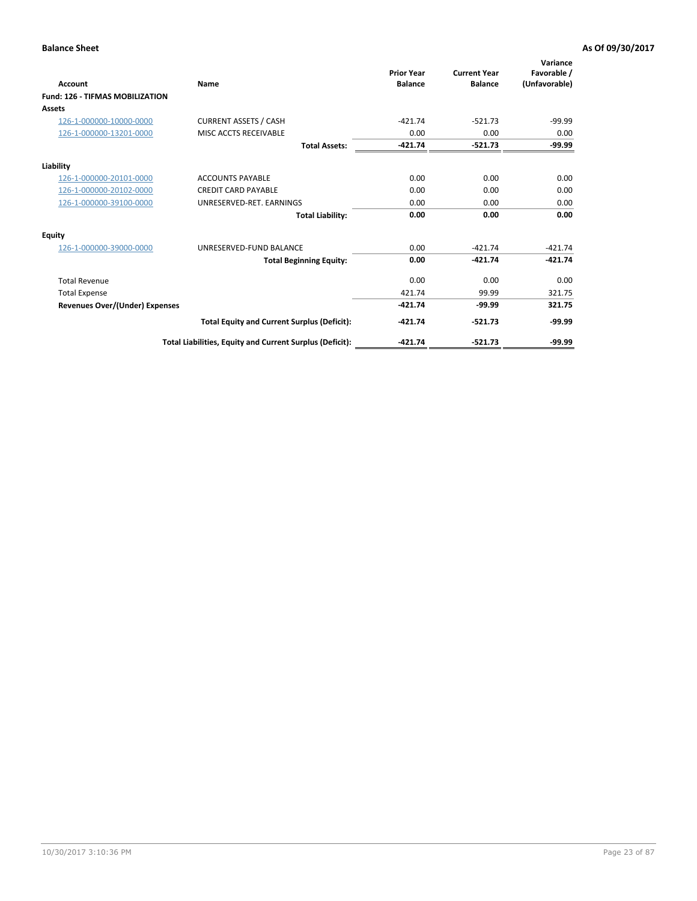| Account                                | Name                                                     | <b>Prior Year</b><br><b>Balance</b> | <b>Current Year</b><br><b>Balance</b> | Variance<br>Favorable /<br>(Unfavorable) |
|----------------------------------------|----------------------------------------------------------|-------------------------------------|---------------------------------------|------------------------------------------|
| <b>Fund: 126 - TIFMAS MOBILIZATION</b> |                                                          |                                     |                                       |                                          |
| Assets                                 |                                                          |                                     |                                       |                                          |
| 126-1-000000-10000-0000                | <b>CURRENT ASSETS / CASH</b>                             | $-421.74$                           | $-521.73$                             | $-99.99$                                 |
| 126-1-000000-13201-0000                | MISC ACCTS RECEIVABLE                                    | 0.00                                | 0.00                                  | 0.00                                     |
|                                        | <b>Total Assets:</b>                                     | $-421.74$                           | $-521.73$                             | -99.99                                   |
| Liability                              |                                                          |                                     |                                       |                                          |
| 126-1-000000-20101-0000                | <b>ACCOUNTS PAYABLE</b>                                  | 0.00                                | 0.00                                  | 0.00                                     |
| 126-1-000000-20102-0000                | <b>CREDIT CARD PAYABLE</b>                               | 0.00                                | 0.00                                  | 0.00                                     |
| 126-1-000000-39100-0000                | UNRESERVED-RET. EARNINGS                                 | 0.00                                | 0.00                                  | 0.00                                     |
|                                        | <b>Total Liability:</b>                                  | 0.00                                | 0.00                                  | 0.00                                     |
| Equity                                 |                                                          |                                     |                                       |                                          |
| 126-1-000000-39000-0000                | UNRESERVED-FUND BALANCE                                  | 0.00                                | $-421.74$                             | $-421.74$                                |
|                                        | <b>Total Beginning Equity:</b>                           | 0.00                                | $-421.74$                             | $-421.74$                                |
| <b>Total Revenue</b>                   |                                                          | 0.00                                | 0.00                                  | 0.00                                     |
| <b>Total Expense</b>                   |                                                          | 421.74                              | 99.99                                 | 321.75                                   |
| Revenues Over/(Under) Expenses         |                                                          | $-421.74$                           | $-99.99$                              | 321.75                                   |
|                                        | <b>Total Equity and Current Surplus (Deficit):</b>       | $-421.74$                           | $-521.73$                             | $-99.99$                                 |
|                                        | Total Liabilities, Equity and Current Surplus (Deficit): | $-421.74$                           | $-521.73$                             | $-99.99$                                 |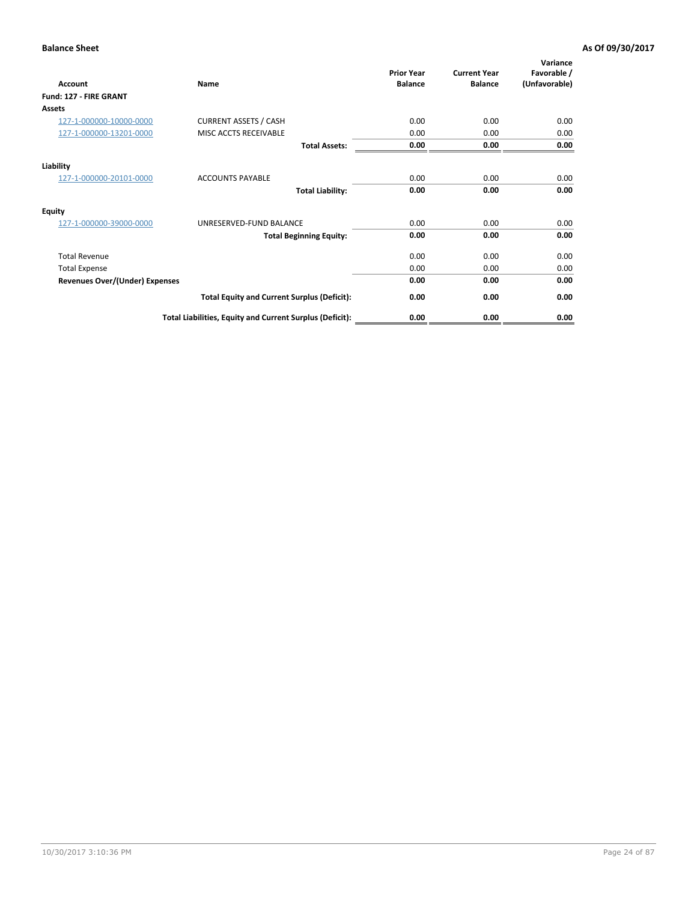| Account                               | Name                                                     | <b>Prior Year</b><br><b>Balance</b> | <b>Current Year</b><br><b>Balance</b> | Variance<br>Favorable /<br>(Unfavorable) |
|---------------------------------------|----------------------------------------------------------|-------------------------------------|---------------------------------------|------------------------------------------|
| Fund: 127 - FIRE GRANT                |                                                          |                                     |                                       |                                          |
| Assets                                |                                                          |                                     |                                       |                                          |
| 127-1-000000-10000-0000               | <b>CURRENT ASSETS / CASH</b>                             | 0.00                                | 0.00                                  | 0.00                                     |
| 127-1-000000-13201-0000               | MISC ACCTS RECEIVABLE                                    | 0.00                                | 0.00                                  | 0.00                                     |
|                                       | <b>Total Assets:</b>                                     | 0.00                                | 0.00                                  | 0.00                                     |
| Liability                             |                                                          |                                     |                                       |                                          |
| 127-1-000000-20101-0000               | <b>ACCOUNTS PAYABLE</b>                                  | 0.00                                | 0.00                                  | 0.00                                     |
|                                       | <b>Total Liability:</b>                                  | 0.00                                | 0.00                                  | 0.00                                     |
| <b>Equity</b>                         |                                                          |                                     |                                       |                                          |
| 127-1-000000-39000-0000               | UNRESERVED-FUND BALANCE                                  | 0.00                                | 0.00                                  | 0.00                                     |
|                                       | <b>Total Beginning Equity:</b>                           | 0.00                                | 0.00                                  | 0.00                                     |
| <b>Total Revenue</b>                  |                                                          | 0.00                                | 0.00                                  | 0.00                                     |
| <b>Total Expense</b>                  |                                                          | 0.00                                | 0.00                                  | 0.00                                     |
| <b>Revenues Over/(Under) Expenses</b> |                                                          | 0.00                                | 0.00                                  | 0.00                                     |
|                                       | <b>Total Equity and Current Surplus (Deficit):</b>       | 0.00                                | 0.00                                  | 0.00                                     |
|                                       | Total Liabilities, Equity and Current Surplus (Deficit): | 0.00                                | 0.00                                  | 0.00                                     |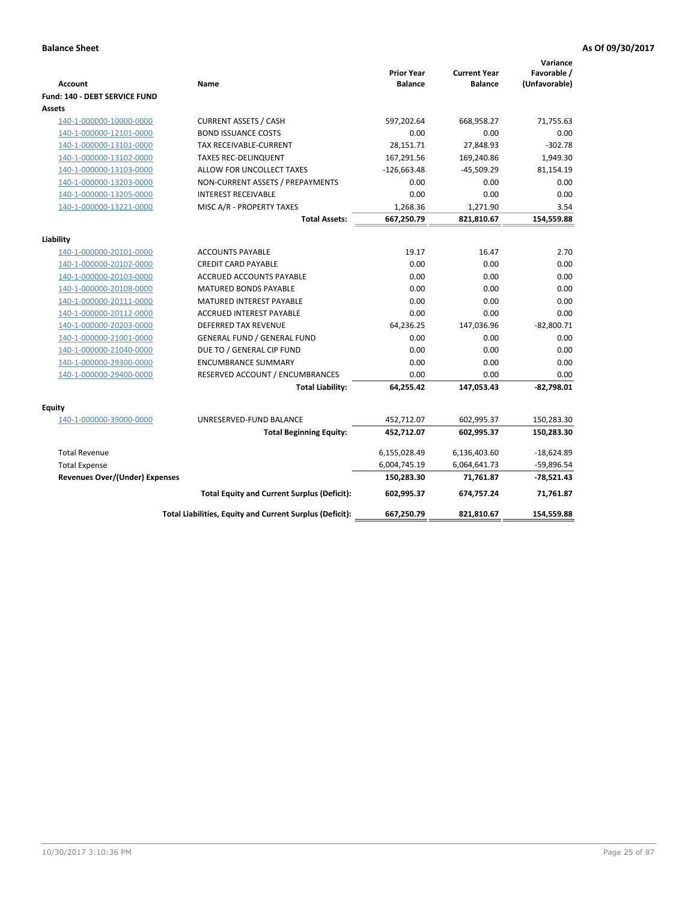| <b>Account</b>                 | Name                                                     | <b>Prior Year</b><br><b>Balance</b> | <b>Current Year</b><br><b>Balance</b> | Variance<br>Favorable /<br>(Unfavorable) |
|--------------------------------|----------------------------------------------------------|-------------------------------------|---------------------------------------|------------------------------------------|
| Fund: 140 - DEBT SERVICE FUND  |                                                          |                                     |                                       |                                          |
| Assets                         |                                                          |                                     |                                       |                                          |
| 140-1-000000-10000-0000        | <b>CURRENT ASSETS / CASH</b>                             | 597,202.64                          | 668,958.27                            | 71,755.63                                |
| 140-1-000000-12101-0000        | <b>BOND ISSUANCE COSTS</b>                               | 0.00                                | 0.00                                  | 0.00                                     |
| 140-1-000000-13101-0000        | TAX RECEIVABLE-CURRENT                                   | 28,151.71                           | 27,848.93                             | $-302.78$                                |
| 140-1-000000-13102-0000        | <b>TAXES REC-DELINQUENT</b>                              | 167,291.56                          | 169,240.86                            | 1,949.30                                 |
| 140-1-000000-13103-0000        | ALLOW FOR UNCOLLECT TAXES                                | $-126,663.48$                       | $-45,509.29$                          | 81,154.19                                |
| 140-1-000000-13203-0000        | NON-CURRENT ASSETS / PREPAYMENTS                         | 0.00                                | 0.00                                  | 0.00                                     |
| 140-1-000000-13205-0000        | <b>INTEREST RECEIVABLE</b>                               | 0.00                                | 0.00                                  | 0.00                                     |
| 140-1-000000-13221-0000        | MISC A/R - PROPERTY TAXES                                | 1,268.36                            | 1,271.90                              | 3.54                                     |
|                                | <b>Total Assets:</b>                                     | 667,250.79                          | 821,810.67                            | 154,559.88                               |
| Liability                      |                                                          |                                     |                                       |                                          |
| 140-1-000000-20101-0000        | <b>ACCOUNTS PAYABLE</b>                                  | 19.17                               | 16.47                                 | 2.70                                     |
| 140-1-000000-20102-0000        | <b>CREDIT CARD PAYABLE</b>                               | 0.00                                | 0.00                                  | 0.00                                     |
| 140-1-000000-20103-0000        | ACCRUED ACCOUNTS PAYABLE                                 | 0.00                                | 0.00                                  | 0.00                                     |
| 140-1-000000-20108-0000        | <b>MATURED BONDS PAYABLE</b>                             | 0.00                                | 0.00                                  | 0.00                                     |
| 140-1-000000-20111-0000        | MATURED INTEREST PAYABLE                                 | 0.00                                | 0.00                                  | 0.00                                     |
| 140-1-000000-20112-0000        | <b>ACCRUED INTEREST PAYABLE</b>                          | 0.00                                | 0.00                                  | 0.00                                     |
| 140-1-000000-20203-0000        | <b>DEFERRED TAX REVENUE</b>                              | 64,236.25                           | 147,036.96                            | $-82,800.71$                             |
| 140-1-000000-21001-0000        | <b>GENERAL FUND / GENERAL FUND</b>                       | 0.00                                | 0.00                                  | 0.00                                     |
| 140-1-000000-21040-0000        | DUE TO / GENERAL CIP FUND                                | 0.00                                | 0.00                                  | 0.00                                     |
| 140-1-000000-29300-0000        | <b>ENCUMBRANCE SUMMARY</b>                               | 0.00                                | 0.00                                  | 0.00                                     |
| 140-1-000000-29400-0000        | RESERVED ACCOUNT / ENCUMBRANCES                          | 0.00                                | 0.00                                  | 0.00                                     |
|                                | <b>Total Liability:</b>                                  | 64,255.42                           | 147,053.43                            | $-82,798.01$                             |
| Equity                         |                                                          |                                     |                                       |                                          |
| 140-1-000000-39000-0000        | UNRESERVED-FUND BALANCE                                  | 452,712.07                          | 602,995.37                            | 150,283.30                               |
|                                | <b>Total Beginning Equity:</b>                           | 452,712.07                          | 602,995.37                            | 150,283.30                               |
| <b>Total Revenue</b>           |                                                          | 6,155,028.49                        | 6,136,403.60                          | $-18,624.89$                             |
| <b>Total Expense</b>           |                                                          | 6,004,745.19                        | 6,064,641.73                          | $-59,896.54$                             |
| Revenues Over/(Under) Expenses |                                                          | 150,283.30                          | 71,761.87                             | $-78,521.43$                             |
|                                | <b>Total Equity and Current Surplus (Deficit):</b>       | 602.995.37                          | 674.757.24                            | 71.761.87                                |
|                                | Total Liabilities, Equity and Current Surplus (Deficit): | 667,250.79                          | 821,810.67                            | 154,559.88                               |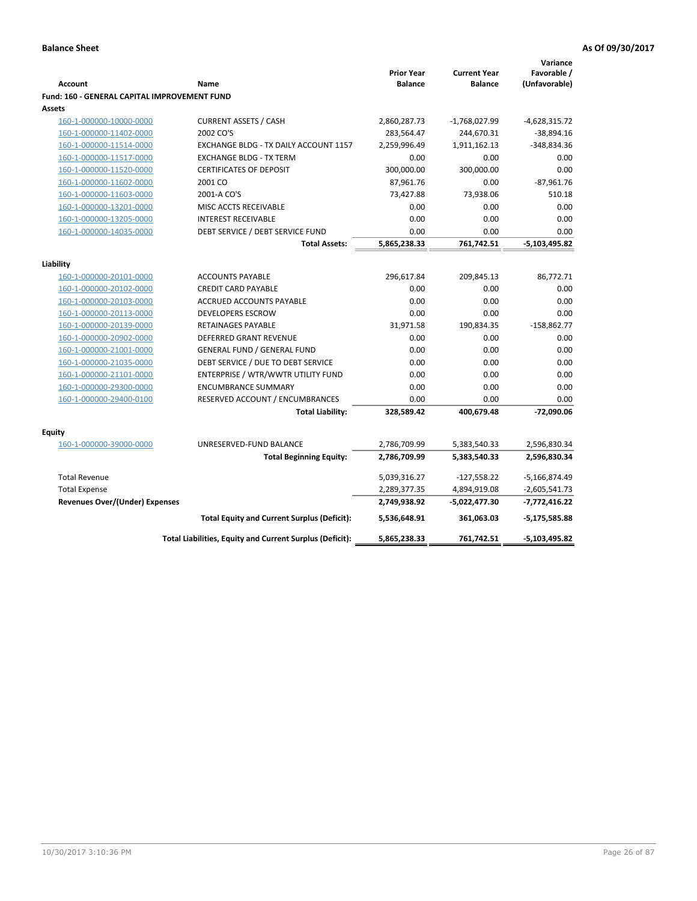|                                              |                                                          |                   |                     | Variance        |
|----------------------------------------------|----------------------------------------------------------|-------------------|---------------------|-----------------|
|                                              |                                                          | <b>Prior Year</b> | <b>Current Year</b> | Favorable /     |
| <b>Account</b>                               | Name                                                     | <b>Balance</b>    | <b>Balance</b>      | (Unfavorable)   |
| Fund: 160 - GENERAL CAPITAL IMPROVEMENT FUND |                                                          |                   |                     |                 |
| Assets                                       |                                                          |                   |                     |                 |
| 160-1-000000-10000-0000                      | <b>CURRENT ASSETS / CASH</b>                             | 2,860,287.73      | $-1,768,027.99$     | $-4,628,315.72$ |
| 160-1-000000-11402-0000                      | 2002 CO'S                                                | 283,564.47        | 244,670.31          | $-38,894.16$    |
| 160-1-000000-11514-0000                      | EXCHANGE BLDG - TX DAILY ACCOUNT 1157                    | 2,259,996.49      | 1,911,162.13        | -348,834.36     |
| 160-1-000000-11517-0000                      | <b>EXCHANGE BLDG - TX TERM</b>                           | 0.00              | 0.00                | 0.00            |
| 160-1-000000-11520-0000                      | <b>CERTIFICATES OF DEPOSIT</b>                           | 300,000.00        | 300,000.00          | 0.00            |
| 160-1-000000-11602-0000                      | 2001 CO                                                  | 87,961.76         | 0.00                | $-87,961.76$    |
| 160-1-000000-11603-0000                      | 2001-A CO'S                                              | 73,427.88         | 73,938.06           | 510.18          |
| 160-1-000000-13201-0000                      | MISC ACCTS RECEIVABLE                                    | 0.00              | 0.00                | 0.00            |
| 160-1-000000-13205-0000                      | <b>INTEREST RECEIVABLE</b>                               | 0.00              | 0.00                | 0.00            |
| 160-1-000000-14035-0000                      | DEBT SERVICE / DEBT SERVICE FUND                         | 0.00              | 0.00                | 0.00            |
|                                              | <b>Total Assets:</b>                                     | 5,865,238.33      | 761,742.51          | $-5,103,495.82$ |
| Liability                                    |                                                          |                   |                     |                 |
|                                              | <b>ACCOUNTS PAYABLE</b>                                  |                   |                     |                 |
| 160-1-000000-20101-0000                      |                                                          | 296,617.84        | 209,845.13          | 86,772.71       |
| 160-1-000000-20102-0000                      | <b>CREDIT CARD PAYABLE</b>                               | 0.00              | 0.00                | 0.00            |
| 160-1-000000-20103-0000                      | <b>ACCRUED ACCOUNTS PAYABLE</b>                          | 0.00              | 0.00                | 0.00            |
| 160-1-000000-20113-0000                      | <b>DEVELOPERS ESCROW</b>                                 | 0.00              | 0.00                | 0.00            |
| 160-1-000000-20139-0000                      | <b>RETAINAGES PAYABLE</b>                                | 31,971.58         | 190,834.35          | $-158,862.77$   |
| 160-1-000000-20902-0000                      | <b>DEFERRED GRANT REVENUE</b>                            | 0.00              | 0.00                | 0.00            |
| 160-1-000000-21001-0000                      | <b>GENERAL FUND / GENERAL FUND</b>                       | 0.00              | 0.00                | 0.00            |
| 160-1-000000-21035-0000                      | DEBT SERVICE / DUE TO DEBT SERVICE                       | 0.00              | 0.00                | 0.00            |
| 160-1-000000-21101-0000                      | ENTERPRISE / WTR/WWTR UTILITY FUND                       | 0.00              | 0.00                | 0.00            |
| 160-1-000000-29300-0000                      | <b>ENCUMBRANCE SUMMARY</b>                               | 0.00              | 0.00                | 0.00            |
| 160-1-000000-29400-0100                      | RESERVED ACCOUNT / ENCUMBRANCES                          | 0.00              | 0.00                | 0.00            |
|                                              | <b>Total Liability:</b>                                  | 328,589.42        | 400,679.48          | -72,090.06      |
| <b>Equity</b>                                |                                                          |                   |                     |                 |
| 160-1-000000-39000-0000                      | UNRESERVED-FUND BALANCE                                  | 2,786,709.99      | 5,383,540.33        | 2,596,830.34    |
|                                              | <b>Total Beginning Equity:</b>                           | 2,786,709.99      | 5,383,540.33        | 2,596,830.34    |
|                                              |                                                          |                   |                     |                 |
| <b>Total Revenue</b>                         |                                                          | 5,039,316.27      | $-127,558.22$       | $-5,166,874.49$ |
| <b>Total Expense</b>                         |                                                          | 2,289,377.35      | 4,894,919.08        | $-2,605,541.73$ |
| <b>Revenues Over/(Under) Expenses</b>        |                                                          | 2,749,938.92      | -5,022,477.30       | $-7,772,416.22$ |
|                                              | <b>Total Equity and Current Surplus (Deficit):</b>       | 5,536,648.91      | 361,063.03          | $-5,175,585.88$ |
|                                              | Total Liabilities, Equity and Current Surplus (Deficit): | 5,865,238.33      | 761,742.51          | -5,103,495.82   |
|                                              |                                                          |                   |                     |                 |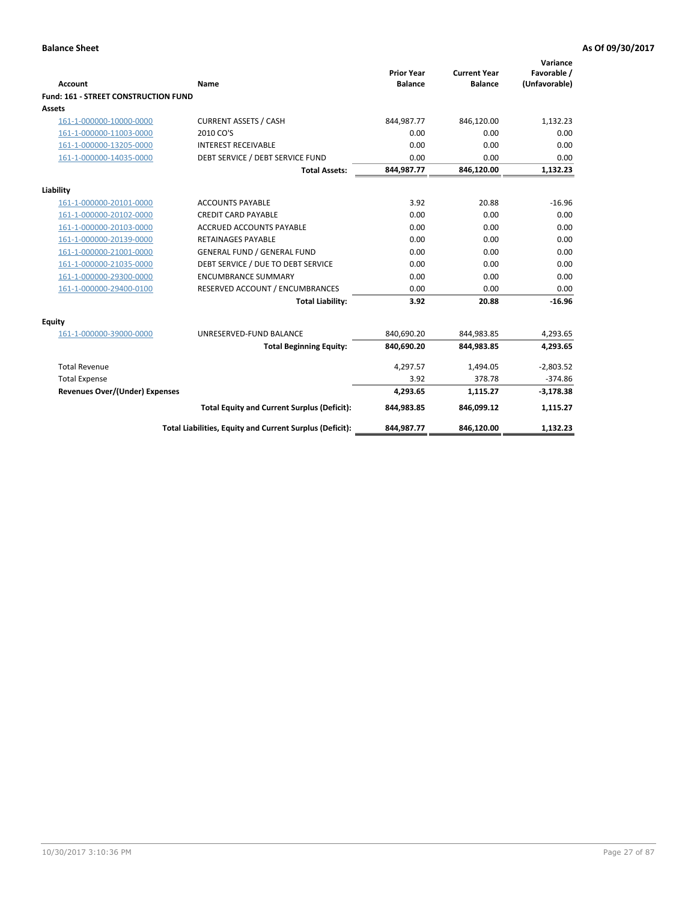| <b>Account</b>                       | Name                                                     | <b>Prior Year</b><br><b>Balance</b> | <b>Current Year</b><br><b>Balance</b> | Variance<br>Favorable /<br>(Unfavorable) |
|--------------------------------------|----------------------------------------------------------|-------------------------------------|---------------------------------------|------------------------------------------|
| Fund: 161 - STREET CONSTRUCTION FUND |                                                          |                                     |                                       |                                          |
| <b>Assets</b>                        |                                                          |                                     |                                       |                                          |
| 161-1-000000-10000-0000              | <b>CURRENT ASSETS / CASH</b>                             | 844,987.77                          | 846,120.00                            | 1,132.23                                 |
| 161-1-000000-11003-0000              | 2010 CO'S                                                | 0.00                                | 0.00                                  | 0.00                                     |
| 161-1-000000-13205-0000              | <b>INTEREST RECEIVABLE</b>                               | 0.00                                | 0.00                                  | 0.00                                     |
| 161-1-000000-14035-0000              | DEBT SERVICE / DEBT SERVICE FUND                         | 0.00                                | 0.00                                  | 0.00                                     |
|                                      | <b>Total Assets:</b>                                     | 844,987.77                          | 846,120.00                            | 1,132.23                                 |
| Liability                            |                                                          |                                     |                                       |                                          |
| 161-1-000000-20101-0000              | <b>ACCOUNTS PAYABLE</b>                                  | 3.92                                | 20.88                                 | $-16.96$                                 |
| 161-1-000000-20102-0000              | <b>CREDIT CARD PAYABLE</b>                               | 0.00                                | 0.00                                  | 0.00                                     |
| 161-1-000000-20103-0000              | <b>ACCRUED ACCOUNTS PAYABLE</b>                          | 0.00                                | 0.00                                  | 0.00                                     |
| 161-1-000000-20139-0000              | <b>RETAINAGES PAYABLE</b>                                | 0.00                                | 0.00                                  | 0.00                                     |
| 161-1-000000-21001-0000              | <b>GENERAL FUND / GENERAL FUND</b>                       | 0.00                                | 0.00                                  | 0.00                                     |
| 161-1-000000-21035-0000              | DEBT SERVICE / DUE TO DEBT SERVICE                       | 0.00                                | 0.00                                  | 0.00                                     |
| 161-1-000000-29300-0000              | <b>ENCUMBRANCE SUMMARY</b>                               | 0.00                                | 0.00                                  | 0.00                                     |
| 161-1-000000-29400-0100              | RESERVED ACCOUNT / ENCUMBRANCES                          | 0.00                                | 0.00                                  | 0.00                                     |
|                                      | <b>Total Liability:</b>                                  | 3.92                                | 20.88                                 | $-16.96$                                 |
| <b>Equity</b>                        |                                                          |                                     |                                       |                                          |
| 161-1-000000-39000-0000              | UNRESERVED-FUND BALANCE                                  | 840,690.20                          | 844,983.85                            | 4,293.65                                 |
|                                      | <b>Total Beginning Equity:</b>                           | 840,690.20                          | 844,983.85                            | 4,293.65                                 |
| <b>Total Revenue</b>                 |                                                          | 4,297.57                            | 1,494.05                              | $-2,803.52$                              |
| <b>Total Expense</b>                 |                                                          | 3.92                                | 378.78                                | $-374.86$                                |
| Revenues Over/(Under) Expenses       |                                                          | 4,293.65                            | 1,115.27                              | $-3,178.38$                              |
|                                      | <b>Total Equity and Current Surplus (Deficit):</b>       | 844,983.85                          | 846,099.12                            | 1,115.27                                 |
|                                      | Total Liabilities, Equity and Current Surplus (Deficit): | 844,987.77                          | 846,120.00                            | 1,132.23                                 |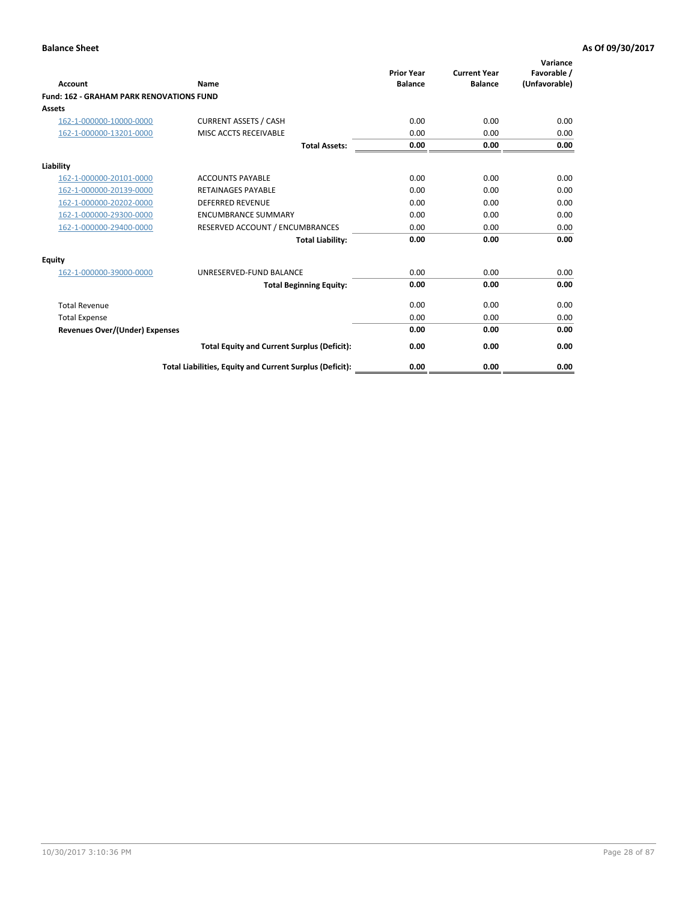| Account                                         | Name                                                     | <b>Prior Year</b><br><b>Balance</b> | <b>Current Year</b><br><b>Balance</b> | Variance<br>Favorable /<br>(Unfavorable) |
|-------------------------------------------------|----------------------------------------------------------|-------------------------------------|---------------------------------------|------------------------------------------|
| <b>Fund: 162 - GRAHAM PARK RENOVATIONS FUND</b> |                                                          |                                     |                                       |                                          |
| <b>Assets</b>                                   |                                                          |                                     |                                       |                                          |
| 162-1-000000-10000-0000                         | <b>CURRENT ASSETS / CASH</b>                             | 0.00                                | 0.00                                  | 0.00                                     |
| 162-1-000000-13201-0000                         | MISC ACCTS RECEIVABLE                                    | 0.00                                | 0.00                                  | 0.00                                     |
|                                                 | <b>Total Assets:</b>                                     | 0.00                                | 0.00                                  | 0.00                                     |
| Liability                                       |                                                          |                                     |                                       |                                          |
| 162-1-000000-20101-0000                         | <b>ACCOUNTS PAYABLE</b>                                  | 0.00                                | 0.00                                  | 0.00                                     |
| 162-1-000000-20139-0000                         | <b>RETAINAGES PAYABLE</b>                                | 0.00                                | 0.00                                  | 0.00                                     |
| 162-1-000000-20202-0000                         | <b>DEFERRED REVENUE</b>                                  | 0.00                                | 0.00                                  | 0.00                                     |
| 162-1-000000-29300-0000                         | <b>ENCUMBRANCE SUMMARY</b>                               | 0.00                                | 0.00                                  | 0.00                                     |
| 162-1-000000-29400-0000                         | RESERVED ACCOUNT / ENCUMBRANCES                          | 0.00                                | 0.00                                  | 0.00                                     |
|                                                 | <b>Total Liability:</b>                                  | 0.00                                | 0.00                                  | 0.00                                     |
| Equity                                          |                                                          |                                     |                                       |                                          |
| 162-1-000000-39000-0000                         | UNRESERVED-FUND BALANCE                                  | 0.00                                | 0.00                                  | 0.00                                     |
|                                                 | <b>Total Beginning Equity:</b>                           | 0.00                                | 0.00                                  | 0.00                                     |
| <b>Total Revenue</b>                            |                                                          | 0.00                                | 0.00                                  | 0.00                                     |
| <b>Total Expense</b>                            |                                                          | 0.00                                | 0.00                                  | 0.00                                     |
| <b>Revenues Over/(Under) Expenses</b>           |                                                          | 0.00                                | 0.00                                  | 0.00                                     |
|                                                 | <b>Total Equity and Current Surplus (Deficit):</b>       | 0.00                                | 0.00                                  | 0.00                                     |
|                                                 | Total Liabilities, Equity and Current Surplus (Deficit): | 0.00                                | 0.00                                  | 0.00                                     |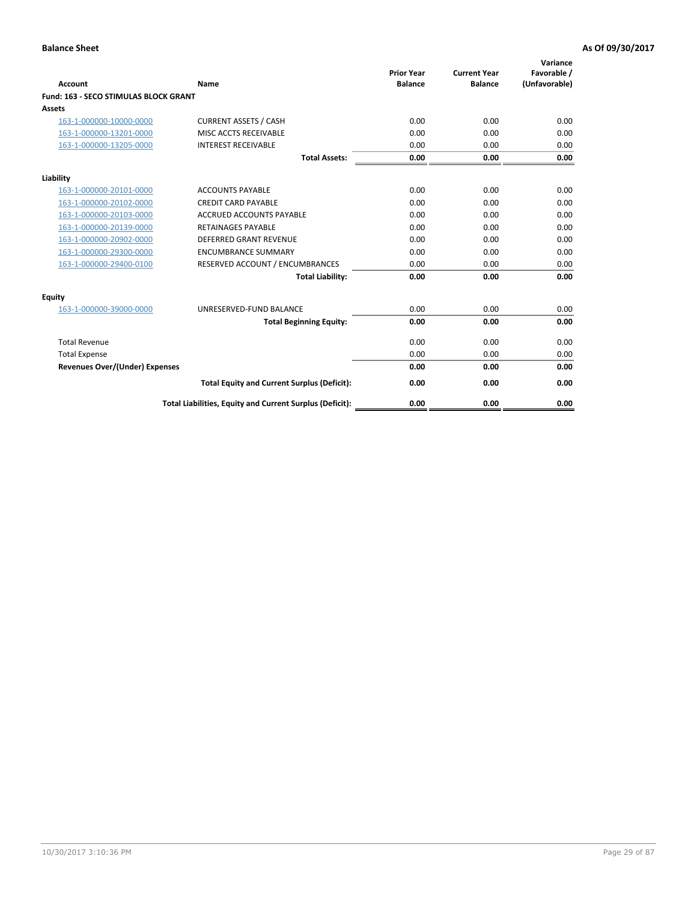| Account                               | Name                                                     | <b>Prior Year</b><br><b>Balance</b> | <b>Current Year</b><br><b>Balance</b> | Variance<br>Favorable /<br>(Unfavorable) |
|---------------------------------------|----------------------------------------------------------|-------------------------------------|---------------------------------------|------------------------------------------|
| Fund: 163 - SECO STIMULAS BLOCK GRANT |                                                          |                                     |                                       |                                          |
| <b>Assets</b>                         |                                                          |                                     |                                       |                                          |
| 163-1-000000-10000-0000               | <b>CURRENT ASSETS / CASH</b>                             | 0.00                                | 0.00                                  | 0.00                                     |
| 163-1-000000-13201-0000               | MISC ACCTS RECEIVABLE                                    | 0.00                                | 0.00                                  | 0.00                                     |
| 163-1-000000-13205-0000               | <b>INTEREST RECEIVABLE</b>                               | 0.00                                | 0.00                                  | 0.00                                     |
|                                       | <b>Total Assets:</b>                                     | 0.00                                | 0.00                                  | 0.00                                     |
| Liability                             |                                                          |                                     |                                       |                                          |
| 163-1-000000-20101-0000               | <b>ACCOUNTS PAYABLE</b>                                  | 0.00                                | 0.00                                  | 0.00                                     |
| 163-1-000000-20102-0000               | <b>CREDIT CARD PAYABLE</b>                               | 0.00                                | 0.00                                  | 0.00                                     |
| 163-1-000000-20103-0000               | <b>ACCRUED ACCOUNTS PAYABLE</b>                          | 0.00                                | 0.00                                  | 0.00                                     |
| 163-1-000000-20139-0000               | <b>RETAINAGES PAYABLE</b>                                | 0.00                                | 0.00                                  | 0.00                                     |
| 163-1-000000-20902-0000               | DEFERRED GRANT REVENUE                                   | 0.00                                | 0.00                                  | 0.00                                     |
| 163-1-000000-29300-0000               | <b>ENCUMBRANCE SUMMARY</b>                               | 0.00                                | 0.00                                  | 0.00                                     |
| 163-1-000000-29400-0100               | RESERVED ACCOUNT / ENCUMBRANCES                          | 0.00                                | 0.00                                  | 0.00                                     |
|                                       | <b>Total Liability:</b>                                  | 0.00                                | 0.00                                  | 0.00                                     |
| <b>Equity</b>                         |                                                          |                                     |                                       |                                          |
| 163-1-000000-39000-0000               | UNRESERVED-FUND BALANCE                                  | 0.00                                | 0.00                                  | 0.00                                     |
|                                       | <b>Total Beginning Equity:</b>                           | 0.00                                | 0.00                                  | 0.00                                     |
| <b>Total Revenue</b>                  |                                                          | 0.00                                | 0.00                                  | 0.00                                     |
| <b>Total Expense</b>                  |                                                          | 0.00                                | 0.00                                  | 0.00                                     |
| <b>Revenues Over/(Under) Expenses</b> |                                                          | 0.00                                | 0.00                                  | 0.00                                     |
|                                       | <b>Total Equity and Current Surplus (Deficit):</b>       | 0.00                                | 0.00                                  | 0.00                                     |
|                                       | Total Liabilities, Equity and Current Surplus (Deficit): | 0.00                                | 0.00                                  | 0.00                                     |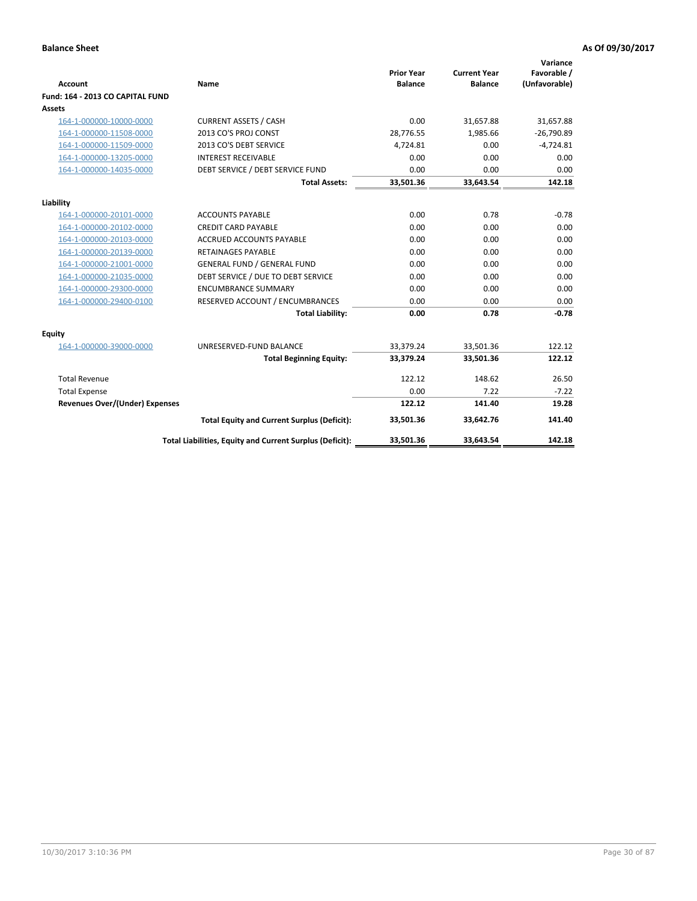| <b>Account</b>                        | <b>Name</b>                                              | <b>Prior Year</b><br><b>Balance</b> | <b>Current Year</b><br><b>Balance</b> | Variance<br>Favorable /<br>(Unfavorable) |
|---------------------------------------|----------------------------------------------------------|-------------------------------------|---------------------------------------|------------------------------------------|
| Fund: 164 - 2013 CO CAPITAL FUND      |                                                          |                                     |                                       |                                          |
| Assets                                |                                                          |                                     |                                       |                                          |
| 164-1-000000-10000-0000               | <b>CURRENT ASSETS / CASH</b>                             | 0.00                                | 31,657.88                             | 31,657.88                                |
| 164-1-000000-11508-0000               | 2013 CO'S PROJ CONST                                     | 28,776.55                           | 1,985.66                              | $-26,790.89$                             |
| 164-1-000000-11509-0000               | 2013 CO'S DEBT SERVICE                                   | 4,724.81                            | 0.00                                  | $-4,724.81$                              |
| 164-1-000000-13205-0000               | <b>INTEREST RECEIVABLE</b>                               | 0.00                                | 0.00                                  | 0.00                                     |
| 164-1-000000-14035-0000               | DEBT SERVICE / DEBT SERVICE FUND                         | 0.00                                | 0.00                                  | 0.00                                     |
|                                       | <b>Total Assets:</b>                                     | 33,501.36                           | 33,643.54                             | 142.18                                   |
| Liability                             |                                                          |                                     |                                       |                                          |
| 164-1-000000-20101-0000               | <b>ACCOUNTS PAYABLE</b>                                  | 0.00                                | 0.78                                  | $-0.78$                                  |
| 164-1-000000-20102-0000               | <b>CREDIT CARD PAYABLE</b>                               | 0.00                                | 0.00                                  | 0.00                                     |
| 164-1-000000-20103-0000               | <b>ACCRUED ACCOUNTS PAYABLE</b>                          | 0.00                                | 0.00                                  | 0.00                                     |
| 164-1-000000-20139-0000               | <b>RETAINAGES PAYABLE</b>                                | 0.00                                | 0.00                                  | 0.00                                     |
| 164-1-000000-21001-0000               | <b>GENERAL FUND / GENERAL FUND</b>                       | 0.00                                | 0.00                                  | 0.00                                     |
| 164-1-000000-21035-0000               | DEBT SERVICE / DUE TO DEBT SERVICE                       | 0.00                                | 0.00                                  | 0.00                                     |
| 164-1-000000-29300-0000               | <b>ENCUMBRANCE SUMMARY</b>                               | 0.00                                | 0.00                                  | 0.00                                     |
| 164-1-000000-29400-0100               | RESERVED ACCOUNT / ENCUMBRANCES                          | 0.00                                | 0.00                                  | 0.00                                     |
|                                       | <b>Total Liability:</b>                                  | 0.00                                | 0.78                                  | $-0.78$                                  |
| Equity                                |                                                          |                                     |                                       |                                          |
| 164-1-000000-39000-0000               | UNRESERVED-FUND BALANCE                                  | 33,379.24                           | 33,501.36                             | 122.12                                   |
|                                       | <b>Total Beginning Equity:</b>                           | 33,379.24                           | 33,501.36                             | 122.12                                   |
| <b>Total Revenue</b>                  |                                                          | 122.12                              | 148.62                                | 26.50                                    |
| <b>Total Expense</b>                  |                                                          | 0.00                                | 7.22                                  | $-7.22$                                  |
| <b>Revenues Over/(Under) Expenses</b> |                                                          | 122.12                              | 141.40                                | 19.28                                    |
|                                       | <b>Total Equity and Current Surplus (Deficit):</b>       | 33,501.36                           | 33,642.76                             | 141.40                                   |
|                                       | Total Liabilities, Equity and Current Surplus (Deficit): | 33,501.36                           | 33,643.54                             | 142.18                                   |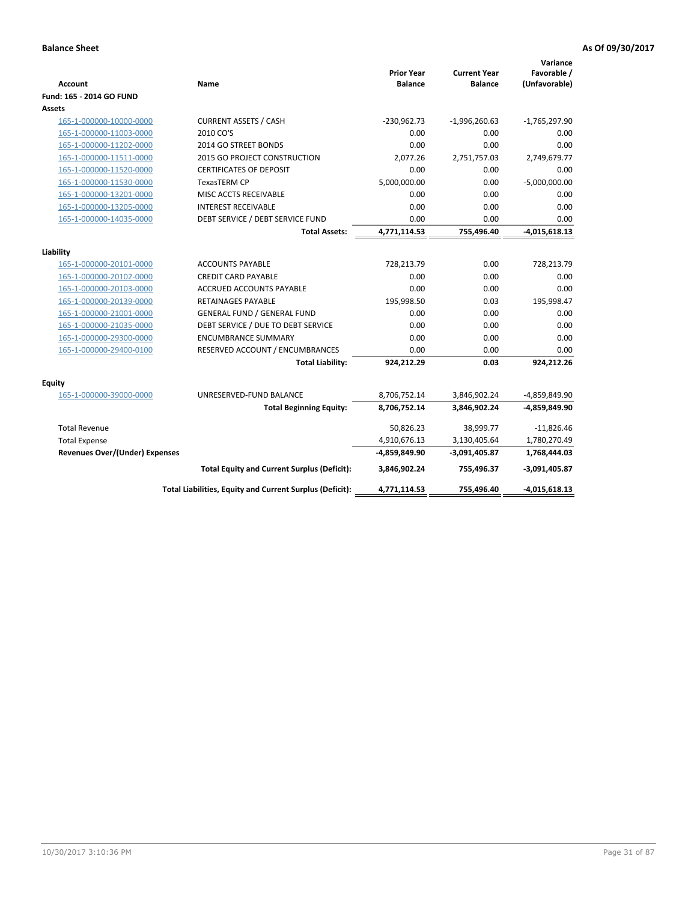| <b>Account</b>                        | Name                                                     | <b>Prior Year</b><br><b>Balance</b> | <b>Current Year</b><br><b>Balance</b> | Variance<br>Favorable /<br>(Unfavorable) |
|---------------------------------------|----------------------------------------------------------|-------------------------------------|---------------------------------------|------------------------------------------|
| Fund: 165 - 2014 GO FUND              |                                                          |                                     |                                       |                                          |
| Assets                                |                                                          |                                     |                                       |                                          |
| 165-1-000000-10000-0000               | <b>CURRENT ASSETS / CASH</b>                             | $-230,962.73$                       | $-1,996,260.63$                       | $-1,765,297.90$                          |
| 165-1-000000-11003-0000               | 2010 CO'S                                                | 0.00                                | 0.00                                  | 0.00                                     |
| 165-1-000000-11202-0000               | 2014 GO STREET BONDS                                     | 0.00                                | 0.00                                  | 0.00                                     |
| 165-1-000000-11511-0000               | <b>2015 GO PROJECT CONSTRUCTION</b>                      | 2,077.26                            | 2,751,757.03                          | 2,749,679.77                             |
| 165-1-000000-11520-0000               | <b>CERTIFICATES OF DEPOSIT</b>                           | 0.00                                | 0.00                                  | 0.00                                     |
| 165-1-000000-11530-0000               | <b>TexasTERM CP</b>                                      | 5,000,000.00                        | 0.00                                  | $-5,000,000.00$                          |
| 165-1-000000-13201-0000               | MISC ACCTS RECEIVABLE                                    | 0.00                                | 0.00                                  | 0.00                                     |
| 165-1-000000-13205-0000               | <b>INTEREST RECEIVABLE</b>                               | 0.00                                | 0.00                                  | 0.00                                     |
| 165-1-000000-14035-0000               | DEBT SERVICE / DEBT SERVICE FUND                         | 0.00                                | 0.00                                  | 0.00                                     |
|                                       | <b>Total Assets:</b>                                     | 4,771,114.53                        | 755,496.40                            | $-4,015,618.13$                          |
| Liability                             |                                                          |                                     |                                       |                                          |
|                                       |                                                          | 728,213.79                          |                                       | 728,213.79                               |
| 165-1-000000-20101-0000               | <b>ACCOUNTS PAYABLE</b>                                  | 0.00                                | 0.00<br>0.00                          | 0.00                                     |
| 165-1-000000-20102-0000               | <b>CREDIT CARD PAYABLE</b>                               | 0.00                                |                                       | 0.00                                     |
| 165-1-000000-20103-0000               | <b>ACCRUED ACCOUNTS PAYABLE</b>                          |                                     | 0.00                                  |                                          |
| 165-1-000000-20139-0000               | RETAINAGES PAYABLE                                       | 195,998.50                          | 0.03                                  | 195,998.47                               |
| 165-1-000000-21001-0000               | <b>GENERAL FUND / GENERAL FUND</b>                       | 0.00                                | 0.00                                  | 0.00                                     |
| 165-1-000000-21035-0000               | DEBT SERVICE / DUE TO DEBT SERVICE                       | 0.00                                | 0.00                                  | 0.00                                     |
| 165-1-000000-29300-0000               | <b>ENCUMBRANCE SUMMARY</b>                               | 0.00                                | 0.00                                  | 0.00                                     |
| 165-1-000000-29400-0100               | RESERVED ACCOUNT / ENCUMBRANCES                          | 0.00                                | 0.00                                  | 0.00                                     |
|                                       | <b>Total Liability:</b>                                  | 924,212.29                          | 0.03                                  | 924,212.26                               |
| <b>Equity</b>                         |                                                          |                                     |                                       |                                          |
| 165-1-000000-39000-0000               | UNRESERVED-FUND BALANCE                                  | 8,706,752.14                        | 3,846,902.24                          | -4,859,849.90                            |
|                                       | <b>Total Beginning Equity:</b>                           | 8,706,752.14                        | 3,846,902.24                          | -4,859,849.90                            |
| <b>Total Revenue</b>                  |                                                          | 50,826.23                           | 38,999.77                             | $-11,826.46$                             |
| <b>Total Expense</b>                  |                                                          | 4,910,676.13                        | 3,130,405.64                          | 1,780,270.49                             |
| <b>Revenues Over/(Under) Expenses</b> |                                                          | -4,859,849.90                       | $-3,091,405.87$                       | 1,768,444.03                             |
|                                       | <b>Total Equity and Current Surplus (Deficit):</b>       | 3,846,902.24                        | 755,496.37                            | $-3,091,405.87$                          |
|                                       | Total Liabilities, Equity and Current Surplus (Deficit): | 4,771,114.53                        | 755,496.40                            | $-4,015,618.13$                          |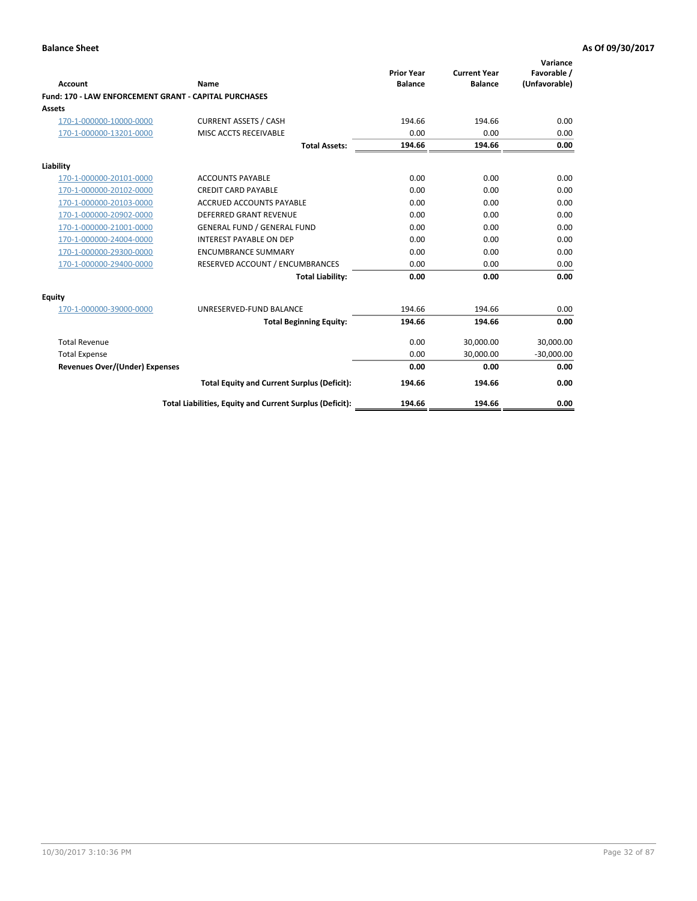|                                                       |                                                          |                                     |                                       | Variance                     |
|-------------------------------------------------------|----------------------------------------------------------|-------------------------------------|---------------------------------------|------------------------------|
| <b>Account</b>                                        | Name                                                     | <b>Prior Year</b><br><b>Balance</b> | <b>Current Year</b><br><b>Balance</b> | Favorable /<br>(Unfavorable) |
| Fund: 170 - LAW ENFORCEMENT GRANT - CAPITAL PURCHASES |                                                          |                                     |                                       |                              |
| Assets                                                |                                                          |                                     |                                       |                              |
| 170-1-000000-10000-0000                               | <b>CURRENT ASSETS / CASH</b>                             | 194.66                              | 194.66                                | 0.00                         |
| 170-1-000000-13201-0000                               | MISC ACCTS RECEIVABLE                                    | 0.00                                | 0.00                                  | 0.00                         |
|                                                       | <b>Total Assets:</b>                                     | 194.66                              | 194.66                                | 0.00                         |
| Liability                                             |                                                          |                                     |                                       |                              |
| 170-1-000000-20101-0000                               | <b>ACCOUNTS PAYABLE</b>                                  | 0.00                                | 0.00                                  | 0.00                         |
| 170-1-000000-20102-0000                               | <b>CREDIT CARD PAYABLE</b>                               | 0.00                                | 0.00                                  | 0.00                         |
| 170-1-000000-20103-0000                               | <b>ACCRUED ACCOUNTS PAYABLE</b>                          | 0.00                                | 0.00                                  | 0.00                         |
| 170-1-000000-20902-0000                               | DEFERRED GRANT REVENUE                                   | 0.00                                | 0.00                                  | 0.00                         |
| 170-1-000000-21001-0000                               | <b>GENERAL FUND / GENERAL FUND</b>                       | 0.00                                | 0.00                                  | 0.00                         |
| 170-1-000000-24004-0000                               | <b>INTEREST PAYABLE ON DEP</b>                           | 0.00                                | 0.00                                  | 0.00                         |
| 170-1-000000-29300-0000                               | <b>ENCUMBRANCE SUMMARY</b>                               | 0.00                                | 0.00                                  | 0.00                         |
| 170-1-000000-29400-0000                               | RESERVED ACCOUNT / ENCUMBRANCES                          | 0.00                                | 0.00                                  | 0.00                         |
|                                                       | <b>Total Liability:</b>                                  | 0.00                                | 0.00                                  | 0.00                         |
| <b>Equity</b>                                         |                                                          |                                     |                                       |                              |
| 170-1-000000-39000-0000                               | UNRESERVED-FUND BALANCE                                  | 194.66                              | 194.66                                | 0.00                         |
|                                                       | <b>Total Beginning Equity:</b>                           | 194.66                              | 194.66                                | 0.00                         |
| <b>Total Revenue</b>                                  |                                                          | 0.00                                | 30,000.00                             | 30,000.00                    |
| <b>Total Expense</b>                                  |                                                          | 0.00                                | 30,000.00                             | $-30,000.00$                 |
| Revenues Over/(Under) Expenses                        |                                                          | 0.00                                | 0.00                                  | 0.00                         |
|                                                       | <b>Total Equity and Current Surplus (Deficit):</b>       | 194.66                              | 194.66                                | 0.00                         |
|                                                       | Total Liabilities, Equity and Current Surplus (Deficit): | 194.66                              | 194.66                                | 0.00                         |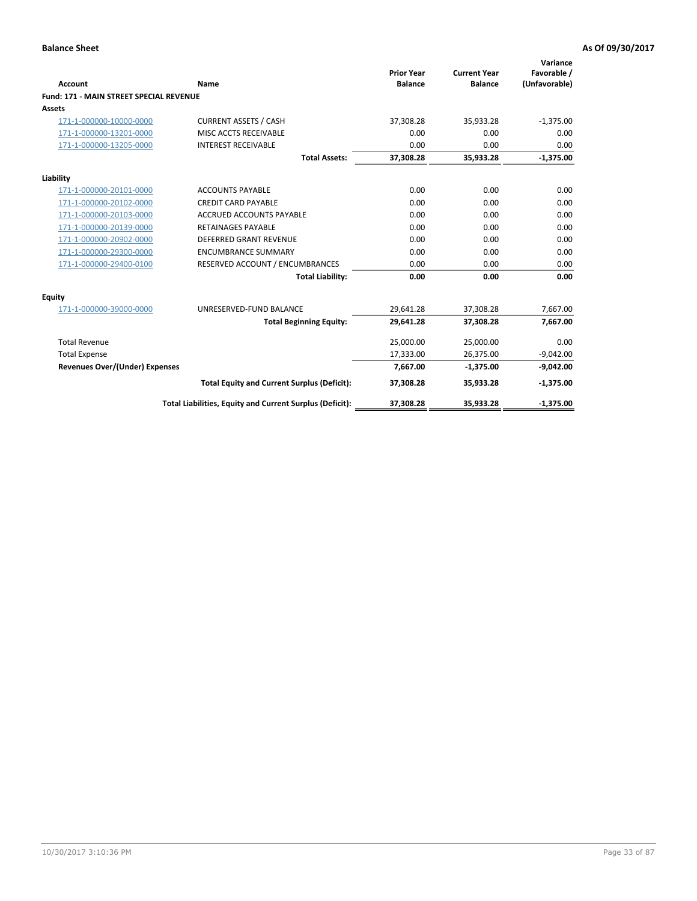| Account                                        | Name                                                     | <b>Prior Year</b><br><b>Balance</b> | <b>Current Year</b><br><b>Balance</b> | Variance<br>Favorable /<br>(Unfavorable) |
|------------------------------------------------|----------------------------------------------------------|-------------------------------------|---------------------------------------|------------------------------------------|
| <b>Fund: 171 - MAIN STREET SPECIAL REVENUE</b> |                                                          |                                     |                                       |                                          |
| Assets                                         |                                                          |                                     |                                       |                                          |
| 171-1-000000-10000-0000                        | <b>CURRENT ASSETS / CASH</b>                             | 37,308.28                           | 35,933.28                             | $-1,375.00$                              |
| 171-1-000000-13201-0000                        | MISC ACCTS RECEIVABLE                                    | 0.00                                | 0.00                                  | 0.00                                     |
| 171-1-000000-13205-0000                        | <b>INTEREST RECEIVABLE</b>                               | 0.00                                | 0.00                                  | 0.00                                     |
|                                                | <b>Total Assets:</b>                                     | 37,308.28                           | 35,933.28                             | $-1,375.00$                              |
| Liability                                      |                                                          |                                     |                                       |                                          |
| 171-1-000000-20101-0000                        | <b>ACCOUNTS PAYABLE</b>                                  | 0.00                                | 0.00                                  | 0.00                                     |
| 171-1-000000-20102-0000                        | <b>CREDIT CARD PAYABLE</b>                               | 0.00                                | 0.00                                  | 0.00                                     |
| 171-1-000000-20103-0000                        | <b>ACCRUED ACCOUNTS PAYABLE</b>                          | 0.00                                | 0.00                                  | 0.00                                     |
| 171-1-000000-20139-0000                        | <b>RETAINAGES PAYABLE</b>                                | 0.00                                | 0.00                                  | 0.00                                     |
| 171-1-000000-20902-0000                        | <b>DEFERRED GRANT REVENUE</b>                            | 0.00                                | 0.00                                  | 0.00                                     |
| 171-1-000000-29300-0000                        | <b>ENCUMBRANCE SUMMARY</b>                               | 0.00                                | 0.00                                  | 0.00                                     |
| 171-1-000000-29400-0100                        | RESERVED ACCOUNT / ENCUMBRANCES                          | 0.00                                | 0.00                                  | 0.00                                     |
|                                                | <b>Total Liability:</b>                                  | 0.00                                | 0.00                                  | 0.00                                     |
| <b>Equity</b>                                  |                                                          |                                     |                                       |                                          |
| 171-1-000000-39000-0000                        | UNRESERVED-FUND BALANCE                                  | 29,641.28                           | 37,308.28                             | 7,667.00                                 |
|                                                | <b>Total Beginning Equity:</b>                           | 29,641.28                           | 37,308.28                             | 7,667.00                                 |
| <b>Total Revenue</b>                           |                                                          | 25,000.00                           | 25,000.00                             | 0.00                                     |
| <b>Total Expense</b>                           |                                                          | 17,333.00                           | 26,375.00                             | $-9,042.00$                              |
| <b>Revenues Over/(Under) Expenses</b>          |                                                          | 7,667.00                            | $-1,375.00$                           | $-9,042.00$                              |
|                                                | <b>Total Equity and Current Surplus (Deficit):</b>       | 37,308.28                           | 35,933.28                             | $-1,375.00$                              |
|                                                | Total Liabilities, Equity and Current Surplus (Deficit): | 37,308.28                           | 35,933.28                             | $-1,375.00$                              |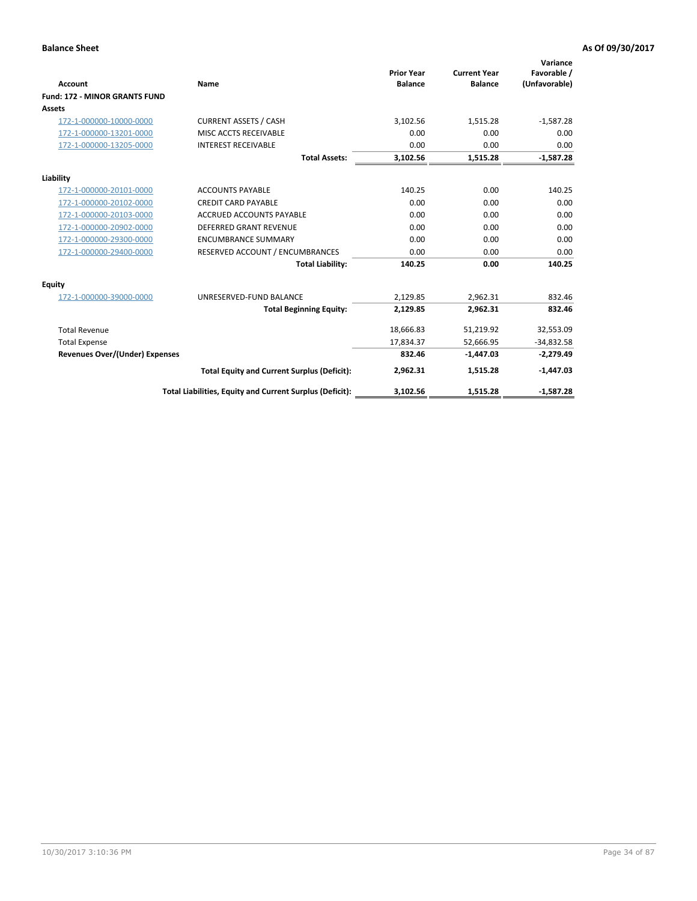|                                       |                                                          | <b>Prior Year</b> | <b>Current Year</b> | Variance<br>Favorable / |
|---------------------------------------|----------------------------------------------------------|-------------------|---------------------|-------------------------|
| <b>Account</b>                        | Name                                                     | <b>Balance</b>    | <b>Balance</b>      | (Unfavorable)           |
| <b>Fund: 172 - MINOR GRANTS FUND</b>  |                                                          |                   |                     |                         |
| <b>Assets</b>                         |                                                          |                   |                     |                         |
| 172-1-000000-10000-0000               | <b>CURRENT ASSETS / CASH</b>                             | 3,102.56          | 1,515.28            | $-1,587.28$             |
| 172-1-000000-13201-0000               | MISC ACCTS RECEIVABLE                                    | 0.00              | 0.00                | 0.00                    |
| 172-1-000000-13205-0000               | <b>INTEREST RECEIVABLE</b>                               | 0.00              | 0.00                | 0.00                    |
|                                       | <b>Total Assets:</b>                                     | 3,102.56          | 1,515.28            | $-1,587.28$             |
| Liability                             |                                                          |                   |                     |                         |
| 172-1-000000-20101-0000               | <b>ACCOUNTS PAYABLE</b>                                  | 140.25            | 0.00                | 140.25                  |
| 172-1-000000-20102-0000               | <b>CREDIT CARD PAYABLE</b>                               | 0.00              | 0.00                | 0.00                    |
| 172-1-000000-20103-0000               | <b>ACCRUED ACCOUNTS PAYABLE</b>                          | 0.00              | 0.00                | 0.00                    |
| 172-1-000000-20902-0000               | DEFERRED GRANT REVENUE                                   | 0.00              | 0.00                | 0.00                    |
| 172-1-000000-29300-0000               | <b>ENCUMBRANCE SUMMARY</b>                               | 0.00              | 0.00                | 0.00                    |
| 172-1-000000-29400-0000               | RESERVED ACCOUNT / ENCUMBRANCES                          | 0.00              | 0.00                | 0.00                    |
|                                       | <b>Total Liability:</b>                                  | 140.25            | 0.00                | 140.25                  |
| Equity                                |                                                          |                   |                     |                         |
| 172-1-000000-39000-0000               | UNRESERVED-FUND BALANCE                                  | 2,129.85          | 2,962.31            | 832.46                  |
|                                       | <b>Total Beginning Equity:</b>                           | 2,129.85          | 2,962.31            | 832.46                  |
| <b>Total Revenue</b>                  |                                                          | 18,666.83         | 51,219.92           | 32,553.09               |
| <b>Total Expense</b>                  |                                                          | 17,834.37         | 52,666.95           | $-34,832.58$            |
| <b>Revenues Over/(Under) Expenses</b> |                                                          | 832.46            | $-1,447.03$         | $-2,279.49$             |
|                                       | <b>Total Equity and Current Surplus (Deficit):</b>       | 2,962.31          | 1,515.28            | $-1,447.03$             |
|                                       | Total Liabilities, Equity and Current Surplus (Deficit): | 3,102.56          | 1,515.28            | $-1,587.28$             |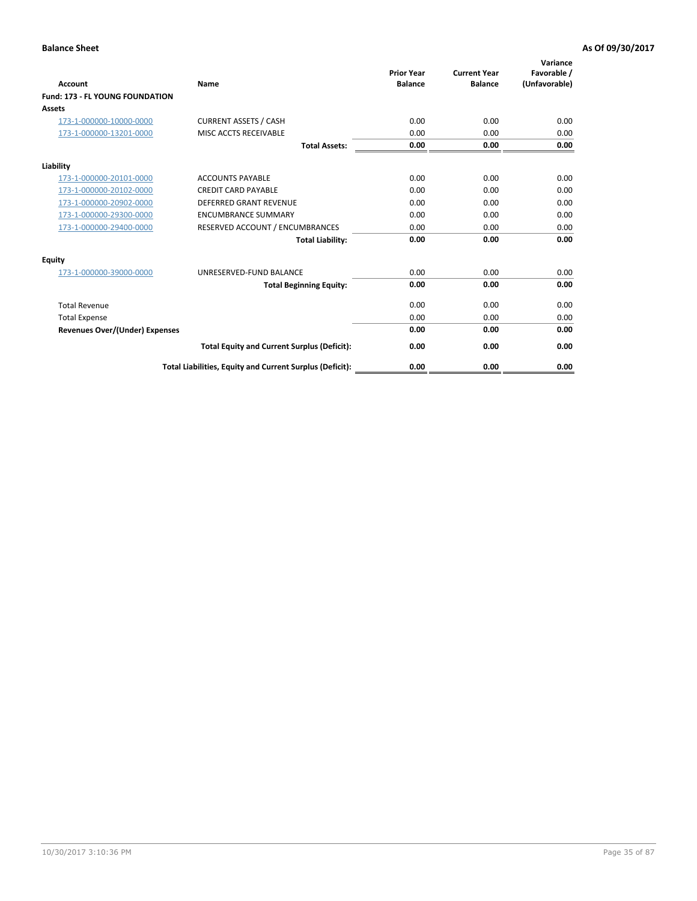| <b>Account</b>                         | <b>Name</b>                                              | <b>Prior Year</b><br><b>Balance</b> | <b>Current Year</b><br><b>Balance</b> | Variance<br>Favorable /<br>(Unfavorable) |
|----------------------------------------|----------------------------------------------------------|-------------------------------------|---------------------------------------|------------------------------------------|
| <b>Fund: 173 - FL YOUNG FOUNDATION</b> |                                                          |                                     |                                       |                                          |
| Assets                                 |                                                          |                                     |                                       |                                          |
| 173-1-000000-10000-0000                | <b>CURRENT ASSETS / CASH</b>                             | 0.00                                | 0.00                                  | 0.00                                     |
| 173-1-000000-13201-0000                | MISC ACCTS RECEIVABLE                                    | 0.00                                | 0.00                                  | 0.00                                     |
|                                        | <b>Total Assets:</b>                                     | 0.00                                | 0.00                                  | 0.00                                     |
| Liability                              |                                                          |                                     |                                       |                                          |
| 173-1-000000-20101-0000                | <b>ACCOUNTS PAYABLE</b>                                  | 0.00                                | 0.00                                  | 0.00                                     |
| 173-1-000000-20102-0000                | <b>CREDIT CARD PAYABLE</b>                               | 0.00                                | 0.00                                  | 0.00                                     |
| 173-1-000000-20902-0000                | <b>DEFERRED GRANT REVENUE</b>                            | 0.00                                | 0.00                                  | 0.00                                     |
| 173-1-000000-29300-0000                | <b>ENCUMBRANCE SUMMARY</b>                               | 0.00                                | 0.00                                  | 0.00                                     |
| 173-1-000000-29400-0000                | RESERVED ACCOUNT / ENCUMBRANCES                          | 0.00                                | 0.00                                  | 0.00                                     |
|                                        | <b>Total Liability:</b>                                  | 0.00                                | 0.00                                  | 0.00                                     |
| Equity                                 |                                                          |                                     |                                       |                                          |
| 173-1-000000-39000-0000                | UNRESERVED-FUND BALANCE                                  | 0.00                                | 0.00                                  | 0.00                                     |
|                                        | <b>Total Beginning Equity:</b>                           | 0.00                                | 0.00                                  | 0.00                                     |
| <b>Total Revenue</b>                   |                                                          | 0.00                                | 0.00                                  | 0.00                                     |
| <b>Total Expense</b>                   |                                                          | 0.00                                | 0.00                                  | 0.00                                     |
| <b>Revenues Over/(Under) Expenses</b>  |                                                          | 0.00                                | 0.00                                  | 0.00                                     |
|                                        | <b>Total Equity and Current Surplus (Deficit):</b>       | 0.00                                | 0.00                                  | 0.00                                     |
|                                        | Total Liabilities, Equity and Current Surplus (Deficit): | 0.00                                | 0.00                                  | 0.00                                     |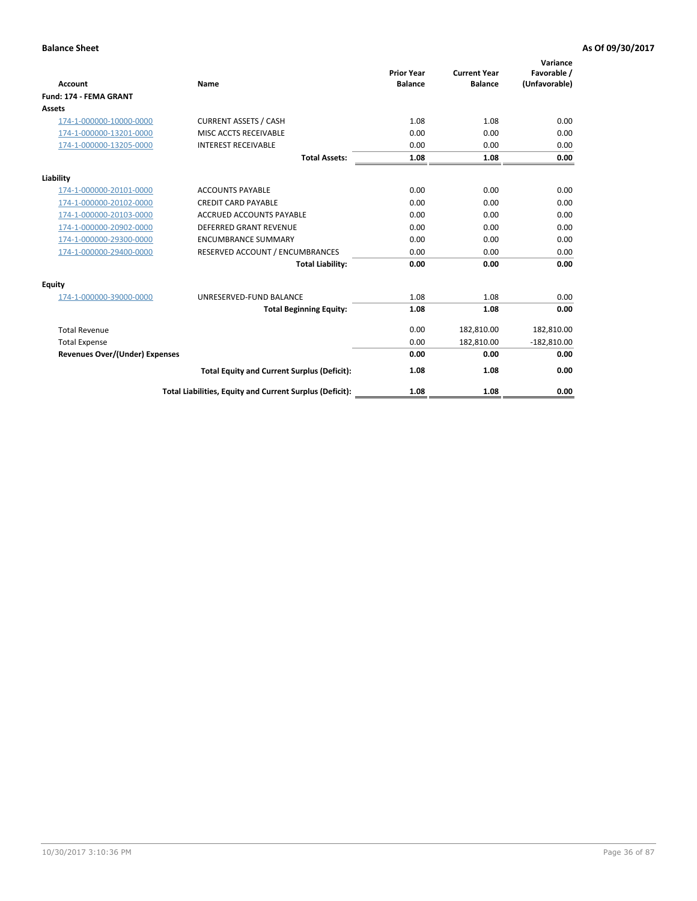|                                       |                                                          | <b>Prior Year</b> | <b>Current Year</b> | Variance<br>Favorable / |
|---------------------------------------|----------------------------------------------------------|-------------------|---------------------|-------------------------|
| <b>Account</b>                        | Name                                                     | <b>Balance</b>    | <b>Balance</b>      | (Unfavorable)           |
| Fund: 174 - FEMA GRANT                |                                                          |                   |                     |                         |
| <b>Assets</b>                         |                                                          |                   |                     |                         |
| 174-1-000000-10000-0000               | <b>CURRENT ASSETS / CASH</b>                             | 1.08              | 1.08                | 0.00                    |
| 174-1-000000-13201-0000               | MISC ACCTS RECEIVABLE                                    | 0.00              | 0.00                | 0.00                    |
| 174-1-000000-13205-0000               | <b>INTEREST RECEIVABLE</b>                               | 0.00              | 0.00                | 0.00                    |
|                                       | <b>Total Assets:</b>                                     | 1.08              | 1.08                | 0.00                    |
| Liability                             |                                                          |                   |                     |                         |
| 174-1-000000-20101-0000               | <b>ACCOUNTS PAYABLE</b>                                  | 0.00              | 0.00                | 0.00                    |
| 174-1-000000-20102-0000               | <b>CREDIT CARD PAYABLE</b>                               | 0.00              | 0.00                | 0.00                    |
| 174-1-000000-20103-0000               | ACCRUED ACCOUNTS PAYABLE                                 | 0.00              | 0.00                | 0.00                    |
| 174-1-000000-20902-0000               | <b>DEFERRED GRANT REVENUE</b>                            | 0.00              | 0.00                | 0.00                    |
| 174-1-000000-29300-0000               | <b>ENCUMBRANCE SUMMARY</b>                               | 0.00              | 0.00                | 0.00                    |
| 174-1-000000-29400-0000               | RESERVED ACCOUNT / ENCUMBRANCES                          | 0.00              | 0.00                | 0.00                    |
|                                       | <b>Total Liability:</b>                                  | 0.00              | 0.00                | 0.00                    |
| Equity                                |                                                          |                   |                     |                         |
| 174-1-000000-39000-0000               | UNRESERVED-FUND BALANCE                                  | 1.08              | 1.08                | 0.00                    |
|                                       | <b>Total Beginning Equity:</b>                           | 1.08              | 1.08                | 0.00                    |
| <b>Total Revenue</b>                  |                                                          | 0.00              | 182,810.00          | 182,810.00              |
| <b>Total Expense</b>                  |                                                          | 0.00              | 182,810.00          | $-182,810.00$           |
| <b>Revenues Over/(Under) Expenses</b> |                                                          | 0.00              | 0.00                | 0.00                    |
|                                       | <b>Total Equity and Current Surplus (Deficit):</b>       | 1.08              | 1.08                | 0.00                    |
|                                       | Total Liabilities, Equity and Current Surplus (Deficit): | 1.08              | 1.08                | 0.00                    |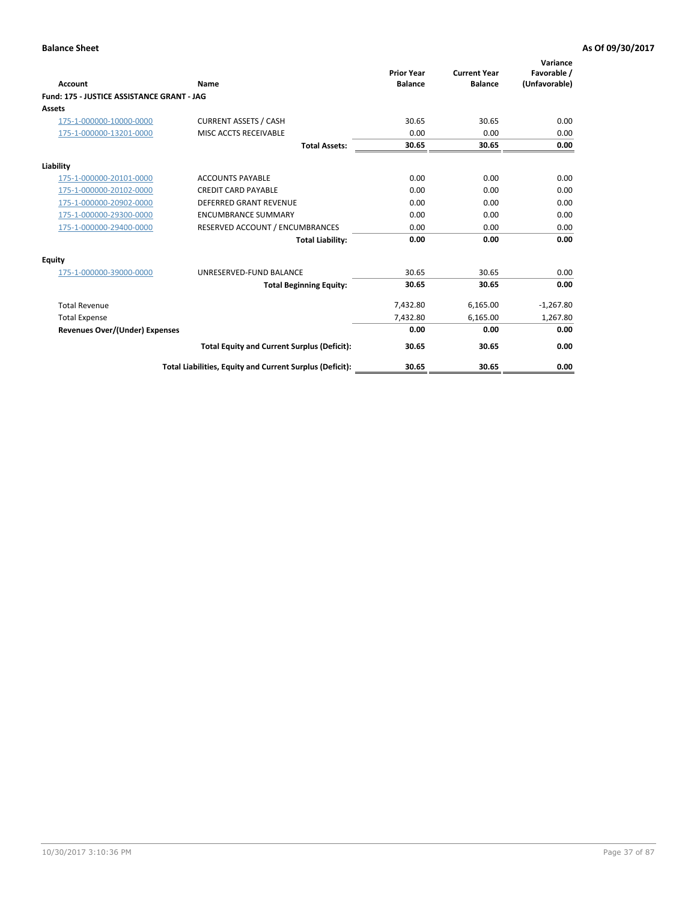| <b>Account</b>                             | Name                                                     | <b>Prior Year</b><br><b>Balance</b> | <b>Current Year</b><br><b>Balance</b> | Variance<br>Favorable /<br>(Unfavorable) |
|--------------------------------------------|----------------------------------------------------------|-------------------------------------|---------------------------------------|------------------------------------------|
| Fund: 175 - JUSTICE ASSISTANCE GRANT - JAG |                                                          |                                     |                                       |                                          |
| <b>Assets</b>                              |                                                          |                                     |                                       |                                          |
| 175-1-000000-10000-0000                    | <b>CURRENT ASSETS / CASH</b>                             | 30.65                               | 30.65                                 | 0.00                                     |
| 175-1-000000-13201-0000                    | MISC ACCTS RECEIVABLE                                    | 0.00                                | 0.00                                  | 0.00                                     |
|                                            | <b>Total Assets:</b>                                     | 30.65                               | 30.65                                 | 0.00                                     |
| Liability                                  |                                                          |                                     |                                       |                                          |
| 175-1-000000-20101-0000                    | <b>ACCOUNTS PAYABLE</b>                                  | 0.00                                | 0.00                                  | 0.00                                     |
| 175-1-000000-20102-0000                    | <b>CREDIT CARD PAYABLE</b>                               | 0.00                                | 0.00                                  | 0.00                                     |
| 175-1-000000-20902-0000                    | <b>DEFERRED GRANT REVENUE</b>                            | 0.00                                | 0.00                                  | 0.00                                     |
| 175-1-000000-29300-0000                    | <b>ENCUMBRANCE SUMMARY</b>                               | 0.00                                | 0.00                                  | 0.00                                     |
| 175-1-000000-29400-0000                    | RESERVED ACCOUNT / ENCUMBRANCES                          | 0.00                                | 0.00                                  | 0.00                                     |
|                                            | <b>Total Liability:</b>                                  | 0.00                                | 0.00                                  | 0.00                                     |
| Equity                                     |                                                          |                                     |                                       |                                          |
| 175-1-000000-39000-0000                    | UNRESERVED-FUND BALANCE                                  | 30.65                               | 30.65                                 | 0.00                                     |
|                                            | <b>Total Beginning Equity:</b>                           | 30.65                               | 30.65                                 | 0.00                                     |
| <b>Total Revenue</b>                       |                                                          | 7,432.80                            | 6,165.00                              | $-1,267.80$                              |
| <b>Total Expense</b>                       |                                                          | 7,432.80                            | 6,165.00                              | 1,267.80                                 |
| <b>Revenues Over/(Under) Expenses</b>      |                                                          | 0.00                                | 0.00                                  | 0.00                                     |
|                                            | <b>Total Equity and Current Surplus (Deficit):</b>       | 30.65                               | 30.65                                 | 0.00                                     |
|                                            | Total Liabilities, Equity and Current Surplus (Deficit): | 30.65                               | 30.65                                 | 0.00                                     |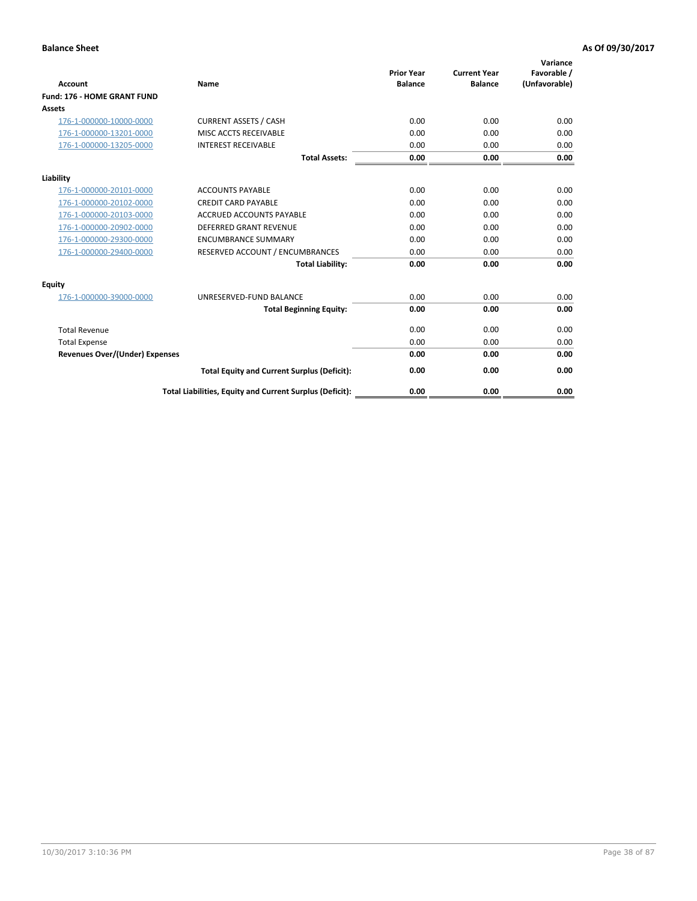| <b>Account</b>                        | Name                                                     | <b>Prior Year</b><br><b>Balance</b> | <b>Current Year</b><br><b>Balance</b> | Variance<br>Favorable /<br>(Unfavorable) |
|---------------------------------------|----------------------------------------------------------|-------------------------------------|---------------------------------------|------------------------------------------|
| Fund: 176 - HOME GRANT FUND           |                                                          |                                     |                                       |                                          |
| Assets                                |                                                          |                                     |                                       |                                          |
| 176-1-000000-10000-0000               | <b>CURRENT ASSETS / CASH</b>                             | 0.00                                | 0.00                                  | 0.00                                     |
| 176-1-000000-13201-0000               | <b>MISC ACCTS RECEIVABLE</b>                             | 0.00                                | 0.00                                  | 0.00                                     |
| 176-1-000000-13205-0000               | <b>INTEREST RECEIVABLE</b>                               | 0.00                                | 0.00                                  | 0.00                                     |
|                                       | <b>Total Assets:</b>                                     | 0.00                                | 0.00                                  | 0.00                                     |
| Liability                             |                                                          |                                     |                                       |                                          |
| 176-1-000000-20101-0000               | <b>ACCOUNTS PAYABLE</b>                                  | 0.00                                | 0.00                                  | 0.00                                     |
| 176-1-000000-20102-0000               | <b>CREDIT CARD PAYABLE</b>                               | 0.00                                | 0.00                                  | 0.00                                     |
| 176-1-000000-20103-0000               | <b>ACCRUED ACCOUNTS PAYABLE</b>                          | 0.00                                | 0.00                                  | 0.00                                     |
| 176-1-000000-20902-0000               | <b>DEFERRED GRANT REVENUE</b>                            | 0.00                                | 0.00                                  | 0.00                                     |
| 176-1-000000-29300-0000               | <b>ENCUMBRANCE SUMMARY</b>                               | 0.00                                | 0.00                                  | 0.00                                     |
| 176-1-000000-29400-0000               | RESERVED ACCOUNT / ENCUMBRANCES                          | 0.00                                | 0.00                                  | 0.00                                     |
|                                       | <b>Total Liability:</b>                                  | 0.00                                | 0.00                                  | 0.00                                     |
| <b>Equity</b>                         |                                                          |                                     |                                       |                                          |
| 176-1-000000-39000-0000               | UNRESERVED-FUND BALANCE                                  | 0.00                                | 0.00                                  | 0.00                                     |
|                                       | <b>Total Beginning Equity:</b>                           | 0.00                                | 0.00                                  | 0.00                                     |
| <b>Total Revenue</b>                  |                                                          | 0.00                                | 0.00                                  | 0.00                                     |
| <b>Total Expense</b>                  |                                                          | 0.00                                | 0.00                                  | 0.00                                     |
| <b>Revenues Over/(Under) Expenses</b> |                                                          | 0.00                                | 0.00                                  | 0.00                                     |
|                                       | <b>Total Equity and Current Surplus (Deficit):</b>       | 0.00                                | 0.00                                  | 0.00                                     |
|                                       | Total Liabilities, Equity and Current Surplus (Deficit): | 0.00                                | 0.00                                  | 0.00                                     |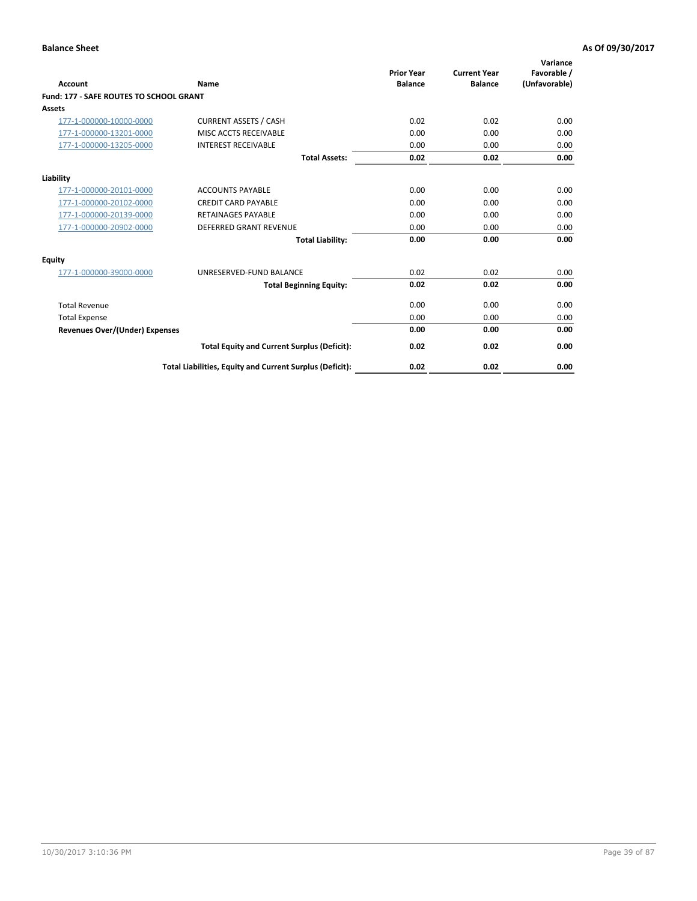| Account                                        | Name                                                     | <b>Prior Year</b><br><b>Balance</b> | <b>Current Year</b><br><b>Balance</b> | Variance<br>Favorable /<br>(Unfavorable) |
|------------------------------------------------|----------------------------------------------------------|-------------------------------------|---------------------------------------|------------------------------------------|
| <b>Fund: 177 - SAFE ROUTES TO SCHOOL GRANT</b> |                                                          |                                     |                                       |                                          |
| <b>Assets</b>                                  |                                                          |                                     |                                       |                                          |
| 177-1-000000-10000-0000                        | <b>CURRENT ASSETS / CASH</b>                             | 0.02                                | 0.02                                  | 0.00                                     |
| 177-1-000000-13201-0000                        | MISC ACCTS RECEIVABLE                                    | 0.00                                | 0.00                                  | 0.00                                     |
| 177-1-000000-13205-0000                        | <b>INTEREST RECEIVABLE</b>                               | 0.00                                | 0.00                                  | 0.00                                     |
|                                                | <b>Total Assets:</b>                                     | 0.02                                | 0.02                                  | 0.00                                     |
| Liability                                      |                                                          |                                     |                                       |                                          |
| 177-1-000000-20101-0000                        | <b>ACCOUNTS PAYABLE</b>                                  | 0.00                                | 0.00                                  | 0.00                                     |
| 177-1-000000-20102-0000                        | <b>CREDIT CARD PAYABLE</b>                               | 0.00                                | 0.00                                  | 0.00                                     |
| 177-1-000000-20139-0000                        | <b>RETAINAGES PAYABLE</b>                                | 0.00                                | 0.00                                  | 0.00                                     |
| 177-1-000000-20902-0000                        | <b>DEFERRED GRANT REVENUE</b>                            | 0.00                                | 0.00                                  | 0.00                                     |
|                                                | <b>Total Liability:</b>                                  | 0.00                                | 0.00                                  | 0.00                                     |
| Equity                                         |                                                          |                                     |                                       |                                          |
| 177-1-000000-39000-0000                        | UNRESERVED-FUND BALANCE                                  | 0.02                                | 0.02                                  | 0.00                                     |
|                                                | <b>Total Beginning Equity:</b>                           | 0.02                                | 0.02                                  | 0.00                                     |
| <b>Total Revenue</b>                           |                                                          | 0.00                                | 0.00                                  | 0.00                                     |
| <b>Total Expense</b>                           |                                                          | 0.00                                | 0.00                                  | 0.00                                     |
| <b>Revenues Over/(Under) Expenses</b>          |                                                          | 0.00                                | 0.00                                  | 0.00                                     |
|                                                | <b>Total Equity and Current Surplus (Deficit):</b>       | 0.02                                | 0.02                                  | 0.00                                     |
|                                                | Total Liabilities, Equity and Current Surplus (Deficit): | 0.02                                | 0.02                                  | 0.00                                     |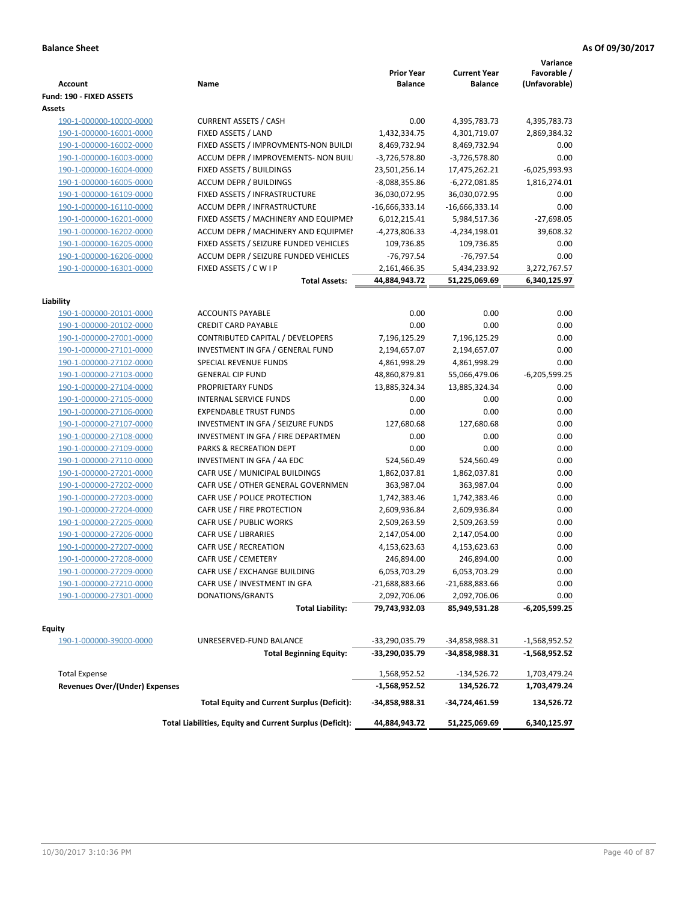| <b>Account</b>                 | Name                                                     | <b>Prior Year</b><br><b>Balance</b> | <b>Current Year</b><br><b>Balance</b> | Variance<br>Favorable /<br>(Unfavorable) |
|--------------------------------|----------------------------------------------------------|-------------------------------------|---------------------------------------|------------------------------------------|
| Fund: 190 - FIXED ASSETS       |                                                          |                                     |                                       |                                          |
| Assets                         |                                                          |                                     |                                       |                                          |
| 190-1-000000-10000-0000        | <b>CURRENT ASSETS / CASH</b>                             | 0.00                                | 4,395,783.73                          | 4,395,783.73                             |
| 190-1-000000-16001-0000        | FIXED ASSETS / LAND                                      | 1,432,334.75                        | 4,301,719.07                          | 2,869,384.32                             |
| 190-1-000000-16002-0000        | FIXED ASSETS / IMPROVMENTS-NON BUILDI                    | 8,469,732.94                        | 8,469,732.94                          | 0.00                                     |
| 190-1-000000-16003-0000        | ACCUM DEPR / IMPROVEMENTS- NON BUIL                      | $-3,726,578.80$                     | $-3,726,578.80$                       | 0.00                                     |
| 190-1-000000-16004-0000        | FIXED ASSETS / BUILDINGS                                 | 23,501,256.14                       | 17,475,262.21                         | $-6,025,993.93$                          |
| 190-1-000000-16005-0000        | <b>ACCUM DEPR / BUILDINGS</b>                            | $-8,088,355.86$                     | $-6,272,081.85$                       | 1,816,274.01                             |
| 190-1-000000-16109-0000        | FIXED ASSETS / INFRASTRUCTURE                            | 36,030,072.95                       | 36,030,072.95                         | 0.00                                     |
| 190-1-000000-16110-0000        | ACCUM DEPR / INFRASTRUCTURE                              | $-16,666,333.14$                    | $-16,666,333.14$                      | 0.00                                     |
| 190-1-000000-16201-0000        | FIXED ASSETS / MACHINERY AND EQUIPMEN                    | 6,012,215.41                        | 5,984,517.36                          | $-27,698.05$                             |
| 190-1-000000-16202-0000        | ACCUM DEPR / MACHINERY AND EQUIPMEI                      | -4,273,806.33                       | -4,234,198.01                         | 39,608.32                                |
| 190-1-000000-16205-0000        | FIXED ASSETS / SEIZURE FUNDED VEHICLES                   | 109,736.85                          | 109,736.85                            | 0.00                                     |
| 190-1-000000-16206-0000        | ACCUM DEPR / SEIZURE FUNDED VEHICLES                     | $-76,797.54$                        | -76,797.54                            | 0.00                                     |
| 190-1-000000-16301-0000        | FIXED ASSETS / C W I P                                   | 2,161,466.35                        | 5,434,233.92                          | 3,272,767.57                             |
|                                | <b>Total Assets:</b>                                     | 44,884,943.72                       | 51,225,069.69                         | 6,340,125.97                             |
|                                |                                                          |                                     |                                       |                                          |
| Liability                      |                                                          |                                     |                                       |                                          |
| 190-1-000000-20101-0000        | <b>ACCOUNTS PAYABLE</b>                                  | 0.00                                | 0.00                                  | 0.00                                     |
| 190-1-000000-20102-0000        | <b>CREDIT CARD PAYABLE</b>                               | 0.00                                | 0.00                                  | 0.00                                     |
| 190-1-000000-27001-0000        | <b>CONTRIBUTED CAPITAL / DEVELOPERS</b>                  | 7,196,125.29                        | 7,196,125.29                          | 0.00                                     |
| 190-1-000000-27101-0000        | INVESTMENT IN GFA / GENERAL FUND                         | 2,194,657.07                        | 2,194,657.07                          | 0.00                                     |
| 190-1-000000-27102-0000        | SPECIAL REVENUE FUNDS                                    | 4,861,998.29                        | 4,861,998.29                          | 0.00                                     |
| 190-1-000000-27103-0000        | <b>GENERAL CIP FUND</b>                                  | 48,860,879.81                       | 55,066,479.06                         | $-6,205,599.25$                          |
| 190-1-000000-27104-0000        | PROPRIETARY FUNDS                                        | 13,885,324.34                       | 13,885,324.34                         | 0.00                                     |
| 190-1-000000-27105-0000        | <b>INTERNAL SERVICE FUNDS</b>                            | 0.00                                | 0.00                                  | 0.00                                     |
| 190-1-000000-27106-0000        | <b>EXPENDABLE TRUST FUNDS</b>                            | 0.00                                | 0.00                                  | 0.00                                     |
| 190-1-000000-27107-0000        | INVESTMENT IN GFA / SEIZURE FUNDS                        | 127,680.68                          | 127,680.68                            | 0.00                                     |
| 190-1-000000-27108-0000        | INVESTMENT IN GFA / FIRE DEPARTMEN                       | 0.00                                | 0.00                                  | 0.00                                     |
| 190-1-000000-27109-0000        | PARKS & RECREATION DEPT                                  | 0.00                                | 0.00                                  | 0.00                                     |
| 190-1-000000-27110-0000        | INVESTMENT IN GFA / 4A EDC                               | 524,560.49                          | 524,560.49                            | 0.00                                     |
| 190-1-000000-27201-0000        | CAFR USE / MUNICIPAL BUILDINGS                           | 1,862,037.81                        | 1,862,037.81                          | 0.00                                     |
| 190-1-000000-27202-0000        | CAFR USE / OTHER GENERAL GOVERNMEN                       | 363,987.04                          | 363,987.04                            | 0.00                                     |
| 190-1-000000-27203-0000        | CAFR USE / POLICE PROTECTION                             | 1,742,383.46                        | 1,742,383.46                          | 0.00                                     |
| 190-1-000000-27204-0000        | CAFR USE / FIRE PROTECTION                               | 2,609,936.84                        | 2,609,936.84                          | 0.00                                     |
| 190-1-000000-27205-0000        | CAFR USE / PUBLIC WORKS                                  | 2,509,263.59                        | 2,509,263.59                          | 0.00                                     |
| 190-1-000000-27206-0000        | CAFR USE / LIBRARIES                                     | 2,147,054.00                        | 2,147,054.00                          | 0.00                                     |
| 190-1-000000-27207-0000        | CAFR USE / RECREATION                                    | 4,153,623.63                        | 4,153,623.63                          | 0.00                                     |
| 190-1-000000-27208-0000        | CAFR USE / CEMETERY                                      | 246,894.00                          | 246,894.00                            | 0.00                                     |
| 190-1-000000-27209-0000        | CAFR USE / EXCHANGE BUILDING                             | 6,053,703.29                        | 6,053,703.29                          | 0.00                                     |
| 190-1-000000-27210-0000        | CAFR USE / INVESTMENT IN GFA                             | $-21,688,883.66$                    | $-21,688,883.66$                      | 0.00                                     |
| 190-1-000000-27301-0000        | DONATIONS/GRANTS                                         | 2,092,706.06                        | 2,092,706.06                          | 0.00                                     |
|                                | <b>Total Liability:</b>                                  | 79,743,932.03                       | 85,949,531.28                         | -6,205,599.25                            |
| <b>Equity</b>                  |                                                          |                                     |                                       |                                          |
| 190-1-000000-39000-0000        | UNRESERVED-FUND BALANCE                                  | -33,290,035.79                      | -34,858,988.31                        | -1,568,952.52                            |
|                                | <b>Total Beginning Equity:</b>                           | -33,290,035.79                      | -34,858,988.31                        | -1,568,952.52                            |
|                                |                                                          |                                     |                                       |                                          |
| <b>Total Expense</b>           |                                                          | 1,568,952.52                        | -134,526.72                           | 1,703,479.24                             |
| Revenues Over/(Under) Expenses | <b>Total Equity and Current Surplus (Deficit):</b>       | $-1,568,952.52$                     | 134,526.72                            | 1,703,479.24<br>134,526.72               |
|                                |                                                          | -34,858,988.31                      | -34,724,461.59                        |                                          |
|                                | Total Liabilities, Equity and Current Surplus (Deficit): | 44,884,943.72                       | 51,225,069.69                         | 6,340,125.97                             |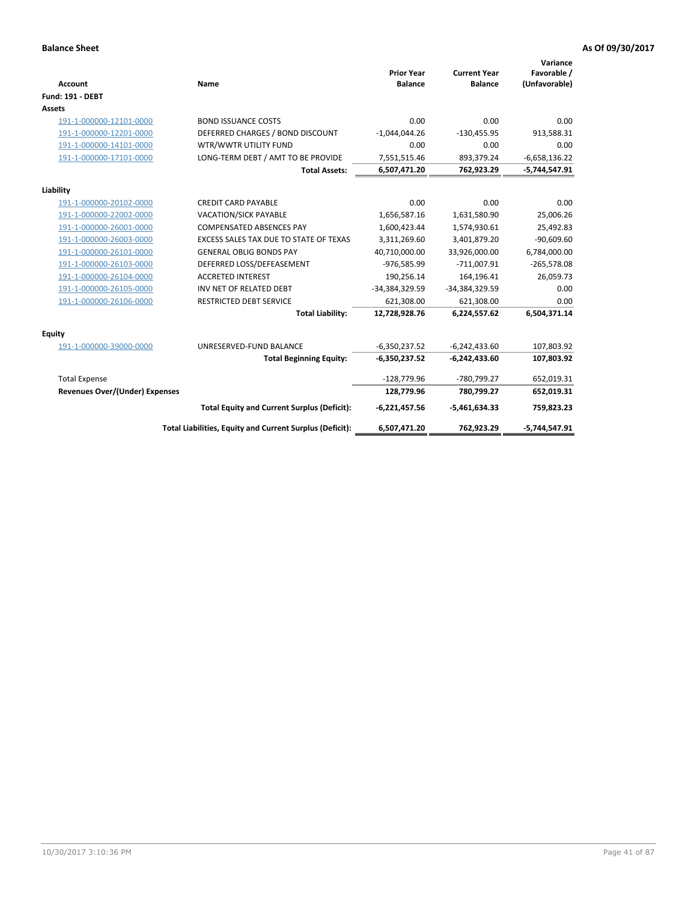| <b>Account</b>                        | Name                                                     | <b>Prior Year</b><br><b>Balance</b> | <b>Current Year</b><br><b>Balance</b> | Variance<br>Favorable /<br>(Unfavorable) |
|---------------------------------------|----------------------------------------------------------|-------------------------------------|---------------------------------------|------------------------------------------|
| <b>Fund: 191 - DEBT</b>               |                                                          |                                     |                                       |                                          |
| Assets                                |                                                          |                                     |                                       |                                          |
| 191-1-000000-12101-0000               | <b>BOND ISSUANCE COSTS</b>                               | 0.00                                | 0.00                                  | 0.00                                     |
| 191-1-000000-12201-0000               | DEFERRED CHARGES / BOND DISCOUNT                         | $-1,044,044.26$                     | $-130,455.95$                         | 913,588.31                               |
| 191-1-000000-14101-0000               | WTR/WWTR UTILITY FUND                                    | 0.00                                | 0.00                                  | 0.00                                     |
| 191-1-000000-17101-0000               | LONG-TERM DEBT / AMT TO BE PROVIDE                       | 7,551,515.46                        | 893,379.24                            | $-6,658,136.22$                          |
|                                       | <b>Total Assets:</b>                                     | 6,507,471.20                        | 762,923.29                            | -5,744,547.91                            |
| Liability                             |                                                          |                                     |                                       |                                          |
| 191-1-000000-20102-0000               | <b>CREDIT CARD PAYABLE</b>                               | 0.00                                | 0.00                                  | 0.00                                     |
| 191-1-000000-22002-0000               | VACATION/SICK PAYABLE                                    | 1,656,587.16                        | 1,631,580.90                          | 25,006.26                                |
| 191-1-000000-26001-0000               | <b>COMPENSATED ABSENCES PAY</b>                          | 1,600,423.44                        | 1,574,930.61                          | 25,492.83                                |
| 191-1-000000-26003-0000               | EXCESS SALES TAX DUE TO STATE OF TEXAS                   | 3,311,269.60                        | 3,401,879.20                          | $-90,609.60$                             |
| 191-1-000000-26101-0000               | <b>GENERAL OBLIG BONDS PAY</b>                           | 40,710,000.00                       | 33,926,000.00                         | 6,784,000.00                             |
| 191-1-000000-26103-0000               | DEFERRED LOSS/DEFEASEMENT                                | -976,585.99                         | $-711,007.91$                         | $-265,578.08$                            |
| 191-1-000000-26104-0000               | <b>ACCRETED INTEREST</b>                                 | 190,256.14                          | 164,196.41                            | 26,059.73                                |
| 191-1-000000-26105-0000               | INV NET OF RELATED DEBT                                  | -34,384,329.59                      | -34,384,329.59                        | 0.00                                     |
| 191-1-000000-26106-0000               | <b>RESTRICTED DEBT SERVICE</b>                           | 621,308.00                          | 621,308.00                            | 0.00                                     |
|                                       | <b>Total Liability:</b>                                  | 12,728,928.76                       | 6,224,557.62                          | 6,504,371.14                             |
| Equity                                |                                                          |                                     |                                       |                                          |
| 191-1-000000-39000-0000               | UNRESERVED-FUND BALANCE                                  | $-6,350,237.52$                     | $-6,242,433.60$                       | 107,803.92                               |
|                                       | <b>Total Beginning Equity:</b>                           | -6,350,237.52                       | $-6,242,433.60$                       | 107,803.92                               |
| <b>Total Expense</b>                  |                                                          | $-128,779.96$                       | -780,799.27                           | 652,019.31                               |
| <b>Revenues Over/(Under) Expenses</b> |                                                          | 128,779.96                          | 780,799.27                            | 652,019.31                               |
|                                       | <b>Total Equity and Current Surplus (Deficit):</b>       | $-6,221,457.56$                     | $-5,461,634.33$                       | 759,823.23                               |
|                                       | Total Liabilities, Equity and Current Surplus (Deficit): | 6,507,471.20                        | 762,923.29                            | $-5,744,547.91$                          |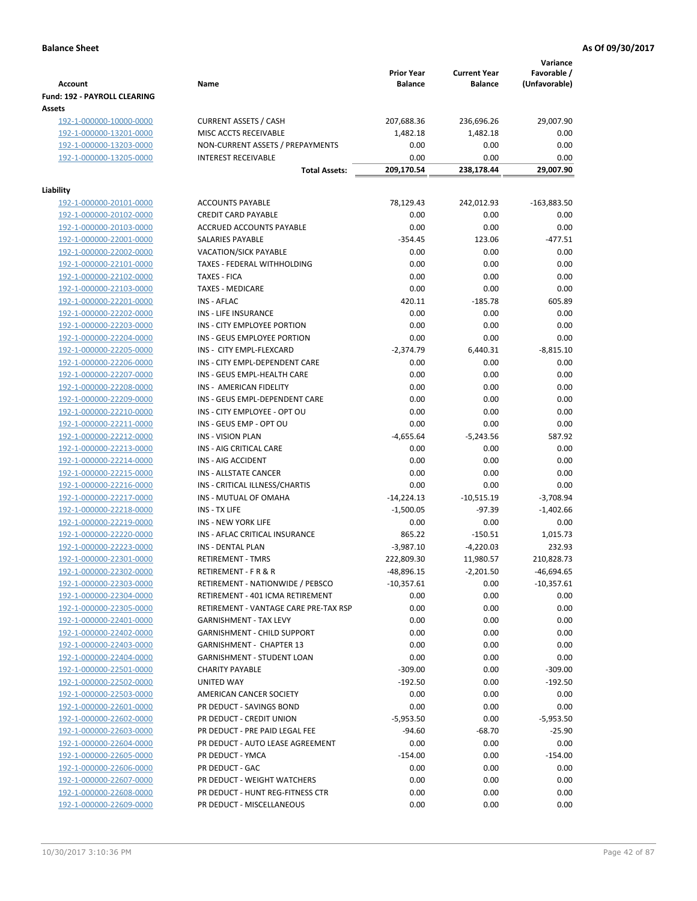|                                                    |                                                          | <b>Prior Year</b>          | <b>Current Year</b> | Variance<br>Favorable /      |
|----------------------------------------------------|----------------------------------------------------------|----------------------------|---------------------|------------------------------|
| <b>Account</b>                                     | Name                                                     | <b>Balance</b>             | <b>Balance</b>      | (Unfavorable)                |
| Fund: 192 - PAYROLL CLEARING                       |                                                          |                            |                     |                              |
| Assets                                             |                                                          |                            |                     |                              |
| 192-1-000000-10000-0000                            | <b>CURRENT ASSETS / CASH</b>                             | 207,688.36                 | 236,696.26          | 29,007.90                    |
| 192-1-000000-13201-0000                            | MISC ACCTS RECEIVABLE                                    | 1,482.18                   | 1,482.18            | 0.00                         |
| 192-1-000000-13203-0000                            | NON-CURRENT ASSETS / PREPAYMENTS                         | 0.00                       | 0.00                | 0.00                         |
| 192-1-000000-13205-0000                            | <b>INTEREST RECEIVABLE</b>                               | 0.00                       | 0.00                | 0.00                         |
|                                                    | <b>Total Assets:</b>                                     | 209,170.54                 | 238,178.44          | 29,007.90                    |
| Liability                                          |                                                          |                            |                     |                              |
| 192-1-000000-20101-0000                            | <b>ACCOUNTS PAYABLE</b>                                  | 78,129.43                  | 242,012.93          | $-163,883.50$                |
| 192-1-000000-20102-0000                            | <b>CREDIT CARD PAYABLE</b>                               | 0.00                       | 0.00                | 0.00                         |
| 192-1-000000-20103-0000                            | ACCRUED ACCOUNTS PAYABLE                                 | 0.00                       | 0.00                | 0.00                         |
| 192-1-000000-22001-0000                            | SALARIES PAYABLE                                         | $-354.45$                  | 123.06              | $-477.51$                    |
| 192-1-000000-22002-0000                            | <b>VACATION/SICK PAYABLE</b>                             | 0.00                       | 0.00                | 0.00                         |
| 192-1-000000-22101-0000                            | TAXES - FEDERAL WITHHOLDING                              | 0.00                       | 0.00                | 0.00                         |
| 192-1-000000-22102-0000                            | <b>TAXES - FICA</b>                                      | 0.00                       | 0.00                | 0.00                         |
| 192-1-000000-22103-0000                            | <b>TAXES - MEDICARE</b>                                  | 0.00                       | 0.00                | 0.00                         |
| 192-1-000000-22201-0000                            | <b>INS - AFLAC</b>                                       | 420.11                     | $-185.78$           | 605.89                       |
| 192-1-000000-22202-0000                            | <b>INS - LIFE INSURANCE</b>                              | 0.00                       | 0.00                | 0.00                         |
| 192-1-000000-22203-0000                            | INS - CITY EMPLOYEE PORTION                              | 0.00                       | 0.00                | 0.00                         |
| 192-1-000000-22204-0000                            | INS - GEUS EMPLOYEE PORTION                              | 0.00                       | 0.00                | 0.00                         |
| 192-1-000000-22205-0000                            | INS - CITY EMPL-FLEXCARD                                 | $-2,374.79$                | 6,440.31            | $-8,815.10$                  |
| 192-1-000000-22206-0000                            | INS - CITY EMPL-DEPENDENT CARE                           | 0.00                       | 0.00                | 0.00                         |
| 192-1-000000-22207-0000                            | INS - GEUS EMPL-HEALTH CARE                              | 0.00                       | 0.00                | 0.00                         |
| 192-1-000000-22208-0000                            | INS - AMERICAN FIDELITY                                  | 0.00                       | 0.00                | 0.00                         |
| 192-1-000000-22209-0000                            | INS - GEUS EMPL-DEPENDENT CARE                           | 0.00                       | 0.00                | 0.00                         |
| 192-1-000000-22210-0000                            | INS - CITY EMPLOYEE - OPT OU                             | 0.00                       | 0.00                | 0.00                         |
| 192-1-000000-22211-0000                            | INS - GEUS EMP - OPT OU                                  | 0.00                       | 0.00                | 0.00                         |
| 192-1-000000-22212-0000                            | <b>INS - VISION PLAN</b>                                 | $-4,655.64$                | $-5,243.56$         | 587.92                       |
| 192-1-000000-22213-0000                            | INS - AIG CRITICAL CARE                                  | 0.00                       | 0.00                | 0.00                         |
| 192-1-000000-22214-0000                            | INS - AIG ACCIDENT                                       | 0.00                       | 0.00                | 0.00                         |
| 192-1-000000-22215-0000                            | INS - ALLSTATE CANCER                                    | 0.00                       | 0.00                | 0.00                         |
| 192-1-000000-22216-0000                            | INS - CRITICAL ILLNESS/CHARTIS                           | 0.00                       | 0.00                | 0.00                         |
| 192-1-000000-22217-0000                            | INS - MUTUAL OF OMAHA                                    | $-14,224.13$               | $-10,515.19$        | $-3,708.94$                  |
| 192-1-000000-22218-0000                            | INS - TX LIFE                                            | $-1,500.05$                | $-97.39$            | $-1,402.66$                  |
| 192-1-000000-22219-0000                            | <b>INS - NEW YORK LIFE</b>                               | 0.00                       | 0.00                | 0.00                         |
| 192-1-000000-22220-0000                            | INS - AFLAC CRITICAL INSURANCE                           | 865.22                     | $-150.51$           | 1,015.73                     |
| 192-1-000000-22223-0000                            | <b>INS - DENTAL PLAN</b>                                 | $-3,987.10$                | $-4,220.03$         | 232.93                       |
| 192-1-000000-22301-0000                            | <b>RETIREMENT - TMRS</b>                                 | 222,809.30                 | 11,980.57           | 210,828.73                   |
| 192-1-000000-22302-0000<br>192-1-000000-22303-0000 | RETIREMENT - F R & R<br>RETIREMENT - NATIONWIDE / PEBSCO | -48,896.15<br>$-10,357.61$ | $-2,201.50$<br>0.00 | $-46,694.65$<br>$-10,357.61$ |
| 192-1-000000-22304-0000                            | RETIREMENT - 401 ICMA RETIREMENT                         | 0.00                       | 0.00                | 0.00                         |
| 192-1-000000-22305-0000                            | RETIREMENT - VANTAGE CARE PRE-TAX RSP                    | 0.00                       | 0.00                | 0.00                         |
| 192-1-000000-22401-0000                            | <b>GARNISHMENT - TAX LEVY</b>                            | 0.00                       | 0.00                | 0.00                         |
| 192-1-000000-22402-0000                            | <b>GARNISHMENT - CHILD SUPPORT</b>                       | 0.00                       | 0.00                | 0.00                         |
| 192-1-000000-22403-0000                            | <b>GARNISHMENT - CHAPTER 13</b>                          | 0.00                       | 0.00                | 0.00                         |
| 192-1-000000-22404-0000                            | <b>GARNISHMENT - STUDENT LOAN</b>                        | 0.00                       | 0.00                | 0.00                         |
| 192-1-000000-22501-0000                            | <b>CHARITY PAYABLE</b>                                   | $-309.00$                  | 0.00                | $-309.00$                    |
| 192-1-000000-22502-0000                            | UNITED WAY                                               | $-192.50$                  | 0.00                | $-192.50$                    |
| 192-1-000000-22503-0000                            | AMERICAN CANCER SOCIETY                                  | 0.00                       | 0.00                | 0.00                         |
| 192-1-000000-22601-0000                            | PR DEDUCT - SAVINGS BOND                                 | 0.00                       | 0.00                | 0.00                         |
| 192-1-000000-22602-0000                            | PR DEDUCT - CREDIT UNION                                 | $-5,953.50$                | 0.00                | $-5,953.50$                  |
| 192-1-000000-22603-0000                            | PR DEDUCT - PRE PAID LEGAL FEE                           | $-94.60$                   | $-68.70$            | $-25.90$                     |
| 192-1-000000-22604-0000                            | PR DEDUCT - AUTO LEASE AGREEMENT                         | 0.00                       | 0.00                | 0.00                         |
| 192-1-000000-22605-0000                            | PR DEDUCT - YMCA                                         | $-154.00$                  | 0.00                | $-154.00$                    |
| 192-1-000000-22606-0000                            | PR DEDUCT - GAC                                          | 0.00                       | 0.00                | 0.00                         |
| 192-1-000000-22607-0000                            | PR DEDUCT - WEIGHT WATCHERS                              | 0.00                       | 0.00                | 0.00                         |
| 192-1-000000-22608-0000                            | PR DEDUCT - HUNT REG-FITNESS CTR                         | 0.00                       | 0.00                | 0.00                         |
| 192-1-000000-22609-0000                            | PR DEDUCT - MISCELLANEOUS                                | 0.00                       | 0.00                | 0.00                         |
|                                                    |                                                          |                            |                     |                              |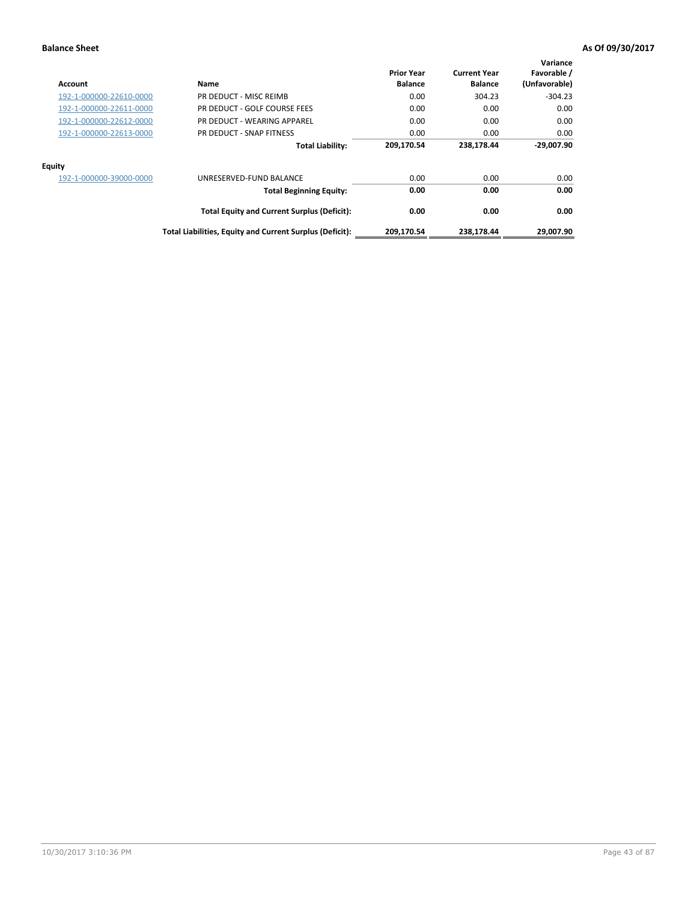| Account                 | Name                                                     | <b>Prior Year</b><br><b>Balance</b> | <b>Current Year</b><br><b>Balance</b> | Variance<br>Favorable /<br>(Unfavorable) |
|-------------------------|----------------------------------------------------------|-------------------------------------|---------------------------------------|------------------------------------------|
| 192-1-000000-22610-0000 | PR DEDUCT - MISC REIMB                                   | 0.00                                | 304.23                                | $-304.23$                                |
| 192-1-000000-22611-0000 | PR DEDUCT - GOLF COURSE FEES                             | 0.00                                | 0.00                                  | 0.00                                     |
| 192-1-000000-22612-0000 | PR DEDUCT - WEARING APPAREL                              | 0.00                                | 0.00                                  | 0.00                                     |
| 192-1-000000-22613-0000 | PR DEDUCT - SNAP FITNESS                                 | 0.00                                | 0.00                                  | 0.00                                     |
|                         | <b>Total Liability:</b>                                  | 209,170.54                          | 238,178.44                            | -29.007.90                               |
| Equity                  |                                                          |                                     |                                       |                                          |
| 192-1-000000-39000-0000 | UNRESERVED-FUND BALANCE                                  | 0.00                                | 0.00                                  | 0.00                                     |
|                         | <b>Total Beginning Equity:</b>                           | 0.00                                | 0.00                                  | 0.00                                     |
|                         | <b>Total Equity and Current Surplus (Deficit):</b>       | 0.00                                | 0.00                                  | 0.00                                     |
|                         | Total Liabilities, Equity and Current Surplus (Deficit): | 209,170.54                          | 238.178.44                            | 29,007.90                                |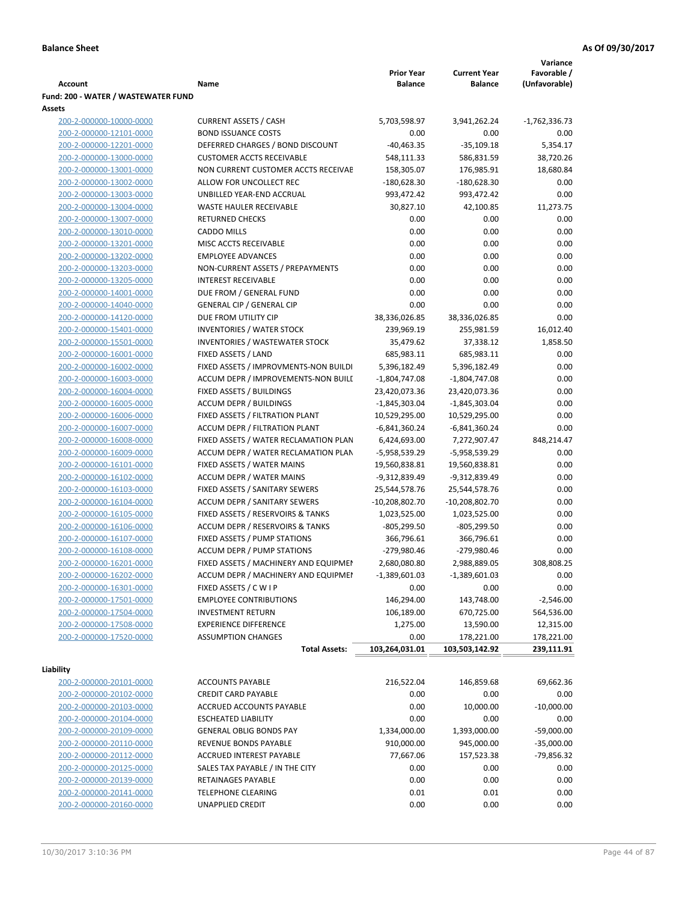|                                                    |                                                                  | <b>Prior Year</b>              | <b>Current Year</b>              | Variance<br>Favorable / |
|----------------------------------------------------|------------------------------------------------------------------|--------------------------------|----------------------------------|-------------------------|
| Account                                            | Name                                                             | <b>Balance</b>                 | <b>Balance</b>                   | (Unfavorable)           |
| Fund: 200 - WATER / WASTEWATER FUND                |                                                                  |                                |                                  |                         |
| Assets<br>200-2-000000-10000-0000                  | <b>CURRENT ASSETS / CASH</b>                                     | 5,703,598.97                   | 3,941,262.24                     | $-1,762,336.73$         |
| 200-2-000000-12101-0000                            | <b>BOND ISSUANCE COSTS</b>                                       | 0.00                           | 0.00                             | 0.00                    |
| 200-2-000000-12201-0000                            | DEFERRED CHARGES / BOND DISCOUNT                                 | $-40,463.35$                   | $-35,109.18$                     | 5,354.17                |
| 200-2-000000-13000-0000                            | <b>CUSTOMER ACCTS RECEIVABLE</b>                                 | 548,111.33                     | 586,831.59                       | 38,720.26               |
| 200-2-000000-13001-0000                            | NON CURRENT CUSTOMER ACCTS RECEIVAE                              | 158,305.07                     | 176,985.91                       | 18,680.84               |
| 200-2-000000-13002-0000                            | ALLOW FOR UNCOLLECT REC                                          | $-180,628.30$                  | $-180,628.30$                    | 0.00                    |
| 200-2-000000-13003-0000                            | UNBILLED YEAR-END ACCRUAL                                        | 993,472.42                     | 993,472.42                       | 0.00                    |
| 200-2-000000-13004-0000                            | <b>WASTE HAULER RECEIVABLE</b>                                   | 30,827.10                      | 42,100.85                        | 11,273.75               |
| 200-2-000000-13007-0000                            | <b>RETURNED CHECKS</b>                                           | 0.00                           | 0.00                             | 0.00                    |
| 200-2-000000-13010-0000                            | <b>CADDO MILLS</b>                                               | 0.00                           | 0.00                             | 0.00                    |
| 200-2-000000-13201-0000                            | MISC ACCTS RECEIVABLE                                            | 0.00                           | 0.00                             | 0.00                    |
| 200-2-000000-13202-0000                            | <b>EMPLOYEE ADVANCES</b>                                         | 0.00                           | 0.00                             | 0.00                    |
| 200-2-000000-13203-0000                            | NON-CURRENT ASSETS / PREPAYMENTS                                 | 0.00                           | 0.00                             | 0.00                    |
| 200-2-000000-13205-0000                            | <b>INTEREST RECEIVABLE</b>                                       | 0.00                           | 0.00                             | 0.00                    |
| 200-2-000000-14001-0000                            | DUE FROM / GENERAL FUND                                          | 0.00                           | 0.00                             | 0.00                    |
| 200-2-000000-14040-0000                            | <b>GENERAL CIP / GENERAL CIP</b>                                 | 0.00                           | 0.00                             | 0.00                    |
| 200-2-000000-14120-0000                            | DUE FROM UTILITY CIP                                             | 38,336,026.85                  | 38,336,026.85                    | 0.00                    |
| 200-2-000000-15401-0000                            | <b>INVENTORIES / WATER STOCK</b>                                 | 239,969.19                     | 255,981.59                       | 16,012.40               |
| 200-2-000000-15501-0000                            | <b>INVENTORIES / WASTEWATER STOCK</b>                            | 35,479.62                      | 37,338.12                        | 1,858.50                |
| 200-2-000000-16001-0000                            | FIXED ASSETS / LAND                                              | 685,983.11                     | 685,983.11                       | 0.00                    |
| 200-2-000000-16002-0000                            | FIXED ASSETS / IMPROVMENTS-NON BUILDI                            | 5,396,182.49                   | 5,396,182.49                     | 0.00                    |
| 200-2-000000-16003-0000                            | ACCUM DEPR / IMPROVEMENTS-NON BUILI                              | $-1,804,747.08$                | $-1,804,747.08$                  | 0.00                    |
| 200-2-000000-16004-0000                            | FIXED ASSETS / BUILDINGS                                         | 23,420,073.36                  | 23,420,073.36                    | 0.00                    |
| 200-2-000000-16005-0000<br>200-2-000000-16006-0000 | <b>ACCUM DEPR / BUILDINGS</b><br>FIXED ASSETS / FILTRATION PLANT | $-1,845,303.04$                | $-1,845,303.04$                  | 0.00<br>0.00            |
| 200-2-000000-16007-0000                            | ACCUM DEPR / FILTRATION PLANT                                    | 10,529,295.00<br>-6,841,360.24 | 10,529,295.00<br>$-6,841,360.24$ | 0.00                    |
| 200-2-000000-16008-0000                            | FIXED ASSETS / WATER RECLAMATION PLAN                            | 6,424,693.00                   | 7,272,907.47                     | 848,214.47              |
| 200-2-000000-16009-0000                            | ACCUM DEPR / WATER RECLAMATION PLAN                              | -5,958,539.29                  | -5,958,539.29                    | 0.00                    |
| 200-2-000000-16101-0000                            | FIXED ASSETS / WATER MAINS                                       | 19,560,838.81                  | 19,560,838.81                    | 0.00                    |
| 200-2-000000-16102-0000                            | <b>ACCUM DEPR / WATER MAINS</b>                                  | -9,312,839.49                  | -9,312,839.49                    | 0.00                    |
| 200-2-000000-16103-0000                            | FIXED ASSETS / SANITARY SEWERS                                   | 25,544,578.76                  | 25,544,578.76                    | 0.00                    |
| 200-2-000000-16104-0000                            | <b>ACCUM DEPR / SANITARY SEWERS</b>                              | -10,208,802.70                 | $-10,208,802.70$                 | 0.00                    |
| 200-2-000000-16105-0000                            | FIXED ASSETS / RESERVOIRS & TANKS                                | 1,023,525.00                   | 1,023,525.00                     | 0.00                    |
| 200-2-000000-16106-0000                            | <b>ACCUM DEPR / RESERVOIRS &amp; TANKS</b>                       | $-805,299.50$                  | $-805,299.50$                    | 0.00                    |
| 200-2-000000-16107-0000                            | FIXED ASSETS / PUMP STATIONS                                     | 366,796.61                     | 366,796.61                       | 0.00                    |
| 200-2-000000-16108-0000                            | <b>ACCUM DEPR / PUMP STATIONS</b>                                | -279,980.46                    | -279,980.46                      | 0.00                    |
| 200-2-000000-16201-0000                            | FIXED ASSETS / MACHINERY AND EQUIPMEN                            | 2,680,080.80                   | 2,988,889.05                     | 308,808.25              |
| 200-2-000000-16202-0000                            | ACCUM DEPR / MACHINERY AND EQUIPMEI                              | $-1,389,601.03$                | $-1,389,601.03$                  | 0.00                    |
| 200-2-000000-16301-0000                            | FIXED ASSETS / C W I P                                           | 0.00                           | 0.00                             | 0.00                    |
| 200-2-000000-17501-0000                            | <b>EMPLOYEE CONTRIBUTIONS</b>                                    | 146,294.00                     | 143,748.00                       | $-2,546.00$             |
| 200-2-000000-17504-0000                            | <b>INVESTMENT RETURN</b>                                         | 106,189.00                     | 670,725.00                       | 564,536.00              |
| 200-2-000000-17508-0000                            | <b>EXPERIENCE DIFFERENCE</b>                                     | 1,275.00                       | 13,590.00                        | 12,315.00               |
| 200-2-000000-17520-0000                            | <b>ASSUMPTION CHANGES</b>                                        | 0.00                           | 178,221.00                       | 178,221.00              |
|                                                    | <b>Total Assets:</b>                                             | 103,264,031.01                 | 103,503,142.92                   | 239,111.91              |
| Liability                                          |                                                                  |                                |                                  |                         |
| 200-2-000000-20101-0000                            | <b>ACCOUNTS PAYABLE</b>                                          | 216,522.04                     | 146,859.68                       | 69,662.36               |
| 200-2-000000-20102-0000                            | <b>CREDIT CARD PAYABLE</b>                                       | 0.00                           | 0.00                             | 0.00                    |
| 200-2-000000-20103-0000                            | ACCRUED ACCOUNTS PAYABLE                                         | 0.00                           | 10,000.00                        | $-10,000.00$            |
| 200-2-000000-20104-0000                            | <b>ESCHEATED LIABILITY</b>                                       | 0.00                           | 0.00                             | 0.00                    |
| 200-2-000000-20109-0000                            | <b>GENERAL OBLIG BONDS PAY</b>                                   | 1,334,000.00                   | 1,393,000.00                     | $-59,000.00$            |
| 200-2-000000-20110-0000                            | REVENUE BONDS PAYABLE                                            | 910,000.00                     | 945,000.00                       | $-35,000.00$            |
| 200-2-000000-20112-0000                            | ACCRUED INTEREST PAYABLE                                         | 77,667.06                      | 157,523.38                       | -79,856.32              |
| 200-2-000000-20125-0000                            | SALES TAX PAYABLE / IN THE CITY                                  | 0.00                           | 0.00                             | 0.00                    |
| 200-2-000000-20139-0000                            | RETAINAGES PAYABLE                                               | 0.00                           | 0.00                             | 0.00                    |
| 200-2-000000-20141-0000                            | <b>TELEPHONE CLEARING</b>                                        | 0.01                           | 0.01                             | 0.00                    |
| 200-2-000000-20160-0000                            | UNAPPLIED CREDIT                                                 | 0.00                           | 0.00                             | 0.00                    |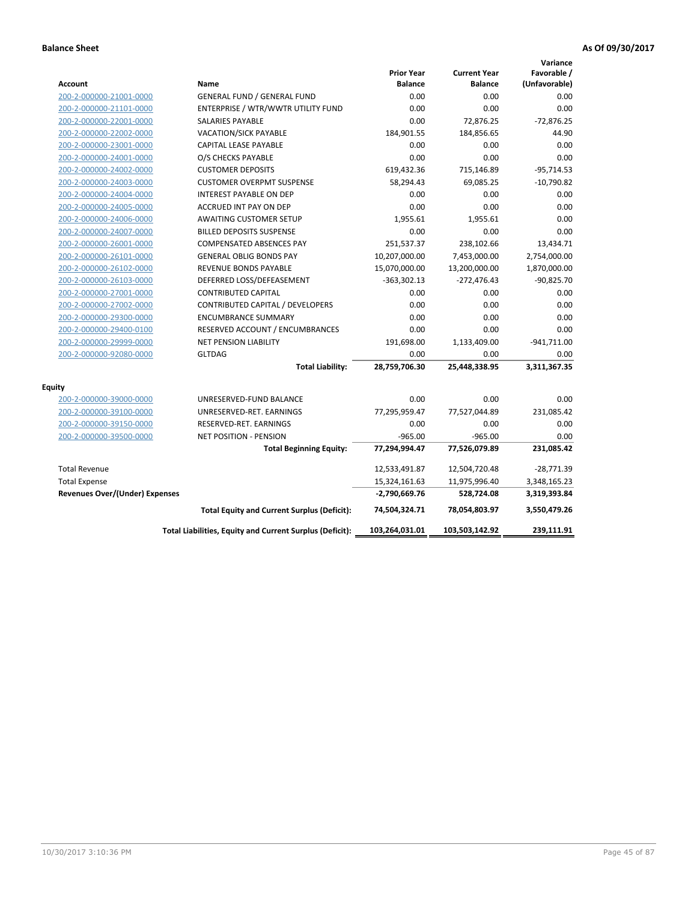|                                       |                                                          |                                     |                                       | Variance                     |
|---------------------------------------|----------------------------------------------------------|-------------------------------------|---------------------------------------|------------------------------|
| <b>Account</b>                        | Name                                                     | <b>Prior Year</b><br><b>Balance</b> | <b>Current Year</b><br><b>Balance</b> | Favorable /<br>(Unfavorable) |
| 200-2-000000-21001-0000               | <b>GENERAL FUND / GENERAL FUND</b>                       | 0.00                                | 0.00                                  | 0.00                         |
| 200-2-000000-21101-0000               | ENTERPRISE / WTR/WWTR UTILITY FUND                       | 0.00                                | 0.00                                  | 0.00                         |
| 200-2-000000-22001-0000               | SALARIES PAYABLE                                         | 0.00                                | 72,876.25                             | $-72,876.25$                 |
| 200-2-000000-22002-0000               | <b>VACATION/SICK PAYABLE</b>                             | 184,901.55                          | 184,856.65                            | 44.90                        |
| 200-2-000000-23001-0000               | CAPITAL LEASE PAYABLE                                    | 0.00                                | 0.00                                  | 0.00                         |
| 200-2-000000-24001-0000               | O/S CHECKS PAYABLE                                       | 0.00                                | 0.00                                  | 0.00                         |
| 200-2-000000-24002-0000               | <b>CUSTOMER DEPOSITS</b>                                 | 619,432.36                          | 715,146.89                            | $-95,714.53$                 |
| 200-2-000000-24003-0000               | <b>CUSTOMER OVERPMT SUSPENSE</b>                         | 58,294.43                           | 69,085.25                             | $-10,790.82$                 |
| 200-2-000000-24004-0000               | <b>INTEREST PAYABLE ON DEP</b>                           | 0.00                                | 0.00                                  | 0.00                         |
| 200-2-000000-24005-0000               | ACCRUED INT PAY ON DEP                                   | 0.00                                | 0.00                                  | 0.00                         |
| 200-2-000000-24006-0000               | <b>AWAITING CUSTOMER SETUP</b>                           | 1,955.61                            | 1,955.61                              | 0.00                         |
| 200-2-000000-24007-0000               | <b>BILLED DEPOSITS SUSPENSE</b>                          | 0.00                                | 0.00                                  | 0.00                         |
| 200-2-000000-26001-0000               | <b>COMPENSATED ABSENCES PAY</b>                          | 251,537.37                          | 238,102.66                            | 13,434.71                    |
| 200-2-000000-26101-0000               | <b>GENERAL OBLIG BONDS PAY</b>                           | 10,207,000.00                       | 7,453,000.00                          | 2,754,000.00                 |
| 200-2-000000-26102-0000               | REVENUE BONDS PAYABLE                                    | 15,070,000.00                       | 13,200,000.00                         | 1,870,000.00                 |
| 200-2-000000-26103-0000               | DEFERRED LOSS/DEFEASEMENT                                | $-363,302.13$                       | -272,476.43                           | $-90,825.70$                 |
| 200-2-000000-27001-0000               | <b>CONTRIBUTED CAPITAL</b>                               | 0.00                                | 0.00                                  | 0.00                         |
| 200-2-000000-27002-0000               | CONTRIBUTED CAPITAL / DEVELOPERS                         | 0.00                                | 0.00                                  | 0.00                         |
| 200-2-000000-29300-0000               | <b>ENCUMBRANCE SUMMARY</b>                               | 0.00                                | 0.00                                  | 0.00                         |
| 200-2-000000-29400-0100               | RESERVED ACCOUNT / ENCUMBRANCES                          | 0.00                                | 0.00                                  | 0.00                         |
| 200-2-000000-29999-0000               | <b>NET PENSION LIABILITY</b>                             | 191,698.00                          | 1,133,409.00                          | $-941,711.00$                |
| 200-2-000000-92080-0000               | <b>GLTDAG</b>                                            | 0.00                                | 0.00                                  | 0.00                         |
|                                       | <b>Total Liability:</b>                                  | 28,759,706.30                       | 25,448,338.95                         | 3,311,367.35                 |
| <b>Equity</b>                         |                                                          |                                     |                                       |                              |
| 200-2-000000-39000-0000               | UNRESERVED-FUND BALANCE                                  | 0.00                                | 0.00                                  | 0.00                         |
| 200-2-000000-39100-0000               | UNRESERVED-RET. EARNINGS                                 | 77,295,959.47                       | 77,527,044.89                         | 231,085.42                   |
| 200-2-000000-39150-0000               | RESERVED-RET. EARNINGS                                   | 0.00                                | 0.00                                  | 0.00                         |
| 200-2-000000-39500-0000               | <b>NET POSITION - PENSION</b>                            | $-965.00$                           | $-965.00$                             | 0.00                         |
|                                       | <b>Total Beginning Equity:</b>                           | 77,294,994.47                       | 77,526,079.89                         | 231,085.42                   |
| <b>Total Revenue</b>                  |                                                          | 12,533,491.87                       | 12,504,720.48                         | $-28,771.39$                 |
| <b>Total Expense</b>                  |                                                          | 15,324,161.63                       | 11,975,996.40                         | 3,348,165.23                 |
| <b>Revenues Over/(Under) Expenses</b> |                                                          | $-2,790,669.76$                     | 528,724.08                            | 3,319,393.84                 |
|                                       | <b>Total Equity and Current Surplus (Deficit):</b>       | 74,504,324.71                       | 78,054,803.97                         | 3,550,479.26                 |
|                                       | Total Liabilities, Equity and Current Surplus (Deficit): | 103,264,031.01                      | 103,503,142.92                        | 239,111.91                   |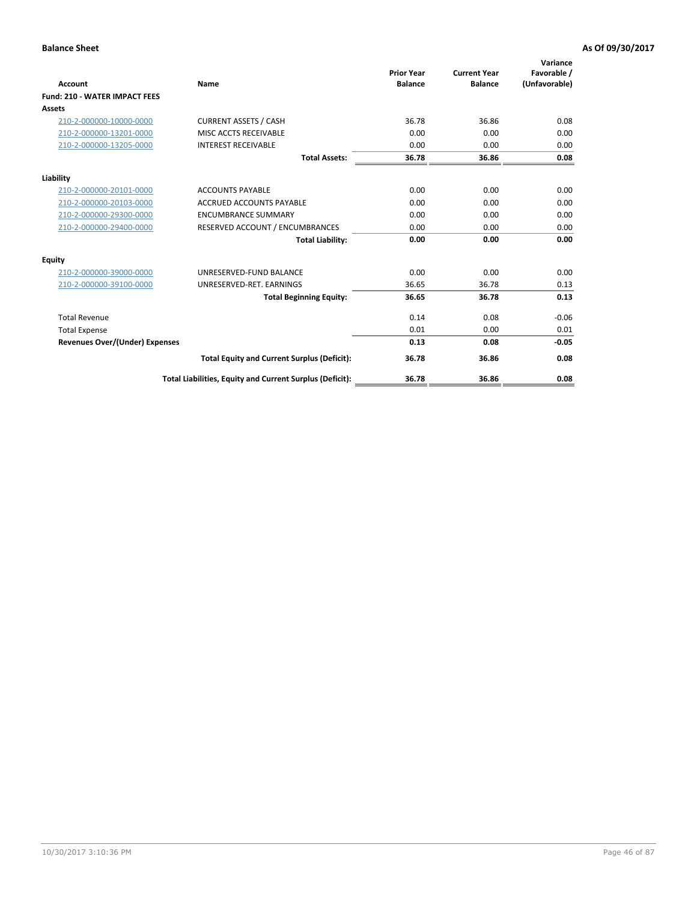| <b>Account</b>                        | Name                                                     | <b>Prior Year</b><br><b>Balance</b> | <b>Current Year</b><br><b>Balance</b> | Variance<br>Favorable /<br>(Unfavorable) |
|---------------------------------------|----------------------------------------------------------|-------------------------------------|---------------------------------------|------------------------------------------|
| <b>Fund: 210 - WATER IMPACT FEES</b>  |                                                          |                                     |                                       |                                          |
| <b>Assets</b>                         |                                                          |                                     |                                       |                                          |
| 210-2-000000-10000-0000               | <b>CURRENT ASSETS / CASH</b>                             | 36.78                               | 36.86                                 | 0.08                                     |
| 210-2-000000-13201-0000               | MISC ACCTS RECEIVABLE                                    | 0.00                                | 0.00                                  | 0.00                                     |
| 210-2-000000-13205-0000               | <b>INTEREST RECEIVABLE</b>                               | 0.00                                | 0.00                                  | 0.00                                     |
|                                       | <b>Total Assets:</b>                                     | 36.78                               | 36.86                                 | 0.08                                     |
| Liability                             |                                                          |                                     |                                       |                                          |
| 210-2-000000-20101-0000               | <b>ACCOUNTS PAYABLE</b>                                  | 0.00                                | 0.00                                  | 0.00                                     |
| 210-2-000000-20103-0000               | <b>ACCRUED ACCOUNTS PAYABLE</b>                          | 0.00                                | 0.00                                  | 0.00                                     |
| 210-2-000000-29300-0000               | <b>ENCUMBRANCE SUMMARY</b>                               | 0.00                                | 0.00                                  | 0.00                                     |
| 210-2-000000-29400-0000               | RESERVED ACCOUNT / ENCUMBRANCES                          | 0.00                                | 0.00                                  | 0.00                                     |
|                                       | <b>Total Liability:</b>                                  | 0.00                                | 0.00                                  | 0.00                                     |
| <b>Equity</b>                         |                                                          |                                     |                                       |                                          |
| 210-2-000000-39000-0000               | UNRESERVED-FUND BALANCE                                  | 0.00                                | 0.00                                  | 0.00                                     |
| 210-2-000000-39100-0000               | UNRESERVED-RET. EARNINGS                                 | 36.65                               | 36.78                                 | 0.13                                     |
|                                       | <b>Total Beginning Equity:</b>                           | 36.65                               | 36.78                                 | 0.13                                     |
| <b>Total Revenue</b>                  |                                                          | 0.14                                | 0.08                                  | $-0.06$                                  |
| <b>Total Expense</b>                  |                                                          | 0.01                                | 0.00                                  | 0.01                                     |
| <b>Revenues Over/(Under) Expenses</b> |                                                          | 0.13                                | 0.08                                  | $-0.05$                                  |
|                                       | <b>Total Equity and Current Surplus (Deficit):</b>       | 36.78                               | 36.86                                 | 0.08                                     |
|                                       | Total Liabilities, Equity and Current Surplus (Deficit): | 36.78                               | 36.86                                 | 0.08                                     |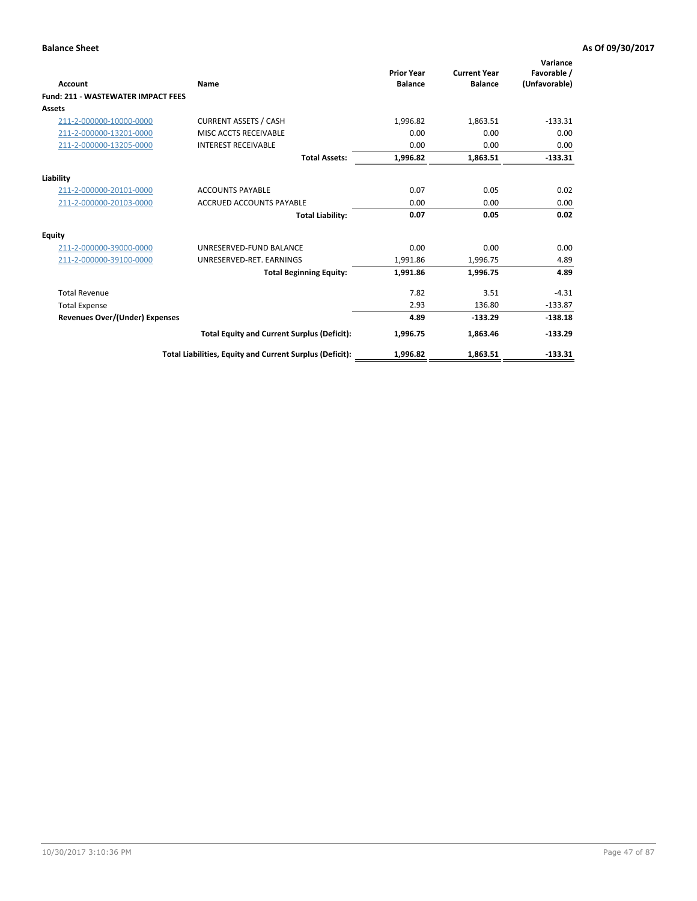| <b>Account</b>                            | Name                                                     | <b>Prior Year</b><br><b>Balance</b> | <b>Current Year</b><br><b>Balance</b> | Variance<br>Favorable /<br>(Unfavorable) |
|-------------------------------------------|----------------------------------------------------------|-------------------------------------|---------------------------------------|------------------------------------------|
| <b>Fund: 211 - WASTEWATER IMPACT FEES</b> |                                                          |                                     |                                       |                                          |
| Assets                                    |                                                          |                                     |                                       |                                          |
| 211-2-000000-10000-0000                   | <b>CURRENT ASSETS / CASH</b>                             | 1,996.82                            | 1,863.51                              | $-133.31$                                |
| 211-2-000000-13201-0000                   | MISC ACCTS RECEIVABLE                                    | 0.00                                | 0.00                                  | 0.00                                     |
| 211-2-000000-13205-0000                   | <b>INTEREST RECEIVABLE</b>                               | 0.00                                | 0.00                                  | 0.00                                     |
|                                           | <b>Total Assets:</b>                                     | 1,996.82                            | 1,863.51                              | $-133.31$                                |
| Liability                                 |                                                          |                                     |                                       |                                          |
| 211-2-000000-20101-0000                   | <b>ACCOUNTS PAYABLE</b>                                  | 0.07                                | 0.05                                  | 0.02                                     |
| 211-2-000000-20103-0000                   | <b>ACCRUED ACCOUNTS PAYABLE</b>                          | 0.00                                | 0.00                                  | 0.00                                     |
|                                           | <b>Total Liability:</b>                                  | 0.07                                | 0.05                                  | 0.02                                     |
| <b>Equity</b>                             |                                                          |                                     |                                       |                                          |
| 211-2-000000-39000-0000                   | UNRESERVED-FUND BALANCE                                  | 0.00                                | 0.00                                  | 0.00                                     |
| 211-2-000000-39100-0000                   | UNRESERVED-RET. EARNINGS                                 | 1,991.86                            | 1,996.75                              | 4.89                                     |
|                                           | <b>Total Beginning Equity:</b>                           | 1,991.86                            | 1,996.75                              | 4.89                                     |
| <b>Total Revenue</b>                      |                                                          | 7.82                                | 3.51                                  | $-4.31$                                  |
| <b>Total Expense</b>                      |                                                          | 2.93                                | 136.80                                | $-133.87$                                |
| <b>Revenues Over/(Under) Expenses</b>     |                                                          | 4.89                                | $-133.29$                             | $-138.18$                                |
|                                           | <b>Total Equity and Current Surplus (Deficit):</b>       | 1,996.75                            | 1,863.46                              | $-133.29$                                |
|                                           | Total Liabilities, Equity and Current Surplus (Deficit): | 1,996.82                            | 1,863.51                              | $-133.31$                                |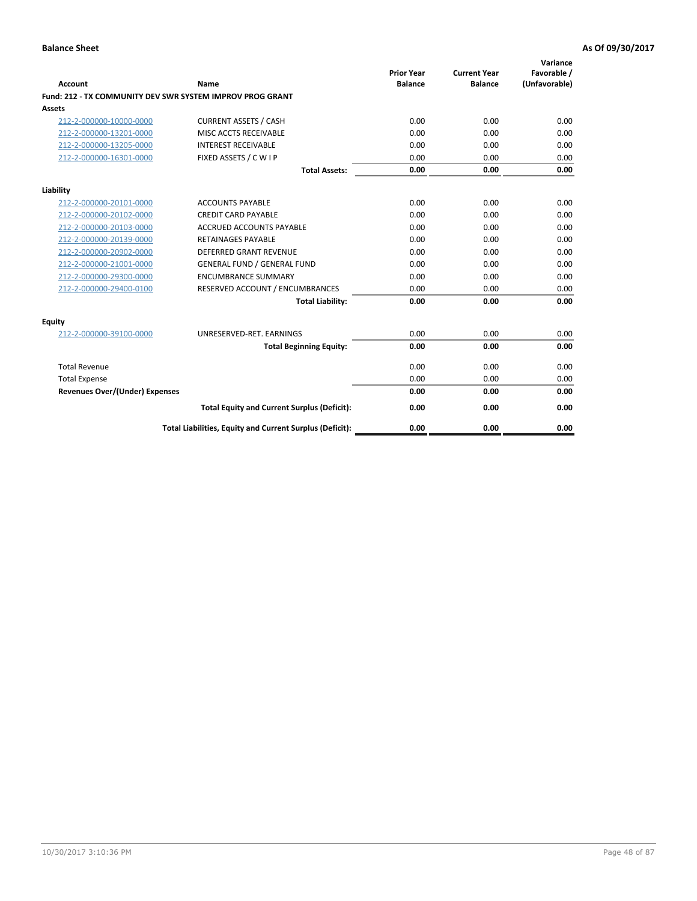| <b>Account</b>                        | <b>Name</b>                                               | <b>Prior Year</b><br><b>Balance</b> | <b>Current Year</b><br><b>Balance</b> | Variance<br>Favorable /<br>(Unfavorable) |
|---------------------------------------|-----------------------------------------------------------|-------------------------------------|---------------------------------------|------------------------------------------|
|                                       | Fund: 212 - TX COMMUNITY DEV SWR SYSTEM IMPROV PROG GRANT |                                     |                                       |                                          |
| <b>Assets</b>                         |                                                           |                                     |                                       |                                          |
| 212-2-000000-10000-0000               | <b>CURRENT ASSETS / CASH</b>                              | 0.00                                | 0.00                                  | 0.00                                     |
| 212-2-000000-13201-0000               | MISC ACCTS RECEIVABLE                                     | 0.00                                | 0.00                                  | 0.00                                     |
| 212-2-000000-13205-0000               | <b>INTEREST RECEIVABLE</b>                                | 0.00                                | 0.00                                  | 0.00                                     |
| 212-2-000000-16301-0000               | FIXED ASSETS / C W I P                                    | 0.00                                | 0.00                                  | 0.00                                     |
|                                       | <b>Total Assets:</b>                                      | 0.00                                | 0.00                                  | 0.00                                     |
| Liability                             |                                                           |                                     |                                       |                                          |
| 212-2-000000-20101-0000               | <b>ACCOUNTS PAYABLE</b>                                   | 0.00                                | 0.00                                  | 0.00                                     |
| 212-2-000000-20102-0000               | <b>CREDIT CARD PAYABLE</b>                                | 0.00                                | 0.00                                  | 0.00                                     |
| 212-2-000000-20103-0000               | <b>ACCRUED ACCOUNTS PAYABLE</b>                           | 0.00                                | 0.00                                  | 0.00                                     |
| 212-2-000000-20139-0000               | <b>RETAINAGES PAYABLE</b>                                 | 0.00                                | 0.00                                  | 0.00                                     |
| 212-2-000000-20902-0000               | DEFERRED GRANT REVENUE                                    | 0.00                                | 0.00                                  | 0.00                                     |
| 212-2-000000-21001-0000               | <b>GENERAL FUND / GENERAL FUND</b>                        | 0.00                                | 0.00                                  | 0.00                                     |
| 212-2-000000-29300-0000               | <b>ENCUMBRANCE SUMMARY</b>                                | 0.00                                | 0.00                                  | 0.00                                     |
| 212-2-000000-29400-0100               | RESERVED ACCOUNT / ENCUMBRANCES                           | 0.00                                | 0.00                                  | 0.00                                     |
|                                       | <b>Total Liability:</b>                                   | 0.00                                | 0.00                                  | 0.00                                     |
| <b>Equity</b>                         |                                                           |                                     |                                       |                                          |
| 212-2-000000-39100-0000               | UNRESERVED-RET. EARNINGS                                  | 0.00                                | 0.00                                  | 0.00                                     |
|                                       | <b>Total Beginning Equity:</b>                            | 0.00                                | 0.00                                  | 0.00                                     |
| <b>Total Revenue</b>                  |                                                           | 0.00                                | 0.00                                  | 0.00                                     |
| <b>Total Expense</b>                  |                                                           | 0.00                                | 0.00                                  | 0.00                                     |
| <b>Revenues Over/(Under) Expenses</b> |                                                           | 0.00                                | 0.00                                  | 0.00                                     |
|                                       | <b>Total Equity and Current Surplus (Deficit):</b>        | 0.00                                | 0.00                                  | 0.00                                     |
|                                       | Total Liabilities, Equity and Current Surplus (Deficit):  | 0.00                                | 0.00                                  | 0.00                                     |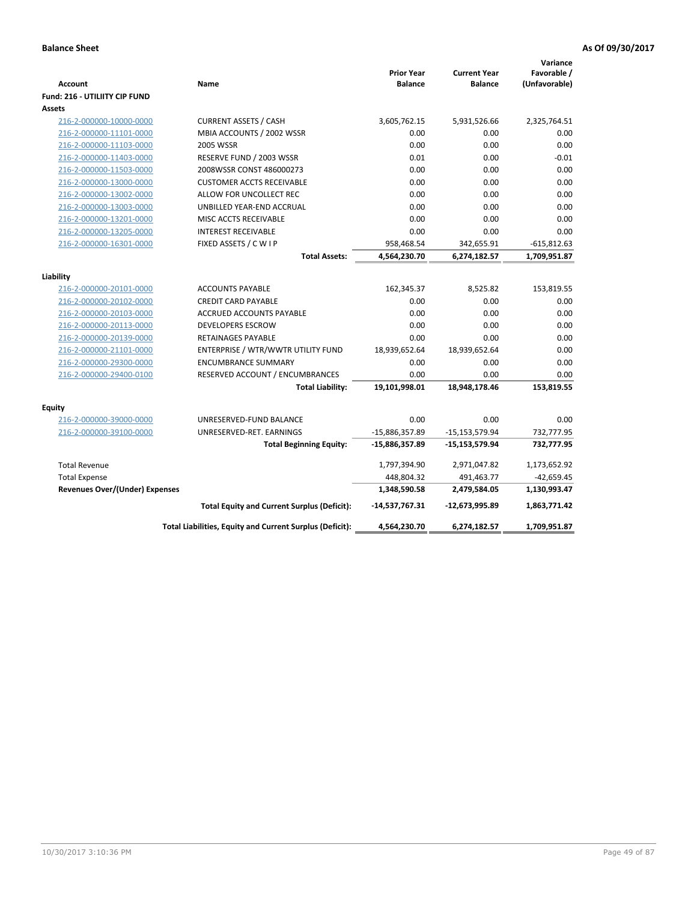| Account                               | Name                                                     | <b>Prior Year</b><br><b>Balance</b> | <b>Current Year</b><br><b>Balance</b> | Variance<br>Favorable /<br>(Unfavorable) |
|---------------------------------------|----------------------------------------------------------|-------------------------------------|---------------------------------------|------------------------------------------|
| Fund: 216 - UTILIITY CIP FUND         |                                                          |                                     |                                       |                                          |
| <b>Assets</b>                         |                                                          |                                     |                                       |                                          |
| 216-2-000000-10000-0000               | <b>CURRENT ASSETS / CASH</b>                             | 3,605,762.15                        | 5,931,526.66                          | 2,325,764.51                             |
| 216-2-000000-11101-0000               | MBIA ACCOUNTS / 2002 WSSR                                | 0.00                                | 0.00                                  | 0.00                                     |
| 216-2-000000-11103-0000               | <b>2005 WSSR</b>                                         | 0.00                                | 0.00                                  | 0.00                                     |
| 216-2-000000-11403-0000               | RESERVE FUND / 2003 WSSR                                 | 0.01                                | 0.00                                  | $-0.01$                                  |
| 216-2-000000-11503-0000               | 2008WSSR CONST 486000273                                 | 0.00                                | 0.00                                  | 0.00                                     |
| 216-2-000000-13000-0000               | <b>CUSTOMER ACCTS RECEIVABLE</b>                         | 0.00                                | 0.00                                  | 0.00                                     |
| 216-2-000000-13002-0000               | ALLOW FOR UNCOLLECT REC                                  | 0.00                                | 0.00                                  | 0.00                                     |
| 216-2-000000-13003-0000               | UNBILLED YEAR-END ACCRUAL                                | 0.00                                | 0.00                                  | 0.00                                     |
| 216-2-000000-13201-0000               | MISC ACCTS RECEIVABLE                                    | 0.00                                | 0.00                                  | 0.00                                     |
| 216-2-000000-13205-0000               | <b>INTEREST RECEIVABLE</b>                               | 0.00                                | 0.00                                  | 0.00                                     |
| 216-2-000000-16301-0000               | FIXED ASSETS / C W I P                                   | 958,468.54                          | 342,655.91                            | $-615,812.63$                            |
|                                       | <b>Total Assets:</b>                                     | 4,564,230.70                        | 6,274,182.57                          | 1,709,951.87                             |
| Liability                             |                                                          |                                     |                                       |                                          |
| 216-2-000000-20101-0000               | <b>ACCOUNTS PAYABLE</b>                                  | 162,345.37                          | 8,525.82                              | 153,819.55                               |
| 216-2-000000-20102-0000               | <b>CREDIT CARD PAYABLE</b>                               | 0.00                                | 0.00                                  | 0.00                                     |
| 216-2-000000-20103-0000               | <b>ACCRUED ACCOUNTS PAYABLE</b>                          | 0.00                                | 0.00                                  | 0.00                                     |
| 216-2-000000-20113-0000               | <b>DEVELOPERS ESCROW</b>                                 | 0.00                                | 0.00                                  | 0.00                                     |
| 216-2-000000-20139-0000               | <b>RETAINAGES PAYABLE</b>                                | 0.00                                | 0.00                                  | 0.00                                     |
| 216-2-000000-21101-0000               | ENTERPRISE / WTR/WWTR UTILITY FUND                       | 18,939,652.64                       | 18,939,652.64                         | 0.00                                     |
| 216-2-000000-29300-0000               | <b>ENCUMBRANCE SUMMARY</b>                               | 0.00                                | 0.00                                  | 0.00                                     |
| 216-2-000000-29400-0100               | RESERVED ACCOUNT / ENCUMBRANCES                          | 0.00                                | 0.00                                  | 0.00                                     |
|                                       | <b>Total Liability:</b>                                  | 19,101,998.01                       | 18,948,178.46                         | 153,819.55                               |
|                                       |                                                          |                                     |                                       |                                          |
| Equity                                |                                                          |                                     |                                       |                                          |
| 216-2-000000-39000-0000               | UNRESERVED-FUND BALANCE                                  | 0.00                                | 0.00                                  | 0.00                                     |
| 216-2-000000-39100-0000               | UNRESERVED-RET. EARNINGS                                 | -15,886,357.89                      | $-15, 153, 579.94$                    | 732,777.95                               |
|                                       | <b>Total Beginning Equity:</b>                           | $-15,886,357.89$                    | $-15,153,579.94$                      | 732,777.95                               |
| <b>Total Revenue</b>                  |                                                          | 1,797,394.90                        | 2,971,047.82                          | 1,173,652.92                             |
| <b>Total Expense</b>                  |                                                          | 448,804.32                          | 491,463.77                            | $-42,659.45$                             |
| <b>Revenues Over/(Under) Expenses</b> |                                                          | 1,348,590.58                        | 2,479,584.05                          | 1,130,993.47                             |
|                                       | <b>Total Equity and Current Surplus (Deficit):</b>       | $-14,537,767.31$                    | -12,673,995.89                        | 1,863,771.42                             |
|                                       | Total Liabilities, Equity and Current Surplus (Deficit): | 4,564,230.70                        | 6,274,182.57                          | 1,709,951.87                             |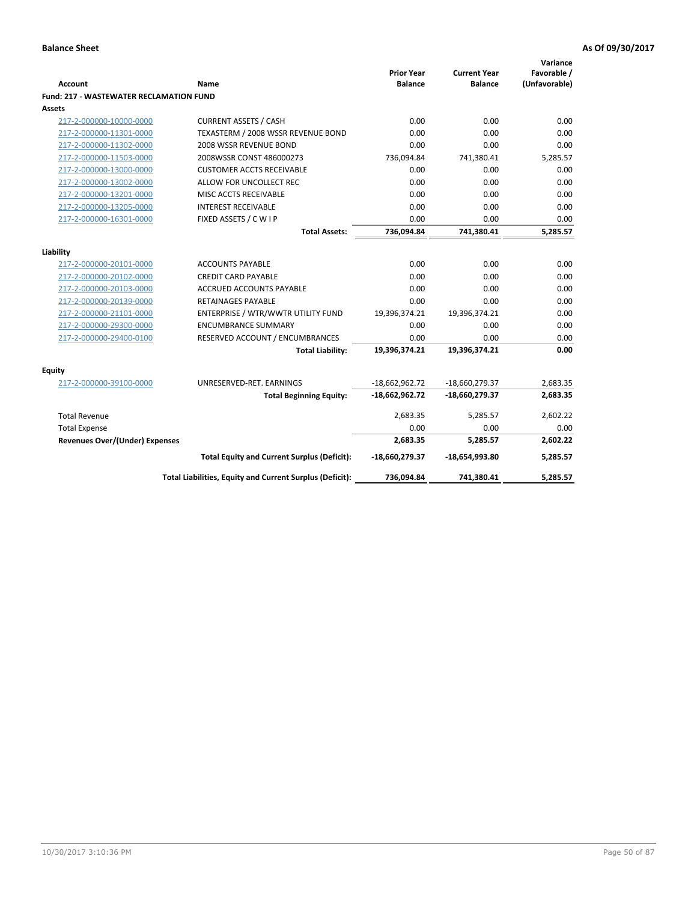| <b>Account</b>                                 | <b>Name</b>                                                     | <b>Prior Year</b><br><b>Balance</b> | <b>Current Year</b><br><b>Balance</b> | Variance<br>Favorable /<br>(Unfavorable) |
|------------------------------------------------|-----------------------------------------------------------------|-------------------------------------|---------------------------------------|------------------------------------------|
| <b>Fund: 217 - WASTEWATER RECLAMATION FUND</b> |                                                                 |                                     |                                       |                                          |
| Assets                                         |                                                                 |                                     |                                       |                                          |
| 217-2-000000-10000-0000                        | <b>CURRENT ASSETS / CASH</b>                                    | 0.00                                | 0.00                                  | 0.00                                     |
| 217-2-000000-11301-0000                        | TEXASTERM / 2008 WSSR REVENUE BOND                              | 0.00                                | 0.00                                  | 0.00                                     |
| 217-2-000000-11302-0000                        | 2008 WSSR REVENUE BOND                                          | 0.00                                | 0.00                                  | 0.00                                     |
| 217-2-000000-11503-0000                        | 2008WSSR CONST 486000273                                        | 736,094.84                          | 741,380.41                            | 5,285.57                                 |
| 217-2-000000-13000-0000                        | <b>CUSTOMER ACCTS RECEIVABLE</b>                                | 0.00                                | 0.00                                  | 0.00                                     |
| 217-2-000000-13002-0000                        | ALLOW FOR UNCOLLECT REC                                         | 0.00                                | 0.00                                  | 0.00                                     |
| 217-2-000000-13201-0000                        | MISC ACCTS RECEIVABLE                                           | 0.00                                | 0.00                                  | 0.00                                     |
| 217-2-000000-13205-0000                        | <b>INTEREST RECEIVABLE</b>                                      | 0.00                                | 0.00                                  | 0.00                                     |
| 217-2-000000-16301-0000                        | FIXED ASSETS / C W I P                                          | 0.00                                | 0.00                                  | 0.00                                     |
|                                                | <b>Total Assets:</b>                                            | 736,094.84                          | 741,380.41                            | 5,285.57                                 |
|                                                |                                                                 |                                     |                                       |                                          |
| Liability                                      |                                                                 |                                     |                                       |                                          |
| 217-2-000000-20101-0000                        | <b>ACCOUNTS PAYABLE</b>                                         | 0.00                                | 0.00                                  | 0.00<br>0.00                             |
| 217-2-000000-20102-0000                        | <b>CREDIT CARD PAYABLE</b>                                      | 0.00                                | 0.00                                  |                                          |
| 217-2-000000-20103-0000                        | <b>ACCRUED ACCOUNTS PAYABLE</b>                                 | 0.00                                | 0.00                                  | 0.00                                     |
| 217-2-000000-20139-0000                        | <b>RETAINAGES PAYABLE</b><br>ENTERPRISE / WTR/WWTR UTILITY FUND | 0.00                                | 0.00<br>19,396,374.21                 | 0.00<br>0.00                             |
| 217-2-000000-21101-0000                        |                                                                 | 19,396,374.21                       |                                       |                                          |
| 217-2-000000-29300-0000                        | <b>ENCUMBRANCE SUMMARY</b>                                      | 0.00<br>0.00                        | 0.00<br>0.00                          | 0.00                                     |
| 217-2-000000-29400-0100                        | RESERVED ACCOUNT / ENCUMBRANCES                                 |                                     |                                       | 0.00                                     |
|                                                | <b>Total Liability:</b>                                         | 19,396,374.21                       | 19,396,374.21                         | 0.00                                     |
| <b>Equity</b>                                  |                                                                 |                                     |                                       |                                          |
| 217-2-000000-39100-0000                        | UNRESERVED-RET. EARNINGS                                        | $-18,662,962.72$                    | -18,660,279.37                        | 2,683.35                                 |
|                                                | <b>Total Beginning Equity:</b>                                  | $-18,662,962.72$                    | -18,660,279.37                        | 2,683.35                                 |
| <b>Total Revenue</b>                           |                                                                 | 2,683.35                            | 5,285.57                              | 2,602.22                                 |
| <b>Total Expense</b>                           |                                                                 | 0.00                                | 0.00                                  | 0.00                                     |
| Revenues Over/(Under) Expenses                 |                                                                 | 2,683.35                            | 5,285.57                              | 2,602.22                                 |
|                                                | <b>Total Equity and Current Surplus (Deficit):</b>              | -18,660,279.37                      | -18,654,993.80                        | 5,285.57                                 |
|                                                | Total Liabilities, Equity and Current Surplus (Deficit):        | 736,094.84                          | 741,380.41                            | 5.285.57                                 |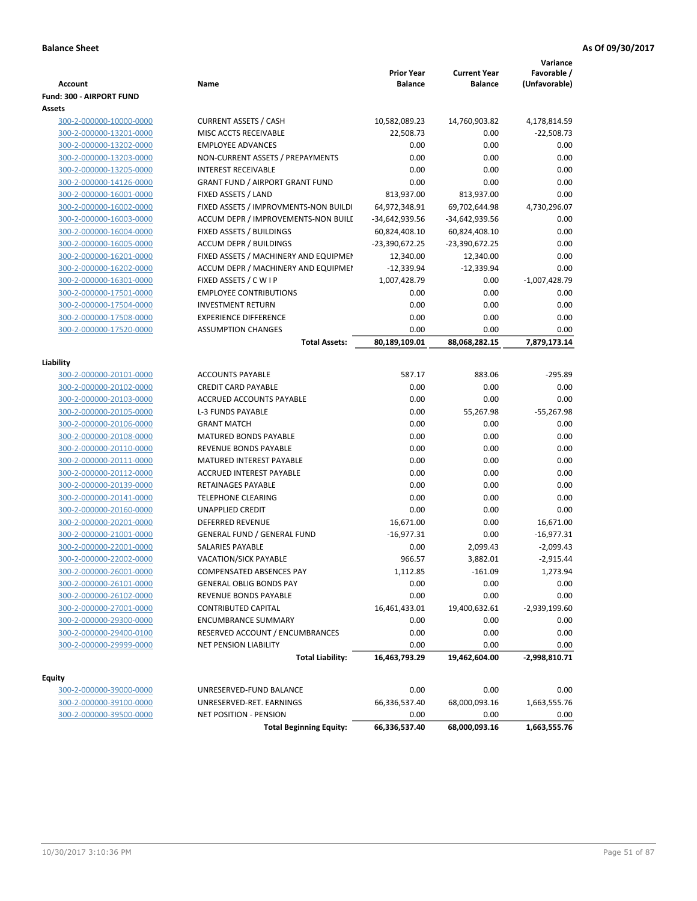| Account                                            | Name                                                    | <b>Prior Year</b><br><b>Balance</b> | <b>Current Year</b><br><b>Balance</b> | Variance<br>Favorable /<br>(Unfavorable) |
|----------------------------------------------------|---------------------------------------------------------|-------------------------------------|---------------------------------------|------------------------------------------|
| <b>Fund: 300 - AIRPORT FUND</b>                    |                                                         |                                     |                                       |                                          |
| <b>Assets</b>                                      |                                                         |                                     |                                       |                                          |
| 300-2-000000-10000-0000                            | <b>CURRENT ASSETS / CASH</b>                            | 10,582,089.23                       | 14,760,903.82                         | 4,178,814.59                             |
| 300-2-000000-13201-0000                            | MISC ACCTS RECEIVABLE                                   | 22,508.73                           | 0.00                                  | $-22,508.73$                             |
| 300-2-000000-13202-0000                            | <b>EMPLOYEE ADVANCES</b>                                | 0.00                                | 0.00                                  | 0.00                                     |
| 300-2-000000-13203-0000                            | NON-CURRENT ASSETS / PREPAYMENTS                        | 0.00                                | 0.00                                  | 0.00                                     |
| 300-2-000000-13205-0000                            | <b>INTEREST RECEIVABLE</b>                              | 0.00                                | 0.00                                  | 0.00                                     |
| 300-2-000000-14126-0000                            | <b>GRANT FUND / AIRPORT GRANT FUND</b>                  | 0.00                                | 0.00                                  | 0.00                                     |
| 300-2-000000-16001-0000                            | FIXED ASSETS / LAND                                     | 813,937.00                          | 813,937.00                            | 0.00                                     |
| 300-2-000000-16002-0000                            | FIXED ASSETS / IMPROVMENTS-NON BUILDI                   | 64,972,348.91                       | 69,702,644.98                         | 4,730,296.07                             |
| 300-2-000000-16003-0000                            | ACCUM DEPR / IMPROVEMENTS-NON BUILI                     | -34,642,939.56                      | -34,642,939.56                        | 0.00                                     |
| 300-2-000000-16004-0000                            | FIXED ASSETS / BUILDINGS                                | 60,824,408.10                       | 60,824,408.10                         | 0.00                                     |
| 300-2-000000-16005-0000                            | <b>ACCUM DEPR / BUILDINGS</b>                           | -23,390,672.25                      | -23,390,672.25                        | 0.00                                     |
| 300-2-000000-16201-0000                            | FIXED ASSETS / MACHINERY AND EQUIPMEN                   | 12,340.00                           | 12,340.00                             | 0.00                                     |
| 300-2-000000-16202-0000                            | ACCUM DEPR / MACHINERY AND EQUIPMEI                     | $-12,339.94$                        | $-12,339.94$                          | 0.00                                     |
| 300-2-000000-16301-0000                            | FIXED ASSETS / C W I P<br><b>EMPLOYEE CONTRIBUTIONS</b> | 1,007,428.79<br>0.00                | 0.00<br>0.00                          | $-1,007,428.79$<br>0.00                  |
| 300-2-000000-17501-0000<br>300-2-000000-17504-0000 | <b>INVESTMENT RETURN</b>                                | 0.00                                | 0.00                                  | 0.00                                     |
| 300-2-000000-17508-0000                            | <b>EXPERIENCE DIFFERENCE</b>                            | 0.00                                | 0.00                                  | 0.00                                     |
| 300-2-000000-17520-0000                            | <b>ASSUMPTION CHANGES</b>                               | 0.00                                | 0.00                                  | 0.00                                     |
|                                                    | <b>Total Assets:</b>                                    | 80,189,109.01                       | 88,068,282.15                         | 7,879,173.14                             |
|                                                    |                                                         |                                     |                                       |                                          |
| Liability                                          |                                                         |                                     |                                       |                                          |
| 300-2-000000-20101-0000                            | <b>ACCOUNTS PAYABLE</b>                                 | 587.17                              | 883.06                                | $-295.89$                                |
| 300-2-000000-20102-0000                            | <b>CREDIT CARD PAYABLE</b>                              | 0.00                                | 0.00                                  | 0.00                                     |
| 300-2-000000-20103-0000                            | ACCRUED ACCOUNTS PAYABLE                                | 0.00                                | 0.00                                  | 0.00                                     |
| 300-2-000000-20105-0000                            | <b>L-3 FUNDS PAYABLE</b>                                | 0.00                                | 55,267.98                             | $-55,267.98$                             |
| 300-2-000000-20106-0000                            | <b>GRANT MATCH</b>                                      | 0.00                                | 0.00                                  | 0.00                                     |
| 300-2-000000-20108-0000                            | <b>MATURED BONDS PAYABLE</b>                            | 0.00                                | 0.00                                  | 0.00                                     |
| 300-2-000000-20110-0000                            | REVENUE BONDS PAYABLE                                   | 0.00                                | 0.00                                  | 0.00                                     |
| 300-2-000000-20111-0000                            | MATURED INTEREST PAYABLE                                | 0.00                                | 0.00                                  | 0.00                                     |
| 300-2-000000-20112-0000                            | <b>ACCRUED INTEREST PAYABLE</b>                         | 0.00                                | 0.00                                  | 0.00                                     |
| 300-2-000000-20139-0000                            | RETAINAGES PAYABLE                                      | 0.00                                | 0.00                                  | 0.00                                     |
| 300-2-000000-20141-0000<br>300-2-000000-20160-0000 | <b>TELEPHONE CLEARING</b><br><b>UNAPPLIED CREDIT</b>    | 0.00<br>0.00                        | 0.00<br>0.00                          | 0.00<br>0.00                             |
| 300-2-000000-20201-0000                            | <b>DEFERRED REVENUE</b>                                 | 16,671.00                           | 0.00                                  | 16,671.00                                |
| 300-2-000000-21001-0000                            | <b>GENERAL FUND / GENERAL FUND</b>                      | $-16,977.31$                        | 0.00                                  | $-16,977.31$                             |
| 300-2-000000-22001-0000                            | SALARIES PAYABLE                                        | 0.00                                | 2,099.43                              | $-2,099.43$                              |
| 300-2-000000-22002-0000                            | <b>VACATION/SICK PAYABLE</b>                            | 966.57                              | 3,882.01                              | $-2,915.44$                              |
| 300-2-000000-26001-0000                            | COMPENSATED ABSENCES PAY                                | 1,112.85                            | $-161.09$                             | 1,273.94                                 |
| 300-2-000000-26101-0000                            | <b>GENERAL OBLIG BONDS PAY</b>                          | 0.00                                | 0.00                                  | 0.00                                     |
| 300-2-000000-26102-0000                            | REVENUE BONDS PAYABLE                                   | 0.00                                | 0.00                                  | 0.00                                     |
| 300-2-000000-27001-0000                            | <b>CONTRIBUTED CAPITAL</b>                              | 16,461,433.01                       | 19,400,632.61                         | $-2,939,199.60$                          |
| 300-2-000000-29300-0000                            | <b>ENCUMBRANCE SUMMARY</b>                              | 0.00                                | 0.00                                  | 0.00                                     |
| 300-2-000000-29400-0100                            | RESERVED ACCOUNT / ENCUMBRANCES                         | 0.00                                | 0.00                                  | 0.00                                     |
| 300-2-000000-29999-0000                            | <b>NET PENSION LIABILITY</b>                            | 0.00                                | 0.00                                  | 0.00                                     |
|                                                    | <b>Total Liability:</b>                                 | 16,463,793.29                       | 19,462,604.00                         | $-2,998,810.71$                          |
|                                                    |                                                         |                                     |                                       |                                          |
| <b>Equity</b>                                      |                                                         |                                     |                                       |                                          |
| 300-2-000000-39000-0000<br>300-2-000000-39100-0000 | UNRESERVED-FUND BALANCE<br>UNRESERVED-RET. EARNINGS     | 0.00<br>66,336,537.40               | 0.00<br>68,000,093.16                 | 0.00<br>1,663,555.76                     |
| 300-2-000000-39500-0000                            | <b>NET POSITION - PENSION</b>                           | 0.00                                | 0.00                                  | 0.00                                     |
|                                                    | <b>Total Beginning Equity:</b>                          | 66,336,537.40                       | 68,000,093.16                         | 1,663,555.76                             |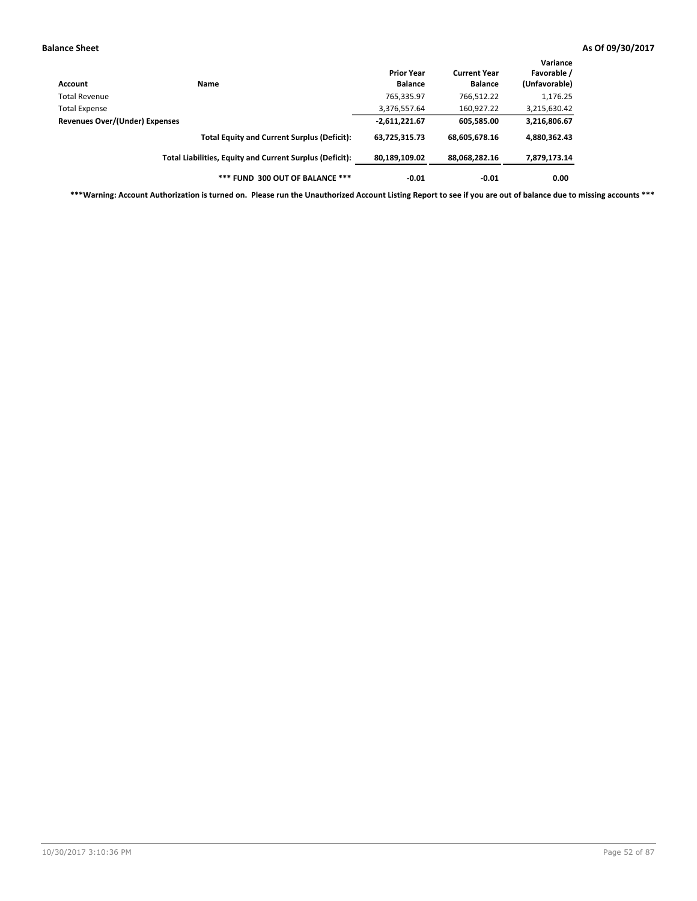| Account                        | Name                                                     | <b>Prior Year</b><br><b>Balance</b> | <b>Current Year</b><br><b>Balance</b> | Variance<br>Favorable /<br>(Unfavorable) |
|--------------------------------|----------------------------------------------------------|-------------------------------------|---------------------------------------|------------------------------------------|
| <b>Total Revenue</b>           |                                                          | 765,335.97                          | 766,512.22                            | 1,176.25                                 |
| <b>Total Expense</b>           |                                                          | 3,376,557.64                        | 160,927.22                            | 3,215,630.42                             |
| Revenues Over/(Under) Expenses |                                                          | $-2,611,221.67$                     | 605,585.00                            | 3,216,806.67                             |
|                                | <b>Total Equity and Current Surplus (Deficit):</b>       | 63,725,315.73                       | 68,605,678.16                         | 4,880,362.43                             |
|                                | Total Liabilities, Equity and Current Surplus (Deficit): | 80,189,109.02                       | 88,068,282.16                         | 7,879,173.14                             |
|                                | *** FUND 300 OUT OF BALANCE ***                          | $-0.01$                             | $-0.01$                               | 0.00                                     |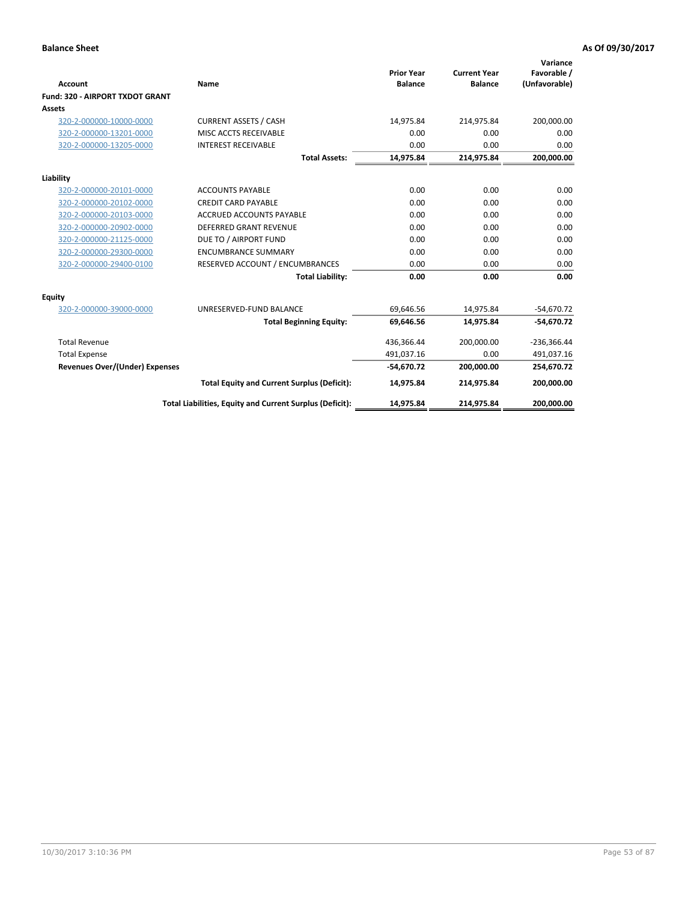|                                       |                                                          |                                     |                                       | Variance                     |
|---------------------------------------|----------------------------------------------------------|-------------------------------------|---------------------------------------|------------------------------|
| Account                               | Name                                                     | <b>Prior Year</b><br><b>Balance</b> | <b>Current Year</b><br><b>Balance</b> | Favorable /<br>(Unfavorable) |
| Fund: 320 - AIRPORT TXDOT GRANT       |                                                          |                                     |                                       |                              |
| Assets                                |                                                          |                                     |                                       |                              |
| 320-2-000000-10000-0000               | <b>CURRENT ASSETS / CASH</b>                             | 14,975.84                           | 214,975.84                            | 200,000.00                   |
| 320-2-000000-13201-0000               | MISC ACCTS RECEIVABLE                                    | 0.00                                | 0.00                                  | 0.00                         |
| 320-2-000000-13205-0000               | <b>INTEREST RECEIVABLE</b>                               | 0.00                                | 0.00                                  | 0.00                         |
|                                       | <b>Total Assets:</b>                                     | 14,975.84                           | 214,975.84                            | 200,000.00                   |
| Liability                             |                                                          |                                     |                                       |                              |
| 320-2-000000-20101-0000               | <b>ACCOUNTS PAYABLE</b>                                  | 0.00                                | 0.00                                  | 0.00                         |
| 320-2-000000-20102-0000               | <b>CREDIT CARD PAYABLE</b>                               | 0.00                                | 0.00                                  | 0.00                         |
| 320-2-000000-20103-0000               | <b>ACCRUED ACCOUNTS PAYABLE</b>                          | 0.00                                | 0.00                                  | 0.00                         |
| 320-2-000000-20902-0000               | <b>DEFERRED GRANT REVENUE</b>                            | 0.00                                | 0.00                                  | 0.00                         |
| 320-2-000000-21125-0000               | DUE TO / AIRPORT FUND                                    | 0.00                                | 0.00                                  | 0.00                         |
| 320-2-000000-29300-0000               | <b>ENCUMBRANCE SUMMARY</b>                               | 0.00                                | 0.00                                  | 0.00                         |
| 320-2-000000-29400-0100               | RESERVED ACCOUNT / ENCUMBRANCES                          | 0.00                                | 0.00                                  | 0.00                         |
|                                       | <b>Total Liability:</b>                                  | 0.00                                | 0.00                                  | 0.00                         |
| <b>Equity</b>                         |                                                          |                                     |                                       |                              |
| 320-2-000000-39000-0000               | UNRESERVED-FUND BALANCE                                  | 69,646.56                           | 14,975.84                             | $-54,670.72$                 |
|                                       | <b>Total Beginning Equity:</b>                           | 69,646.56                           | 14.975.84                             | $-54,670.72$                 |
| <b>Total Revenue</b>                  |                                                          | 436,366.44                          | 200,000.00                            | $-236,366.44$                |
| <b>Total Expense</b>                  |                                                          | 491.037.16                          | 0.00                                  | 491,037.16                   |
| <b>Revenues Over/(Under) Expenses</b> |                                                          | $-54,670.72$                        | 200,000.00                            | 254,670.72                   |
|                                       | <b>Total Equity and Current Surplus (Deficit):</b>       | 14,975.84                           | 214,975.84                            | 200,000.00                   |
|                                       | Total Liabilities, Equity and Current Surplus (Deficit): | 14,975.84                           | 214,975.84                            | 200,000.00                   |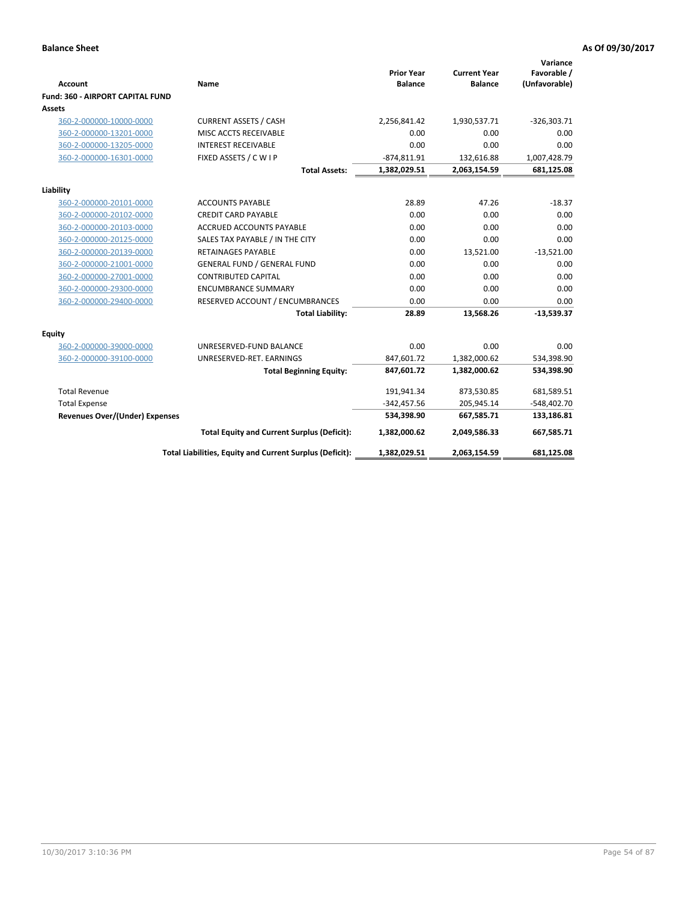| <b>Account</b>                          | Name                                                     | <b>Prior Year</b><br><b>Balance</b> | <b>Current Year</b><br><b>Balance</b> | Variance<br>Favorable /<br>(Unfavorable) |
|-----------------------------------------|----------------------------------------------------------|-------------------------------------|---------------------------------------|------------------------------------------|
| <b>Fund: 360 - AIRPORT CAPITAL FUND</b> |                                                          |                                     |                                       |                                          |
| <b>Assets</b>                           |                                                          |                                     |                                       |                                          |
| 360-2-000000-10000-0000                 | <b>CURRENT ASSETS / CASH</b>                             | 2,256,841.42                        | 1,930,537.71                          | $-326,303.71$                            |
| 360-2-000000-13201-0000                 | MISC ACCTS RECEIVABLE                                    | 0.00                                | 0.00                                  | 0.00                                     |
| 360-2-000000-13205-0000                 | <b>INTEREST RECEIVABLE</b>                               | 0.00                                | 0.00                                  | 0.00                                     |
| 360-2-000000-16301-0000                 | FIXED ASSETS / CWIP                                      | $-874,811.91$                       | 132,616.88                            | 1,007,428.79                             |
|                                         | <b>Total Assets:</b>                                     | 1,382,029.51                        | 2,063,154.59                          | 681,125.08                               |
| Liability                               |                                                          |                                     |                                       |                                          |
| 360-2-000000-20101-0000                 | <b>ACCOUNTS PAYABLE</b>                                  | 28.89                               | 47.26                                 | $-18.37$                                 |
| 360-2-000000-20102-0000                 | <b>CREDIT CARD PAYABLE</b>                               | 0.00                                | 0.00                                  | 0.00                                     |
| 360-2-000000-20103-0000                 | ACCRUED ACCOUNTS PAYABLE                                 | 0.00                                | 0.00                                  | 0.00                                     |
| 360-2-000000-20125-0000                 | SALES TAX PAYABLE / IN THE CITY                          | 0.00                                | 0.00                                  | 0.00                                     |
| 360-2-000000-20139-0000                 | <b>RETAINAGES PAYABLE</b>                                | 0.00                                | 13,521.00                             | $-13,521.00$                             |
| 360-2-000000-21001-0000                 | <b>GENERAL FUND / GENERAL FUND</b>                       | 0.00                                | 0.00                                  | 0.00                                     |
| 360-2-000000-27001-0000                 | <b>CONTRIBUTED CAPITAL</b>                               | 0.00                                | 0.00                                  | 0.00                                     |
| 360-2-000000-29300-0000                 | <b>ENCUMBRANCE SUMMARY</b>                               | 0.00                                | 0.00                                  | 0.00                                     |
| 360-2-000000-29400-0000                 | RESERVED ACCOUNT / ENCUMBRANCES                          | 0.00                                | 0.00                                  | 0.00                                     |
|                                         | <b>Total Liability:</b>                                  | 28.89                               | 13,568.26                             | $-13,539.37$                             |
| <b>Equity</b>                           |                                                          |                                     |                                       |                                          |
| 360-2-000000-39000-0000                 | UNRESERVED-FUND BALANCE                                  | 0.00                                | 0.00                                  | 0.00                                     |
| 360-2-000000-39100-0000                 | UNRESERVED-RET. EARNINGS                                 | 847,601.72                          | 1,382,000.62                          | 534,398.90                               |
|                                         | <b>Total Beginning Equity:</b>                           | 847,601.72                          | 1,382,000.62                          | 534,398.90                               |
|                                         |                                                          |                                     |                                       |                                          |
| <b>Total Revenue</b>                    |                                                          | 191,941.34                          | 873,530.85                            | 681,589.51                               |
| <b>Total Expense</b>                    |                                                          | $-342,457.56$                       | 205,945.14                            | $-548,402.70$                            |
| <b>Revenues Over/(Under) Expenses</b>   |                                                          | 534,398.90                          | 667,585.71                            | 133,186.81                               |
|                                         | <b>Total Equity and Current Surplus (Deficit):</b>       | 1,382,000.62                        | 2,049,586.33                          | 667,585.71                               |
|                                         | Total Liabilities, Equity and Current Surplus (Deficit): | 1,382,029.51                        | 2,063,154.59                          | 681,125.08                               |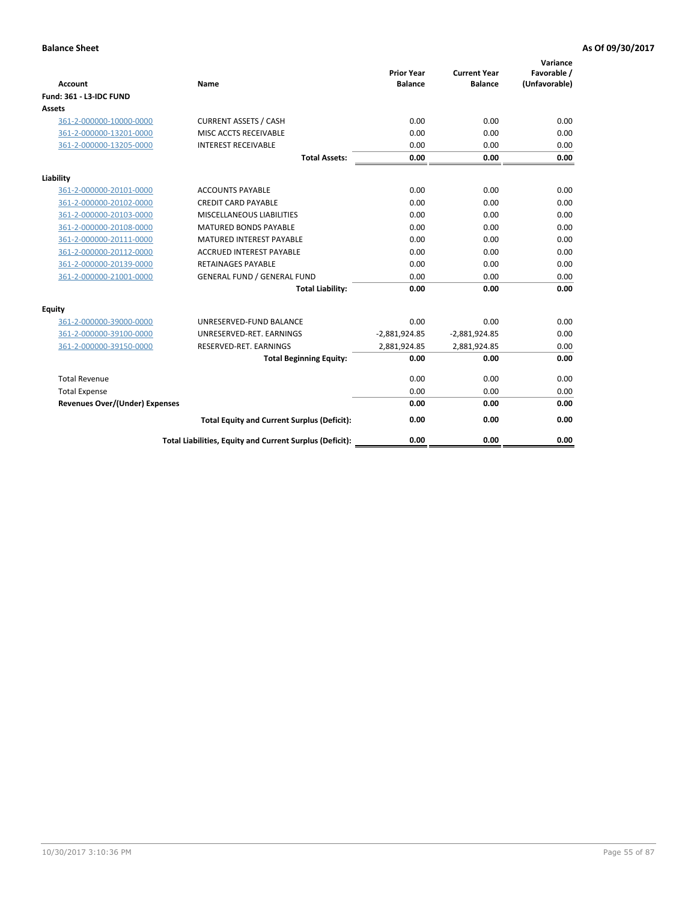| <b>Account</b>                        | Name                                                     | <b>Prior Year</b><br><b>Balance</b> | <b>Current Year</b><br><b>Balance</b> | Variance<br>Favorable /<br>(Unfavorable) |
|---------------------------------------|----------------------------------------------------------|-------------------------------------|---------------------------------------|------------------------------------------|
| Fund: 361 - L3-IDC FUND               |                                                          |                                     |                                       |                                          |
| <b>Assets</b>                         |                                                          |                                     |                                       |                                          |
| 361-2-000000-10000-0000               | <b>CURRENT ASSETS / CASH</b>                             | 0.00                                | 0.00                                  | 0.00                                     |
| 361-2-000000-13201-0000               | MISC ACCTS RECEIVABLE                                    | 0.00                                | 0.00                                  | 0.00                                     |
| 361-2-000000-13205-0000               | <b>INTEREST RECEIVABLE</b>                               | 0.00                                | 0.00                                  | 0.00                                     |
|                                       | <b>Total Assets:</b>                                     | 0.00                                | 0.00                                  | 0.00                                     |
| Liability                             |                                                          |                                     |                                       |                                          |
| 361-2-000000-20101-0000               | <b>ACCOUNTS PAYABLE</b>                                  | 0.00                                | 0.00                                  | 0.00                                     |
| 361-2-000000-20102-0000               | <b>CREDIT CARD PAYABLE</b>                               | 0.00                                | 0.00                                  | 0.00                                     |
| 361-2-000000-20103-0000               | MISCELLANEOUS LIABILITIES                                | 0.00                                | 0.00                                  | 0.00                                     |
| 361-2-000000-20108-0000               | <b>MATURED BONDS PAYABLE</b>                             | 0.00                                | 0.00                                  | 0.00                                     |
| 361-2-000000-20111-0000               | <b>MATURED INTEREST PAYABLE</b>                          | 0.00                                | 0.00                                  | 0.00                                     |
| 361-2-000000-20112-0000               | <b>ACCRUED INTEREST PAYABLE</b>                          | 0.00                                | 0.00                                  | 0.00                                     |
| 361-2-000000-20139-0000               | <b>RETAINAGES PAYABLE</b>                                | 0.00                                | 0.00                                  | 0.00                                     |
| 361-2-000000-21001-0000               | <b>GENERAL FUND / GENERAL FUND</b>                       | 0.00                                | 0.00                                  | 0.00                                     |
|                                       | <b>Total Liability:</b>                                  | 0.00                                | 0.00                                  | 0.00                                     |
| Equity                                |                                                          |                                     |                                       |                                          |
| 361-2-000000-39000-0000               | UNRESERVED-FUND BALANCE                                  | 0.00                                | 0.00                                  | 0.00                                     |
| 361-2-000000-39100-0000               | UNRESERVED-RET. EARNINGS                                 | $-2,881,924.85$                     | $-2,881,924.85$                       | 0.00                                     |
| 361-2-000000-39150-0000               | RESERVED-RET. EARNINGS                                   | 2,881,924.85                        | 2,881,924.85                          | 0.00                                     |
|                                       | <b>Total Beginning Equity:</b>                           | 0.00                                | 0.00                                  | 0.00                                     |
| <b>Total Revenue</b>                  |                                                          | 0.00                                | 0.00                                  | 0.00                                     |
| <b>Total Expense</b>                  |                                                          | 0.00                                | 0.00                                  | 0.00                                     |
| <b>Revenues Over/(Under) Expenses</b> |                                                          | 0.00                                | 0.00                                  | 0.00                                     |
|                                       | <b>Total Equity and Current Surplus (Deficit):</b>       | 0.00                                | 0.00                                  | 0.00                                     |
|                                       | Total Liabilities, Equity and Current Surplus (Deficit): | 0.00                                | 0.00                                  | 0.00                                     |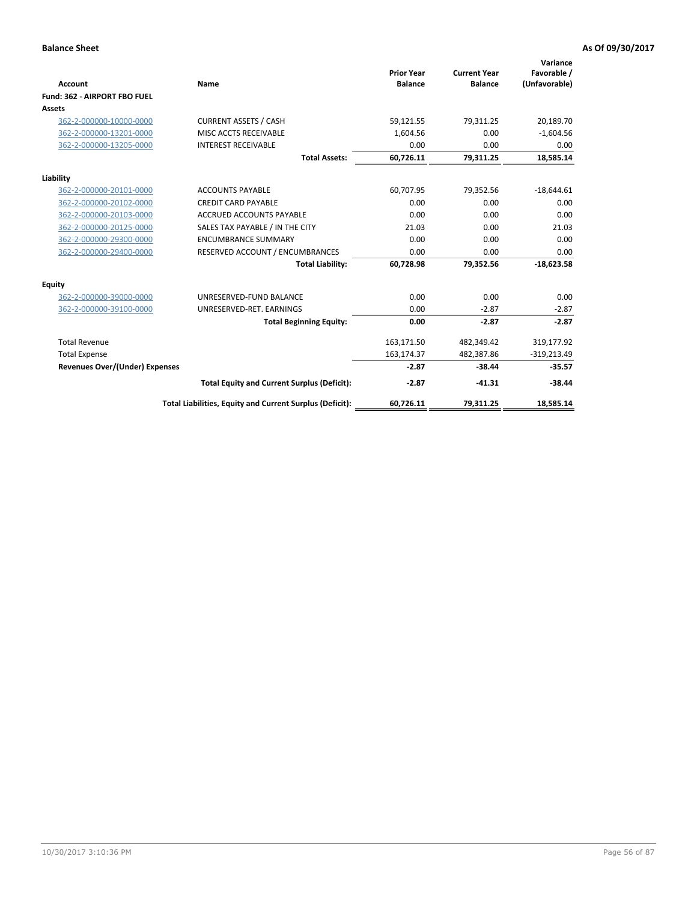|                                       |                                                          |                                     |                                       | Variance                     |
|---------------------------------------|----------------------------------------------------------|-------------------------------------|---------------------------------------|------------------------------|
| <b>Account</b>                        | Name                                                     | <b>Prior Year</b><br><b>Balance</b> | <b>Current Year</b><br><b>Balance</b> | Favorable /<br>(Unfavorable) |
| Fund: 362 - AIRPORT FBO FUEL          |                                                          |                                     |                                       |                              |
| <b>Assets</b>                         |                                                          |                                     |                                       |                              |
| 362-2-000000-10000-0000               | <b>CURRENT ASSETS / CASH</b>                             | 59,121.55                           | 79,311.25                             | 20,189.70                    |
| 362-2-000000-13201-0000               | MISC ACCTS RECEIVABLE                                    | 1,604.56                            | 0.00                                  | $-1,604.56$                  |
| 362-2-000000-13205-0000               | <b>INTEREST RECEIVABLE</b>                               | 0.00                                | 0.00                                  | 0.00                         |
|                                       | <b>Total Assets:</b>                                     | 60,726.11                           | 79,311.25                             | 18,585.14                    |
| Liability                             |                                                          |                                     |                                       |                              |
| 362-2-000000-20101-0000               | <b>ACCOUNTS PAYABLE</b>                                  | 60,707.95                           | 79,352.56                             | $-18,644.61$                 |
| 362-2-000000-20102-0000               | <b>CREDIT CARD PAYABLE</b>                               | 0.00                                | 0.00                                  | 0.00                         |
| 362-2-000000-20103-0000               | <b>ACCRUED ACCOUNTS PAYABLE</b>                          | 0.00                                | 0.00                                  | 0.00                         |
| 362-2-000000-20125-0000               | SALES TAX PAYABLE / IN THE CITY                          | 21.03                               | 0.00                                  | 21.03                        |
| 362-2-000000-29300-0000               | <b>ENCUMBRANCE SUMMARY</b>                               | 0.00                                | 0.00                                  | 0.00                         |
| 362-2-000000-29400-0000               | RESERVED ACCOUNT / ENCUMBRANCES                          | 0.00                                | 0.00                                  | 0.00                         |
|                                       | <b>Total Liability:</b>                                  | 60,728.98                           | 79,352.56                             | $-18,623.58$                 |
| Equity                                |                                                          |                                     |                                       |                              |
| 362-2-000000-39000-0000               | UNRESERVED-FUND BALANCE                                  | 0.00                                | 0.00                                  | 0.00                         |
| 362-2-000000-39100-0000               | UNRESERVED-RET. EARNINGS                                 | 0.00                                | $-2.87$                               | $-2.87$                      |
|                                       | <b>Total Beginning Equity:</b>                           | 0.00                                | $-2.87$                               | $-2.87$                      |
| <b>Total Revenue</b>                  |                                                          | 163,171.50                          | 482,349.42                            | 319,177.92                   |
| <b>Total Expense</b>                  |                                                          | 163,174.37                          | 482,387.86                            | $-319,213.49$                |
| <b>Revenues Over/(Under) Expenses</b> |                                                          | $-2.87$                             | $-38.44$                              | $-35.57$                     |
|                                       | <b>Total Equity and Current Surplus (Deficit):</b>       | $-2.87$                             | $-41.31$                              | $-38.44$                     |
|                                       | Total Liabilities, Equity and Current Surplus (Deficit): | 60,726.11                           | 79,311.25                             | 18,585.14                    |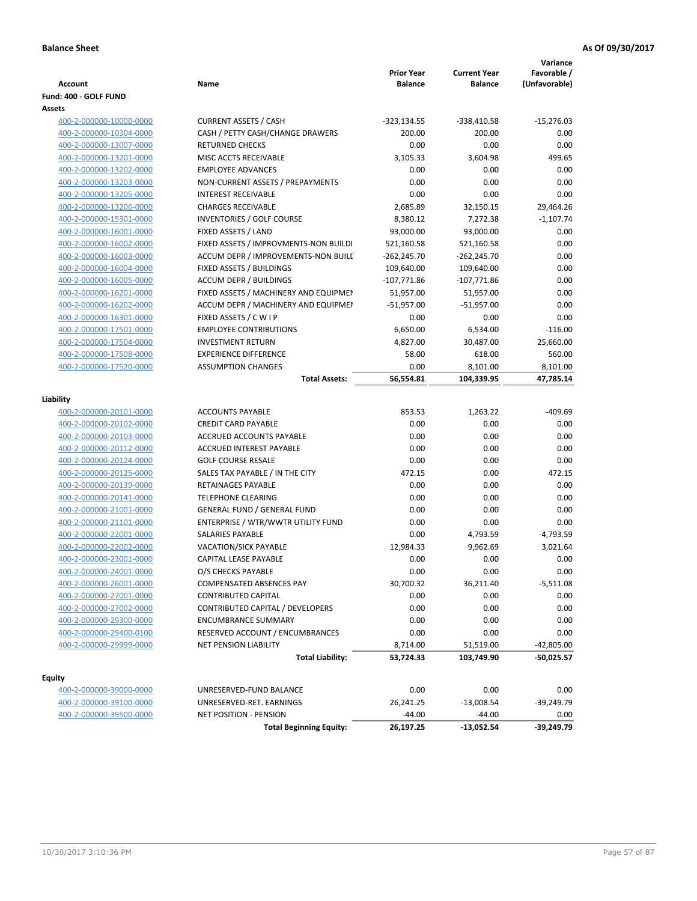|                         |                                       | <b>Prior Year</b> | <b>Current Year</b> | Variance<br>Favorable / |
|-------------------------|---------------------------------------|-------------------|---------------------|-------------------------|
| <b>Account</b>          | Name                                  | <b>Balance</b>    | <b>Balance</b>      | (Unfavorable)           |
| Fund: 400 - GOLF FUND   |                                       |                   |                     |                         |
| Assets                  |                                       |                   |                     |                         |
| 400-2-000000-10000-0000 | <b>CURRENT ASSETS / CASH</b>          | $-323,134.55$     | -338,410.58         | $-15,276.03$            |
| 400-2-000000-10304-0000 | CASH / PETTY CASH/CHANGE DRAWERS      | 200.00            | 200.00              | 0.00                    |
| 400-2-000000-13007-0000 | <b>RETURNED CHECKS</b>                | 0.00              | 0.00                | 0.00                    |
| 400-2-000000-13201-0000 | MISC ACCTS RECEIVABLE                 | 3,105.33          | 3,604.98            | 499.65                  |
| 400-2-000000-13202-0000 | <b>EMPLOYEE ADVANCES</b>              | 0.00              | 0.00                | 0.00                    |
| 400-2-000000-13203-0000 | NON-CURRENT ASSETS / PREPAYMENTS      | 0.00              | 0.00                | 0.00                    |
| 400-2-000000-13205-0000 | <b>INTEREST RECEIVABLE</b>            | 0.00              | 0.00                | 0.00                    |
| 400-2-000000-13206-0000 | <b>CHARGES RECEIVABLE</b>             | 2,685.89          | 32,150.15           | 29,464.26               |
| 400-2-000000-15301-0000 | INVENTORIES / GOLF COURSE             | 8,380.12          | 7,272.38            | $-1,107.74$             |
| 400-2-000000-16001-0000 | FIXED ASSETS / LAND                   | 93,000.00         | 93,000.00           | 0.00                    |
| 400-2-000000-16002-0000 | FIXED ASSETS / IMPROVMENTS-NON BUILDI | 521,160.58        | 521,160.58          | 0.00                    |
| 400-2-000000-16003-0000 | ACCUM DEPR / IMPROVEMENTS-NON BUILI   | $-262,245.70$     | $-262,245.70$       | 0.00                    |
| 400-2-000000-16004-0000 | FIXED ASSETS / BUILDINGS              | 109,640.00        | 109,640.00          | 0.00                    |
| 400-2-000000-16005-0000 | <b>ACCUM DEPR / BUILDINGS</b>         | $-107,771.86$     | $-107,771.86$       | 0.00                    |
| 400-2-000000-16201-0000 | FIXED ASSETS / MACHINERY AND EQUIPMEN | 51,957.00         | 51,957.00           | 0.00                    |
| 400-2-000000-16202-0000 | ACCUM DEPR / MACHINERY AND EQUIPMEI   | $-51,957.00$      | $-51,957.00$        | 0.00                    |
| 400-2-000000-16301-0000 | FIXED ASSETS / C W I P                | 0.00              | 0.00                | 0.00                    |
| 400-2-000000-17501-0000 | <b>EMPLOYEE CONTRIBUTIONS</b>         | 6,650.00          | 6,534.00            | $-116.00$               |
| 400-2-000000-17504-0000 | <b>INVESTMENT RETURN</b>              | 4,827.00          | 30,487.00           | 25,660.00               |
| 400-2-000000-17508-0000 | <b>EXPERIENCE DIFFERENCE</b>          | 58.00             | 618.00              | 560.00                  |
| 400-2-000000-17520-0000 | <b>ASSUMPTION CHANGES</b>             | 0.00              | 8,101.00            | 8,101.00                |
|                         | <b>Total Assets:</b>                  | 56,554.81         | 104,339.95          | 47,785.14               |
| Liability               |                                       |                   |                     |                         |
| 400-2-000000-20101-0000 | <b>ACCOUNTS PAYABLE</b>               | 853.53            | 1,263.22            | $-409.69$               |
| 400-2-000000-20102-0000 | <b>CREDIT CARD PAYABLE</b>            | 0.00              | 0.00                | 0.00                    |
| 400-2-000000-20103-0000 | ACCRUED ACCOUNTS PAYABLE              | 0.00              | 0.00                | 0.00                    |
| 400-2-000000-20112-0000 | <b>ACCRUED INTEREST PAYABLE</b>       | 0.00              | 0.00                | 0.00                    |
|                         | <b>GOLF COURSE RESALE</b>             | 0.00              | 0.00                | 0.00                    |
| 400-2-000000-20124-0000 |                                       | 472.15            | 0.00                | 472.15                  |
| 400-2-000000-20125-0000 | SALES TAX PAYABLE / IN THE CITY       |                   |                     |                         |
| 400-2-000000-20139-0000 | RETAINAGES PAYABLE                    | 0.00              | 0.00                | 0.00                    |
| 400-2-000000-20141-0000 | <b>TELEPHONE CLEARING</b>             | 0.00              | 0.00                | 0.00                    |
| 400-2-000000-21001-0000 | <b>GENERAL FUND / GENERAL FUND</b>    | 0.00              | 0.00                | 0.00                    |
| 400-2-000000-21101-0000 | ENTERPRISE / WTR/WWTR UTILITY FUND    | 0.00              | 0.00                | 0.00                    |
| 400-2-000000-22001-0000 | SALARIES PAYABLE                      | 0.00              | 4,793.59            | $-4,793.59$             |
| 400-2-000000-22002-0000 | <b>VACATION/SICK PAYABLE</b>          | 12,984.33         | 9,962.69            | 3,021.64                |
| 400-2-000000-23001-0000 | CAPITAL LEASE PAYABLE                 | 0.00              | 0.00                | 0.00                    |
| 400-2-000000-24001-0000 | O/S CHECKS PAYABLE                    | 0.00              | 0.00                | 0.00                    |
| 400-2-000000-26001-0000 | COMPENSATED ABSENCES PAY              | 30,700.32         | 36,211.40           | -5,511.08               |
| 400-2-000000-27001-0000 | <b>CONTRIBUTED CAPITAL</b>            | 0.00              | 0.00                | 0.00                    |
| 400-2-000000-27002-0000 | CONTRIBUTED CAPITAL / DEVELOPERS      | 0.00              | 0.00                | 0.00                    |
| 400-2-000000-29300-0000 | <b>ENCUMBRANCE SUMMARY</b>            | 0.00              | 0.00                | 0.00                    |
| 400-2-000000-29400-0100 | RESERVED ACCOUNT / ENCUMBRANCES       | 0.00              | 0.00                | 0.00                    |
| 400-2-000000-29999-0000 | <b>NET PENSION LIABILITY</b>          | 8,714.00          | 51,519.00           | $-42,805.00$            |
|                         | <b>Total Liability:</b>               | 53,724.33         | 103,749.90          | -50,025.57              |
| <b>Equity</b>           |                                       |                   |                     |                         |
| 400-2-000000-39000-0000 | UNRESERVED-FUND BALANCE               | 0.00              | 0.00                | 0.00                    |
| 400-2-000000-39100-0000 | UNRESERVED-RET. EARNINGS              | 26,241.25         | $-13,008.54$        | -39,249.79              |
| 400-2-000000-39500-0000 | <b>NET POSITION - PENSION</b>         | $-44.00$          | $-44.00$            | 0.00                    |

**Total Beginning Equity: 26,197.25 -13,052.54 -39,249.79**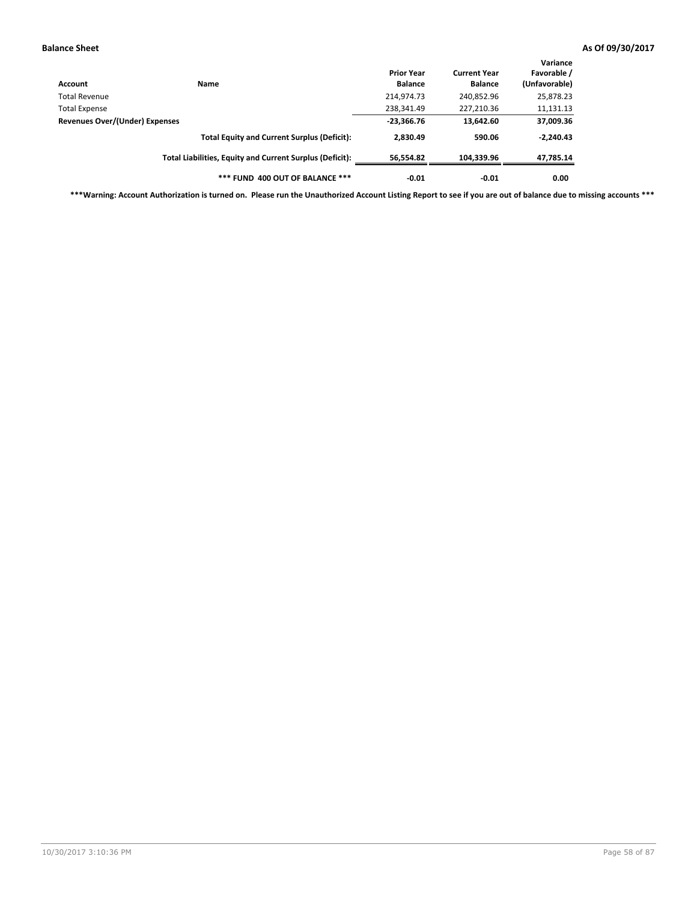| Account                        | Name                                                     | <b>Prior Year</b><br><b>Balance</b> | <b>Current Year</b><br><b>Balance</b> | Variance<br>Favorable /<br>(Unfavorable) |
|--------------------------------|----------------------------------------------------------|-------------------------------------|---------------------------------------|------------------------------------------|
| Total Revenue                  |                                                          | 214,974.73                          | 240,852.96                            | 25,878.23                                |
| <b>Total Expense</b>           |                                                          | 238,341.49                          | 227,210.36                            | 11,131.13                                |
| Revenues Over/(Under) Expenses |                                                          | $-23,366.76$                        | 13,642.60                             | 37,009.36                                |
|                                | <b>Total Equity and Current Surplus (Deficit):</b>       | 2,830.49                            | 590.06                                | $-2,240.43$                              |
|                                | Total Liabilities, Equity and Current Surplus (Deficit): | 56,554.82                           | 104.339.96                            | 47,785.14                                |
|                                | *** FUND 400 OUT OF BALANCE ***                          | $-0.01$                             | $-0.01$                               | 0.00                                     |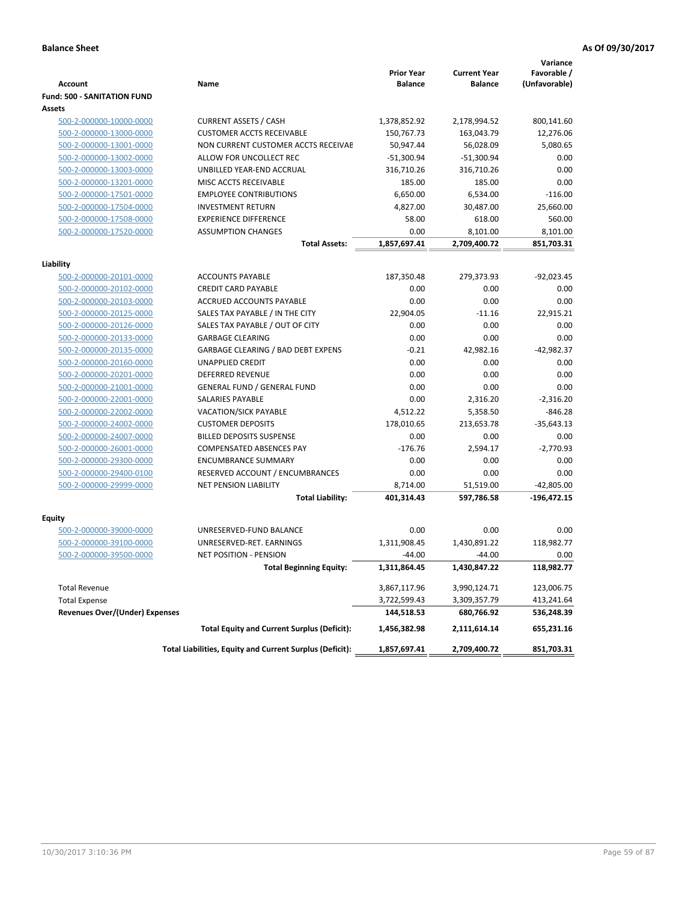|                                          |                                                          | <b>Prior Year</b> | <b>Current Year</b> | Variance<br>Favorable / |
|------------------------------------------|----------------------------------------------------------|-------------------|---------------------|-------------------------|
| <b>Account</b>                           | Name                                                     | <b>Balance</b>    | <b>Balance</b>      | (Unfavorable)           |
| <b>Fund: 500 - SANITATION FUND</b>       |                                                          |                   |                     |                         |
| <b>Assets</b>                            |                                                          |                   |                     |                         |
| 500-2-000000-10000-0000                  | <b>CURRENT ASSETS / CASH</b>                             | 1,378,852.92      | 2,178,994.52        | 800,141.60              |
| 500-2-000000-13000-0000                  | <b>CUSTOMER ACCTS RECEIVABLE</b>                         | 150,767.73        | 163,043.79          | 12,276.06               |
| 500-2-000000-13001-0000                  | NON CURRENT CUSTOMER ACCTS RECEIVAE                      | 50,947.44         | 56,028.09           | 5,080.65                |
| 500-2-000000-13002-0000                  | ALLOW FOR UNCOLLECT REC                                  | $-51,300.94$      | -51,300.94          | 0.00                    |
| 500-2-000000-13003-0000                  | UNBILLED YEAR-END ACCRUAL                                | 316,710.26        | 316,710.26          | 0.00                    |
| 500-2-000000-13201-0000                  | MISC ACCTS RECEIVABLE                                    | 185.00            | 185.00              | 0.00                    |
| 500-2-000000-17501-0000                  | <b>EMPLOYEE CONTRIBUTIONS</b>                            | 6,650.00          | 6,534.00            | $-116.00$               |
| 500-2-000000-17504-0000                  | <b>INVESTMENT RETURN</b>                                 | 4,827.00          | 30,487.00           | 25,660.00               |
| 500-2-000000-17508-0000                  | <b>EXPERIENCE DIFFERENCE</b>                             | 58.00             | 618.00              | 560.00                  |
| 500-2-000000-17520-0000                  | <b>ASSUMPTION CHANGES</b>                                | 0.00              | 8,101.00            | 8,101.00                |
|                                          | <b>Total Assets:</b>                                     | 1,857,697.41      | 2,709,400.72        | 851,703.31              |
| Liability                                |                                                          |                   |                     |                         |
| 500-2-000000-20101-0000                  | <b>ACCOUNTS PAYABLE</b>                                  | 187,350.48        | 279,373.93          | $-92,023.45$            |
| 500-2-000000-20102-0000                  | <b>CREDIT CARD PAYABLE</b>                               | 0.00              | 0.00                | 0.00                    |
| 500-2-000000-20103-0000                  | ACCRUED ACCOUNTS PAYABLE                                 | 0.00              | 0.00                | 0.00                    |
| 500-2-000000-20125-0000                  | SALES TAX PAYABLE / IN THE CITY                          | 22,904.05         | $-11.16$            | 22,915.21               |
| 500-2-000000-20126-0000                  | SALES TAX PAYABLE / OUT OF CITY                          | 0.00              | 0.00                | 0.00                    |
| 500-2-000000-20133-0000                  | <b>GARBAGE CLEARING</b>                                  | 0.00              | 0.00                | 0.00                    |
| 500-2-000000-20135-0000                  | GARBAGE CLEARING / BAD DEBT EXPENS                       | $-0.21$           | 42,982.16           | $-42,982.37$            |
| 500-2-000000-20160-0000                  | <b>UNAPPLIED CREDIT</b>                                  | 0.00              | 0.00                | 0.00                    |
| 500-2-000000-20201-0000                  | <b>DEFERRED REVENUE</b>                                  | 0.00              | 0.00                | 0.00                    |
| 500-2-000000-21001-0000                  | <b>GENERAL FUND / GENERAL FUND</b>                       | 0.00              | 0.00                | 0.00                    |
| 500-2-000000-22001-0000                  | <b>SALARIES PAYABLE</b>                                  | 0.00              | 2,316.20            | $-2,316.20$             |
| 500-2-000000-22002-0000                  | <b>VACATION/SICK PAYABLE</b>                             | 4,512.22          | 5,358.50            | $-846.28$               |
| 500-2-000000-24002-0000                  | <b>CUSTOMER DEPOSITS</b>                                 | 178,010.65        | 213,653.78          | $-35,643.13$            |
| 500-2-000000-24007-0000                  | <b>BILLED DEPOSITS SUSPENSE</b>                          | 0.00              | 0.00                | 0.00                    |
| 500-2-000000-26001-0000                  | COMPENSATED ABSENCES PAY                                 | $-176.76$         | 2,594.17            | $-2,770.93$             |
| 500-2-000000-29300-0000                  | <b>ENCUMBRANCE SUMMARY</b>                               | 0.00              | 0.00                | 0.00                    |
| 500-2-000000-29400-0100                  | RESERVED ACCOUNT / ENCUMBRANCES                          | 0.00              | 0.00                | 0.00                    |
| 500-2-000000-29999-0000                  | <b>NET PENSION LIABILITY</b>                             | 8,714.00          | 51,519.00           | $-42,805.00$            |
|                                          | <b>Total Liability:</b>                                  | 401,314.43        | 597,786.58          | $-196,472.15$           |
|                                          |                                                          |                   |                     |                         |
| <b>Equity</b><br>500-2-000000-39000-0000 | UNRESERVED-FUND BALANCE                                  | 0.00              | 0.00                | 0.00                    |
| 500-2-000000-39100-0000                  | UNRESERVED-RET. EARNINGS                                 | 1,311,908.45      | 1.430.891.22        | 118,982.77              |
| 500-2-000000-39500-0000                  | <b>NET POSITION - PENSION</b>                            | $-44.00$          | $-44.00$            | 0.00                    |
|                                          |                                                          |                   |                     |                         |
|                                          | Total Beginning Equity:                                  | 1,311,864.45      | 1,430,847.22        | 118,982.77              |
| <b>Total Revenue</b>                     |                                                          | 3,867,117.96      | 3,990,124.71        | 123,006.75              |
| <b>Total Expense</b>                     |                                                          | 3,722,599.43      | 3,309,357.79        | 413,241.64              |
| <b>Revenues Over/(Under) Expenses</b>    |                                                          | 144,518.53        | 680,766.92          | 536,248.39              |
|                                          | <b>Total Equity and Current Surplus (Deficit):</b>       | 1,456,382.98      | 2,111,614.14        | 655,231.16              |
|                                          | Total Liabilities, Equity and Current Surplus (Deficit): | 1,857,697.41      | 2,709,400.72        | 851,703.31              |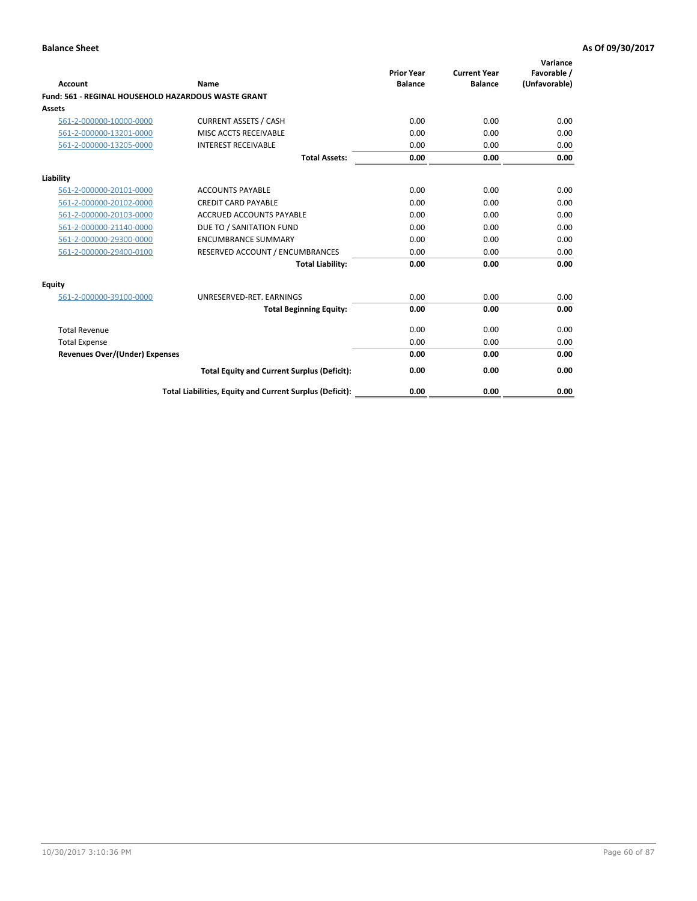| <b>Account</b>                        | Name                                                       | <b>Prior Year</b><br><b>Balance</b> | <b>Current Year</b><br><b>Balance</b> | Variance<br>Favorable /<br>(Unfavorable) |
|---------------------------------------|------------------------------------------------------------|-------------------------------------|---------------------------------------|------------------------------------------|
|                                       | <b>Fund: 561 - REGINAL HOUSEHOLD HAZARDOUS WASTE GRANT</b> |                                     |                                       |                                          |
| Assets                                |                                                            |                                     |                                       |                                          |
| 561-2-000000-10000-0000               | <b>CURRENT ASSETS / CASH</b>                               | 0.00                                | 0.00                                  | 0.00                                     |
| 561-2-000000-13201-0000               | MISC ACCTS RECEIVABLE                                      | 0.00                                | 0.00                                  | 0.00                                     |
| 561-2-000000-13205-0000               | <b>INTEREST RECEIVABLE</b>                                 | 0.00                                | 0.00                                  | 0.00                                     |
|                                       | <b>Total Assets:</b>                                       | 0.00                                | 0.00                                  | 0.00                                     |
| Liability                             |                                                            |                                     |                                       |                                          |
| 561-2-000000-20101-0000               | <b>ACCOUNTS PAYABLE</b>                                    | 0.00                                | 0.00                                  | 0.00                                     |
| 561-2-000000-20102-0000               | <b>CREDIT CARD PAYABLE</b>                                 | 0.00                                | 0.00                                  | 0.00                                     |
| 561-2-000000-20103-0000               | <b>ACCRUED ACCOUNTS PAYABLE</b>                            | 0.00                                | 0.00                                  | 0.00                                     |
| 561-2-000000-21140-0000               | DUE TO / SANITATION FUND                                   | 0.00                                | 0.00                                  | 0.00                                     |
| 561-2-000000-29300-0000               | <b>ENCUMBRANCE SUMMARY</b>                                 | 0.00                                | 0.00                                  | 0.00                                     |
| 561-2-000000-29400-0100               | RESERVED ACCOUNT / ENCUMBRANCES                            | 0.00                                | 0.00                                  | 0.00                                     |
|                                       | <b>Total Liability:</b>                                    | 0.00                                | 0.00                                  | 0.00                                     |
| <b>Equity</b>                         |                                                            |                                     |                                       |                                          |
| 561-2-000000-39100-0000               | UNRESERVED-RET. EARNINGS                                   | 0.00                                | 0.00                                  | 0.00                                     |
|                                       | <b>Total Beginning Equity:</b>                             | 0.00                                | 0.00                                  | 0.00                                     |
| <b>Total Revenue</b>                  |                                                            | 0.00                                | 0.00                                  | 0.00                                     |
| <b>Total Expense</b>                  |                                                            | 0.00                                | 0.00                                  | 0.00                                     |
| <b>Revenues Over/(Under) Expenses</b> |                                                            | 0.00                                | 0.00                                  | 0.00                                     |
|                                       | <b>Total Equity and Current Surplus (Deficit):</b>         | 0.00                                | 0.00                                  | 0.00                                     |
|                                       | Total Liabilities, Equity and Current Surplus (Deficit):   | 0.00                                | 0.00                                  | 0.00                                     |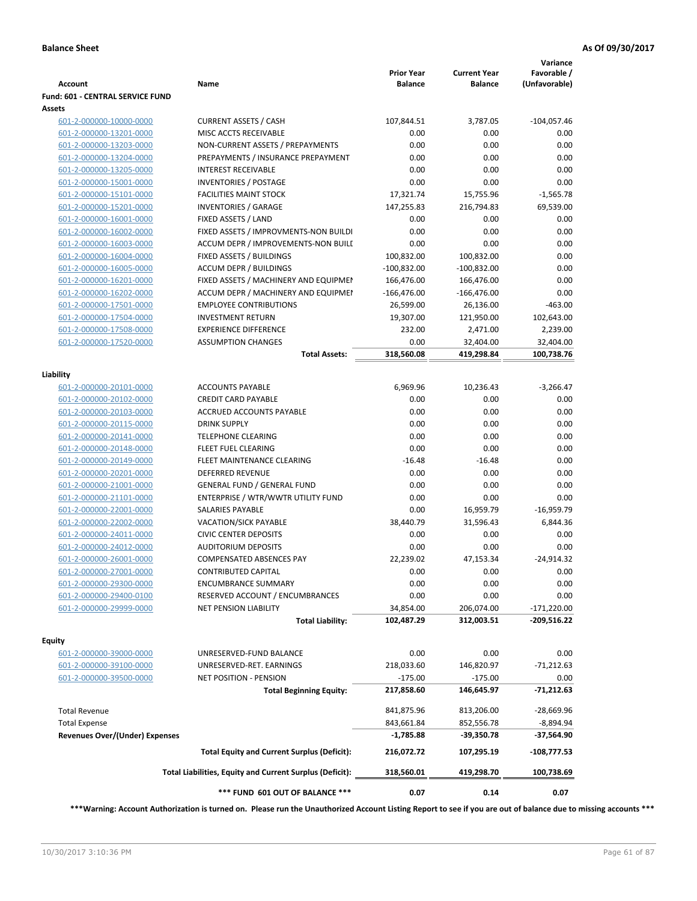| <b>Account</b>                        | Name                                                     | <b>Prior Year</b><br><b>Balance</b> | <b>Current Year</b><br><b>Balance</b> | Variance<br>Favorable /<br>(Unfavorable) |
|---------------------------------------|----------------------------------------------------------|-------------------------------------|---------------------------------------|------------------------------------------|
| Fund: 601 - CENTRAL SERVICE FUND      |                                                          |                                     |                                       |                                          |
| Assets                                |                                                          |                                     |                                       |                                          |
| 601-2-000000-10000-0000               | <b>CURRENT ASSETS / CASH</b>                             | 107,844.51                          | 3,787.05                              | $-104,057.46$                            |
| 601-2-000000-13201-0000               | MISC ACCTS RECEIVABLE                                    | 0.00                                | 0.00                                  | 0.00                                     |
| 601-2-000000-13203-0000               | NON-CURRENT ASSETS / PREPAYMENTS                         | 0.00                                | 0.00                                  | 0.00                                     |
| 601-2-000000-13204-0000               | PREPAYMENTS / INSURANCE PREPAYMENT                       | 0.00                                | 0.00                                  | 0.00                                     |
| 601-2-000000-13205-0000               | <b>INTEREST RECEIVABLE</b>                               | 0.00                                | 0.00                                  | 0.00                                     |
| 601-2-000000-15001-0000               | <b>INVENTORIES / POSTAGE</b>                             | 0.00                                | 0.00                                  | 0.00                                     |
| 601-2-000000-15101-0000               | <b>FACILITIES MAINT STOCK</b>                            | 17,321.74                           | 15,755.96                             | $-1,565.78$                              |
| 601-2-000000-15201-0000               | <b>INVENTORIES / GARAGE</b>                              | 147,255.83                          | 216,794.83                            | 69,539.00                                |
| 601-2-000000-16001-0000               | FIXED ASSETS / LAND                                      | 0.00                                | 0.00                                  | 0.00                                     |
| 601-2-000000-16002-0000               | FIXED ASSETS / IMPROVMENTS-NON BUILDI                    | 0.00                                | 0.00                                  | 0.00                                     |
| 601-2-000000-16003-0000               | ACCUM DEPR / IMPROVEMENTS-NON BUILI                      | 0.00                                | 0.00                                  | 0.00                                     |
| 601-2-000000-16004-0000               | FIXED ASSETS / BUILDINGS                                 | 100,832.00                          | 100,832.00                            | 0.00                                     |
| 601-2-000000-16005-0000               | <b>ACCUM DEPR / BUILDINGS</b>                            | $-100,832.00$                       | $-100,832.00$                         | 0.00                                     |
| 601-2-000000-16201-0000               | FIXED ASSETS / MACHINERY AND EQUIPMEN                    | 166,476.00                          | 166,476.00                            | 0.00                                     |
| 601-2-000000-16202-0000               | ACCUM DEPR / MACHINERY AND EQUIPMEI                      | -166,476.00                         | -166,476.00                           | 0.00                                     |
| 601-2-000000-17501-0000               | <b>EMPLOYEE CONTRIBUTIONS</b>                            | 26,599.00                           | 26,136.00                             | $-463.00$                                |
| 601-2-000000-17504-0000               | <b>INVESTMENT RETURN</b>                                 | 19,307.00                           | 121,950.00                            | 102,643.00                               |
| 601-2-000000-17508-0000               | <b>EXPERIENCE DIFFERENCE</b>                             | 232.00                              | 2,471.00                              | 2,239.00                                 |
| 601-2-000000-17520-0000               | <b>ASSUMPTION CHANGES</b>                                | 0.00                                | 32,404.00                             | 32,404.00                                |
|                                       | <b>Total Assets:</b>                                     | 318,560.08                          | 419,298.84                            | 100,738.76                               |
|                                       |                                                          |                                     |                                       |                                          |
| Liability                             |                                                          |                                     |                                       |                                          |
| 601-2-000000-20101-0000               | <b>ACCOUNTS PAYABLE</b>                                  | 6,969.96                            | 10,236.43                             | $-3,266.47$                              |
| 601-2-000000-20102-0000               | <b>CREDIT CARD PAYABLE</b>                               | 0.00                                | 0.00                                  | 0.00                                     |
| 601-2-000000-20103-0000               | ACCRUED ACCOUNTS PAYABLE                                 | 0.00                                | 0.00                                  | 0.00                                     |
| 601-2-000000-20115-0000               | <b>DRINK SUPPLY</b>                                      | 0.00                                | 0.00                                  | 0.00                                     |
| 601-2-000000-20141-0000               | <b>TELEPHONE CLEARING</b>                                | 0.00                                | 0.00                                  | 0.00                                     |
| 601-2-000000-20148-0000               | <b>FLEET FUEL CLEARING</b>                               | 0.00                                | 0.00                                  | 0.00                                     |
| 601-2-000000-20149-0000               | FLEET MAINTENANCE CLEARING                               | $-16.48$                            | $-16.48$                              | 0.00                                     |
| 601-2-000000-20201-0000               | <b>DEFERRED REVENUE</b>                                  | 0.00                                | 0.00                                  | 0.00                                     |
| 601-2-000000-21001-0000               | <b>GENERAL FUND / GENERAL FUND</b>                       | 0.00                                | 0.00                                  | 0.00                                     |
| 601-2-000000-21101-0000               | ENTERPRISE / WTR/WWTR UTILITY FUND                       | 0.00                                | 0.00                                  | 0.00                                     |
| 601-2-000000-22001-0000               | SALARIES PAYABLE                                         | 0.00                                | 16,959.79                             | $-16,959.79$                             |
| 601-2-000000-22002-0000               | <b>VACATION/SICK PAYABLE</b>                             | 38,440.79                           | 31,596.43                             | 6,844.36                                 |
| 601-2-000000-24011-0000               | <b>CIVIC CENTER DEPOSITS</b>                             | 0.00                                | 0.00                                  | 0.00                                     |
| 601-2-000000-24012-0000               | <b>AUDITORIUM DEPOSITS</b>                               | 0.00                                | 0.00                                  | 0.00                                     |
| 601-2-000000-26001-0000               | <b>COMPENSATED ABSENCES PAY</b>                          | 22,239.02                           | 47,153.34                             | $-24,914.32$                             |
| 601-2-000000-27001-0000               | <b>CONTRIBUTED CAPITAL</b>                               | 0.00                                | 0.00                                  | 0.00                                     |
| 601-2-000000-29300-0000               | <b>ENCUMBRANCE SUMMARY</b>                               | 0.00                                | 0.00                                  | 0.00                                     |
| 601-2-000000-29400-0100               | RESERVED ACCOUNT / ENCUMBRANCES                          | 0.00                                | 0.00                                  | 0.00                                     |
| 601-2-000000-29999-0000               | <b>NET PENSION LIABILITY</b>                             | 34,854.00                           | 206,074.00                            | $-171,220.00$                            |
|                                       | <b>Total Liability:</b>                                  | 102,487.29                          | 312,003.51                            | $-209,516.22$                            |
|                                       |                                                          |                                     |                                       |                                          |
| Equity<br>601-2-000000-39000-0000     | UNRESERVED-FUND BALANCE                                  | 0.00                                | 0.00                                  | 0.00                                     |
| 601-2-000000-39100-0000               | UNRESERVED-RET. EARNINGS                                 | 218,033.60                          | 146,820.97                            | $-71,212.63$                             |
|                                       |                                                          |                                     |                                       |                                          |
| 601-2-000000-39500-0000               | NET POSITION - PENSION                                   | $-175.00$                           | $-175.00$                             | 0.00                                     |
|                                       | <b>Total Beginning Equity:</b>                           | 217,858.60                          | 146,645.97                            | -71,212.63                               |
| <b>Total Revenue</b>                  |                                                          | 841,875.96                          | 813,206.00                            | $-28,669.96$                             |
| <b>Total Expense</b>                  |                                                          | 843,661.84                          | 852,556.78                            | -8,894.94                                |
| <b>Revenues Over/(Under) Expenses</b> |                                                          | $-1,785.88$                         | -39,350.78                            | -37,564.90                               |
|                                       | <b>Total Equity and Current Surplus (Deficit):</b>       | 216,072.72                          | 107,295.19                            | $-108,777.53$                            |
|                                       | Total Liabilities, Equity and Current Surplus (Deficit): | 318,560.01                          | 419,298.70                            | 100,738.69                               |
|                                       | *** FUND 601 OUT OF BALANCE ***                          | 0.07                                | 0.14                                  | 0.07                                     |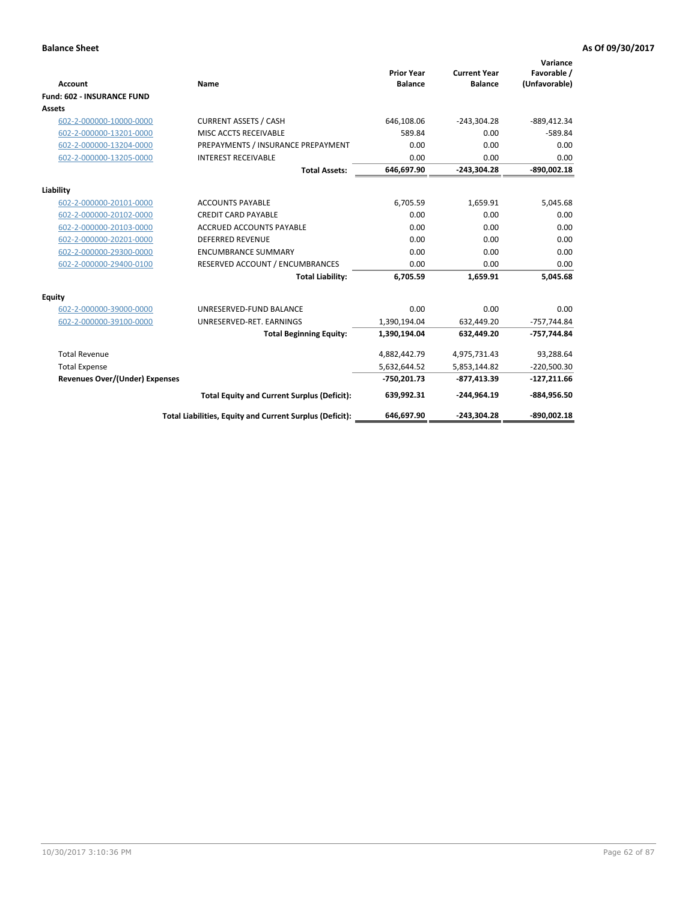|                                       |                                                          |                                     |                                       | Variance                     |
|---------------------------------------|----------------------------------------------------------|-------------------------------------|---------------------------------------|------------------------------|
| <b>Account</b>                        | Name                                                     | <b>Prior Year</b><br><b>Balance</b> | <b>Current Year</b><br><b>Balance</b> | Favorable /<br>(Unfavorable) |
| <b>Fund: 602 - INSURANCE FUND</b>     |                                                          |                                     |                                       |                              |
| Assets                                |                                                          |                                     |                                       |                              |
| 602-2-000000-10000-0000               | <b>CURRENT ASSETS / CASH</b>                             | 646,108.06                          | $-243,304.28$                         | $-889,412.34$                |
| 602-2-000000-13201-0000               | MISC ACCTS RECEIVABLE                                    | 589.84                              | 0.00                                  | $-589.84$                    |
| 602-2-000000-13204-0000               | PREPAYMENTS / INSURANCE PREPAYMENT                       | 0.00                                | 0.00                                  | 0.00                         |
| 602-2-000000-13205-0000               | <b>INTEREST RECEIVABLE</b>                               | 0.00                                | 0.00                                  | 0.00                         |
|                                       | <b>Total Assets:</b>                                     | 646,697.90                          | $-243,304.28$                         | $-890,002.18$                |
| Liability                             |                                                          |                                     |                                       |                              |
| 602-2-000000-20101-0000               | <b>ACCOUNTS PAYABLE</b>                                  | 6,705.59                            | 1,659.91                              | 5,045.68                     |
| 602-2-000000-20102-0000               | <b>CREDIT CARD PAYABLE</b>                               | 0.00                                | 0.00                                  | 0.00                         |
| 602-2-000000-20103-0000               | <b>ACCRUED ACCOUNTS PAYABLE</b>                          | 0.00                                | 0.00                                  | 0.00                         |
| 602-2-000000-20201-0000               | <b>DEFERRED REVENUE</b>                                  | 0.00                                | 0.00                                  | 0.00                         |
| 602-2-000000-29300-0000               | <b>ENCUMBRANCE SUMMARY</b>                               | 0.00                                | 0.00                                  | 0.00                         |
| 602-2-000000-29400-0100               | RESERVED ACCOUNT / ENCUMBRANCES                          | 0.00                                | 0.00                                  | 0.00                         |
|                                       | <b>Total Liability:</b>                                  | 6,705.59                            | 1,659.91                              | 5,045.68                     |
| Equity                                |                                                          |                                     |                                       |                              |
| 602-2-000000-39000-0000               | UNRESERVED-FUND BALANCE                                  | 0.00                                | 0.00                                  | 0.00                         |
| 602-2-000000-39100-0000               | UNRESERVED-RET. EARNINGS                                 | 1,390,194.04                        | 632,449.20                            | -757,744.84                  |
|                                       | <b>Total Beginning Equity:</b>                           | 1,390,194.04                        | 632,449.20                            | -757,744.84                  |
| <b>Total Revenue</b>                  |                                                          | 4,882,442.79                        | 4,975,731.43                          | 93,288.64                    |
| <b>Total Expense</b>                  |                                                          | 5,632,644.52                        | 5,853,144.82                          | $-220,500.30$                |
| <b>Revenues Over/(Under) Expenses</b> |                                                          | $-750,201.73$                       | -877,413.39                           | $-127,211.66$                |
|                                       | <b>Total Equity and Current Surplus (Deficit):</b>       | 639,992.31                          | $-244.964.19$                         | -884,956.50                  |
|                                       | Total Liabilities, Equity and Current Surplus (Deficit): | 646,697.90                          | $-243,304.28$                         | $-890,002.18$                |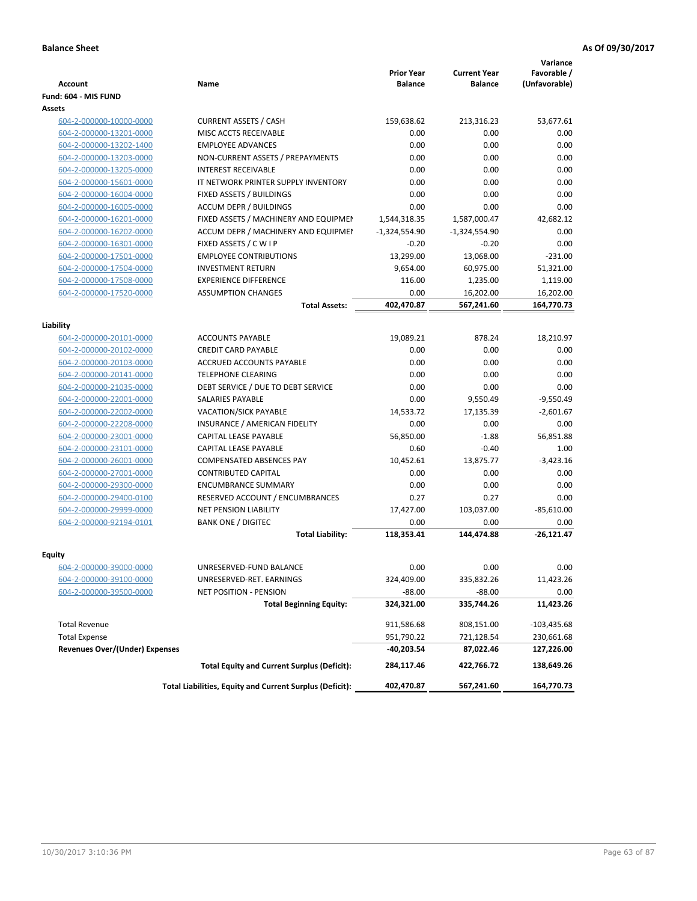| <b>Account</b>                        | Name                                                     | <b>Prior Year</b><br><b>Balance</b> | <b>Current Year</b><br><b>Balance</b> | Variance<br>Favorable /<br>(Unfavorable) |
|---------------------------------------|----------------------------------------------------------|-------------------------------------|---------------------------------------|------------------------------------------|
| Fund: 604 - MIS FUND                  |                                                          |                                     |                                       |                                          |
| <b>Assets</b>                         |                                                          |                                     |                                       |                                          |
| 604-2-000000-10000-0000               | <b>CURRENT ASSETS / CASH</b>                             | 159,638.62                          | 213,316.23                            | 53,677.61                                |
| 604-2-000000-13201-0000               | MISC ACCTS RECEIVABLE                                    | 0.00                                | 0.00                                  | 0.00                                     |
| 604-2-000000-13202-1400               | <b>EMPLOYEE ADVANCES</b>                                 | 0.00                                | 0.00                                  | 0.00                                     |
| 604-2-000000-13203-0000               | NON-CURRENT ASSETS / PREPAYMENTS                         | 0.00                                | 0.00                                  | 0.00                                     |
| 604-2-000000-13205-0000               | <b>INTEREST RECEIVABLE</b>                               | 0.00                                | 0.00                                  | 0.00                                     |
| 604-2-000000-15601-0000               | IT NETWORK PRINTER SUPPLY INVENTORY                      | 0.00                                | 0.00                                  | 0.00                                     |
| 604-2-000000-16004-0000               | FIXED ASSETS / BUILDINGS                                 | 0.00                                | 0.00                                  | 0.00                                     |
| 604-2-000000-16005-0000               | <b>ACCUM DEPR / BUILDINGS</b>                            | 0.00                                | 0.00                                  | 0.00                                     |
| 604-2-000000-16201-0000               | FIXED ASSETS / MACHINERY AND EQUIPMEN                    | 1,544,318.35                        | 1,587,000.47                          | 42,682.12                                |
| 604-2-000000-16202-0000               | ACCUM DEPR / MACHINERY AND EQUIPMEI                      | $-1,324,554.90$                     | $-1,324,554.90$                       | 0.00                                     |
| 604-2-000000-16301-0000               | FIXED ASSETS / C W I P                                   | $-0.20$                             | $-0.20$                               | 0.00                                     |
| 604-2-000000-17501-0000               | <b>EMPLOYEE CONTRIBUTIONS</b>                            | 13,299.00                           | 13,068.00                             | $-231.00$                                |
| 604-2-000000-17504-0000               | <b>INVESTMENT RETURN</b>                                 | 9,654.00                            | 60,975.00                             | 51,321.00                                |
| 604-2-000000-17508-0000               | <b>EXPERIENCE DIFFERENCE</b>                             | 116.00                              | 1,235.00                              | 1,119.00                                 |
| 604-2-000000-17520-0000               | <b>ASSUMPTION CHANGES</b>                                | 0.00                                | 16,202.00                             | 16,202.00                                |
|                                       | <b>Total Assets:</b>                                     | 402,470.87                          | 567,241.60                            | 164,770.73                               |
|                                       |                                                          |                                     |                                       |                                          |
| Liability                             |                                                          |                                     |                                       |                                          |
| 604-2-000000-20101-0000               | <b>ACCOUNTS PAYABLE</b>                                  | 19,089.21                           | 878.24                                | 18.210.97                                |
| 604-2-000000-20102-0000               | <b>CREDIT CARD PAYABLE</b>                               | 0.00                                | 0.00                                  | 0.00                                     |
| 604-2-000000-20103-0000               | <b>ACCRUED ACCOUNTS PAYABLE</b>                          | 0.00                                | 0.00                                  | 0.00                                     |
| 604-2-000000-20141-0000               | <b>TELEPHONE CLEARING</b>                                | 0.00                                | 0.00                                  | 0.00                                     |
| 604-2-000000-21035-0000               | DEBT SERVICE / DUE TO DEBT SERVICE                       | 0.00                                | 0.00                                  | 0.00                                     |
| 604-2-000000-22001-0000               | SALARIES PAYABLE                                         | 0.00                                | 9,550.49                              | $-9,550.49$                              |
| 604-2-000000-22002-0000               | <b>VACATION/SICK PAYABLE</b>                             | 14,533.72                           | 17,135.39                             | $-2,601.67$                              |
| 604-2-000000-22208-0000               | INSURANCE / AMERICAN FIDELITY                            | 0.00                                | 0.00                                  | 0.00                                     |
| 604-2-000000-23001-0000               | CAPITAL LEASE PAYABLE                                    | 56,850.00                           | $-1.88$                               | 56,851.88                                |
| 604-2-000000-23101-0000               | CAPITAL LEASE PAYABLE                                    | 0.60                                | $-0.40$                               | 1.00                                     |
| 604-2-000000-26001-0000               | <b>COMPENSATED ABSENCES PAY</b>                          | 10,452.61                           | 13,875.77                             | $-3,423.16$                              |
| 604-2-000000-27001-0000               | <b>CONTRIBUTED CAPITAL</b>                               | 0.00                                | 0.00                                  | 0.00                                     |
| 604-2-000000-29300-0000               | <b>ENCUMBRANCE SUMMARY</b>                               | 0.00                                | 0.00                                  | 0.00                                     |
| 604-2-000000-29400-0100               | RESERVED ACCOUNT / ENCUMBRANCES                          | 0.27                                | 0.27                                  | 0.00                                     |
| 604-2-000000-29999-0000               | <b>NET PENSION LIABILITY</b>                             | 17,427.00                           | 103,037.00                            | $-85,610.00$                             |
| 604-2-000000-92194-0101               | <b>BANK ONE / DIGITEC</b>                                | 0.00                                | 0.00                                  | 0.00                                     |
|                                       | <b>Total Liability:</b>                                  | 118,353.41                          | 144,474.88                            | $-26,121.47$                             |
|                                       |                                                          |                                     |                                       |                                          |
| Equity                                |                                                          |                                     |                                       |                                          |
| <u>604-2-000000-39000-0000</u>        | UNRESERVED-FUND BALANCE                                  | 0.00                                | 0.00                                  | 0.00                                     |
| 604-2-000000-39100-0000               | UNRESERVED-RET. EARNINGS                                 | 324,409.00                          | 335,832.26                            | 11,423.26                                |
| 604-2-000000-39500-0000               | <b>NET POSITION - PENSION</b>                            | $-88.00$                            | $-88.00$                              | 0.00                                     |
|                                       | <b>Total Beginning Equity:</b>                           | 324,321.00                          | 335,744.26                            | 11,423.26                                |
| <b>Total Revenue</b>                  |                                                          | 911,586.68                          | 808,151.00                            | $-103,435.68$                            |
| <b>Total Expense</b>                  |                                                          | 951,790.22                          | 721,128.54                            | 230,661.68                               |
| <b>Revenues Over/(Under) Expenses</b> |                                                          | $-40,203.54$                        | 87,022.46                             | 127,226.00                               |
|                                       | <b>Total Equity and Current Surplus (Deficit):</b>       | 284,117.46                          | 422,766.72                            | 138,649.26                               |
|                                       | Total Liabilities, Equity and Current Surplus (Deficit): | 402,470.87                          | 567,241.60                            | 164,770.73                               |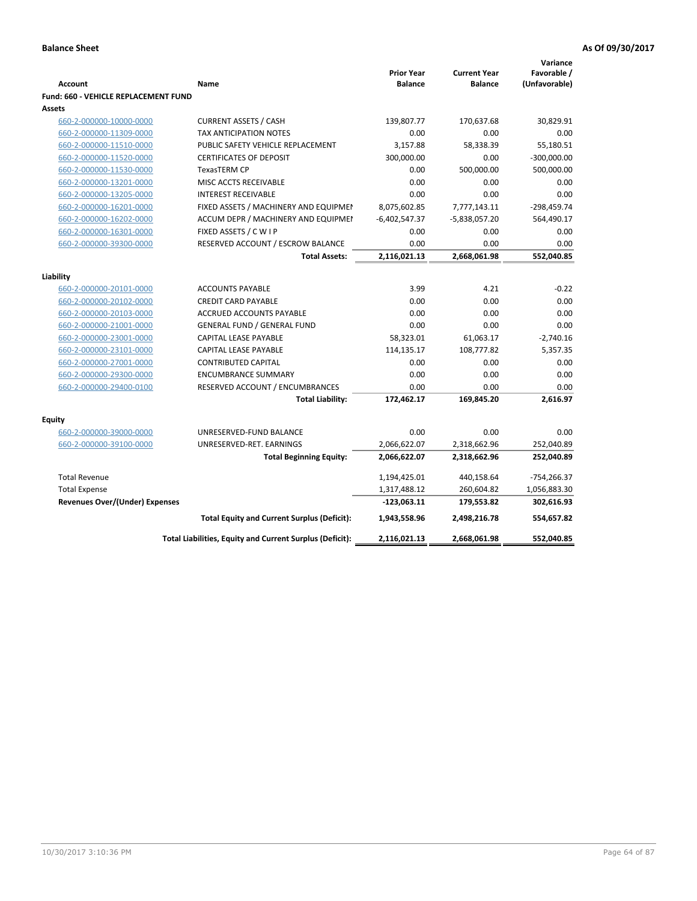|                                             |                                                          |                                     |                                       | Variance                     |
|---------------------------------------------|----------------------------------------------------------|-------------------------------------|---------------------------------------|------------------------------|
| <b>Account</b>                              | Name                                                     | <b>Prior Year</b><br><b>Balance</b> | <b>Current Year</b><br><b>Balance</b> | Favorable /<br>(Unfavorable) |
| <b>Fund: 660 - VEHICLE REPLACEMENT FUND</b> |                                                          |                                     |                                       |                              |
| Assets                                      |                                                          |                                     |                                       |                              |
| 660-2-000000-10000-0000                     | <b>CURRENT ASSETS / CASH</b>                             | 139,807.77                          | 170,637.68                            | 30,829.91                    |
| 660-2-000000-11309-0000                     | TAX ANTICIPATION NOTES                                   | 0.00                                | 0.00                                  | 0.00                         |
| 660-2-000000-11510-0000                     | PUBLIC SAFETY VEHICLE REPLACEMENT                        | 3,157.88                            | 58,338.39                             | 55,180.51                    |
| 660-2-000000-11520-0000                     | <b>CERTIFICATES OF DEPOSIT</b>                           | 300,000.00                          | 0.00                                  | $-300,000.00$                |
| 660-2-000000-11530-0000                     | <b>TexasTERM CP</b>                                      | 0.00                                | 500,000.00                            | 500,000.00                   |
| 660-2-000000-13201-0000                     | MISC ACCTS RECEIVABLE                                    | 0.00                                | 0.00                                  | 0.00                         |
| 660-2-000000-13205-0000                     | <b>INTEREST RECEIVABLE</b>                               | 0.00                                | 0.00                                  | 0.00                         |
| 660-2-000000-16201-0000                     | FIXED ASSETS / MACHINERY AND EQUIPMEN                    | 8,075,602.85                        | 7,777,143.11                          | $-298,459.74$                |
| 660-2-000000-16202-0000                     | ACCUM DEPR / MACHINERY AND EQUIPMEI                      | $-6,402,547.37$                     | $-5,838,057.20$                       | 564,490.17                   |
| 660-2-000000-16301-0000                     | FIXED ASSETS / C W I P                                   | 0.00                                | 0.00                                  | 0.00                         |
| 660-2-000000-39300-0000                     | RESERVED ACCOUNT / ESCROW BALANCE                        | 0.00                                | 0.00                                  | 0.00                         |
|                                             | <b>Total Assets:</b>                                     | 2,116,021.13                        | 2,668,061.98                          | 552,040.85                   |
|                                             |                                                          |                                     |                                       |                              |
| Liability                                   |                                                          |                                     |                                       |                              |
| 660-2-000000-20101-0000                     | <b>ACCOUNTS PAYABLE</b>                                  | 3.99                                | 4.21                                  | $-0.22$                      |
| 660-2-000000-20102-0000                     | <b>CREDIT CARD PAYABLE</b>                               | 0.00                                | 0.00                                  | 0.00                         |
| 660-2-000000-20103-0000                     | ACCRUED ACCOUNTS PAYABLE                                 | 0.00                                | 0.00                                  | 0.00                         |
| 660-2-000000-21001-0000                     | <b>GENERAL FUND / GENERAL FUND</b>                       | 0.00                                | 0.00                                  | 0.00                         |
| 660-2-000000-23001-0000                     | <b>CAPITAL LEASE PAYABLE</b>                             | 58,323.01                           | 61,063.17                             | $-2,740.16$                  |
| 660-2-000000-23101-0000                     | <b>CAPITAL LEASE PAYABLE</b>                             | 114,135.17                          | 108,777.82                            | 5,357.35                     |
| 660-2-000000-27001-0000                     | <b>CONTRIBUTED CAPITAL</b>                               | 0.00                                | 0.00                                  | 0.00                         |
| 660-2-000000-29300-0000                     | <b>ENCUMBRANCE SUMMARY</b>                               | 0.00                                | 0.00                                  | 0.00                         |
| 660-2-000000-29400-0100                     | RESERVED ACCOUNT / ENCUMBRANCES                          | 0.00                                | 0.00                                  | 0.00                         |
|                                             | <b>Total Liability:</b>                                  | 172,462.17                          | 169,845.20                            | 2,616.97                     |
| <b>Equity</b>                               |                                                          |                                     |                                       |                              |
| 660-2-000000-39000-0000                     | UNRESERVED-FUND BALANCE                                  | 0.00                                | 0.00                                  | 0.00                         |
| 660-2-000000-39100-0000                     | UNRESERVED-RET. EARNINGS                                 | 2,066,622.07                        | 2,318,662.96                          | 252,040.89                   |
|                                             | <b>Total Beginning Equity:</b>                           | 2,066,622.07                        | 2,318,662.96                          | 252,040.89                   |
|                                             |                                                          |                                     |                                       |                              |
| <b>Total Revenue</b>                        |                                                          | 1,194,425.01                        | 440,158.64                            | $-754,266.37$                |
| <b>Total Expense</b>                        |                                                          | 1,317,488.12                        | 260,604.82                            | 1,056,883.30                 |
| <b>Revenues Over/(Under) Expenses</b>       |                                                          | $-123,063.11$                       | 179,553.82                            | 302,616.93                   |
|                                             | <b>Total Equity and Current Surplus (Deficit):</b>       | 1,943,558.96                        | 2,498,216.78                          | 554,657.82                   |
|                                             | Total Liabilities, Equity and Current Surplus (Deficit): | 2,116,021.13                        | 2,668,061.98                          | 552,040.85                   |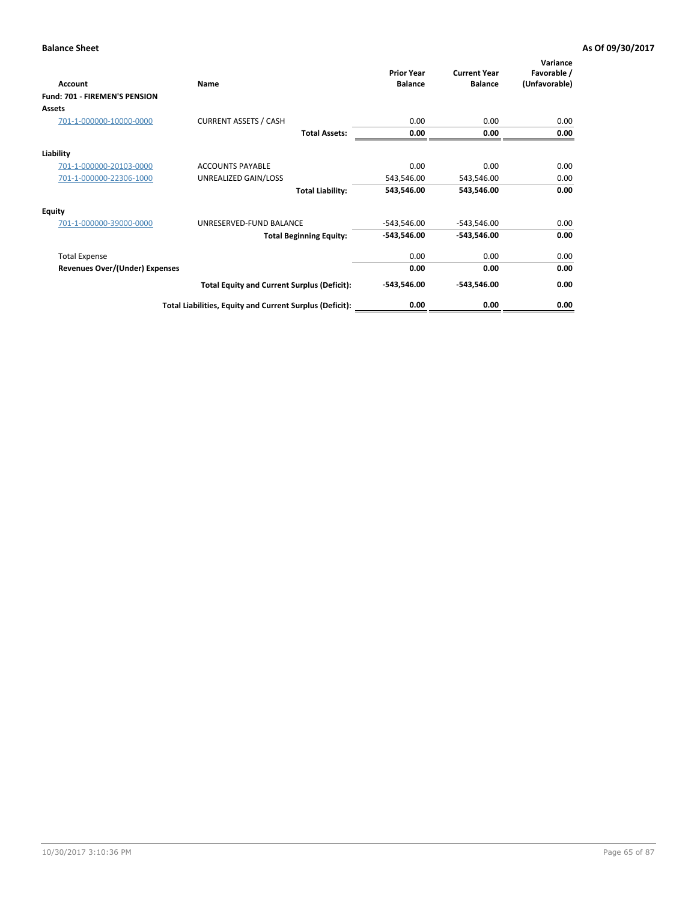| Account                               | Name                                                     | <b>Prior Year</b><br><b>Balance</b> | <b>Current Year</b><br><b>Balance</b> | Variance<br>Favorable /<br>(Unfavorable) |
|---------------------------------------|----------------------------------------------------------|-------------------------------------|---------------------------------------|------------------------------------------|
| Fund: 701 - FIREMEN'S PENSION         |                                                          |                                     |                                       |                                          |
| <b>Assets</b>                         |                                                          |                                     |                                       |                                          |
| 701-1-000000-10000-0000               | <b>CURRENT ASSETS / CASH</b>                             | 0.00                                | 0.00                                  | 0.00                                     |
|                                       | <b>Total Assets:</b>                                     | 0.00                                | 0.00                                  | 0.00                                     |
| Liability                             |                                                          |                                     |                                       |                                          |
| 701-1-000000-20103-0000               | <b>ACCOUNTS PAYABLE</b>                                  | 0.00                                | 0.00                                  | 0.00                                     |
| 701-1-000000-22306-1000               | UNREALIZED GAIN/LOSS                                     | 543,546.00                          | 543,546.00                            | 0.00                                     |
|                                       | <b>Total Liability:</b>                                  | 543,546.00                          | 543,546.00                            | 0.00                                     |
| <b>Equity</b>                         |                                                          |                                     |                                       |                                          |
| 701-1-000000-39000-0000               | UNRESERVED-FUND BALANCE                                  | $-543,546.00$                       | $-543,546.00$                         | 0.00                                     |
|                                       | <b>Total Beginning Equity:</b>                           | $-543,546.00$                       | $-543,546.00$                         | 0.00                                     |
| <b>Total Expense</b>                  |                                                          | 0.00                                | 0.00                                  | 0.00                                     |
| <b>Revenues Over/(Under) Expenses</b> |                                                          | 0.00                                | 0.00                                  | 0.00                                     |
|                                       | <b>Total Equity and Current Surplus (Deficit):</b>       | $-543,546.00$                       | $-543,546.00$                         | 0.00                                     |
|                                       | Total Liabilities, Equity and Current Surplus (Deficit): | 0.00                                | 0.00                                  | 0.00                                     |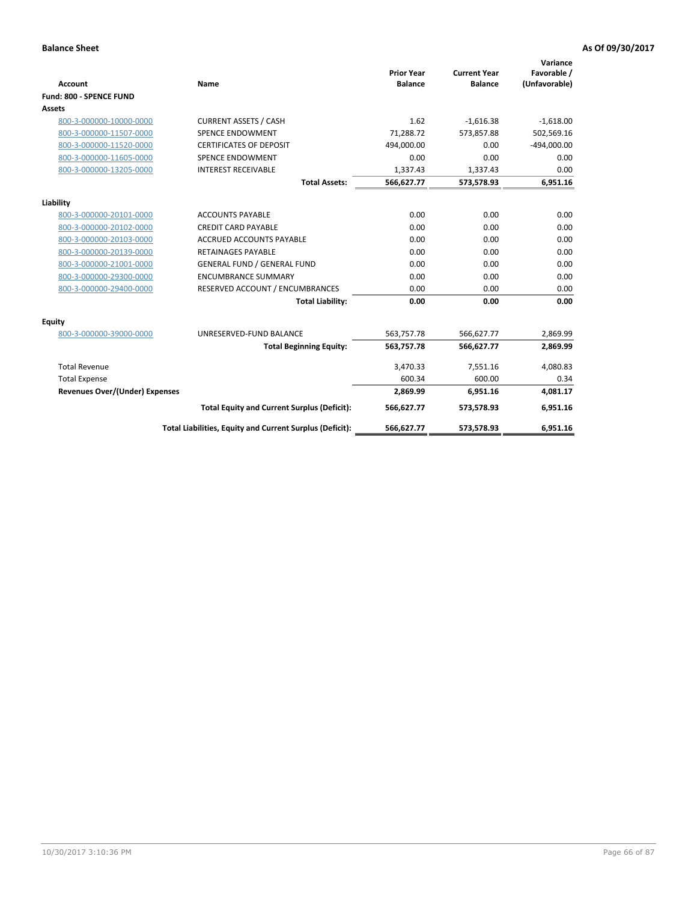|                                       |                                                          |                                     |                                       | Variance                     |
|---------------------------------------|----------------------------------------------------------|-------------------------------------|---------------------------------------|------------------------------|
| <b>Account</b>                        | <b>Name</b>                                              | <b>Prior Year</b><br><b>Balance</b> | <b>Current Year</b><br><b>Balance</b> | Favorable /<br>(Unfavorable) |
| Fund: 800 - SPENCE FUND               |                                                          |                                     |                                       |                              |
| Assets                                |                                                          |                                     |                                       |                              |
|                                       |                                                          | 1.62                                |                                       |                              |
| 800-3-000000-10000-0000               | <b>CURRENT ASSETS / CASH</b>                             |                                     | $-1,616.38$                           | $-1,618.00$                  |
| 800-3-000000-11507-0000               | <b>SPENCE ENDOWMENT</b>                                  | 71.288.72                           | 573.857.88                            | 502,569.16                   |
| 800-3-000000-11520-0000               | <b>CERTIFICATES OF DEPOSIT</b>                           | 494,000.00                          | 0.00                                  | $-494,000.00$                |
| 800-3-000000-11605-0000               | <b>SPENCE ENDOWMENT</b>                                  | 0.00                                | 0.00                                  | 0.00                         |
| 800-3-000000-13205-0000               | <b>INTEREST RECEIVABLE</b>                               | 1,337.43                            | 1,337.43                              | 0.00                         |
|                                       | <b>Total Assets:</b>                                     | 566,627.77                          | 573,578.93                            | 6,951.16                     |
| Liability                             |                                                          |                                     |                                       |                              |
| 800-3-000000-20101-0000               | <b>ACCOUNTS PAYABLE</b>                                  | 0.00                                | 0.00                                  | 0.00                         |
| 800-3-000000-20102-0000               | <b>CREDIT CARD PAYABLE</b>                               | 0.00                                | 0.00                                  | 0.00                         |
| 800-3-000000-20103-0000               | <b>ACCRUED ACCOUNTS PAYABLE</b>                          | 0.00                                | 0.00                                  | 0.00                         |
| 800-3-000000-20139-0000               | <b>RETAINAGES PAYABLE</b>                                | 0.00                                | 0.00                                  | 0.00                         |
| 800-3-000000-21001-0000               | <b>GENERAL FUND / GENERAL FUND</b>                       | 0.00                                | 0.00                                  | 0.00                         |
| 800-3-000000-29300-0000               | <b>ENCUMBRANCE SUMMARY</b>                               | 0.00                                | 0.00                                  | 0.00                         |
| 800-3-000000-29400-0000               | RESERVED ACCOUNT / ENCUMBRANCES                          | 0.00                                | 0.00                                  | 0.00                         |
|                                       | <b>Total Liability:</b>                                  | 0.00                                | 0.00                                  | 0.00                         |
| Equity                                |                                                          |                                     |                                       |                              |
| 800-3-000000-39000-0000               | UNRESERVED-FUND BALANCE                                  | 563,757.78                          | 566,627.77                            | 2,869.99                     |
|                                       | <b>Total Beginning Equity:</b>                           | 563,757.78                          | 566,627.77                            | 2,869.99                     |
| <b>Total Revenue</b>                  |                                                          | 3,470.33                            | 7,551.16                              | 4,080.83                     |
| <b>Total Expense</b>                  |                                                          | 600.34                              | 600.00                                | 0.34                         |
| <b>Revenues Over/(Under) Expenses</b> |                                                          | 2,869.99                            | 6,951.16                              | 4,081.17                     |
|                                       | <b>Total Equity and Current Surplus (Deficit):</b>       | 566,627.77                          | 573,578.93                            | 6,951.16                     |
|                                       | Total Liabilities, Equity and Current Surplus (Deficit): | 566,627.77                          | 573,578.93                            | 6,951.16                     |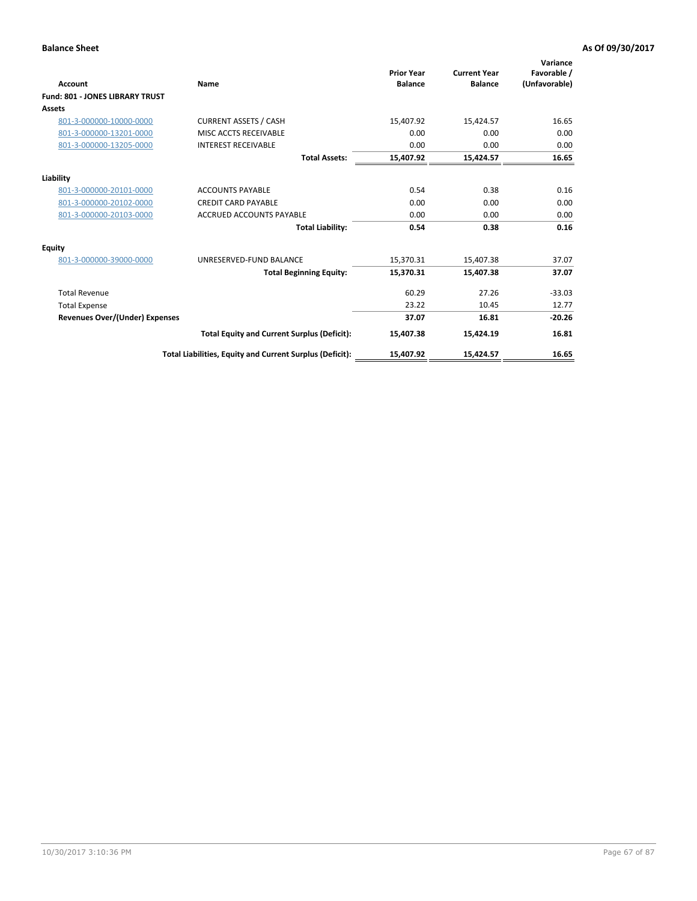| <b>Account</b>                  | Name                                                     | <b>Prior Year</b><br><b>Balance</b> | <b>Current Year</b><br><b>Balance</b> | Variance<br>Favorable /<br>(Unfavorable) |
|---------------------------------|----------------------------------------------------------|-------------------------------------|---------------------------------------|------------------------------------------|
| Fund: 801 - JONES LIBRARY TRUST |                                                          |                                     |                                       |                                          |
| Assets                          |                                                          |                                     |                                       |                                          |
| 801-3-000000-10000-0000         | <b>CURRENT ASSETS / CASH</b>                             | 15,407.92                           | 15,424.57                             | 16.65                                    |
| 801-3-000000-13201-0000         | MISC ACCTS RECEIVABLE                                    | 0.00                                | 0.00                                  | 0.00                                     |
| 801-3-000000-13205-0000         | <b>INTEREST RECEIVABLE</b>                               | 0.00                                | 0.00                                  | 0.00                                     |
|                                 | <b>Total Assets:</b>                                     | 15,407.92                           | 15,424.57                             | 16.65                                    |
| Liability                       |                                                          |                                     |                                       |                                          |
| 801-3-000000-20101-0000         | <b>ACCOUNTS PAYABLE</b>                                  | 0.54                                | 0.38                                  | 0.16                                     |
| 801-3-000000-20102-0000         | <b>CREDIT CARD PAYABLE</b>                               | 0.00                                | 0.00                                  | 0.00                                     |
| 801-3-000000-20103-0000         | <b>ACCRUED ACCOUNTS PAYABLE</b>                          | 0.00                                | 0.00                                  | 0.00                                     |
|                                 | <b>Total Liability:</b>                                  | 0.54                                | 0.38                                  | 0.16                                     |
| Equity                          |                                                          |                                     |                                       |                                          |
| 801-3-000000-39000-0000         | UNRESERVED-FUND BALANCE                                  | 15,370.31                           | 15,407.38                             | 37.07                                    |
|                                 | <b>Total Beginning Equity:</b>                           | 15,370.31                           | 15.407.38                             | 37.07                                    |
| <b>Total Revenue</b>            |                                                          | 60.29                               | 27.26                                 | $-33.03$                                 |
| <b>Total Expense</b>            |                                                          | 23.22                               | 10.45                                 | 12.77                                    |
| Revenues Over/(Under) Expenses  |                                                          | 37.07                               | 16.81                                 | $-20.26$                                 |
|                                 | <b>Total Equity and Current Surplus (Deficit):</b>       | 15,407.38                           | 15,424.19                             | 16.81                                    |
|                                 | Total Liabilities, Equity and Current Surplus (Deficit): | 15,407.92                           | 15,424.57                             | 16.65                                    |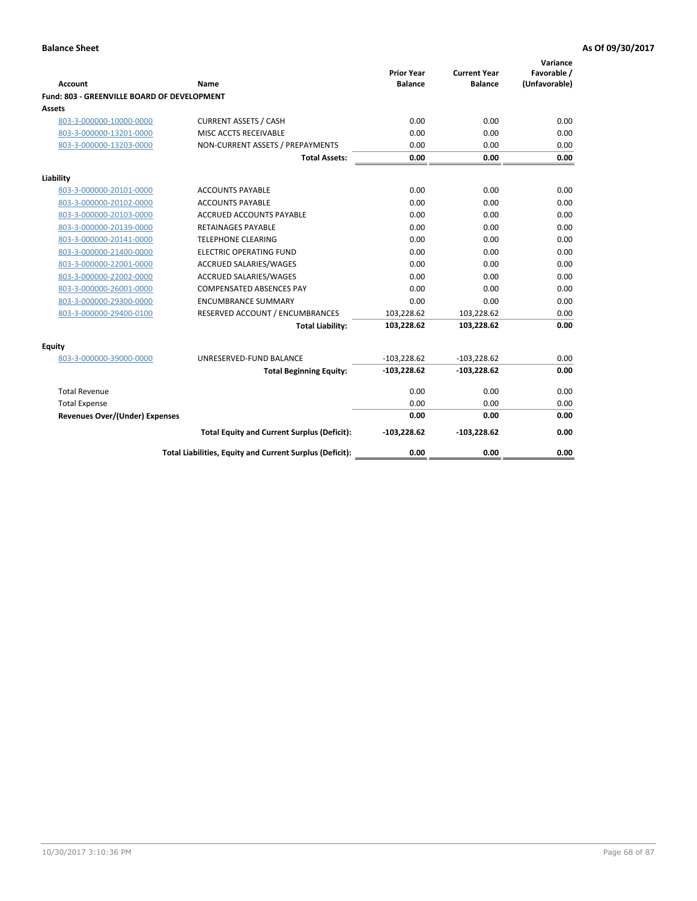| <b>Account</b>                              | Name                                                     | <b>Prior Year</b><br><b>Balance</b> | <b>Current Year</b><br><b>Balance</b> | Variance<br>Favorable /<br>(Unfavorable) |
|---------------------------------------------|----------------------------------------------------------|-------------------------------------|---------------------------------------|------------------------------------------|
| Fund: 803 - GREENVILLE BOARD OF DEVELOPMENT |                                                          |                                     |                                       |                                          |
| Assets                                      |                                                          |                                     |                                       |                                          |
| 803-3-000000-10000-0000                     | <b>CURRENT ASSETS / CASH</b>                             | 0.00                                | 0.00                                  | 0.00                                     |
| 803-3-000000-13201-0000                     | MISC ACCTS RECEIVABLE                                    | 0.00                                | 0.00                                  | 0.00                                     |
| 803-3-000000-13203-0000                     | NON-CURRENT ASSETS / PREPAYMENTS                         | 0.00                                | 0.00                                  | 0.00                                     |
|                                             | <b>Total Assets:</b>                                     | 0.00                                | 0.00                                  | 0.00                                     |
| Liability                                   |                                                          |                                     |                                       |                                          |
| 803-3-000000-20101-0000                     | <b>ACCOUNTS PAYABLE</b>                                  | 0.00                                | 0.00                                  | 0.00                                     |
| 803-3-000000-20102-0000                     | <b>ACCOUNTS PAYABLE</b>                                  | 0.00                                | 0.00                                  | 0.00                                     |
| 803-3-000000-20103-0000                     | <b>ACCRUED ACCOUNTS PAYABLE</b>                          | 0.00                                | 0.00                                  | 0.00                                     |
| 803-3-000000-20139-0000                     | RETAINAGES PAYABLE                                       | 0.00                                | 0.00                                  | 0.00                                     |
| 803-3-000000-20141-0000                     | <b>TELEPHONE CLEARING</b>                                | 0.00                                | 0.00                                  | 0.00                                     |
| 803-3-000000-21400-0000                     | <b>ELECTRIC OPERATING FUND</b>                           | 0.00                                | 0.00                                  | 0.00                                     |
| 803-3-000000-22001-0000                     | ACCRUED SALARIES/WAGES                                   | 0.00                                | 0.00                                  | 0.00                                     |
| 803-3-000000-22002-0000                     | ACCRUED SALARIES/WAGES                                   | 0.00                                | 0.00                                  | 0.00                                     |
| 803-3-000000-26001-0000                     | <b>COMPENSATED ABSENCES PAY</b>                          | 0.00                                | 0.00                                  | 0.00                                     |
| 803-3-000000-29300-0000                     | <b>ENCUMBRANCE SUMMARY</b>                               | 0.00                                | 0.00                                  | 0.00                                     |
| 803-3-000000-29400-0100                     | RESERVED ACCOUNT / ENCUMBRANCES                          | 103,228.62                          | 103,228.62                            | 0.00                                     |
|                                             | <b>Total Liability:</b>                                  | 103,228.62                          | 103,228.62                            | 0.00                                     |
| Equity                                      |                                                          |                                     |                                       |                                          |
| 803-3-000000-39000-0000                     | UNRESERVED-FUND BALANCE                                  | $-103,228.62$                       | $-103,228.62$                         | 0.00                                     |
|                                             | <b>Total Beginning Equity:</b>                           | $-103,228.62$                       | $-103,228.62$                         | 0.00                                     |
| <b>Total Revenue</b>                        |                                                          | 0.00                                | 0.00                                  | 0.00                                     |
| <b>Total Expense</b>                        |                                                          | 0.00                                | 0.00                                  | 0.00                                     |
| <b>Revenues Over/(Under) Expenses</b>       |                                                          | 0.00                                | 0.00                                  | 0.00                                     |
|                                             | <b>Total Equity and Current Surplus (Deficit):</b>       | $-103,228.62$                       | $-103,228.62$                         | 0.00                                     |
|                                             | Total Liabilities, Equity and Current Surplus (Deficit): | 0.00                                | 0.00                                  | 0.00                                     |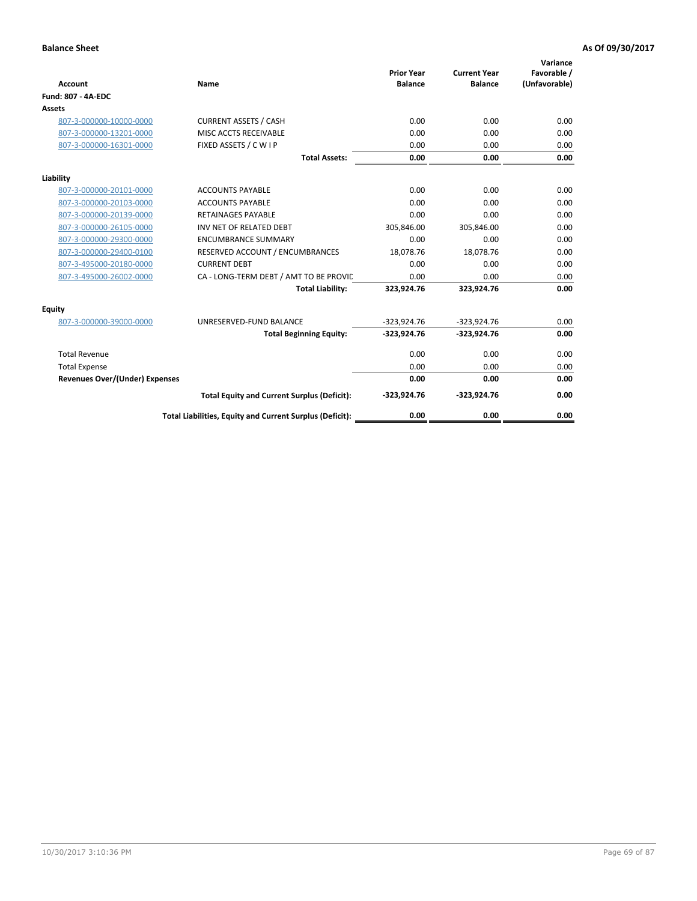| <b>Account</b>                        | Name                                                     | <b>Prior Year</b><br><b>Balance</b> | <b>Current Year</b><br><b>Balance</b> | Variance<br>Favorable /<br>(Unfavorable) |
|---------------------------------------|----------------------------------------------------------|-------------------------------------|---------------------------------------|------------------------------------------|
| <b>Fund: 807 - 4A-EDC</b>             |                                                          |                                     |                                       |                                          |
| <b>Assets</b>                         |                                                          |                                     |                                       |                                          |
| 807-3-000000-10000-0000               | <b>CURRENT ASSETS / CASH</b>                             | 0.00                                | 0.00                                  | 0.00                                     |
| 807-3-000000-13201-0000               | MISC ACCTS RECEIVABLE                                    | 0.00                                | 0.00                                  | 0.00                                     |
| 807-3-000000-16301-0000               | FIXED ASSETS / C W I P                                   | 0.00                                | 0.00                                  | 0.00                                     |
|                                       | <b>Total Assets:</b>                                     | 0.00                                | 0.00                                  | 0.00                                     |
| Liability                             |                                                          |                                     |                                       |                                          |
| 807-3-000000-20101-0000               | <b>ACCOUNTS PAYABLE</b>                                  | 0.00                                | 0.00                                  | 0.00                                     |
| 807-3-000000-20103-0000               | <b>ACCOUNTS PAYABLE</b>                                  | 0.00                                | 0.00                                  | 0.00                                     |
| 807-3-000000-20139-0000               | <b>RETAINAGES PAYABLE</b>                                | 0.00                                | 0.00                                  | 0.00                                     |
| 807-3-000000-26105-0000               | INV NET OF RELATED DEBT                                  | 305,846.00                          | 305,846.00                            | 0.00                                     |
| 807-3-000000-29300-0000               | <b>ENCUMBRANCE SUMMARY</b>                               | 0.00                                | 0.00                                  | 0.00                                     |
| 807-3-000000-29400-0100               | RESERVED ACCOUNT / ENCUMBRANCES                          | 18,078.76                           | 18,078.76                             | 0.00                                     |
| 807-3-495000-20180-0000               | <b>CURRENT DEBT</b>                                      | 0.00                                | 0.00                                  | 0.00                                     |
| 807-3-495000-26002-0000               | CA - LONG-TERM DEBT / AMT TO BE PROVIL                   | 0.00                                | 0.00                                  | 0.00                                     |
|                                       | <b>Total Liability:</b>                                  | 323,924.76                          | 323,924.76                            | 0.00                                     |
| Equity                                |                                                          |                                     |                                       |                                          |
| 807-3-000000-39000-0000               | UNRESERVED-FUND BALANCE                                  | $-323,924.76$                       | $-323,924.76$                         | 0.00                                     |
|                                       | <b>Total Beginning Equity:</b>                           | $-323,924.76$                       | $-323,924.76$                         | 0.00                                     |
| <b>Total Revenue</b>                  |                                                          | 0.00                                | 0.00                                  | 0.00                                     |
| <b>Total Expense</b>                  |                                                          | 0.00                                | 0.00                                  | 0.00                                     |
| <b>Revenues Over/(Under) Expenses</b> |                                                          | 0.00                                | 0.00                                  | 0.00                                     |
|                                       | <b>Total Equity and Current Surplus (Deficit):</b>       | $-323,924.76$                       | $-323,924.76$                         | 0.00                                     |
|                                       | Total Liabilities, Equity and Current Surplus (Deficit): | 0.00                                | 0.00                                  | 0.00                                     |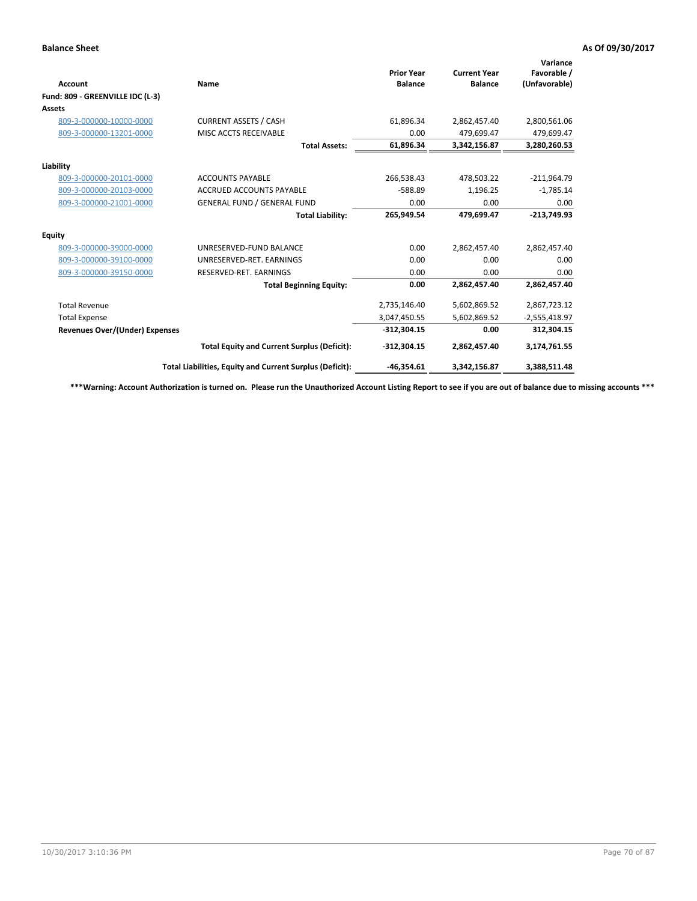| Account                               | Name                                                     | <b>Prior Year</b><br><b>Balance</b> | <b>Current Year</b><br><b>Balance</b> | Variance<br>Favorable /<br>(Unfavorable) |
|---------------------------------------|----------------------------------------------------------|-------------------------------------|---------------------------------------|------------------------------------------|
| Fund: 809 - GREENVILLE IDC (L-3)      |                                                          |                                     |                                       |                                          |
| Assets                                |                                                          |                                     |                                       |                                          |
| 809-3-000000-10000-0000               | <b>CURRENT ASSETS / CASH</b>                             | 61,896.34                           | 2,862,457.40                          | 2,800,561.06                             |
| 809-3-000000-13201-0000               | MISC ACCTS RECEIVABLE                                    | 0.00                                | 479.699.47                            | 479,699.47                               |
|                                       | <b>Total Assets:</b>                                     | 61,896.34                           | 3,342,156.87                          | 3,280,260.53                             |
| Liability                             |                                                          |                                     |                                       |                                          |
| 809-3-000000-20101-0000               | <b>ACCOUNTS PAYABLE</b>                                  | 266,538.43                          | 478,503.22                            | $-211,964.79$                            |
| 809-3-000000-20103-0000               | <b>ACCRUED ACCOUNTS PAYABLE</b>                          | $-588.89$                           | 1,196.25                              | $-1,785.14$                              |
| 809-3-000000-21001-0000               | <b>GENERAL FUND / GENERAL FUND</b>                       | 0.00                                | 0.00                                  | 0.00                                     |
|                                       | <b>Total Liability:</b>                                  | 265,949.54                          | 479,699.47                            | $-213,749.93$                            |
| Equity                                |                                                          |                                     |                                       |                                          |
| 809-3-000000-39000-0000               | UNRESERVED-FUND BALANCE                                  | 0.00                                | 2,862,457.40                          | 2,862,457.40                             |
| 809-3-000000-39100-0000               | UNRESERVED-RET. EARNINGS                                 | 0.00                                | 0.00                                  | 0.00                                     |
| 809-3-000000-39150-0000               | RESERVED-RET. EARNINGS                                   | 0.00                                | 0.00                                  | 0.00                                     |
|                                       | <b>Total Beginning Equity:</b>                           | 0.00                                | 2,862,457.40                          | 2,862,457.40                             |
| <b>Total Revenue</b>                  |                                                          | 2,735,146.40                        | 5,602,869.52                          | 2,867,723.12                             |
| <b>Total Expense</b>                  |                                                          | 3,047,450.55                        | 5,602,869.52                          | $-2,555,418.97$                          |
| <b>Revenues Over/(Under) Expenses</b> |                                                          | $-312,304.15$                       | 0.00                                  | 312,304.15                               |
|                                       | <b>Total Equity and Current Surplus (Deficit):</b>       | $-312,304.15$                       | 2,862,457.40                          | 3,174,761.55                             |
|                                       | Total Liabilities, Equity and Current Surplus (Deficit): | $-46,354.61$                        | 3,342,156.87                          | 3,388,511.48                             |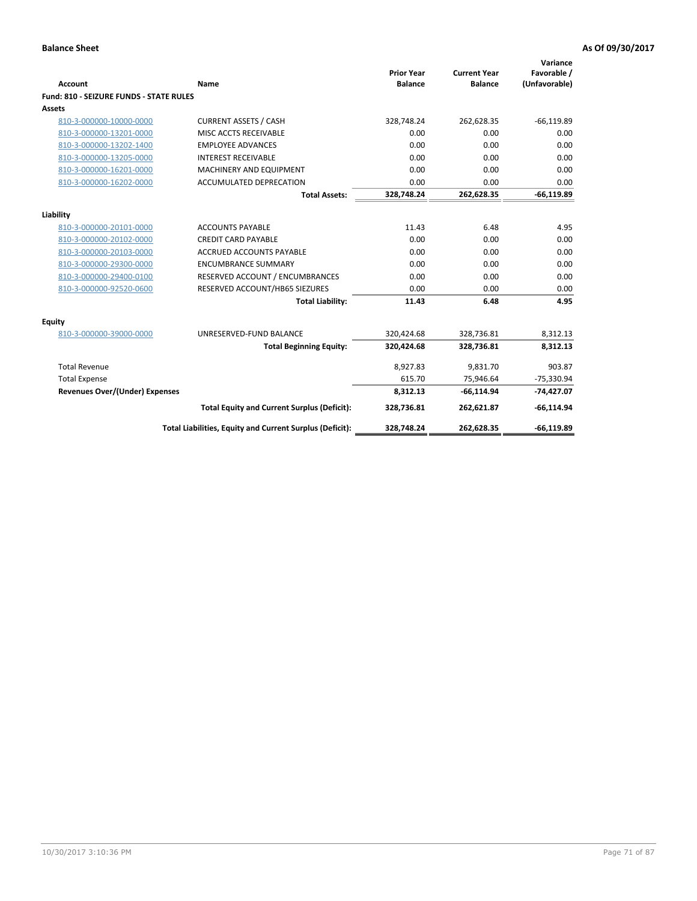| <b>Account</b>                                 | <b>Name</b>                                              | <b>Prior Year</b><br><b>Balance</b> | <b>Current Year</b><br><b>Balance</b> | Variance<br>Favorable /<br>(Unfavorable) |
|------------------------------------------------|----------------------------------------------------------|-------------------------------------|---------------------------------------|------------------------------------------|
| <b>Fund: 810 - SEIZURE FUNDS - STATE RULES</b> |                                                          |                                     |                                       |                                          |
| <b>Assets</b>                                  |                                                          |                                     |                                       |                                          |
| 810-3-000000-10000-0000                        | <b>CURRENT ASSETS / CASH</b>                             | 328,748.24                          | 262,628.35                            | $-66, 119.89$                            |
| 810-3-000000-13201-0000                        | MISC ACCTS RECEIVABLE                                    | 0.00                                | 0.00                                  | 0.00                                     |
| 810-3-000000-13202-1400                        | <b>EMPLOYEE ADVANCES</b>                                 | 0.00                                | 0.00                                  | 0.00                                     |
| 810-3-000000-13205-0000                        | <b>INTEREST RECEIVABLE</b>                               | 0.00                                | 0.00                                  | 0.00                                     |
| 810-3-000000-16201-0000                        | MACHINERY AND EQUIPMENT                                  | 0.00                                | 0.00                                  | 0.00                                     |
| 810-3-000000-16202-0000                        | ACCUMULATED DEPRECATION                                  | 0.00                                | 0.00                                  | 0.00                                     |
|                                                | <b>Total Assets:</b>                                     | 328,748.24                          | 262,628.35                            | $-66,119.89$                             |
|                                                |                                                          |                                     |                                       |                                          |
| Liability                                      |                                                          |                                     |                                       |                                          |
| 810-3-000000-20101-0000                        | <b>ACCOUNTS PAYABLE</b>                                  | 11.43                               | 6.48                                  | 4.95                                     |
| 810-3-000000-20102-0000                        | <b>CREDIT CARD PAYABLE</b>                               | 0.00                                | 0.00                                  | 0.00                                     |
| 810-3-000000-20103-0000                        | ACCRUED ACCOUNTS PAYABLE                                 | 0.00                                | 0.00                                  | 0.00                                     |
| 810-3-000000-29300-0000                        | <b>ENCUMBRANCE SUMMARY</b>                               | 0.00                                | 0.00                                  | 0.00                                     |
| 810-3-000000-29400-0100                        | RESERVED ACCOUNT / ENCUMBRANCES                          | 0.00                                | 0.00                                  | 0.00                                     |
| 810-3-000000-92520-0600                        | RESERVED ACCOUNT/HB65 SIEZURES                           | 0.00                                | 0.00                                  | 0.00                                     |
|                                                | <b>Total Liability:</b>                                  | 11.43                               | 6.48                                  | 4.95                                     |
| Equity                                         |                                                          |                                     |                                       |                                          |
| 810-3-000000-39000-0000                        | UNRESERVED-FUND BALANCE                                  | 320,424.68                          | 328,736.81                            | 8,312.13                                 |
|                                                | <b>Total Beginning Equity:</b>                           | 320,424.68                          | 328,736.81                            | 8,312.13                                 |
| <b>Total Revenue</b>                           |                                                          | 8,927.83                            | 9,831.70                              | 903.87                                   |
| <b>Total Expense</b>                           |                                                          | 615.70                              | 75,946.64                             | $-75,330.94$                             |
| Revenues Over/(Under) Expenses                 |                                                          | 8,312.13                            | $-66, 114.94$                         | $-74,427.07$                             |
|                                                | <b>Total Equity and Current Surplus (Deficit):</b>       | 328,736.81                          | 262,621.87                            | $-66, 114.94$                            |
|                                                | Total Liabilities, Equity and Current Surplus (Deficit): | 328,748.24                          | 262,628.35                            | $-66, 119.89$                            |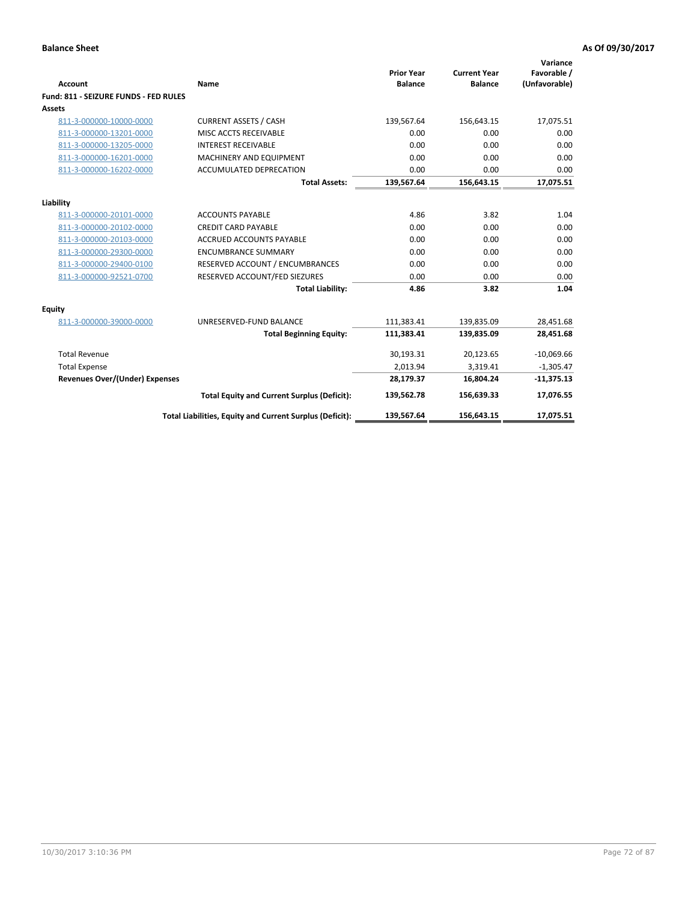| Account                               | Name                                                     | <b>Prior Year</b><br><b>Balance</b> | <b>Current Year</b><br><b>Balance</b> | Variance<br>Favorable /<br>(Unfavorable) |
|---------------------------------------|----------------------------------------------------------|-------------------------------------|---------------------------------------|------------------------------------------|
| Fund: 811 - SEIZURE FUNDS - FED RULES |                                                          |                                     |                                       |                                          |
| Assets                                |                                                          |                                     |                                       |                                          |
| 811-3-000000-10000-0000               | <b>CURRENT ASSETS / CASH</b>                             | 139,567.64                          | 156,643.15                            | 17,075.51                                |
| 811-3-000000-13201-0000               | MISC ACCTS RECEIVABLE                                    | 0.00                                | 0.00                                  | 0.00                                     |
| 811-3-000000-13205-0000               | <b>INTEREST RECEIVABLE</b>                               | 0.00                                | 0.00                                  | 0.00                                     |
| 811-3-000000-16201-0000               | <b>MACHINERY AND EQUIPMENT</b>                           | 0.00                                | 0.00                                  | 0.00                                     |
| 811-3-000000-16202-0000               | ACCUMULATED DEPRECATION                                  | 0.00                                | 0.00                                  | 0.00                                     |
|                                       | <b>Total Assets:</b>                                     | 139,567.64                          | 156,643.15                            | 17,075.51                                |
| Liability                             |                                                          |                                     |                                       |                                          |
| 811-3-000000-20101-0000               | <b>ACCOUNTS PAYABLE</b>                                  | 4.86                                | 3.82                                  | 1.04                                     |
| 811-3-000000-20102-0000               | <b>CREDIT CARD PAYABLE</b>                               | 0.00                                | 0.00                                  | 0.00                                     |
| 811-3-000000-20103-0000               | <b>ACCRUED ACCOUNTS PAYABLE</b>                          | 0.00                                | 0.00                                  | 0.00                                     |
| 811-3-000000-29300-0000               | <b>ENCUMBRANCE SUMMARY</b>                               | 0.00                                | 0.00                                  | 0.00                                     |
| 811-3-000000-29400-0100               | RESERVED ACCOUNT / ENCUMBRANCES                          | 0.00                                | 0.00                                  | 0.00                                     |
| 811-3-000000-92521-0700               | RESERVED ACCOUNT/FED SIEZURES                            | 0.00                                | 0.00                                  | 0.00                                     |
|                                       | <b>Total Liability:</b>                                  | 4.86                                | 3.82                                  | 1.04                                     |
| <b>Equity</b>                         |                                                          |                                     |                                       |                                          |
| 811-3-000000-39000-0000               | UNRESERVED-FUND BALANCE                                  | 111,383.41                          | 139,835.09                            | 28,451.68                                |
|                                       | <b>Total Beginning Equity:</b>                           | 111,383.41                          | 139,835.09                            | 28,451.68                                |
| <b>Total Revenue</b>                  |                                                          | 30,193.31                           | 20,123.65                             | $-10,069.66$                             |
| <b>Total Expense</b>                  |                                                          | 2,013.94                            | 3,319.41                              | $-1,305.47$                              |
| <b>Revenues Over/(Under) Expenses</b> |                                                          | 28,179.37                           | 16,804.24                             | $-11,375.13$                             |
|                                       | <b>Total Equity and Current Surplus (Deficit):</b>       | 139,562.78                          | 156,639.33                            | 17,076.55                                |
|                                       | Total Liabilities, Equity and Current Surplus (Deficit): | 139,567.64                          | 156,643.15                            | 17,075.51                                |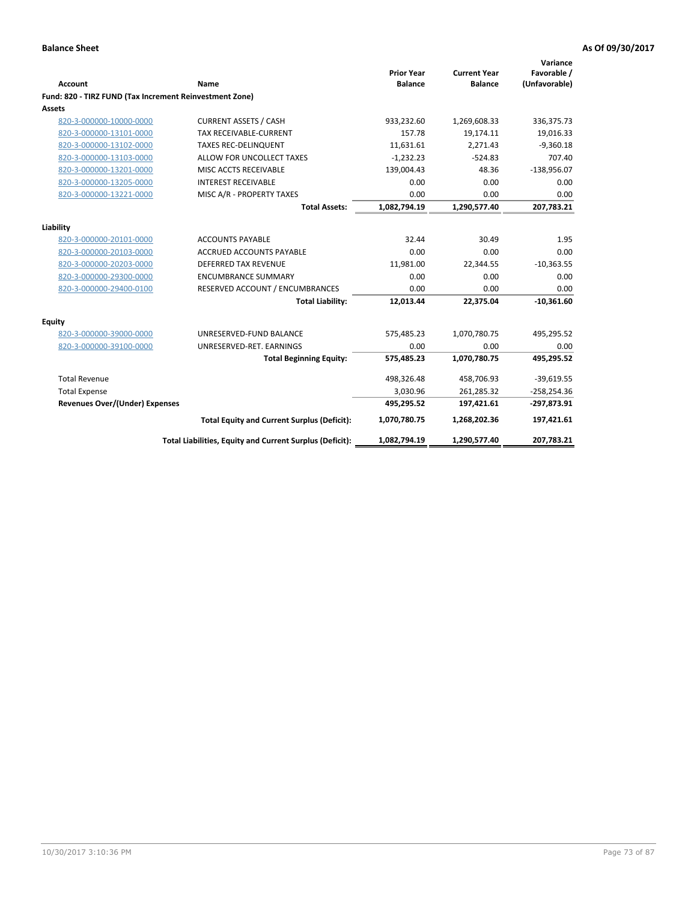| <b>Account</b>                                          | Name                                                     | <b>Prior Year</b><br><b>Balance</b> | <b>Current Year</b><br><b>Balance</b> | Variance<br>Favorable /<br>(Unfavorable) |
|---------------------------------------------------------|----------------------------------------------------------|-------------------------------------|---------------------------------------|------------------------------------------|
| Fund: 820 - TIRZ FUND (Tax Increment Reinvestment Zone) |                                                          |                                     |                                       |                                          |
| <b>Assets</b>                                           |                                                          |                                     |                                       |                                          |
| 820-3-000000-10000-0000                                 | <b>CURRENT ASSETS / CASH</b>                             | 933,232.60                          | 1,269,608.33                          | 336,375.73                               |
| 820-3-000000-13101-0000                                 | <b>TAX RECEIVABLE-CURRENT</b>                            | 157.78                              | 19,174.11                             | 19,016.33                                |
| 820-3-000000-13102-0000                                 | <b>TAXES REC-DELINQUENT</b>                              | 11.631.61                           | 2,271.43                              | $-9,360.18$                              |
| 820-3-000000-13103-0000                                 | ALLOW FOR UNCOLLECT TAXES                                | $-1,232.23$                         | $-524.83$                             | 707.40                                   |
| 820-3-000000-13201-0000                                 | MISC ACCTS RECEIVABLE                                    | 139,004.43                          | 48.36                                 | $-138,956.07$                            |
| 820-3-000000-13205-0000                                 | <b>INTEREST RECEIVABLE</b>                               | 0.00                                | 0.00                                  | 0.00                                     |
| 820-3-000000-13221-0000                                 | MISC A/R - PROPERTY TAXES                                | 0.00                                | 0.00                                  | 0.00                                     |
|                                                         | <b>Total Assets:</b>                                     | 1,082,794.19                        | 1,290,577.40                          | 207,783.21                               |
| Liability                                               |                                                          |                                     |                                       |                                          |
| 820-3-000000-20101-0000                                 | <b>ACCOUNTS PAYABLE</b>                                  | 32.44                               | 30.49                                 | 1.95                                     |
| 820-3-000000-20103-0000                                 | ACCRUED ACCOUNTS PAYABLE                                 | 0.00                                | 0.00                                  | 0.00                                     |
| 820-3-000000-20203-0000                                 | <b>DEFERRED TAX REVENUE</b>                              | 11,981.00                           | 22,344.55                             | $-10,363.55$                             |
| 820-3-000000-29300-0000                                 | <b>ENCUMBRANCE SUMMARY</b>                               | 0.00                                | 0.00                                  | 0.00                                     |
| 820-3-000000-29400-0100                                 | RESERVED ACCOUNT / ENCUMBRANCES                          | 0.00                                | 0.00                                  | 0.00                                     |
|                                                         | <b>Total Liability:</b>                                  | 12,013.44                           | 22,375.04                             | $-10,361.60$                             |
| Equity                                                  |                                                          |                                     |                                       |                                          |
| 820-3-000000-39000-0000                                 | UNRESERVED-FUND BALANCE                                  | 575,485.23                          | 1,070,780.75                          | 495,295.52                               |
| 820-3-000000-39100-0000                                 | UNRESERVED-RET. EARNINGS                                 | 0.00                                | 0.00                                  | 0.00                                     |
|                                                         | <b>Total Beginning Equity:</b>                           | 575,485.23                          | 1,070,780.75                          | 495,295.52                               |
| <b>Total Revenue</b>                                    |                                                          | 498,326.48                          | 458,706.93                            | $-39,619.55$                             |
| <b>Total Expense</b>                                    |                                                          | 3,030.96                            | 261,285.32                            | $-258,254.36$                            |
| <b>Revenues Over/(Under) Expenses</b>                   |                                                          | 495,295.52                          | 197,421.61                            | $-297,873.91$                            |
|                                                         | <b>Total Equity and Current Surplus (Deficit):</b>       | 1,070,780.75                        | 1,268,202.36                          | 197,421.61                               |
|                                                         | Total Liabilities, Equity and Current Surplus (Deficit): | 1,082,794.19                        | 1,290,577.40                          | 207,783.21                               |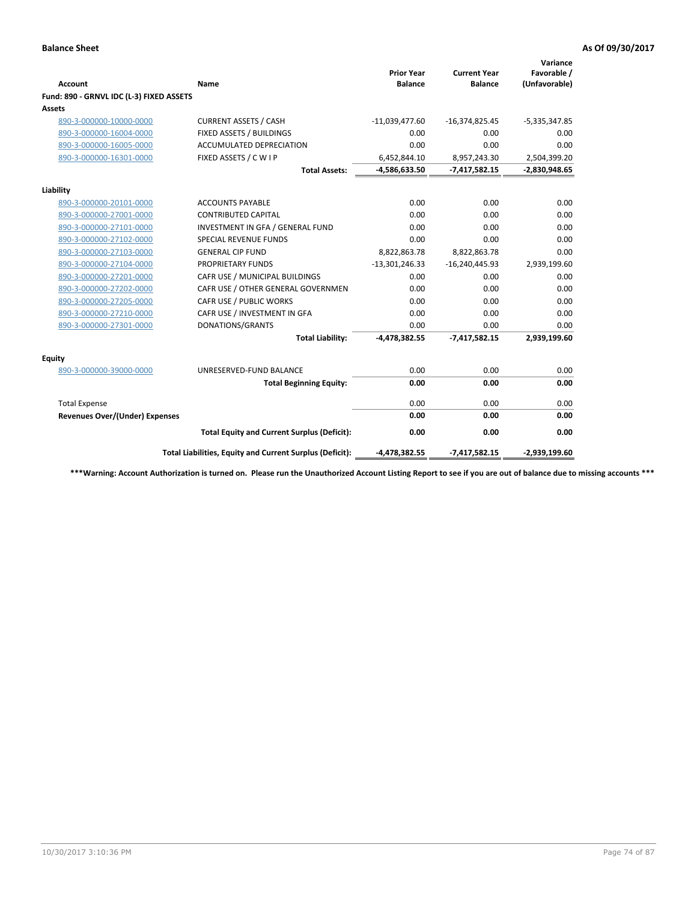| <b>Account</b>                           | Name                                                     | <b>Prior Year</b><br><b>Balance</b> | <b>Current Year</b><br><b>Balance</b> | Variance<br>Favorable /<br>(Unfavorable) |
|------------------------------------------|----------------------------------------------------------|-------------------------------------|---------------------------------------|------------------------------------------|
| Fund: 890 - GRNVL IDC (L-3) FIXED ASSETS |                                                          |                                     |                                       |                                          |
| Assets                                   |                                                          |                                     |                                       |                                          |
| 890-3-000000-10000-0000                  | <b>CURRENT ASSETS / CASH</b>                             | $-11,039,477.60$                    | $-16,374,825.45$                      | $-5,335,347.85$                          |
| 890-3-000000-16004-0000                  | FIXED ASSETS / BUILDINGS                                 | 0.00                                | 0.00                                  | 0.00                                     |
| 890-3-000000-16005-0000                  | <b>ACCUMULATED DEPRECIATION</b>                          | 0.00                                | 0.00                                  | 0.00                                     |
| 890-3-000000-16301-0000                  | FIXED ASSETS / C W I P                                   | 6,452,844.10                        | 8,957,243.30                          | 2,504,399.20                             |
|                                          | <b>Total Assets:</b>                                     | $-4,586,633.50$                     | $-7,417,582.15$                       | $-2,830,948.65$                          |
| Liability                                |                                                          |                                     |                                       |                                          |
| 890-3-000000-20101-0000                  | <b>ACCOUNTS PAYABLE</b>                                  | 0.00                                | 0.00                                  | 0.00                                     |
| 890-3-000000-27001-0000                  | <b>CONTRIBUTED CAPITAL</b>                               | 0.00                                | 0.00                                  | 0.00                                     |
| 890-3-000000-27101-0000                  | INVESTMENT IN GFA / GENERAL FUND                         | 0.00                                | 0.00                                  | 0.00                                     |
| 890-3-000000-27102-0000                  | <b>SPECIAL REVENUE FUNDS</b>                             | 0.00                                | 0.00                                  | 0.00                                     |
| 890-3-000000-27103-0000                  | <b>GENERAL CIP FUND</b>                                  | 8,822,863.78                        | 8,822,863.78                          | 0.00                                     |
| 890-3-000000-27104-0000                  | <b>PROPRIETARY FUNDS</b>                                 | $-13,301,246.33$                    | $-16,240,445.93$                      | 2,939,199.60                             |
| 890-3-000000-27201-0000                  | CAFR USE / MUNICIPAL BUILDINGS                           | 0.00                                | 0.00                                  | 0.00                                     |
| 890-3-000000-27202-0000                  | CAFR USE / OTHER GENERAL GOVERNMEN                       | 0.00                                | 0.00                                  | 0.00                                     |
| 890-3-000000-27205-0000                  | CAFR USE / PUBLIC WORKS                                  | 0.00                                | 0.00                                  | 0.00                                     |
| 890-3-000000-27210-0000                  | CAFR USE / INVESTMENT IN GFA                             | 0.00                                | 0.00                                  | 0.00                                     |
| 890-3-000000-27301-0000                  | DONATIONS/GRANTS                                         | 0.00                                | 0.00                                  | 0.00                                     |
|                                          | <b>Total Liability:</b>                                  | $-4,478,382.55$                     | $-7,417,582.15$                       | 2,939,199.60                             |
| <b>Equity</b>                            |                                                          |                                     |                                       |                                          |
| 890-3-000000-39000-0000                  | UNRESERVED-FUND BALANCE                                  | 0.00                                | 0.00                                  | 0.00                                     |
|                                          | <b>Total Beginning Equity:</b>                           | 0.00                                | 0.00                                  | 0.00                                     |
| <b>Total Expense</b>                     |                                                          | 0.00                                | 0.00                                  | 0.00                                     |
| <b>Revenues Over/(Under) Expenses</b>    |                                                          | 0.00                                | 0.00                                  | 0.00                                     |
|                                          | <b>Total Equity and Current Surplus (Deficit):</b>       | 0.00                                | 0.00                                  | 0.00                                     |
|                                          | Total Liabilities, Equity and Current Surplus (Deficit): | $-4,478,382.55$                     | $-7,417,582.15$                       | $-2,939,199.60$                          |

**\*\*\*Warning: Account Authorization is turned on. Please run the Unauthorized Account Listing Report to see if you are out of balance due to missing accounts \*\*\***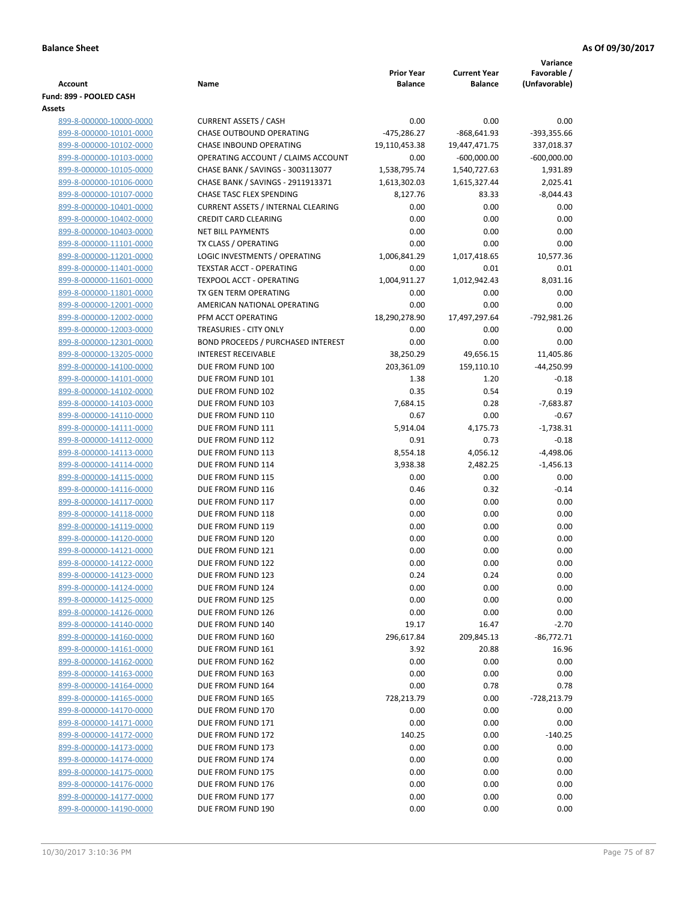|                                                    |                                                      |                                     |                                       | Variance                     |
|----------------------------------------------------|------------------------------------------------------|-------------------------------------|---------------------------------------|------------------------------|
| <b>Account</b>                                     | Name                                                 | <b>Prior Year</b><br><b>Balance</b> | <b>Current Year</b><br><b>Balance</b> | Favorable /<br>(Unfavorable) |
| Fund: 899 - POOLED CASH                            |                                                      |                                     |                                       |                              |
| Assets                                             |                                                      |                                     |                                       |                              |
| 899-8-000000-10000-0000                            | <b>CURRENT ASSETS / CASH</b>                         | 0.00                                | 0.00                                  | 0.00                         |
| 899-8-000000-10101-0000                            | CHASE OUTBOUND OPERATING                             | $-475,286.27$                       | $-868,641.93$                         | -393,355.66                  |
| 899-8-000000-10102-0000                            | CHASE INBOUND OPERATING                              | 19,110,453.38                       | 19,447,471.75                         | 337,018.37                   |
| 899-8-000000-10103-0000                            | OPERATING ACCOUNT / CLAIMS ACCOUNT                   | 0.00                                | $-600,000.00$                         | $-600,000.00$                |
| 899-8-000000-10105-0000                            | CHASE BANK / SAVINGS - 3003113077                    | 1,538,795.74                        | 1,540,727.63                          | 1,931.89                     |
| 899-8-000000-10106-0000                            | CHASE BANK / SAVINGS - 2911913371                    | 1,613,302.03                        | 1,615,327.44                          | 2,025.41                     |
| 899-8-000000-10107-0000                            | <b>CHASE TASC FLEX SPENDING</b>                      | 8,127.76                            | 83.33                                 | $-8,044.43$                  |
| 899-8-000000-10401-0000                            | <b>CURRENT ASSETS / INTERNAL CLEARING</b>            | 0.00                                | 0.00                                  | 0.00                         |
| 899-8-000000-10402-0000                            | <b>CREDIT CARD CLEARING</b>                          | 0.00                                | 0.00                                  | 0.00                         |
| 899-8-000000-10403-0000                            | <b>NET BILL PAYMENTS</b>                             | 0.00                                | 0.00                                  | 0.00                         |
| 899-8-000000-11101-0000                            | TX CLASS / OPERATING                                 | 0.00                                | 0.00                                  | 0.00                         |
| 899-8-000000-11201-0000                            | LOGIC INVESTMENTS / OPERATING                        | 1,006,841.29                        | 1,017,418.65                          | 10,577.36                    |
| 899-8-000000-11401-0000                            | <b>TEXSTAR ACCT - OPERATING</b>                      | 0.00                                | 0.01                                  | 0.01                         |
| 899-8-000000-11601-0000                            | TEXPOOL ACCT - OPERATING                             | 1,004,911.27                        | 1,012,942.43                          | 8,031.16                     |
| 899-8-000000-11801-0000<br>899-8-000000-12001-0000 | TX GEN TERM OPERATING<br>AMERICAN NATIONAL OPERATING | 0.00<br>0.00                        | 0.00<br>0.00                          | 0.00<br>0.00                 |
| 899-8-000000-12002-0000                            | PFM ACCT OPERATING                                   | 18,290,278.90                       | 17,497,297.64                         | -792,981.26                  |
| 899-8-000000-12003-0000                            | TREASURIES - CITY ONLY                               | 0.00                                | 0.00                                  | 0.00                         |
| 899-8-000000-12301-0000                            | <b>BOND PROCEEDS / PURCHASED INTEREST</b>            | 0.00                                | 0.00                                  | 0.00                         |
| 899-8-000000-13205-0000                            | <b>INTEREST RECEIVABLE</b>                           | 38,250.29                           | 49,656.15                             | 11,405.86                    |
| 899-8-000000-14100-0000                            | DUE FROM FUND 100                                    | 203,361.09                          | 159,110.10                            | -44,250.99                   |
| 899-8-000000-14101-0000                            | DUE FROM FUND 101                                    | 1.38                                | 1.20                                  | $-0.18$                      |
| 899-8-000000-14102-0000                            | DUE FROM FUND 102                                    | 0.35                                | 0.54                                  | 0.19                         |
| 899-8-000000-14103-0000                            | DUE FROM FUND 103                                    | 7,684.15                            | 0.28                                  | $-7,683.87$                  |
| 899-8-000000-14110-0000                            | DUE FROM FUND 110                                    | 0.67                                | 0.00                                  | $-0.67$                      |
| 899-8-000000-14111-0000                            | DUE FROM FUND 111                                    | 5,914.04                            | 4,175.73                              | $-1,738.31$                  |
| 899-8-000000-14112-0000                            | DUE FROM FUND 112                                    | 0.91                                | 0.73                                  | $-0.18$                      |
| 899-8-000000-14113-0000                            | DUE FROM FUND 113                                    | 8,554.18                            | 4,056.12                              | $-4,498.06$                  |
| 899-8-000000-14114-0000                            | DUE FROM FUND 114                                    | 3,938.38                            | 2,482.25                              | $-1,456.13$                  |
| 899-8-000000-14115-0000                            | DUE FROM FUND 115                                    | 0.00                                | 0.00                                  | 0.00                         |
| 899-8-000000-14116-0000                            | DUE FROM FUND 116                                    | 0.46                                | 0.32                                  | $-0.14$                      |
| 899-8-000000-14117-0000                            | DUE FROM FUND 117                                    | 0.00                                | 0.00                                  | 0.00                         |
| 899-8-000000-14118-0000                            | DUE FROM FUND 118                                    | 0.00                                | 0.00                                  | 0.00                         |
| 899-8-000000-14119-0000                            | DUE FROM FUND 119                                    | 0.00                                | 0.00                                  | 0.00                         |
| 899-8-000000-14120-0000                            | DUE FROM FUND 120                                    | 0.00                                | 0.00                                  | 0.00                         |
| 899-8-000000-14121-0000                            | DUE FROM FUND 121                                    | 0.00                                | 0.00                                  | 0.00                         |
| 899-8-000000-14122-0000                            | DUE FROM FUND 122                                    | 0.00                                | 0.00                                  | 0.00                         |
| 899-8-000000-14123-0000<br>899-8-000000-14124-0000 | DUE FROM FUND 123<br>DUE FROM FUND 124               | 0.24<br>0.00                        | 0.24<br>0.00                          | 0.00<br>$0.00\,$             |
| 899-8-000000-14125-0000                            | DUE FROM FUND 125                                    | 0.00                                | 0.00                                  | 0.00                         |
| 899-8-000000-14126-0000                            | DUE FROM FUND 126                                    | 0.00                                | 0.00                                  | 0.00                         |
| 899-8-000000-14140-0000                            | DUE FROM FUND 140                                    | 19.17                               | 16.47                                 | $-2.70$                      |
| 899-8-000000-14160-0000                            | DUE FROM FUND 160                                    | 296,617.84                          | 209,845.13                            | $-86,772.71$                 |
| 899-8-000000-14161-0000                            | DUE FROM FUND 161                                    | 3.92                                | 20.88                                 | 16.96                        |
| 899-8-000000-14162-0000                            | DUE FROM FUND 162                                    | 0.00                                | 0.00                                  | 0.00                         |
| 899-8-000000-14163-0000                            | DUE FROM FUND 163                                    | 0.00                                | 0.00                                  | 0.00                         |
| 899-8-000000-14164-0000                            | DUE FROM FUND 164                                    | 0.00                                | 0.78                                  | 0.78                         |
| 899-8-000000-14165-0000                            | DUE FROM FUND 165                                    | 728,213.79                          | 0.00                                  | -728,213.79                  |
| 899-8-000000-14170-0000                            | DUE FROM FUND 170                                    | 0.00                                | 0.00                                  | 0.00                         |
| 899-8-000000-14171-0000                            | DUE FROM FUND 171                                    | 0.00                                | 0.00                                  | 0.00                         |
| 899-8-000000-14172-0000                            | DUE FROM FUND 172                                    | 140.25                              | 0.00                                  | $-140.25$                    |
| 899-8-000000-14173-0000                            | DUE FROM FUND 173                                    | 0.00                                | 0.00                                  | 0.00                         |
| 899-8-000000-14174-0000                            | DUE FROM FUND 174                                    | 0.00                                | 0.00                                  | 0.00                         |
| 899-8-000000-14175-0000                            | DUE FROM FUND 175                                    | 0.00                                | 0.00                                  | 0.00                         |
| 899-8-000000-14176-0000                            | DUE FROM FUND 176                                    | 0.00                                | 0.00                                  | 0.00                         |
| 899-8-000000-14177-0000                            | DUE FROM FUND 177                                    | 0.00                                | 0.00                                  | 0.00                         |
| 899-8-000000-14190-0000                            | DUE FROM FUND 190                                    | 0.00                                | 0.00                                  | 0.00                         |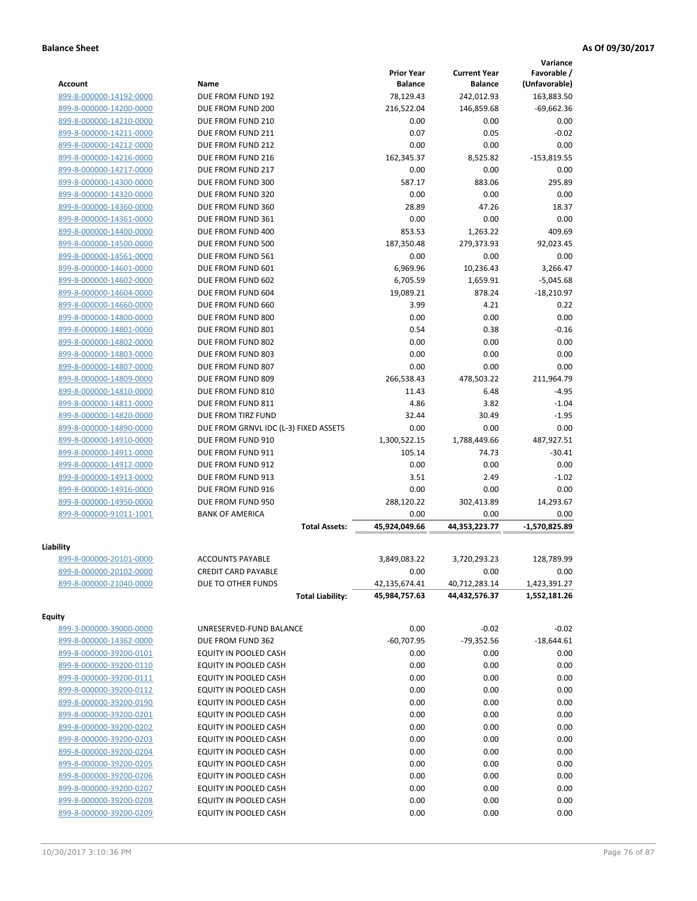|                         |                                       |                   |                     | Variance        |
|-------------------------|---------------------------------------|-------------------|---------------------|-----------------|
|                         |                                       | <b>Prior Year</b> | <b>Current Year</b> | Favorable /     |
| <b>Account</b>          | Name                                  | <b>Balance</b>    | <b>Balance</b>      | (Unfavorable)   |
| 899-8-000000-14192-0000 | DUE FROM FUND 192                     | 78,129.43         | 242,012.93          | 163,883.50      |
| 899-8-000000-14200-0000 | DUE FROM FUND 200                     | 216,522.04        | 146,859.68          | $-69,662.36$    |
| 899-8-000000-14210-0000 | DUE FROM FUND 210                     | 0.00              | 0.00                | 0.00            |
| 899-8-000000-14211-0000 | DUE FROM FUND 211                     | 0.07              | 0.05                | $-0.02$         |
| 899-8-000000-14212-0000 | DUE FROM FUND 212                     | 0.00              | 0.00                | 0.00            |
| 899-8-000000-14216-0000 | DUE FROM FUND 216                     | 162,345.37        | 8,525.82            | $-153,819.55$   |
| 899-8-000000-14217-0000 | DUE FROM FUND 217                     | 0.00              | 0.00                | 0.00            |
| 899-8-000000-14300-0000 | DUE FROM FUND 300                     | 587.17            | 883.06              | 295.89          |
| 899-8-000000-14320-0000 | DUE FROM FUND 320                     | 0.00              | 0.00                | 0.00            |
| 899-8-000000-14360-0000 | DUE FROM FUND 360                     | 28.89             | 47.26               | 18.37           |
| 899-8-000000-14361-0000 | DUE FROM FUND 361                     | 0.00              | 0.00                | 0.00            |
| 899-8-000000-14400-0000 | DUE FROM FUND 400                     | 853.53            | 1,263.22            | 409.69          |
| 899-8-000000-14500-0000 | DUE FROM FUND 500                     | 187,350.48        | 279,373.93          | 92,023.45       |
| 899-8-000000-14561-0000 | DUE FROM FUND 561                     | 0.00              | 0.00                | 0.00            |
| 899-8-000000-14601-0000 | DUE FROM FUND 601                     | 6,969.96          | 10,236.43           | 3,266.47        |
| 899-8-000000-14602-0000 | DUE FROM FUND 602                     | 6,705.59          | 1,659.91            | $-5,045.68$     |
| 899-8-000000-14604-0000 | DUE FROM FUND 604                     | 19,089.21         | 878.24              | $-18,210.97$    |
| 899-8-000000-14660-0000 | DUE FROM FUND 660                     | 3.99              | 4.21                | 0.22            |
| 899-8-000000-14800-0000 | DUE FROM FUND 800                     | 0.00              | 0.00                | 0.00            |
| 899-8-000000-14801-0000 | DUE FROM FUND 801                     | 0.54              | 0.38                | $-0.16$         |
| 899-8-000000-14802-0000 | DUE FROM FUND 802                     | 0.00              | 0.00                | 0.00            |
| 899-8-000000-14803-0000 | DUE FROM FUND 803                     | 0.00              | 0.00                | 0.00            |
| 899-8-000000-14807-0000 | DUE FROM FUND 807                     | 0.00              | 0.00                | 0.00            |
| 899-8-000000-14809-0000 | DUE FROM FUND 809                     | 266,538.43        | 478,503.22          | 211,964.79      |
| 899-8-000000-14810-0000 | DUE FROM FUND 810                     | 11.43             | 6.48                | $-4.95$         |
| 899-8-000000-14811-0000 | DUE FROM FUND 811                     | 4.86              | 3.82                | $-1.04$         |
| 899-8-000000-14820-0000 | DUE FROM TIRZ FUND                    | 32.44             | 30.49               | $-1.95$         |
| 899-8-000000-14890-0000 | DUE FROM GRNVL IDC (L-3) FIXED ASSETS | 0.00              | 0.00                | 0.00            |
| 899-8-000000-14910-0000 | DUE FROM FUND 910                     | 1,300,522.15      | 1,788,449.66        | 487,927.51      |
| 899-8-000000-14911-0000 | DUE FROM FUND 911                     | 105.14            | 74.73               | $-30.41$        |
| 899-8-000000-14912-0000 | DUE FROM FUND 912                     | 0.00              | 0.00                | 0.00            |
| 899-8-000000-14913-0000 | DUE FROM FUND 913                     | 3.51              | 2.49                | $-1.02$         |
| 899-8-000000-14916-0000 | DUE FROM FUND 916                     | 0.00              | 0.00                | 0.00            |
| 899-8-000000-14950-0000 | DUE FROM FUND 950                     | 288,120.22        | 302,413.89          | 14,293.67       |
| 899-8-000000-91011-1001 | <b>BANK OF AMERICA</b>                | 0.00              | 0.00                | 0.00            |
|                         | <b>Total Assets:</b>                  | 45,924,049.66     | 44,353,223.77       | $-1,570,825.89$ |
|                         |                                       |                   |                     |                 |
| Liability               |                                       |                   |                     |                 |
| 899-8-000000-20101-0000 | <b>ACCOUNTS PAYABLE</b>               | 3,849,083.22      | 3,720,293.23        | 128,789.99      |
| 899-8-000000-20102-0000 | <b>CREDIT CARD PAYABLE</b>            | 0.00              | 0.00                | 0.00            |
| 899-8-000000-21040-0000 | DUE TO OTHER FUNDS                    | 42,135,674.41     | 40,712,283.14       | 1,423,391.27    |
|                         | <b>Total Liability:</b>               | 45,984,757.63     | 44,432,576.37       | 1,552,181.26    |
| <b>Equity</b>           |                                       |                   |                     |                 |
| 899-3-000000-39000-0000 | UNRESERVED-FUND BALANCE               | 0.00              | $-0.02$             | $-0.02$         |
| 899-8-000000-14362-0000 | DUE FROM FUND 362                     | $-60,707.95$      | $-79,352.56$        | $-18,644.61$    |
| 899-8-000000-39200-0101 | EQUITY IN POOLED CASH                 | 0.00              | 0.00                | 0.00            |
| 899-8-000000-39200-0110 | EQUITY IN POOLED CASH                 | 0.00              | 0.00                | 0.00            |
| 899-8-000000-39200-0111 | EQUITY IN POOLED CASH                 | 0.00              | 0.00                | 0.00            |
| 899-8-000000-39200-0112 | EQUITY IN POOLED CASH                 | 0.00              | 0.00                | 0.00            |
| 899-8-000000-39200-0190 | EQUITY IN POOLED CASH                 | 0.00              | 0.00                | 0.00            |
| 899-8-000000-39200-0201 | EQUITY IN POOLED CASH                 | 0.00              | 0.00                | 0.00            |
|                         |                                       |                   |                     |                 |
| 899-8-000000-39200-0202 | EQUITY IN POOLED CASH                 | 0.00              | 0.00                | 0.00            |
| 899-8-000000-39200-0203 | EQUITY IN POOLED CASH                 | 0.00              | 0.00                | 0.00            |
| 899-8-000000-39200-0204 | EQUITY IN POOLED CASH                 | 0.00              | 0.00                | 0.00            |
| 899-8-000000-39200-0205 | EQUITY IN POOLED CASH                 | 0.00              | 0.00                | 0.00            |
| 899-8-000000-39200-0206 | EQUITY IN POOLED CASH                 | 0.00              | 0.00                | 0.00            |
| 899-8-000000-39200-0207 | EQUITY IN POOLED CASH                 | 0.00              | 0.00                | 0.00            |
| 899-8-000000-39200-0208 | EQUITY IN POOLED CASH                 | 0.00              | 0.00                | 0.00            |
| 899-8-000000-39200-0209 | EQUITY IN POOLED CASH                 | 0.00              | 0.00                | 0.00            |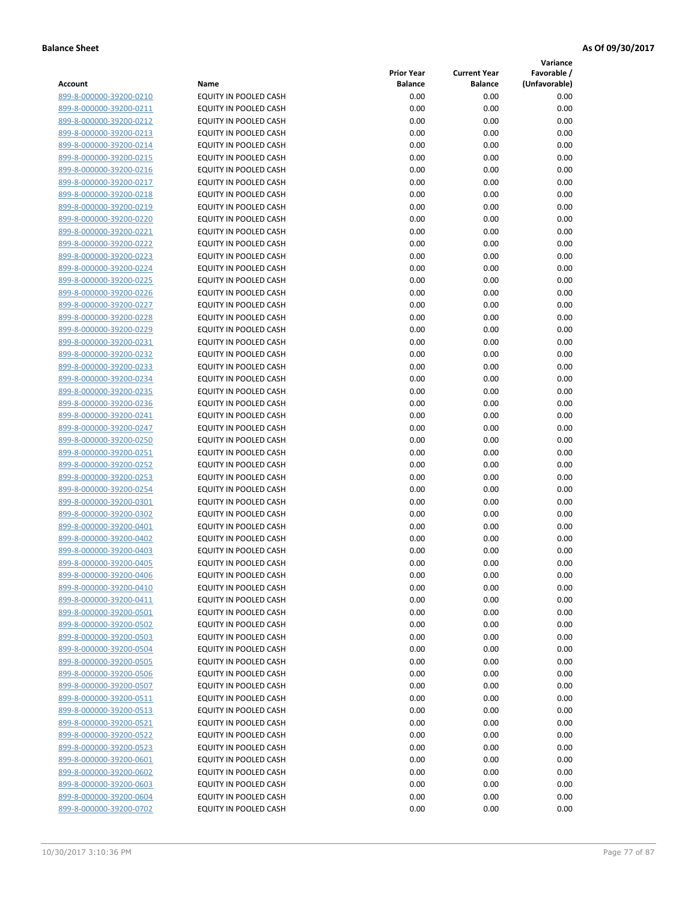**Variance**

| Account                                            | Name                                           | <b>Prior Year</b><br><b>Balance</b> | <b>Current Year</b><br><b>Balance</b> | Favorable /<br>(Unfavorable) |
|----------------------------------------------------|------------------------------------------------|-------------------------------------|---------------------------------------|------------------------------|
| 899-8-000000-39200-0210                            | EQUITY IN POOLED CASH                          | 0.00                                | 0.00                                  | 0.00                         |
| 899-8-000000-39200-0211                            | EQUITY IN POOLED CASH                          | 0.00                                | 0.00                                  | 0.00                         |
| 899-8-000000-39200-0212                            | EQUITY IN POOLED CASH                          | 0.00                                | 0.00                                  | 0.00                         |
| 899-8-000000-39200-0213                            | EQUITY IN POOLED CASH                          | 0.00                                | 0.00                                  | 0.00                         |
| 899-8-000000-39200-0214                            | EQUITY IN POOLED CASH                          | 0.00                                | 0.00                                  | 0.00                         |
| 899-8-000000-39200-0215                            | EQUITY IN POOLED CASH                          | 0.00                                | 0.00                                  | 0.00                         |
| 899-8-000000-39200-0216                            | EQUITY IN POOLED CASH                          | 0.00                                | 0.00                                  | 0.00                         |
| 899-8-000000-39200-0217                            | EQUITY IN POOLED CASH                          | 0.00                                | 0.00                                  | 0.00                         |
| 899-8-000000-39200-0218                            | EQUITY IN POOLED CASH                          | 0.00                                | 0.00                                  | 0.00                         |
| 899-8-000000-39200-0219                            | EQUITY IN POOLED CASH                          | 0.00                                | 0.00                                  | 0.00                         |
| 899-8-000000-39200-0220                            | EQUITY IN POOLED CASH                          | 0.00                                | 0.00                                  | 0.00                         |
| 899-8-000000-39200-0221                            | EQUITY IN POOLED CASH                          | 0.00                                | 0.00                                  | 0.00                         |
| 899-8-000000-39200-0222                            | EQUITY IN POOLED CASH                          | 0.00                                | 0.00                                  | 0.00                         |
| 899-8-000000-39200-0223                            | EQUITY IN POOLED CASH                          | 0.00                                | 0.00                                  | 0.00                         |
| 899-8-000000-39200-0224                            | EQUITY IN POOLED CASH                          | 0.00                                | 0.00                                  | 0.00                         |
| 899-8-000000-39200-0225                            | EQUITY IN POOLED CASH                          | 0.00                                | 0.00                                  | 0.00                         |
| 899-8-000000-39200-0226                            | EQUITY IN POOLED CASH                          | 0.00                                | 0.00                                  | 0.00                         |
| 899-8-000000-39200-0227                            | <b>EQUITY IN POOLED CASH</b>                   | 0.00                                | 0.00                                  | 0.00                         |
| 899-8-000000-39200-0228                            | EQUITY IN POOLED CASH                          | 0.00                                | 0.00                                  | 0.00                         |
| 899-8-000000-39200-0229                            | EQUITY IN POOLED CASH                          | 0.00                                | 0.00                                  | 0.00                         |
| 899-8-000000-39200-0231                            | EQUITY IN POOLED CASH                          | 0.00                                | 0.00                                  | 0.00                         |
| 899-8-000000-39200-0232                            | EQUITY IN POOLED CASH                          | 0.00                                | 0.00                                  | 0.00                         |
| 899-8-000000-39200-0233                            | EQUITY IN POOLED CASH                          | 0.00                                | 0.00                                  | 0.00                         |
| 899-8-000000-39200-0234                            | EQUITY IN POOLED CASH                          | 0.00                                | 0.00                                  | 0.00                         |
| 899-8-000000-39200-0235                            | <b>EQUITY IN POOLED CASH</b>                   | 0.00                                | 0.00                                  | 0.00                         |
| 899-8-000000-39200-0236                            | EQUITY IN POOLED CASH                          | 0.00                                | 0.00                                  | 0.00                         |
| 899-8-000000-39200-0241                            | EQUITY IN POOLED CASH                          | 0.00                                | 0.00                                  | 0.00                         |
| 899-8-000000-39200-0247                            | EQUITY IN POOLED CASH                          | 0.00                                | 0.00                                  | 0.00                         |
| 899-8-000000-39200-0250                            | EQUITY IN POOLED CASH                          | 0.00                                | 0.00                                  | 0.00                         |
| 899-8-000000-39200-0251                            | EQUITY IN POOLED CASH                          | 0.00                                | 0.00                                  | 0.00                         |
| 899-8-000000-39200-0252                            | EQUITY IN POOLED CASH                          | 0.00                                | 0.00                                  | 0.00                         |
| 899-8-000000-39200-0253                            | EQUITY IN POOLED CASH                          | 0.00                                | 0.00                                  | 0.00                         |
| 899-8-000000-39200-0254                            | EQUITY IN POOLED CASH                          | 0.00                                | 0.00                                  | 0.00                         |
| 899-8-000000-39200-0301                            | EQUITY IN POOLED CASH                          | 0.00                                | 0.00                                  | 0.00                         |
| 899-8-000000-39200-0302                            | EQUITY IN POOLED CASH                          | 0.00                                | 0.00                                  | 0.00                         |
| 899-8-000000-39200-0401<br>899-8-000000-39200-0402 | EQUITY IN POOLED CASH<br>EQUITY IN POOLED CASH | 0.00<br>0.00                        | 0.00<br>0.00                          | 0.00<br>0.00                 |
| 899-8-000000-39200-0403                            | EQUITY IN POOLED CASH                          | 0.00                                | 0.00                                  | 0.00                         |
| 899-8-000000-39200-0405                            | EQUITY IN POOLED CASH                          | 0.00                                | 0.00                                  | 0.00                         |
| 899-8-000000-39200-0406                            | EQUITY IN POOLED CASH                          | 0.00                                | 0.00                                  | 0.00                         |
| 899-8-000000-39200-0410                            | EQUITY IN POOLED CASH                          | 0.00                                | 0.00                                  | 0.00                         |
| 899-8-000000-39200-0411                            | EQUITY IN POOLED CASH                          | 0.00                                | 0.00                                  | 0.00                         |
| 899-8-000000-39200-0501                            | EQUITY IN POOLED CASH                          | 0.00                                | 0.00                                  | 0.00                         |
| 899-8-000000-39200-0502                            | EQUITY IN POOLED CASH                          | 0.00                                | 0.00                                  | 0.00                         |
| 899-8-000000-39200-0503                            | EQUITY IN POOLED CASH                          | 0.00                                | 0.00                                  | 0.00                         |
| 899-8-000000-39200-0504                            | EQUITY IN POOLED CASH                          | 0.00                                | 0.00                                  | 0.00                         |
| 899-8-000000-39200-0505                            | EQUITY IN POOLED CASH                          | 0.00                                | 0.00                                  | 0.00                         |
| 899-8-000000-39200-0506                            | EQUITY IN POOLED CASH                          | 0.00                                | 0.00                                  | 0.00                         |
| 899-8-000000-39200-0507                            | EQUITY IN POOLED CASH                          | 0.00                                | 0.00                                  | 0.00                         |
| 899-8-000000-39200-0511                            | EQUITY IN POOLED CASH                          | 0.00                                | 0.00                                  | 0.00                         |
| 899-8-000000-39200-0513                            | EQUITY IN POOLED CASH                          | 0.00                                | 0.00                                  | 0.00                         |
| 899-8-000000-39200-0521                            | EQUITY IN POOLED CASH                          | 0.00                                | 0.00                                  | 0.00                         |
| 899-8-000000-39200-0522                            | EQUITY IN POOLED CASH                          | 0.00                                | 0.00                                  | 0.00                         |
| 899-8-000000-39200-0523                            | EQUITY IN POOLED CASH                          | 0.00                                | 0.00                                  | 0.00                         |
| 899-8-000000-39200-0601                            | EQUITY IN POOLED CASH                          | 0.00                                | 0.00                                  | 0.00                         |
| 899-8-000000-39200-0602                            | EQUITY IN POOLED CASH                          | 0.00                                | 0.00                                  | 0.00                         |
| 899-8-000000-39200-0603                            | EQUITY IN POOLED CASH                          | 0.00                                | 0.00                                  | 0.00                         |
| 899-8-000000-39200-0604                            | EQUITY IN POOLED CASH                          | 0.00                                | 0.00                                  | 0.00                         |
| 899-8-000000-39200-0702                            | EQUITY IN POOLED CASH                          | 0.00                                | 0.00                                  | 0.00                         |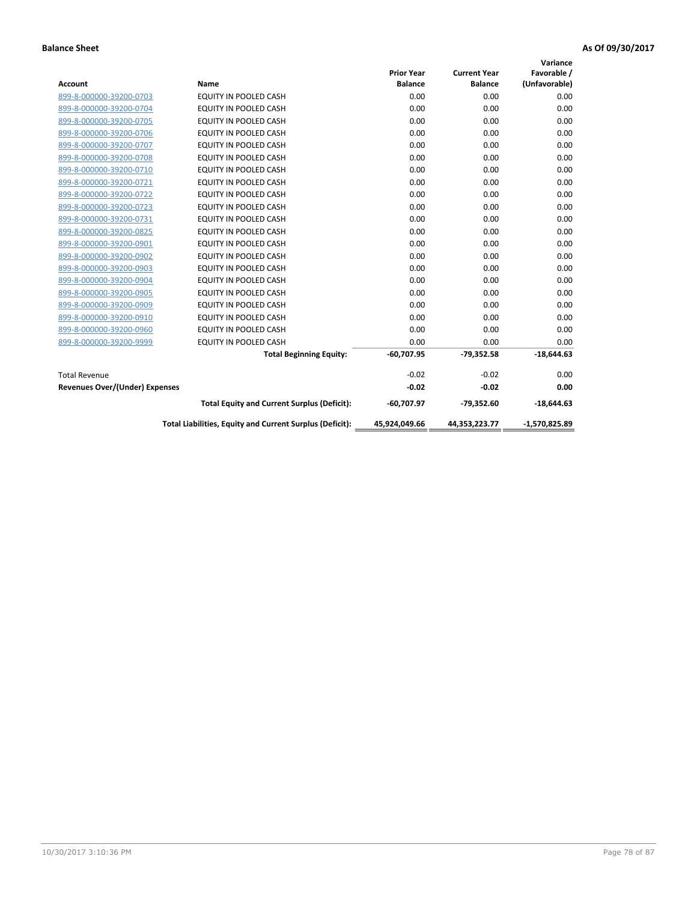|                                       |                                                          |                   |                     | Variance        |
|---------------------------------------|----------------------------------------------------------|-------------------|---------------------|-----------------|
|                                       |                                                          | <b>Prior Year</b> | <b>Current Year</b> | Favorable /     |
| <b>Account</b>                        | Name                                                     | <b>Balance</b>    | <b>Balance</b>      | (Unfavorable)   |
| 899-8-000000-39200-0703               | EQUITY IN POOLED CASH                                    | 0.00              | 0.00                | 0.00            |
| 899-8-000000-39200-0704               | EQUITY IN POOLED CASH                                    | 0.00              | 0.00                | 0.00            |
| 899-8-000000-39200-0705               | EQUITY IN POOLED CASH                                    | 0.00              | 0.00                | 0.00            |
| 899-8-000000-39200-0706               | <b>EQUITY IN POOLED CASH</b>                             | 0.00              | 0.00                | 0.00            |
| 899-8-000000-39200-0707               | <b>EQUITY IN POOLED CASH</b>                             | 0.00              | 0.00                | 0.00            |
| 899-8-000000-39200-0708               | <b>EQUITY IN POOLED CASH</b>                             | 0.00              | 0.00                | 0.00            |
| 899-8-000000-39200-0710               | EQUITY IN POOLED CASH                                    | 0.00              | 0.00                | 0.00            |
| 899-8-000000-39200-0721               | <b>EQUITY IN POOLED CASH</b>                             | 0.00              | 0.00                | 0.00            |
| 899-8-000000-39200-0722               | <b>EQUITY IN POOLED CASH</b>                             | 0.00              | 0.00                | 0.00            |
| 899-8-000000-39200-0723               | <b>EQUITY IN POOLED CASH</b>                             | 0.00              | 0.00                | 0.00            |
| 899-8-000000-39200-0731               | <b>EQUITY IN POOLED CASH</b>                             | 0.00              | 0.00                | 0.00            |
| 899-8-000000-39200-0825               | EQUITY IN POOLED CASH                                    | 0.00              | 0.00                | 0.00            |
| 899-8-000000-39200-0901               | <b>EQUITY IN POOLED CASH</b>                             | 0.00              | 0.00                | 0.00            |
| 899-8-000000-39200-0902               | EQUITY IN POOLED CASH                                    | 0.00              | 0.00                | 0.00            |
| 899-8-000000-39200-0903               | <b>EQUITY IN POOLED CASH</b>                             | 0.00              | 0.00                | 0.00            |
| 899-8-000000-39200-0904               | <b>EQUITY IN POOLED CASH</b>                             | 0.00              | 0.00                | 0.00            |
| 899-8-000000-39200-0905               | EQUITY IN POOLED CASH                                    | 0.00              | 0.00                | 0.00            |
| 899-8-000000-39200-0909               | EQUITY IN POOLED CASH                                    | 0.00              | 0.00                | 0.00            |
| 899-8-000000-39200-0910               | <b>EQUITY IN POOLED CASH</b>                             | 0.00              | 0.00                | 0.00            |
| 899-8-000000-39200-0960               | <b>EQUITY IN POOLED CASH</b>                             | 0.00              | 0.00                | 0.00            |
| 899-8-000000-39200-9999               | EQUITY IN POOLED CASH                                    | 0.00              | 0.00                | 0.00            |
|                                       | <b>Total Beginning Equity:</b>                           | $-60,707.95$      | $-79,352.58$        | $-18,644.63$    |
| <b>Total Revenue</b>                  |                                                          | $-0.02$           | $-0.02$             | 0.00            |
| <b>Revenues Over/(Under) Expenses</b> |                                                          | $-0.02$           | $-0.02$             | 0.00            |
|                                       | <b>Total Equity and Current Surplus (Deficit):</b>       | $-60,707.97$      | $-79,352.60$        | $-18,644.63$    |
|                                       | Total Liabilities, Equity and Current Surplus (Deficit): | 45,924,049.66     | 44,353,223.77       | $-1,570,825.89$ |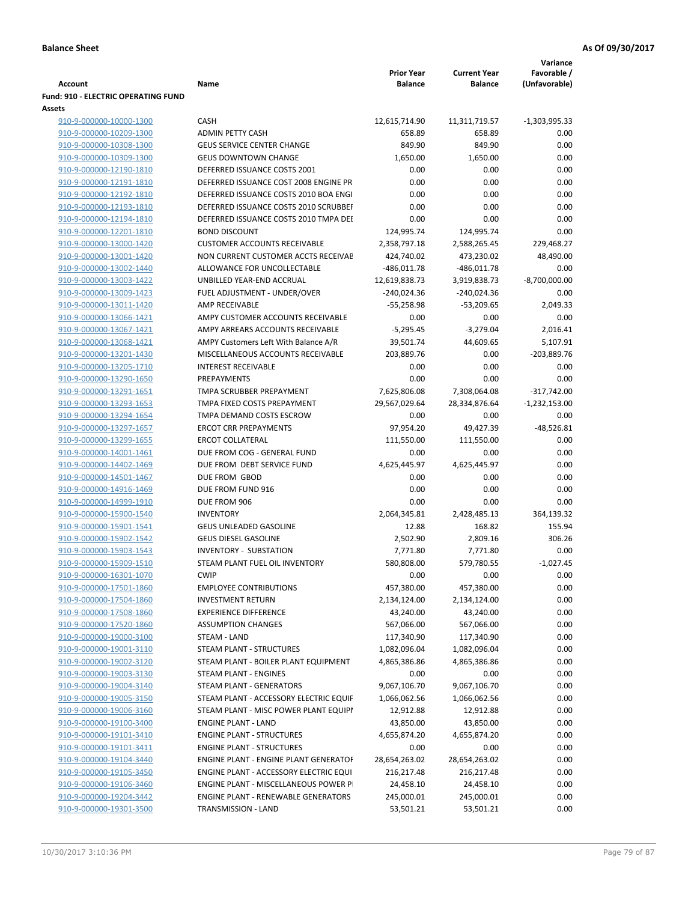|                                     |                                            |                   |                     | Variance        |
|-------------------------------------|--------------------------------------------|-------------------|---------------------|-----------------|
|                                     |                                            | <b>Prior Year</b> | <b>Current Year</b> | Favorable /     |
| <b>Account</b>                      | Name                                       | <b>Balance</b>    | <b>Balance</b>      | (Unfavorable)   |
| Fund: 910 - ELECTRIC OPERATING FUND |                                            |                   |                     |                 |
| Assets                              |                                            |                   |                     |                 |
| 910-9-000000-10000-1300             | <b>CASH</b>                                | 12,615,714.90     | 11,311,719.57       | $-1,303,995.33$ |
| 910-9-000000-10209-1300             | <b>ADMIN PETTY CASH</b>                    | 658.89            | 658.89              | 0.00            |
| 910-9-000000-10308-1300             | <b>GEUS SERVICE CENTER CHANGE</b>          | 849.90            | 849.90              | 0.00            |
| 910-9-000000-10309-1300             | <b>GEUS DOWNTOWN CHANGE</b>                | 1,650.00          | 1,650.00            | 0.00            |
| 910-9-000000-12190-1810             | DEFERRED ISSUANCE COSTS 2001               | 0.00              | 0.00                | 0.00            |
| 910-9-000000-12191-1810             | DEFERRED ISSUANCE COST 2008 ENGINE PR      | 0.00              | 0.00                | 0.00            |
| 910-9-000000-12192-1810             | DEFERRED ISSUANCE COSTS 2010 BOA ENGI      | 0.00              | 0.00                | 0.00            |
| 910-9-000000-12193-1810             | DEFERRED ISSUANCE COSTS 2010 SCRUBBEI      | 0.00              | 0.00                | 0.00            |
| 910-9-000000-12194-1810             | DEFERRED ISSUANCE COSTS 2010 TMPA DEI      | 0.00              | 0.00                | 0.00            |
| 910-9-000000-12201-1810             | <b>BOND DISCOUNT</b>                       | 124,995.74        | 124,995.74          | 0.00            |
| 910-9-000000-13000-1420             | <b>CUSTOMER ACCOUNTS RECEIVABLE</b>        | 2,358,797.18      | 2,588,265.45        | 229,468.27      |
| 910-9-000000-13001-1420             | NON CURRENT CUSTOMER ACCTS RECEIVAE        | 424,740.02        | 473,230.02          | 48,490.00       |
| 910-9-000000-13002-1440             | ALLOWANCE FOR UNCOLLECTABLE                | $-486,011.78$     | $-486,011.78$       | 0.00            |
| 910-9-000000-13003-1422             | UNBILLED YEAR-END ACCRUAL                  | 12,619,838.73     | 3,919,838.73        | $-8,700,000.00$ |
| 910-9-000000-13009-1423             | FUEL ADJUSTMENT - UNDER/OVER               | -240,024.36       | $-240,024.36$       | 0.00            |
| 910-9-000000-13011-1420             | AMP RECEIVABLE                             | $-55,258.98$      | $-53,209.65$        | 2,049.33        |
|                                     | AMPY CUSTOMER ACCOUNTS RECEIVABLE          |                   |                     | 0.00            |
| 910-9-000000-13066-1421             |                                            | 0.00              | 0.00                |                 |
| 910-9-000000-13067-1421             | AMPY ARREARS ACCOUNTS RECEIVABLE           | $-5,295.45$       | $-3,279.04$         | 2,016.41        |
| 910-9-000000-13068-1421             | AMPY Customers Left With Balance A/R       | 39,501.74         | 44,609.65           | 5,107.91        |
| 910-9-000000-13201-1430             | MISCELLANEOUS ACCOUNTS RECEIVABLE          | 203,889.76        | 0.00                | -203,889.76     |
| 910-9-000000-13205-1710             | <b>INTEREST RECEIVABLE</b>                 | 0.00              | 0.00                | 0.00            |
| 910-9-000000-13290-1650             | PREPAYMENTS                                | 0.00              | 0.00                | 0.00            |
| 910-9-000000-13291-1651             | TMPA SCRUBBER PREPAYMENT                   | 7,625,806.08      | 7,308,064.08        | $-317,742.00$   |
| 910-9-000000-13293-1653             | TMPA FIXED COSTS PREPAYMENT                | 29,567,029.64     | 28,334,876.64       | $-1,232,153.00$ |
| 910-9-000000-13294-1654             | TMPA DEMAND COSTS ESCROW                   | 0.00              | 0.00                | 0.00            |
| 910-9-000000-13297-1657             | <b>ERCOT CRR PREPAYMENTS</b>               | 97,954.20         | 49,427.39           | $-48,526.81$    |
| 910-9-000000-13299-1655             | <b>ERCOT COLLATERAL</b>                    | 111,550.00        | 111,550.00          | 0.00            |
| 910-9-000000-14001-1461             | DUE FROM COG - GENERAL FUND                | 0.00              | 0.00                | 0.00            |
| 910-9-000000-14402-1469             | DUE FROM DEBT SERVICE FUND                 | 4,625,445.97      | 4,625,445.97        | 0.00            |
| 910-9-000000-14501-1467             | DUE FROM GBOD                              | 0.00              | 0.00                | 0.00            |
| 910-9-000000-14916-1469             | DUE FROM FUND 916                          | 0.00              | 0.00                | 0.00            |
| 910-9-000000-14999-1910             | DUE FROM 906                               | 0.00              | 0.00                | 0.00            |
| 910-9-000000-15900-1540             | <b>INVENTORY</b>                           | 2,064,345.81      | 2,428,485.13        | 364,139.32      |
| 910-9-000000-15901-1541             | <b>GEUS UNLEADED GASOLINE</b>              | 12.88             | 168.82              | 155.94          |
| 910-9-000000-15902-1542             | <b>GEUS DIESEL GASOLINE</b>                | 2,502.90          | 2,809.16            | 306.26          |
| 910-9-000000-15903-1543             | INVENTORY - SUBSTATION                     | 7,771.80          | 7,771.80            | 0.00            |
| 910-9-000000-15909-1510             | STEAM PLANT FUEL OIL INVENTORY             | 580,808.00        | 579,780.55          | $-1,027.45$     |
| 910-9-000000-16301-1070             | <b>CWIP</b>                                | 0.00              | 0.00                | 0.00            |
| 910-9-000000-17501-1860             | <b>EMPLOYEE CONTRIBUTIONS</b>              | 457,380.00        | 457,380.00          | 0.00            |
| 910-9-000000-17504-1860             | <b>INVESTMENT RETURN</b>                   | 2,134,124.00      | 2,134,124.00        | 0.00            |
| 910-9-000000-17508-1860             | <b>EXPERIENCE DIFFERENCE</b>               | 43,240.00         | 43,240.00           | 0.00            |
| 910-9-000000-17520-1860             | <b>ASSUMPTION CHANGES</b>                  | 567,066.00        | 567,066.00          | 0.00            |
| 910-9-000000-19000-3100             | STEAM - LAND                               | 117,340.90        | 117,340.90          | 0.00            |
| 910-9-000000-19001-3110             | <b>STEAM PLANT - STRUCTURES</b>            | 1,082,096.04      | 1,082,096.04        | 0.00            |
| 910-9-000000-19002-3120             | STEAM PLANT - BOILER PLANT EQUIPMENT       | 4,865,386.86      | 4,865,386.86        | 0.00            |
|                                     | <b>STEAM PLANT - ENGINES</b>               |                   |                     |                 |
| 910-9-000000-19003-3130             |                                            | 0.00              | 0.00                | 0.00            |
| 910-9-000000-19004-3140             | <b>STEAM PLANT - GENERATORS</b>            | 9,067,106.70      | 9,067,106.70        | 0.00            |
| 910-9-000000-19005-3150             | STEAM PLANT - ACCESSORY ELECTRIC EQUIF     | 1,066,062.56      | 1,066,062.56        | 0.00            |
| 910-9-000000-19006-3160             | STEAM PLANT - MISC POWER PLANT EQUIPI      | 12,912.88         | 12,912.88           | 0.00            |
| 910-9-000000-19100-3400             | <b>ENGINE PLANT - LAND</b>                 | 43,850.00         | 43,850.00           | 0.00            |
| 910-9-000000-19101-3410             | <b>ENGINE PLANT - STRUCTURES</b>           | 4,655,874.20      | 4,655,874.20        | 0.00            |
| 910-9-000000-19101-3411             | <b>ENGINE PLANT - STRUCTURES</b>           | 0.00              | 0.00                | 0.00            |
| 910-9-000000-19104-3440             | ENGINE PLANT - ENGINE PLANT GENERATOF      | 28,654,263.02     | 28,654,263.02       | 0.00            |
| 910-9-000000-19105-3450             | ENGINE PLANT - ACCESSORY ELECTRIC EQUI     | 216,217.48        | 216,217.48          | 0.00            |
| 910-9-000000-19106-3460             | ENGINE PLANT - MISCELLANEOUS POWER P       | 24,458.10         | 24,458.10           | 0.00            |
| 910-9-000000-19204-3442             | <b>ENGINE PLANT - RENEWABLE GENERATORS</b> | 245,000.01        | 245,000.01          | 0.00            |
| 910-9-000000-19301-3500             | TRANSMISSION - LAND                        | 53,501.21         | 53,501.21           | 0.00            |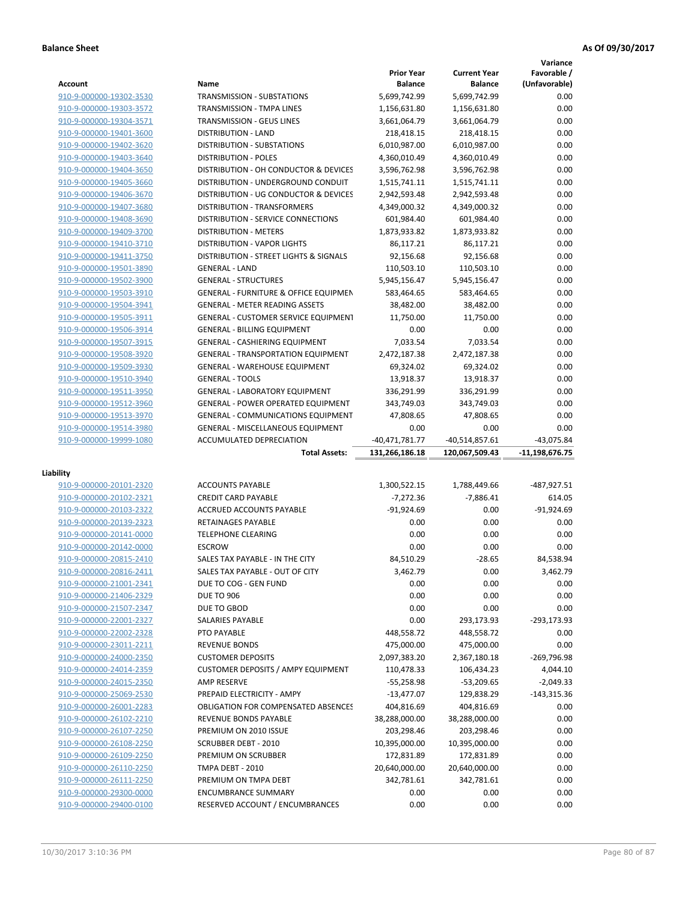|                                                    |                                                               |                   |                            | Variance                     |
|----------------------------------------------------|---------------------------------------------------------------|-------------------|----------------------------|------------------------------|
|                                                    |                                                               | <b>Prior Year</b> | <b>Current Year</b>        | Favorable /                  |
| <b>Account</b>                                     | Name                                                          | <b>Balance</b>    | <b>Balance</b>             | (Unfavorable)                |
| 910-9-000000-19302-3530                            | <b>TRANSMISSION - SUBSTATIONS</b>                             | 5,699,742.99      | 5,699,742.99               | 0.00                         |
| 910-9-000000-19303-3572                            | TRANSMISSION - TMPA LINES                                     | 1,156,631.80      | 1,156,631.80               | 0.00                         |
| 910-9-000000-19304-3571                            | <b>TRANSMISSION - GEUS LINES</b>                              | 3,661,064.79      | 3,661,064.79               | 0.00                         |
| 910-9-000000-19401-3600                            | <b>DISTRIBUTION - LAND</b>                                    | 218,418.15        | 218,418.15                 | 0.00                         |
| 910-9-000000-19402-3620                            | DISTRIBUTION - SUBSTATIONS                                    | 6,010,987.00      | 6,010,987.00               | 0.00                         |
| 910-9-000000-19403-3640                            | <b>DISTRIBUTION - POLES</b>                                   | 4,360,010.49      | 4,360,010.49               | 0.00                         |
| 910-9-000000-19404-3650                            | DISTRIBUTION - OH CONDUCTOR & DEVICES                         | 3,596,762.98      | 3,596,762.98               | 0.00                         |
| 910-9-000000-19405-3660                            | DISTRIBUTION - UNDERGROUND CONDUIT                            | 1,515,741.11      | 1,515,741.11               | 0.00                         |
| 910-9-000000-19406-3670                            | DISTRIBUTION - UG CONDUCTOR & DEVICES                         | 2,942,593.48      | 2,942,593.48               | 0.00                         |
| 910-9-000000-19407-3680                            | DISTRIBUTION - TRANSFORMERS                                   | 4,349,000.32      | 4,349,000.32               | 0.00                         |
| 910-9-000000-19408-3690                            | DISTRIBUTION - SERVICE CONNECTIONS                            | 601,984.40        | 601,984.40                 | 0.00                         |
| 910-9-000000-19409-3700                            | <b>DISTRIBUTION - METERS</b>                                  | 1,873,933.82      | 1,873,933.82               | 0.00                         |
| 910-9-000000-19410-3710                            | <b>DISTRIBUTION - VAPOR LIGHTS</b>                            | 86,117.21         | 86,117.21                  | 0.00                         |
| 910-9-000000-19411-3750                            | DISTRIBUTION - STREET LIGHTS & SIGNALS                        | 92,156.68         | 92,156.68                  | 0.00                         |
| 910-9-000000-19501-3890                            | <b>GENERAL - LAND</b>                                         | 110,503.10        | 110,503.10                 | 0.00                         |
| 910-9-000000-19502-3900                            | <b>GENERAL - STRUCTURES</b>                                   | 5,945,156.47      | 5,945,156.47               | 0.00                         |
| 910-9-000000-19503-3910                            | <b>GENERAL - FURNITURE &amp; OFFICE EQUIPMEN</b>              | 583,464.65        | 583,464.65                 | 0.00                         |
|                                                    | <b>GENERAL - METER READING ASSETS</b>                         | 38,482.00         | 38,482.00                  | 0.00                         |
| 910-9-000000-19504-3941                            |                                                               |                   |                            |                              |
| 910-9-000000-19505-3911                            | GENERAL - CUSTOMER SERVICE EQUIPMENT                          | 11,750.00         | 11,750.00                  | 0.00                         |
| 910-9-000000-19506-3914                            | <b>GENERAL - BILLING EQUIPMENT</b>                            | 0.00              | 0.00                       | 0.00                         |
| 910-9-000000-19507-3915                            | <b>GENERAL - CASHIERING EQUIPMENT</b>                         | 7,033.54          | 7,033.54                   | 0.00                         |
| 910-9-000000-19508-3920                            | <b>GENERAL - TRANSPORTATION EQUIPMENT</b>                     | 2,472,187.38      | 2,472,187.38               | 0.00                         |
| 910-9-000000-19509-3930                            | <b>GENERAL - WAREHOUSE EQUIPMENT</b>                          | 69,324.02         | 69,324.02                  | 0.00                         |
| 910-9-000000-19510-3940                            | <b>GENERAL - TOOLS</b>                                        | 13,918.37         | 13,918.37                  | 0.00                         |
| 910-9-000000-19511-3950                            | <b>GENERAL - LABORATORY EQUIPMENT</b>                         | 336,291.99        | 336,291.99                 | 0.00                         |
| 910-9-000000-19512-3960                            | <b>GENERAL - POWER OPERATED EQUIPMENT</b>                     | 343,749.03        | 343,749.03                 | 0.00                         |
| 910-9-000000-19513-3970                            | <b>GENERAL - COMMUNICATIONS EQUIPMENT</b>                     | 47,808.65         | 47,808.65                  | 0.00                         |
| 910-9-000000-19514-3980                            | <b>GENERAL - MISCELLANEOUS EQUIPMENT</b>                      | 0.00              | 0.00                       | 0.00                         |
| 910-9-000000-19999-1080                            | ACCUMULATED DEPRECIATION                                      | -40,471,781.77    | $-40,514,857.61$           | $-43,075.84$                 |
|                                                    |                                                               |                   |                            |                              |
|                                                    | <b>Total Assets:</b>                                          | 131,266,186.18    | 120,067,509.43             | -11,198,676.75               |
|                                                    |                                                               |                   |                            |                              |
| Liability                                          |                                                               |                   |                            |                              |
| 910-9-000000-20101-2320                            | <b>ACCOUNTS PAYABLE</b>                                       | 1,300,522.15      | 1,788,449.66               | -487,927.51                  |
| 910-9-000000-20102-2321                            | <b>CREDIT CARD PAYABLE</b>                                    | $-7,272.36$       | $-7,886.41$                | 614.05                       |
| 910-9-000000-20103-2322                            | ACCRUED ACCOUNTS PAYABLE                                      | $-91.924.69$      | 0.00                       | $-91,924.69$                 |
| 910-9-000000-20139-2323                            | RETAINAGES PAYABLE                                            | 0.00              | 0.00                       | 0.00                         |
| 910-9-000000-20141-0000                            | <b>TELEPHONE CLEARING</b>                                     | 0.00              | 0.00                       | 0.00                         |
| 910-9-000000-20142-0000                            | <b>ESCROW</b>                                                 | 0.00              | 0.00                       | 0.00                         |
| 910-9-000000-20815-2410                            | SALES TAX PAYABLE - IN THE CITY                               | 84,510.29         | $-28.65$                   | 84,538.94                    |
| 910-9-000000-20816-2411                            | SALES TAX PAYABLE - OUT OF CITY                               | 3,462.79          | 0.00                       | 3,462.79                     |
| 910-9-000000-21001-2341                            | DUE TO COG - GEN FUND                                         | 0.00              | 0.00                       | 0.00                         |
| 910-9-000000-21406-2329                            | <b>DUE TO 906</b>                                             | 0.00              | 0.00                       | 0.00                         |
| 910-9-000000-21507-2347                            | DUE TO GBOD                                                   | 0.00              | 0.00                       | 0.00                         |
| 910-9-000000-22001-2327                            | SALARIES PAYABLE                                              | 0.00              | 293,173.93                 | -293,173.93                  |
| 910-9-000000-22002-2328                            | PTO PAYABLE                                                   | 448,558.72        | 448,558.72                 | 0.00                         |
| 910-9-000000-23011-2211                            | <b>REVENUE BONDS</b>                                          | 475,000.00        | 475,000.00                 | 0.00                         |
| 910-9-000000-24000-2350                            | <b>CUSTOMER DEPOSITS</b>                                      | 2,097,383.20      | 2,367,180.18               | -269,796.98                  |
| 910-9-000000-24014-2359                            | <b>CUSTOMER DEPOSITS / AMPY EQUIPMENT</b>                     | 110,478.33        | 106,434.23                 | 4,044.10                     |
| 910-9-000000-24015-2350                            | <b>AMP RESERVE</b>                                            | $-55,258.98$      |                            |                              |
| 910-9-000000-25069-2530                            | PREPAID ELECTRICITY - AMPY                                    | $-13,477.07$      | $-53,209.65$<br>129,838.29 | $-2,049.33$<br>$-143,315.36$ |
| 910-9-000000-26001-2283                            |                                                               | 404,816.69        | 404,816.69                 | 0.00                         |
|                                                    | OBLIGATION FOR COMPENSATED ABSENCES                           |                   |                            |                              |
| 910-9-000000-26102-2210                            | REVENUE BONDS PAYABLE                                         | 38,288,000.00     | 38,288,000.00              | 0.00                         |
| 910-9-000000-26107-2250                            | PREMIUM ON 2010 ISSUE                                         | 203,298.46        | 203,298.46                 | 0.00                         |
| 910-9-000000-26108-2250                            | <b>SCRUBBER DEBT - 2010</b>                                   | 10,395,000.00     | 10,395,000.00              | 0.00                         |
| 910-9-000000-26109-2250                            | PREMIUM ON SCRUBBER                                           | 172,831.89        | 172,831.89                 | 0.00                         |
| 910-9-000000-26110-2250                            | TMPA DEBT - 2010                                              | 20,640,000.00     | 20,640,000.00              | 0.00                         |
| 910-9-000000-26111-2250                            | PREMIUM ON TMPA DEBT                                          | 342,781.61        | 342,781.61                 | 0.00                         |
| 910-9-000000-29300-0000<br>910-9-000000-29400-0100 | <b>ENCUMBRANCE SUMMARY</b><br>RESERVED ACCOUNT / ENCUMBRANCES | 0.00<br>0.00      | 0.00<br>0.00               | 0.00<br>0.00                 |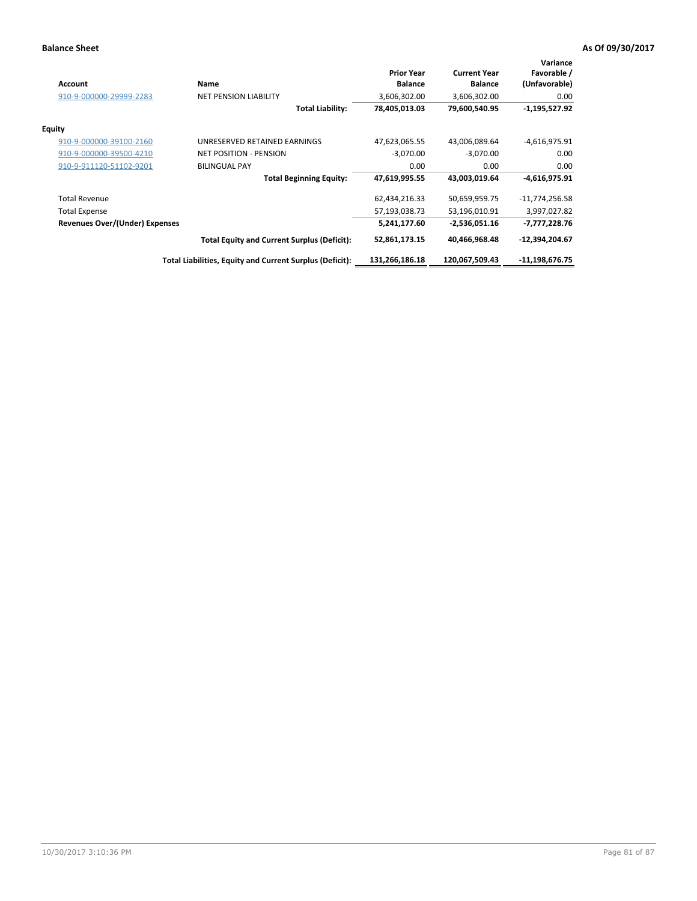| <b>Account</b>                 | Name                                                     | <b>Prior Year</b><br><b>Balance</b> | <b>Current Year</b><br><b>Balance</b> | Variance<br>Favorable /<br>(Unfavorable) |
|--------------------------------|----------------------------------------------------------|-------------------------------------|---------------------------------------|------------------------------------------|
| 910-9-000000-29999-2283        | <b>NET PENSION LIABILITY</b>                             | 3,606,302.00                        | 3,606,302.00                          | 0.00                                     |
|                                | <b>Total Liability:</b>                                  | 78,405,013.03                       | 79,600,540.95                         | $-1,195,527.92$                          |
| Equity                         |                                                          |                                     |                                       |                                          |
| 910-9-000000-39100-2160        | UNRESERVED RETAINED EARNINGS                             | 47,623,065.55                       | 43,006,089.64                         | $-4,616,975.91$                          |
| 910-9-000000-39500-4210        | <b>NET POSITION - PENSION</b>                            | $-3,070.00$                         | $-3,070.00$                           | 0.00                                     |
| 910-9-911120-51102-9201        | <b>BILINGUAL PAY</b>                                     | 0.00                                | 0.00                                  | 0.00                                     |
|                                | <b>Total Beginning Equity:</b>                           | 47,619,995.55                       | 43,003,019.64                         | $-4,616,975.91$                          |
| <b>Total Revenue</b>           |                                                          | 62,434,216.33                       | 50,659,959.75                         | $-11,774,256.58$                         |
| <b>Total Expense</b>           |                                                          | 57,193,038.73                       | 53,196,010.91                         | 3,997,027.82                             |
| Revenues Over/(Under) Expenses |                                                          | 5,241,177.60                        | -2,536,051.16                         | -7,777,228.76                            |
|                                | <b>Total Equity and Current Surplus (Deficit):</b>       | 52,861,173.15                       | 40,466,968.48                         | $-12,394,204.67$                         |
|                                | Total Liabilities, Equity and Current Surplus (Deficit): | 131,266,186.18                      | 120,067,509.43                        | -11,198,676.75                           |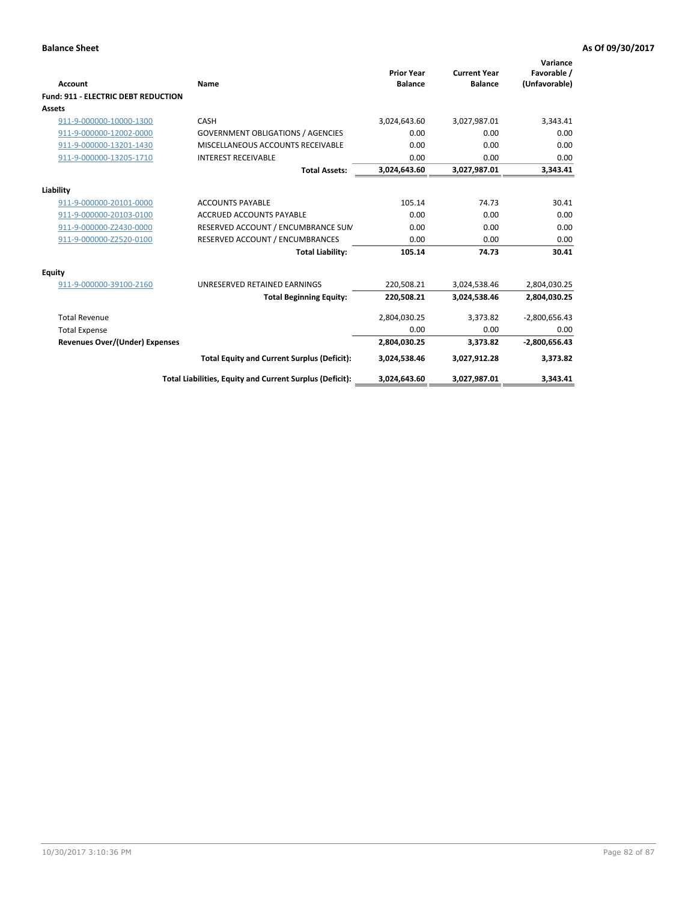| <b>Account</b>                             | <b>Name</b>                                              | <b>Prior Year</b><br><b>Balance</b> | <b>Current Year</b><br><b>Balance</b> | Variance<br>Favorable /<br>(Unfavorable) |
|--------------------------------------------|----------------------------------------------------------|-------------------------------------|---------------------------------------|------------------------------------------|
| <b>Fund: 911 - ELECTRIC DEBT REDUCTION</b> |                                                          |                                     |                                       |                                          |
| Assets                                     |                                                          |                                     |                                       |                                          |
| 911-9-000000-10000-1300                    | CASH                                                     | 3,024,643.60                        | 3,027,987.01                          | 3,343.41                                 |
| 911-9-000000-12002-0000                    | <b>GOVERNMENT OBLIGATIONS / AGENCIES</b>                 | 0.00                                | 0.00                                  | 0.00                                     |
| 911-9-000000-13201-1430                    | MISCELLANEOUS ACCOUNTS RECEIVABLE                        | 0.00                                | 0.00                                  | 0.00                                     |
| 911-9-000000-13205-1710                    | <b>INTEREST RECEIVABLE</b>                               | 0.00                                | 0.00                                  | 0.00                                     |
|                                            | <b>Total Assets:</b>                                     | 3,024,643.60                        | 3,027,987.01                          | 3,343.41                                 |
| Liability                                  |                                                          |                                     |                                       |                                          |
| 911-9-000000-20101-0000                    | <b>ACCOUNTS PAYABLE</b>                                  | 105.14                              | 74.73                                 | 30.41                                    |
| 911-9-000000-20103-0100                    | <b>ACCRUED ACCOUNTS PAYABLE</b>                          | 0.00                                | 0.00                                  | 0.00                                     |
| 911-9-000000-Z2430-0000                    | RESERVED ACCOUNT / ENCUMBRANCE SUM                       | 0.00                                | 0.00                                  | 0.00                                     |
| 911-9-000000-Z2520-0100                    | RESERVED ACCOUNT / ENCUMBRANCES                          | 0.00                                | 0.00                                  | 0.00                                     |
|                                            | <b>Total Liability:</b>                                  | 105.14                              | 74.73                                 | 30.41                                    |
| Equity                                     |                                                          |                                     |                                       |                                          |
| 911-9-000000-39100-2160                    | UNRESERVED RETAINED EARNINGS                             | 220,508.21                          | 3,024,538.46                          | 2,804,030.25                             |
|                                            | <b>Total Beginning Equity:</b>                           | 220,508.21                          | 3,024,538.46                          | 2,804,030.25                             |
| <b>Total Revenue</b>                       |                                                          | 2,804,030.25                        | 3,373.82                              | $-2,800,656.43$                          |
| <b>Total Expense</b>                       |                                                          | 0.00                                | 0.00                                  | 0.00                                     |
| <b>Revenues Over/(Under) Expenses</b>      |                                                          | 2,804,030.25                        | 3,373.82                              | $-2,800,656.43$                          |
|                                            | <b>Total Equity and Current Surplus (Deficit):</b>       | 3,024,538.46                        | 3,027,912.28                          | 3,373.82                                 |
|                                            | Total Liabilities, Equity and Current Surplus (Deficit): | 3,024,643.60                        | 3,027,987.01                          | 3,343.41                                 |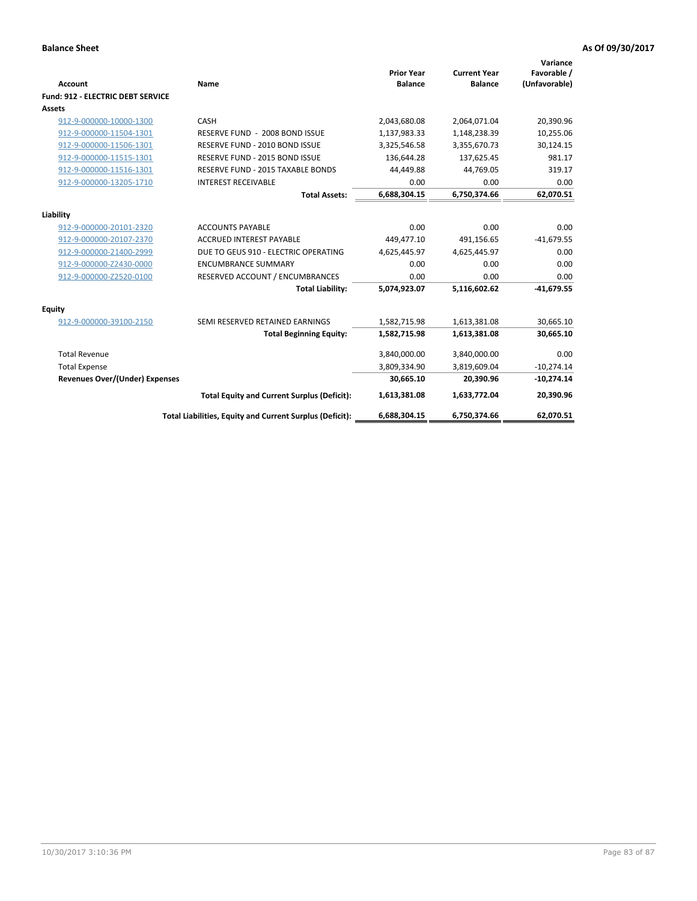| Account                           | Name                                                     | <b>Prior Year</b><br><b>Balance</b> | <b>Current Year</b><br><b>Balance</b> | Variance<br>Favorable /<br>(Unfavorable) |
|-----------------------------------|----------------------------------------------------------|-------------------------------------|---------------------------------------|------------------------------------------|
| Fund: 912 - ELECTRIC DEBT SERVICE |                                                          |                                     |                                       |                                          |
| Assets                            |                                                          |                                     |                                       |                                          |
| 912-9-000000-10000-1300           | CASH                                                     | 2,043,680.08                        | 2,064,071.04                          | 20,390.96                                |
| 912-9-000000-11504-1301           | RESERVE FUND - 2008 BOND ISSUE                           | 1,137,983.33                        | 1,148,238.39                          | 10,255.06                                |
| 912-9-000000-11506-1301           | RESERVE FUND - 2010 BOND ISSUE                           | 3,325,546.58                        | 3,355,670.73                          | 30,124.15                                |
| 912-9-000000-11515-1301           | RESERVE FUND - 2015 BOND ISSUE                           | 136,644.28                          | 137,625.45                            | 981.17                                   |
| 912-9-000000-11516-1301           | RESERVE FUND - 2015 TAXABLE BONDS                        | 44,449.88                           | 44,769.05                             | 319.17                                   |
| 912-9-000000-13205-1710           | <b>INTEREST RECEIVABLE</b>                               | 0.00                                | 0.00                                  | 0.00                                     |
|                                   | <b>Total Assets:</b>                                     | 6,688,304.15                        | 6,750,374.66                          | 62,070.51                                |
| Liability                         |                                                          |                                     |                                       |                                          |
| 912-9-000000-20101-2320           | <b>ACCOUNTS PAYABLE</b>                                  | 0.00                                | 0.00                                  | 0.00                                     |
| 912-9-000000-20107-2370           | <b>ACCRUED INTEREST PAYABLE</b>                          | 449,477.10                          | 491,156.65                            | $-41,679.55$                             |
| 912-9-000000-21400-2999           | DUE TO GEUS 910 - ELECTRIC OPERATING                     | 4,625,445.97                        | 4,625,445.97                          | 0.00                                     |
| 912-9-000000-Z2430-0000           | <b>ENCUMBRANCE SUMMARY</b>                               | 0.00                                | 0.00                                  | 0.00                                     |
| 912-9-000000-Z2520-0100           | RESERVED ACCOUNT / ENCUMBRANCES                          | 0.00                                | 0.00                                  | 0.00                                     |
|                                   | <b>Total Liability:</b>                                  | 5,074,923.07                        | 5,116,602.62                          | $-41,679.55$                             |
| Equity                            |                                                          |                                     |                                       |                                          |
| 912-9-000000-39100-2150           | SEMI RESERVED RETAINED EARNINGS                          | 1,582,715.98                        | 1,613,381.08                          | 30,665.10                                |
|                                   | <b>Total Beginning Equity:</b>                           | 1,582,715.98                        | 1,613,381.08                          | 30,665.10                                |
| <b>Total Revenue</b>              |                                                          | 3,840,000.00                        | 3,840,000.00                          | 0.00                                     |
| <b>Total Expense</b>              |                                                          | 3,809,334.90                        | 3,819,609.04                          | $-10,274.14$                             |
| Revenues Over/(Under) Expenses    |                                                          | 30,665.10                           | 20,390.96                             | $-10,274.14$                             |
|                                   | <b>Total Equity and Current Surplus (Deficit):</b>       | 1,613,381.08                        | 1,633,772.04                          | 20,390.96                                |
|                                   | Total Liabilities, Equity and Current Surplus (Deficit): | 6,688,304.15                        | 6,750,374.66                          | 62.070.51                                |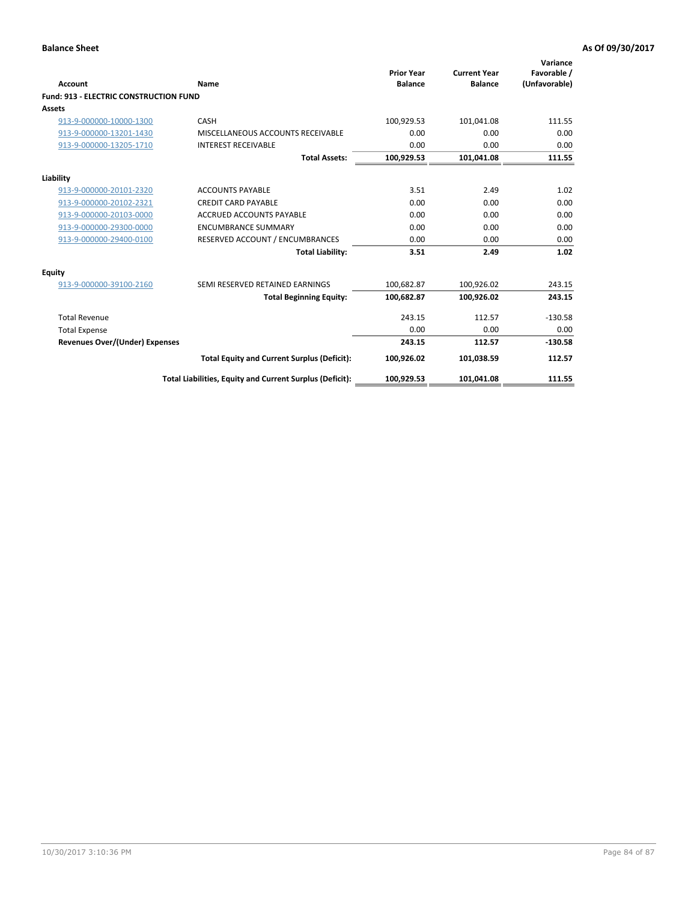| Account                                       | Name                                                     | <b>Prior Year</b><br><b>Balance</b> | <b>Current Year</b><br><b>Balance</b> | Variance<br>Favorable /<br>(Unfavorable) |
|-----------------------------------------------|----------------------------------------------------------|-------------------------------------|---------------------------------------|------------------------------------------|
| <b>Fund: 913 - ELECTRIC CONSTRUCTION FUND</b> |                                                          |                                     |                                       |                                          |
| <b>Assets</b>                                 |                                                          |                                     |                                       |                                          |
| 913-9-000000-10000-1300                       | CASH                                                     | 100,929.53                          | 101,041.08                            | 111.55                                   |
| 913-9-000000-13201-1430                       | MISCELLANEOUS ACCOUNTS RECEIVABLE                        | 0.00                                | 0.00                                  | 0.00                                     |
| 913-9-000000-13205-1710                       | <b>INTEREST RECEIVABLE</b>                               | 0.00                                | 0.00                                  | 0.00                                     |
|                                               | <b>Total Assets:</b>                                     | 100,929.53                          | 101,041.08                            | 111.55                                   |
| Liability                                     |                                                          |                                     |                                       |                                          |
| 913-9-000000-20101-2320                       | <b>ACCOUNTS PAYABLE</b>                                  | 3.51                                | 2.49                                  | 1.02                                     |
| 913-9-000000-20102-2321                       | <b>CREDIT CARD PAYABLE</b>                               | 0.00                                | 0.00                                  | 0.00                                     |
| 913-9-000000-20103-0000                       | <b>ACCRUED ACCOUNTS PAYABLE</b>                          | 0.00                                | 0.00                                  | 0.00                                     |
| 913-9-000000-29300-0000                       | <b>ENCUMBRANCE SUMMARY</b>                               | 0.00                                | 0.00                                  | 0.00                                     |
| 913-9-000000-29400-0100                       | RESERVED ACCOUNT / ENCUMBRANCES                          | 0.00                                | 0.00                                  | 0.00                                     |
|                                               | <b>Total Liability:</b>                                  | 3.51                                | 2.49                                  | 1.02                                     |
| <b>Equity</b>                                 |                                                          |                                     |                                       |                                          |
| 913-9-000000-39100-2160                       | SEMI RESERVED RETAINED EARNINGS                          | 100,682.87                          | 100,926.02                            | 243.15                                   |
|                                               | <b>Total Beginning Equity:</b>                           | 100,682.87                          | 100,926.02                            | 243.15                                   |
| <b>Total Revenue</b>                          |                                                          | 243.15                              | 112.57                                | $-130.58$                                |
| <b>Total Expense</b>                          |                                                          | 0.00                                | 0.00                                  | 0.00                                     |
| <b>Revenues Over/(Under) Expenses</b>         |                                                          | 243.15                              | 112.57                                | $-130.58$                                |
|                                               | <b>Total Equity and Current Surplus (Deficit):</b>       | 100,926.02                          | 101,038.59                            | 112.57                                   |
|                                               | Total Liabilities, Equity and Current Surplus (Deficit): | 100,929.53                          | 101,041.08                            | 111.55                                   |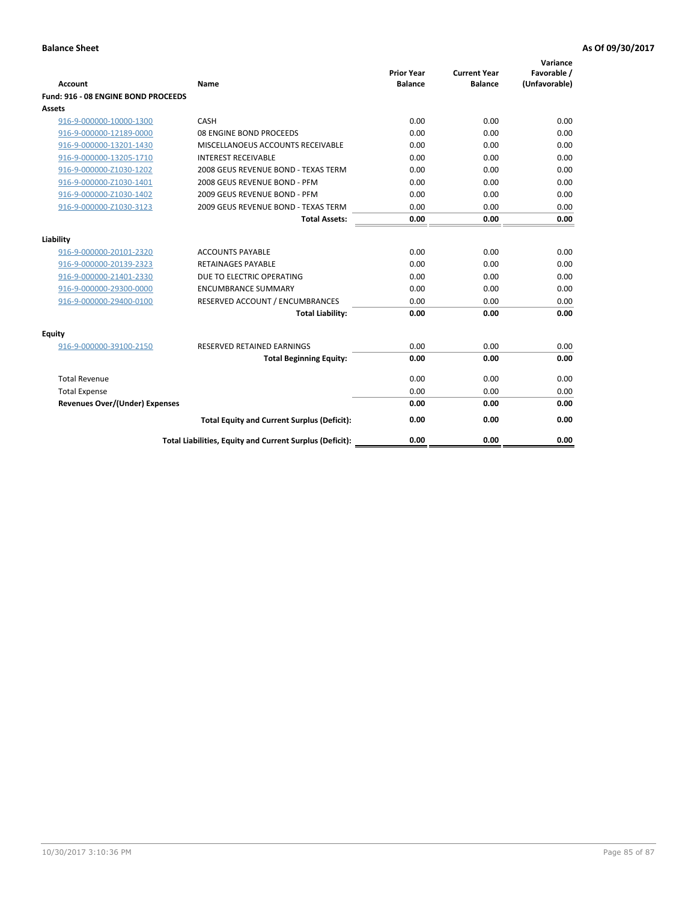| <b>Account</b>                        | Name                                                     | <b>Prior Year</b><br><b>Balance</b> | <b>Current Year</b><br><b>Balance</b> | Variance<br>Favorable /<br>(Unfavorable) |
|---------------------------------------|----------------------------------------------------------|-------------------------------------|---------------------------------------|------------------------------------------|
| Fund: 916 - 08 ENGINE BOND PROCEEDS   |                                                          |                                     |                                       |                                          |
| Assets                                |                                                          |                                     |                                       |                                          |
| 916-9-000000-10000-1300               | CASH                                                     | 0.00                                | 0.00                                  | 0.00                                     |
| 916-9-000000-12189-0000               | 08 ENGINE BOND PROCEEDS                                  | 0.00                                | 0.00                                  | 0.00                                     |
| 916-9-000000-13201-1430               | MISCELLANOEUS ACCOUNTS RECEIVABLE                        | 0.00                                | 0.00                                  | 0.00                                     |
| 916-9-000000-13205-1710               | <b>INTEREST RECEIVABLE</b>                               | 0.00                                | 0.00                                  | 0.00                                     |
| 916-9-000000-Z1030-1202               | 2008 GEUS REVENUE BOND - TEXAS TERM                      | 0.00                                | 0.00                                  | 0.00                                     |
| 916-9-000000-Z1030-1401               | 2008 GEUS REVENUE BOND - PFM                             | 0.00                                | 0.00                                  | 0.00                                     |
| 916-9-000000-Z1030-1402               | 2009 GEUS REVENUE BOND - PFM                             | 0.00                                | 0.00                                  | 0.00                                     |
| 916-9-000000-Z1030-3123               | 2009 GEUS REVENUE BOND - TEXAS TERM                      | 0.00                                | 0.00                                  | 0.00                                     |
|                                       | <b>Total Assets:</b>                                     | 0.00                                | 0.00                                  | 0.00                                     |
| Liability                             |                                                          |                                     |                                       |                                          |
| 916-9-000000-20101-2320               | <b>ACCOUNTS PAYABLE</b>                                  | 0.00                                | 0.00                                  | 0.00                                     |
| 916-9-000000-20139-2323               | <b>RETAINAGES PAYABLE</b>                                | 0.00                                | 0.00                                  | 0.00                                     |
| 916-9-000000-21401-2330               | DUE TO ELECTRIC OPERATING                                | 0.00                                | 0.00                                  | 0.00                                     |
| 916-9-000000-29300-0000               | <b>ENCUMBRANCE SUMMARY</b>                               | 0.00                                | 0.00                                  | 0.00                                     |
| 916-9-000000-29400-0100               | RESERVED ACCOUNT / ENCUMBRANCES                          | 0.00                                | 0.00                                  | 0.00                                     |
|                                       | <b>Total Liability:</b>                                  | 0.00                                | 0.00                                  | 0.00                                     |
| Equity                                |                                                          |                                     |                                       |                                          |
| 916-9-000000-39100-2150               | <b>RESERVED RETAINED EARNINGS</b>                        | 0.00                                | 0.00                                  | 0.00                                     |
|                                       | <b>Total Beginning Equity:</b>                           | 0.00                                | 0.00                                  | 0.00                                     |
| <b>Total Revenue</b>                  |                                                          | 0.00                                | 0.00                                  | 0.00                                     |
| <b>Total Expense</b>                  |                                                          | 0.00                                | 0.00                                  | 0.00                                     |
| <b>Revenues Over/(Under) Expenses</b> |                                                          | 0.00                                | 0.00                                  | 0.00                                     |
|                                       | <b>Total Equity and Current Surplus (Deficit):</b>       | 0.00                                | 0.00                                  | 0.00                                     |
|                                       | Total Liabilities, Equity and Current Surplus (Deficit): | 0.00                                | 0.00                                  | 0.00                                     |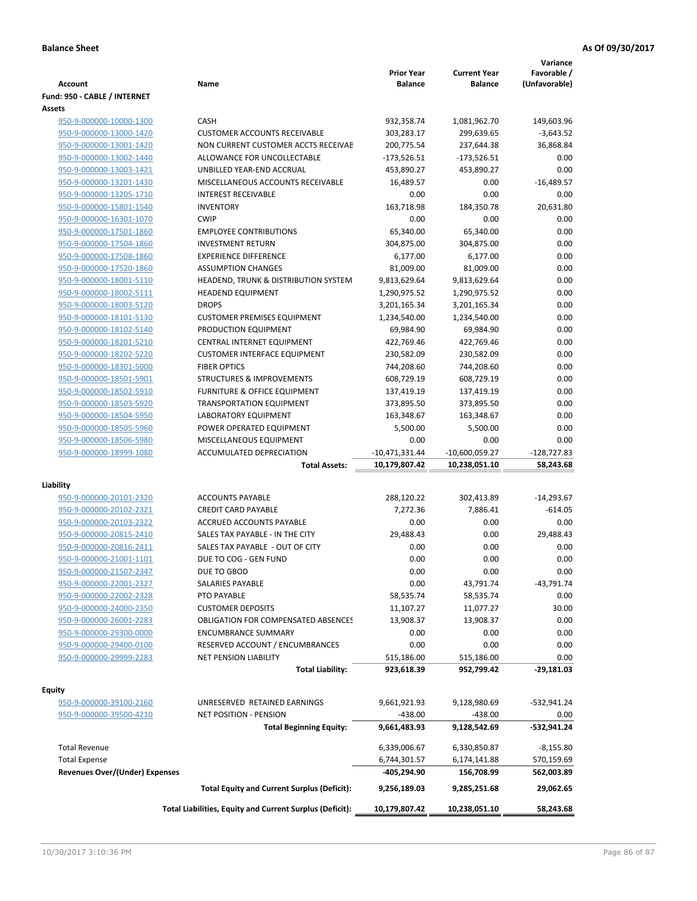|                                                    |                                                                | <b>Prior Year</b>            | <b>Current Year</b>          | Variance<br>Favorable / |
|----------------------------------------------------|----------------------------------------------------------------|------------------------------|------------------------------|-------------------------|
| <b>Account</b>                                     | Name                                                           | <b>Balance</b>               | <b>Balance</b>               | (Unfavorable)           |
| Fund: 950 - CABLE / INTERNET                       |                                                                |                              |                              |                         |
| Assets                                             |                                                                |                              |                              |                         |
| 950-9-000000-10000-1300                            | CASH                                                           | 932,358.74                   | 1,081,962.70                 | 149,603.96              |
| 950-9-000000-13000-1420                            | <b>CUSTOMER ACCOUNTS RECEIVABLE</b>                            | 303,283.17                   | 299,639.65                   | $-3,643.52$             |
| 950-9-000000-13001-1420                            | NON CURRENT CUSTOMER ACCTS RECEIVAE                            | 200,775.54                   | 237,644.38                   | 36,868.84               |
| 950-9-000000-13002-1440                            | ALLOWANCE FOR UNCOLLECTABLE                                    | $-173,526.51$                | $-173,526.51$                | 0.00                    |
| 950-9-000000-13003-1421                            | UNBILLED YEAR-END ACCRUAL<br>MISCELLANEOUS ACCOUNTS RECEIVABLE | 453,890.27                   | 453,890.27<br>0.00           | 0.00<br>$-16,489.57$    |
| 950-9-000000-13201-1430<br>950-9-000000-13205-1710 | <b>INTEREST RECEIVABLE</b>                                     | 16,489.57<br>0.00            | 0.00                         | 0.00                    |
| 950-9-000000-15801-1540                            | <b>INVENTORY</b>                                               | 163,718.98                   | 184,350.78                   | 20,631.80               |
| 950-9-000000-16301-1070                            | <b>CWIP</b>                                                    | 0.00                         | 0.00                         | 0.00                    |
| 950-9-000000-17501-1860                            | <b>EMPLOYEE CONTRIBUTIONS</b>                                  | 65,340.00                    | 65,340.00                    | 0.00                    |
| 950-9-000000-17504-1860                            | <b>INVESTMENT RETURN</b>                                       | 304,875.00                   | 304,875.00                   | 0.00                    |
| 950-9-000000-17508-1860                            | <b>EXPERIENCE DIFFERENCE</b>                                   | 6,177.00                     | 6,177.00                     | 0.00                    |
| 950-9-000000-17520-1860                            | <b>ASSUMPTION CHANGES</b>                                      | 81,009.00                    | 81,009.00                    | 0.00                    |
| 950-9-000000-18001-5110                            | HEADEND, TRUNK & DISTRIBUTION SYSTEM                           | 9,813,629.64                 | 9,813,629.64                 | 0.00                    |
| 950-9-000000-18002-5111                            | <b>HEADEND EQUIPMENT</b>                                       | 1,290,975.52                 | 1,290,975.52                 | 0.00                    |
| 950-9-000000-18003-5120                            | <b>DROPS</b>                                                   | 3,201,165.34                 | 3,201,165.34                 | 0.00                    |
| 950-9-000000-18101-5130                            | <b>CUSTOMER PREMISES EQUIPMENT</b>                             | 1,234,540.00                 | 1,234,540.00                 | 0.00                    |
| 950-9-000000-18102-5140                            | PRODUCTION EQUIPMENT                                           | 69,984.90                    | 69,984.90                    | 0.00                    |
| 950-9-000000-18201-5210                            | CENTRAL INTERNET EQUIPMENT                                     | 422,769.46                   | 422,769.46                   | 0.00                    |
| 950-9-000000-18202-5220                            | <b>CUSTOMER INTERFACE EQUIPMENT</b>                            | 230,582.09                   | 230,582.09                   | 0.00                    |
| 950-9-000000-18301-5000                            | <b>FIBER OPTICS</b>                                            | 744,208.60                   | 744,208.60                   | 0.00                    |
| 950-9-000000-18501-5901                            | <b>STRUCTURES &amp; IMPROVEMENTS</b>                           | 608,729.19                   | 608,729.19                   | 0.00                    |
| 950-9-000000-18502-5910                            | <b>FURNITURE &amp; OFFICE EQUIPMENT</b>                        | 137,419.19                   | 137,419.19                   | 0.00                    |
| 950-9-000000-18503-5920                            | <b>TRANSPORTATION EQUIPMENT</b>                                | 373,895.50                   | 373,895.50                   | 0.00                    |
| 950-9-000000-18504-5950                            | LABORATORY EQUIPMENT                                           | 163,348.67                   | 163,348.67                   | 0.00                    |
| 950-9-000000-18505-5960                            | POWER OPERATED EQUIPMENT                                       | 5,500.00                     | 5,500.00                     | 0.00                    |
| 950-9-000000-18506-5980                            | MISCELLANEOUS EQUIPMENT                                        | 0.00                         | 0.00                         | 0.00                    |
| 950-9-000000-18999-1080                            | ACCUMULATED DEPRECIATION                                       | $-10,471,331.44$             | $-10,600,059.27$             | $-128,727.83$           |
|                                                    | <b>Total Assets:</b>                                           | 10,179,807.42                | 10,238,051.10                | 58,243.68               |
|                                                    |                                                                |                              |                              |                         |
| Liability                                          |                                                                |                              |                              |                         |
| 950-9-000000-20101-2320                            | <b>ACCOUNTS PAYABLE</b>                                        | 288,120.22                   | 302,413.89                   | $-14,293.67$            |
| 950-9-000000-20102-2321                            | <b>CREDIT CARD PAYABLE</b>                                     | 7,272.36                     | 7,886.41                     | $-614.05$               |
| 950-9-000000-20103-2322                            | <b>ACCRUED ACCOUNTS PAYABLE</b>                                | 0.00                         | 0.00                         | 0.00                    |
| 950-9-000000-20815-2410                            | SALES TAX PAYABLE - IN THE CITY                                | 29,488.43                    | 0.00                         | 29,488.43               |
| 950-9-000000-20816-2411                            | SALES TAX PAYABLE - OUT OF CITY                                | 0.00                         | 0.00                         | 0.00                    |
| 950-9-000000-21001-1101                            | DUE TO COG - GEN FUND                                          | 0.00                         | 0.00                         | 0.00                    |
| 950-9-000000-21507-2347                            | DUE TO GBOD                                                    | 0.00                         | 0.00                         | 0.00                    |
| 950-9-000000-22001-2327                            | SALARIES PAYABLE                                               | 0.00                         | 43,791.74                    | $-43,791.74$            |
| 950-9-000000-22002-2328<br>950-9-000000-24000-2350 | PTO PAYABLE<br><b>CUSTOMER DEPOSITS</b>                        | 58,535.74                    | 58,535.74                    | 0.00                    |
|                                                    |                                                                | 11,107.27                    | 11,077.27                    | 30.00                   |
| 950-9-000000-26001-2283                            | <b>OBLIGATION FOR COMPENSATED ABSENCES</b>                     | 13,908.37                    | 13,908.37                    | 0.00                    |
| 950-9-000000-29300-0000                            | <b>ENCUMBRANCE SUMMARY</b><br>RESERVED ACCOUNT / ENCUMBRANCES  | 0.00                         | 0.00                         | 0.00                    |
| 950-9-000000-29400-0100<br>950-9-000000-29999-2283 | <b>NET PENSION LIABILITY</b>                                   | 0.00                         | 0.00                         | 0.00<br>0.00            |
|                                                    | <b>Total Liability:</b>                                        | 515,186.00<br>923,618.39     | 515,186.00                   | -29,181.03              |
|                                                    |                                                                |                              | 952,799.42                   |                         |
| <b>Equity</b>                                      |                                                                |                              |                              |                         |
| 950-9-000000-39100-2160                            | UNRESERVED RETAINED EARNINGS                                   | 9,661,921.93                 | 9,128,980.69                 | -532,941.24             |
| 950-9-000000-39500-4210                            | NET POSITION - PENSION                                         | $-438.00$                    | $-438.00$                    | 0.00                    |
|                                                    | <b>Total Beginning Equity:</b>                                 | 9,661,483.93                 | 9,128,542.69                 | -532,941.24             |
| <b>Total Revenue</b>                               |                                                                |                              |                              | $-8,155.80$             |
| <b>Total Expense</b>                               |                                                                | 6,339,006.67<br>6,744,301.57 | 6,330,850.87<br>6,174,141.88 | 570,159.69              |
| <b>Revenues Over/(Under) Expenses</b>              |                                                                | -405,294.90                  | 156,708.99                   | 562,003.89              |
|                                                    |                                                                |                              |                              |                         |
|                                                    | <b>Total Equity and Current Surplus (Deficit):</b>             | 9,256,189.03                 | 9,285,251.68                 | 29,062.65               |
|                                                    | Total Liabilities, Equity and Current Surplus (Deficit):       | 10,179,807.42                | 10,238,051.10                | 58,243.68               |